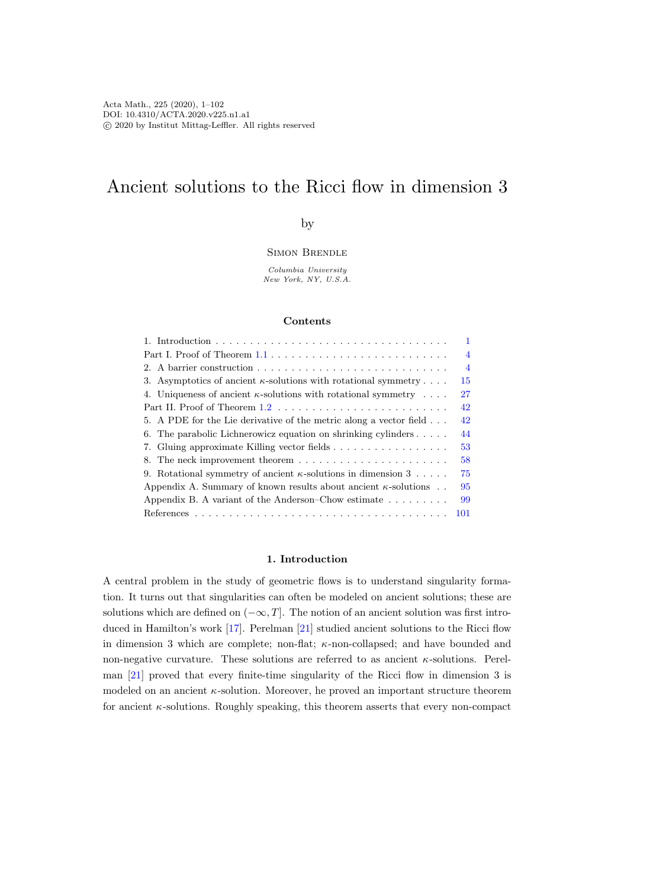# Ancient solutions to the Ricci flow in dimension 3

# by

Simon Brendle

Columbia University New York, NY, U.S.A.

## Contents

|                                                                                                | $\mathbf{1}$   |
|------------------------------------------------------------------------------------------------|----------------|
| Part I. Proof of Theorem $1.1 \ldots \ldots \ldots \ldots \ldots \ldots \ldots \ldots \ldots$  | $\overline{4}$ |
|                                                                                                | $\overline{4}$ |
| 3. Asymptotics of ancient $\kappa$ -solutions with rotational symmetry                         | 15             |
| 4. Uniqueness of ancient $\kappa$ -solutions with rotational symmetry                          | 27             |
| Part II. Proof of Theorem $1.2 \ldots \ldots \ldots \ldots \ldots \ldots \ldots \ldots \ldots$ | 42             |
| 5. A PDE for the Lie derivative of the metric along a vector field                             | 42             |
| 6. The parabolic Lichnerowicz equation on shrinking cylinders $\dots$ .                        | 44             |
|                                                                                                | 53             |
|                                                                                                | 58             |
| 9. Rotational symmetry of ancient $\kappa$ -solutions in dimension 3                           | 75             |
| Appendix A. Summary of known results about ancient $\kappa$ -solutions                         | 95             |
| Appendix B. A variant of the Anderson–Chow estimate $\dots \dots$                              | 99             |
|                                                                                                | 101            |

### 1. Introduction

<span id="page-0-0"></span>A central problem in the study of geometric flows is to understand singularity formation. It turns out that singularities can often be modeled on ancient solutions; these are solutions which are defined on  $(-\infty, T]$ . The notion of an ancient solution was first introduced in Hamilton's work [\[17\]](#page-100-0). Perelman [\[21\]](#page-100-1) studied ancient solutions to the Ricci flow in dimension 3 which are complete; non-flat;  $\kappa$ -non-collapsed; and have bounded and non-negative curvature. These solutions are referred to as ancient  $\kappa$ -solutions. Perelman [\[21\]](#page-100-1) proved that every finite-time singularity of the Ricci flow in dimension 3 is modeled on an ancient  $\kappa$ -solution. Moreover, he proved an important structure theorem for ancient  $\kappa$ -solutions. Roughly speaking, this theorem asserts that every non-compact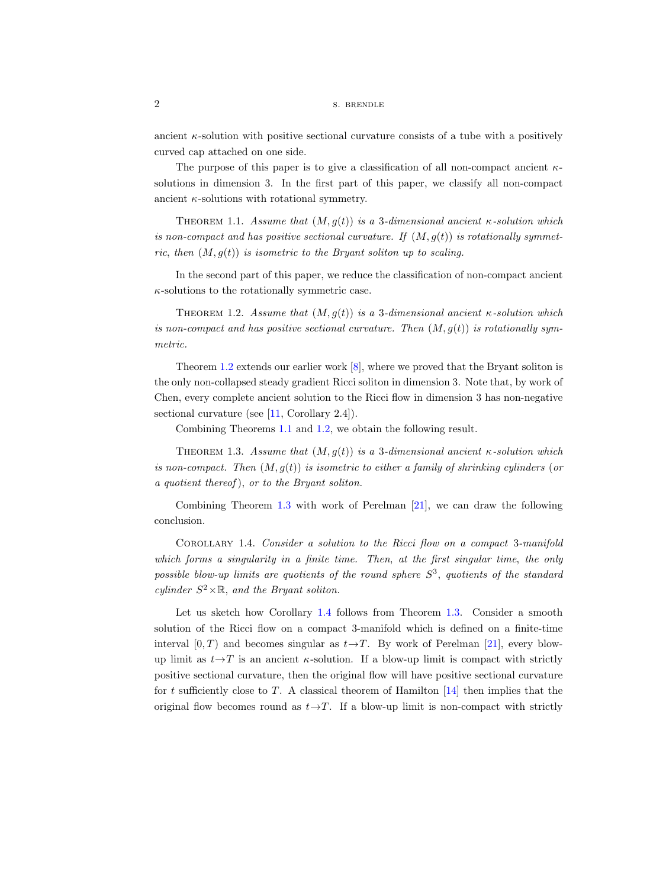ancient  $\kappa$ -solution with positive sectional curvature consists of a tube with a positively curved cap attached on one side.

The purpose of this paper is to give a classification of all non-compact ancient  $\kappa$ solutions in dimension 3. In the first part of this paper, we classify all non-compact ancient  $\kappa$ -solutions with rotational symmetry.

<span id="page-1-0"></span>THEOREM 1.1. Assume that  $(M, g(t))$  is a 3-dimensional ancient  $\kappa$ -solution which is non-compact and has positive sectional curvature. If  $(M, g(t))$  is rotationally symmetric, then  $(M, q(t))$  is isometric to the Bryant soliton up to scaling.

In the second part of this paper, we reduce the classification of non-compact ancient  $\kappa$ -solutions to the rotationally symmetric case.

<span id="page-1-1"></span>THEOREM 1.2. Assume that  $(M, q(t))$  is a 3-dimensional ancient  $\kappa$ -solution which is non-compact and has positive sectional curvature. Then  $(M, g(t))$  is rotationally symmetric.

Theorem [1.2](#page-1-1) extends our earlier work [\[8\]](#page-100-2), where we proved that the Bryant soliton is the only non-collapsed steady gradient Ricci soliton in dimension 3. Note that, by work of Chen, every complete ancient solution to the Ricci flow in dimension 3 has non-negative sectional curvature (see [\[11,](#page-100-3) Corollary 2.4]).

Combining Theorems [1.1](#page-1-0) and [1.2,](#page-1-1) we obtain the following result.

<span id="page-1-2"></span>THEOREM 1.3. Assume that  $(M, g(t))$  is a 3-dimensional ancient  $\kappa$ -solution which is non-compact. Then  $(M, g(t))$  is isometric to either a family of shrinking cylinders (or a quotient thereof ), or to the Bryant soliton.

Combining Theorem [1.3](#page-1-2) with work of Perelman [\[21\]](#page-100-1), we can draw the following conclusion.

<span id="page-1-3"></span>Corollary 1.4. Consider a solution to the Ricci flow on a compact 3-manifold which forms a singularity in a finite time. Then, at the first singular time, the only possible blow-up limits are quotients of the round sphere  $S^3$ , quotients of the standard cylinder  $S^2 \times \mathbb{R}$ , and the Bryant soliton.

Let us sketch how Corollary [1.4](#page-1-3) follows from Theorem [1.3.](#page-1-2) Consider a smooth solution of the Ricci flow on a compact 3-manifold which is defined on a finite-time interval  $[0, T)$  and becomes singular as  $t \rightarrow T$ . By work of Perelman [\[21\]](#page-100-1), every blowup limit as  $t \rightarrow T$  is an ancient  $\kappa$ -solution. If a blow-up limit is compact with strictly positive sectional curvature, then the original flow will have positive sectional curvature for t sufficiently close to  $T$ . A classical theorem of Hamilton  $[14]$  then implies that the original flow becomes round as  $t \rightarrow T$ . If a blow-up limit is non-compact with strictly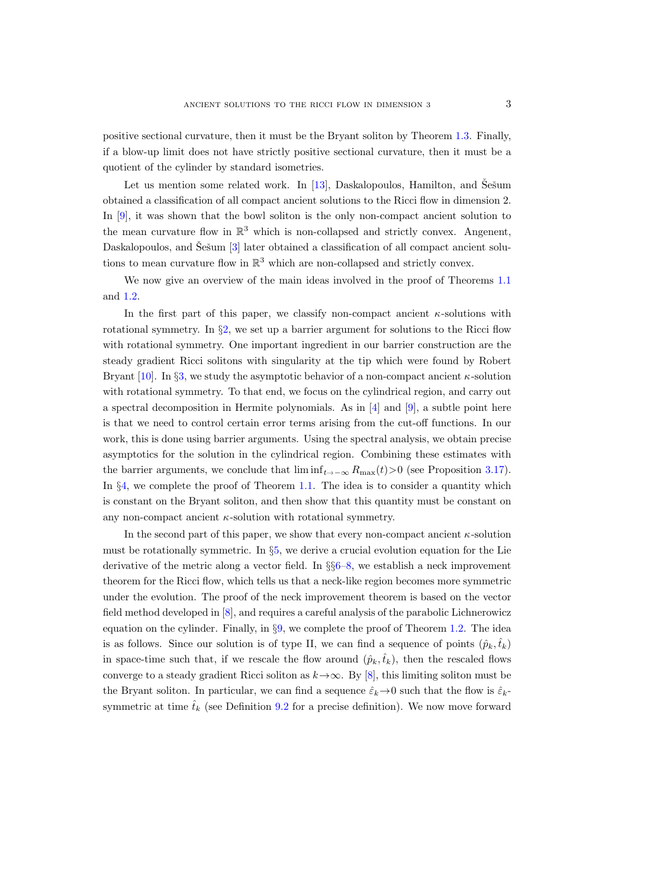positive sectional curvature, then it must be the Bryant soliton by Theorem [1.3.](#page-1-2) Finally, if a blow-up limit does not have strictly positive sectional curvature, then it must be a quotient of the cylinder by standard isometries.

Let us mention some related work. In  $[13]$ , Daskalopoulos, Hamilton, and Šešum obtained a classification of all compact ancient solutions to the Ricci flow in dimension 2. In [\[9\]](#page-100-6), it was shown that the bowl soliton is the only non-compact ancient solution to the mean curvature flow in  $\mathbb{R}^3$  which is non-collapsed and strictly convex. Angenent, Daskalopoulos, and Šešum [[3\]](#page-100-7) later obtained a classification of all compact ancient solutions to mean curvature flow in  $\mathbb{R}^3$  which are non-collapsed and strictly convex.

We now give an overview of the main ideas involved in the proof of Theorems [1.1](#page-1-0) and [1.2.](#page-1-1)

In the first part of this paper, we classify non-compact ancient  $\kappa$ -solutions with rotational symmetry. In §[2,](#page-3-1) we set up a barrier argument for solutions to the Ricci flow with rotational symmetry. One important ingredient in our barrier construction are the steady gradient Ricci solitons with singularity at the tip which were found by Robert Bryant [\[10\]](#page-100-8). In §[3,](#page-14-0) we study the asymptotic behavior of a non-compact ancient  $\kappa$ -solution with rotational symmetry. To that end, we focus on the cylindrical region, and carry out a spectral decomposition in Hermite polynomials. As in  $[4]$  and  $[9]$ , a subtle point here is that we need to control certain error terms arising from the cut-off functions. In our work, this is done using barrier arguments. Using the spectral analysis, we obtain precise asymptotics for the solution in the cylindrical region. Combining these estimates with the barrier arguments, we conclude that  $\liminf_{t \to -\infty} R_{\max}(t) > 0$  (see Proposition [3.17\)](#page-26-1). In §[4,](#page-26-0) we complete the proof of Theorem [1.1.](#page-1-0) The idea is to consider a quantity which is constant on the Bryant soliton, and then show that this quantity must be constant on any non-compact ancient  $\kappa$ -solution with rotational symmetry.

In the second part of this paper, we show that every non-compact ancient  $\kappa$ -solution must be rotationally symmetric. In §[5,](#page-41-0) we derive a crucial evolution equation for the Lie derivative of the metric along a vector field. In §§[6](#page-43-0)[–8,](#page-57-0) we establish a neck improvement theorem for the Ricci flow, which tells us that a neck-like region becomes more symmetric under the evolution. The proof of the neck improvement theorem is based on the vector field method developed in [\[8\]](#page-100-2), and requires a careful analysis of the parabolic Lichnerowicz equation on the cylinder. Finally, in §[9,](#page-74-0) we complete the proof of Theorem [1.2.](#page-1-1) The idea is as follows. Since our solution is of type II, we can find a sequence of points  $(\hat{p}_k, \hat{t}_k)$ in space-time such that, if we rescale the flow around  $(\hat{p}_k, \hat{t}_k)$ , then the rescaled flows converge to a steady gradient Ricci soliton as  $k \rightarrow \infty$ . By [\[8\]](#page-100-2), this limiting soliton must be the Bryant soliton. In particular, we can find a sequence  $\hat{\varepsilon}_k \to 0$  such that the flow is  $\hat{\varepsilon}_k$ symmetric at time  $\hat{t}_k$  (see Definition [9.2](#page-75-0) for a precise definition). We now move forward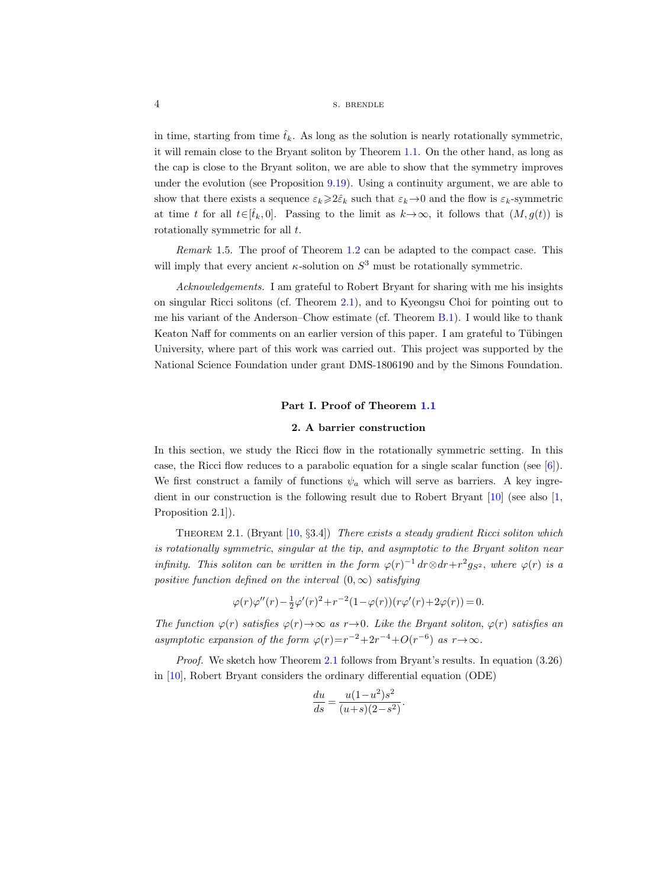# 4 S. BRENDLE

in time, starting from time  $\hat{t}_k$ . As long as the solution is nearly rotationally symmetric, it will remain close to the Bryant soliton by Theorem [1.1.](#page-1-0) On the other hand, as long as the cap is close to the Bryant soliton, we are able to show that the symmetry improves under the evolution (see Proposition [9.19\)](#page-88-0). Using a continuity argument, we are able to show that there exists a sequence  $\varepsilon_k \geqslant 2\hat{\varepsilon}_k$  such that  $\varepsilon_k \to 0$  and the flow is  $\varepsilon_k$ -symmetric at time t for all  $t\in[\hat{t}_k, 0]$ . Passing to the limit as  $k\to\infty$ , it follows that  $(M, g(t))$  is rotationally symmetric for all  $t$ .

<span id="page-3-0"></span>Remark 1.5. The proof of Theorem [1.2](#page-1-1) can be adapted to the compact case. This will imply that every ancient  $\kappa$ -solution on  $S^3$  must be rotationally symmetric.

Acknowledgements. I am grateful to Robert Bryant for sharing with me his insights on singular Ricci solitons (cf. Theorem [2.1\)](#page-3-2), and to Kyeongsu Choi for pointing out to me his variant of the Anderson–Chow estimate (cf. Theorem [B.1\)](#page-98-1). I would like to thank Keaton Naff for comments on an earlier version of this paper. I am grateful to Tübingen University, where part of this work was carried out. This project was supported by the National Science Foundation under grant DMS-1806190 and by the Simons Foundation.

#### Part I. Proof of Theorem [1.1](#page-1-0)

#### 2. A barrier construction

<span id="page-3-1"></span>In this section, we study the Ricci flow in the rotationally symmetric setting. In this case, the Ricci flow reduces to a parabolic equation for a single scalar function (see  $[6]$ ). We first construct a family of functions  $\psi_a$  which will serve as barriers. A key ingredient in our construction is the following result due to Robert Bryant [\[10\]](#page-100-8) (see also [\[1,](#page-100-11) Proposition 2.1]).

<span id="page-3-2"></span>THEOREM 2.1. (Bryant  $[10, §3.4]$ ) There exists a steady gradient Ricci soliton which is rotationally symmetric, singular at the tip, and asymptotic to the Bryant soliton near infinity. This soliton can be written in the form  $\varphi(r)^{-1} dr \otimes dr + r^2 g_{S^2}$ , where  $\varphi(r)$  is a positive function defined on the interval  $(0, \infty)$  satisfying

$$
\varphi(r)\varphi''(r) - \frac{1}{2}\varphi'(r)^2 + r^{-2}(1 - \varphi(r))(r\varphi'(r) + 2\varphi(r)) = 0.
$$

The function  $\varphi(r)$  satisfies  $\varphi(r) \to \infty$  as  $r \to 0$ . Like the Bryant soliton,  $\varphi(r)$  satisfies an asymptotic expansion of the form  $\varphi(r)=r^{-2}+2r^{-4}+O(r^{-6})$  as  $r\rightarrow\infty$ .

Proof. We sketch how Theorem [2.1](#page-3-2) follows from Bryant's results. In equation (3.26) in [\[10\]](#page-100-8), Robert Bryant considers the ordinary differential equation (ODE)

$$
\frac{du}{ds} = \frac{u(1 - u^2)s^2}{(u+s)(2 - s^2)}.
$$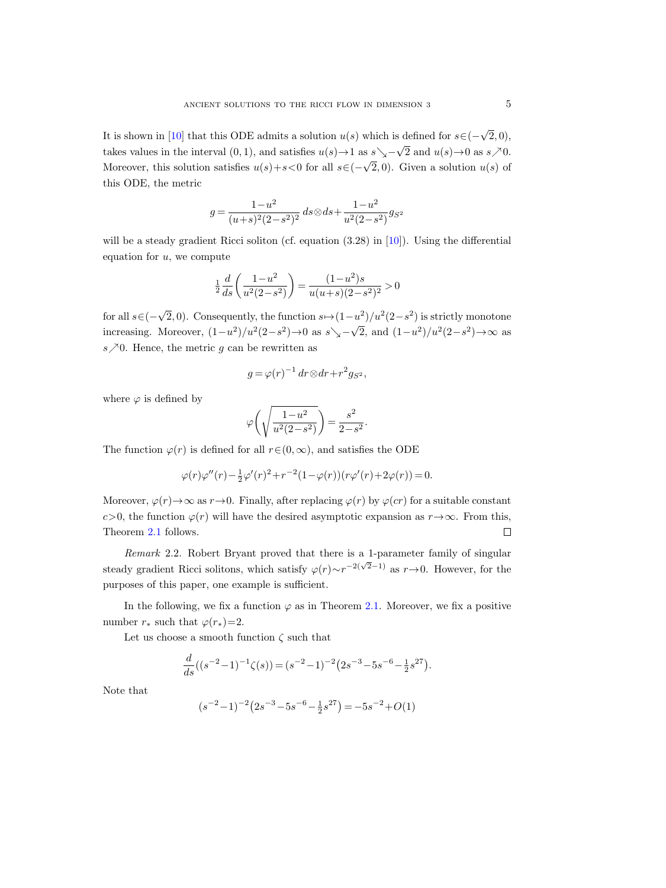It is shown in [\[10\]](#page-100-8) that this ODE admits a solution  $u(s)$  which is defined for  $s \in (-1, 1]$ √  $(2, 0),$ takes values in the interval  $(0, 1)$ , and satisfies  $u(s) \rightarrow 1$  as  $s \searrow$ √ 2 and  $u(s) \rightarrow 0$  as  $s \nearrow 0$ . Moreover, this solution satisfies  $u(s)+s<0$  for all  $s\in$  (-√  $(2,0)$ . Given a solution  $u(s)$  of this ODE, the metric

$$
g = \frac{1 - u^2}{(u + s)^2 (2 - s^2)^2} ds \otimes ds + \frac{1 - u^2}{u^2 (2 - s^2)} g_{S^2}
$$

will be a steady gradient Ricci soliton (cf. equation  $(3.28)$  in [\[10\]](#page-100-8)). Using the differential equation for  $u$ , we compute

$$
\tfrac{1}{2}\frac{d}{ds}\bigg(\frac{1-u^2}{u^2(2-s^2)}\bigg)=\frac{(1-u^2)s}{u(u+s)(2-s^2)^2}>0
$$

for all  $s \in (-$ √  $\overline{2}$ , 0). Consequently, the function  $s \mapsto (1-u^2)/u^2(2-s^2)$  is strictly monotone increasing. Moreover,  $(1-u^2)/u^2(2-s^2) \rightarrow 0$  as  $s \searrow$ √  $\overline{2}$ , and  $(1-u^2)/u^2(2-s^2) \rightarrow \infty$  as  $s \nearrow 0$ . Hence, the metric g can be rewritten as

$$
g = \varphi(r)^{-1} dr \otimes dr + r^2 g_{S^2},
$$

where  $\varphi$  is defined by

$$
\varphi\left(\sqrt{\frac{1-u^2}{u^2(2-s^2)}}\right) = \frac{s^2}{2-s^2}.
$$

The function  $\varphi(r)$  is defined for all  $r \in (0, \infty)$ , and satisfies the ODE

$$
\varphi(r)\varphi''(r)-\tfrac{1}{2}\varphi'(r)^2+r^{-2}(1-\varphi(r))(r\varphi'(r)+2\varphi(r))=0.
$$

Moreover,  $\varphi(r) \rightarrow \infty$  as  $r \rightarrow 0$ . Finally, after replacing  $\varphi(r)$  by  $\varphi(cr)$  for a suitable constant c>0, the function  $\varphi(r)$  will have the desired asymptotic expansion as  $r \rightarrow \infty$ . From this, Theorem [2.1](#page-3-2) follows.  $\Box$ 

Remark 2.2. Robert Bryant proved that there is a 1-parameter family of singular steady gradient Ricci solitons, which satisfy  $\varphi(r) \sim r^{-2(\sqrt{2}-1)}$  as  $r \to 0$ . However, for the purposes of this paper, one example is sufficient.

In the following, we fix a function  $\varphi$  as in Theorem [2.1.](#page-3-2) Moreover, we fix a positive number  $r_*$  such that  $\varphi(r_*)=2$ .

Let us choose a smooth function  $\zeta$  such that

$$
\frac{d}{ds}((s^{-2}-1)^{-1}\zeta(s)) = (s^{-2}-1)^{-2}(2s^{-3}-5s^{-6}-\frac{1}{2}s^{27}).
$$

Note that

$$
(s^{-2}-1)^{-2}\bigl(2s^{-3}-5s^{-6}-\tfrac12 s^{27}\bigr)=-5s^{-2}+O(1)
$$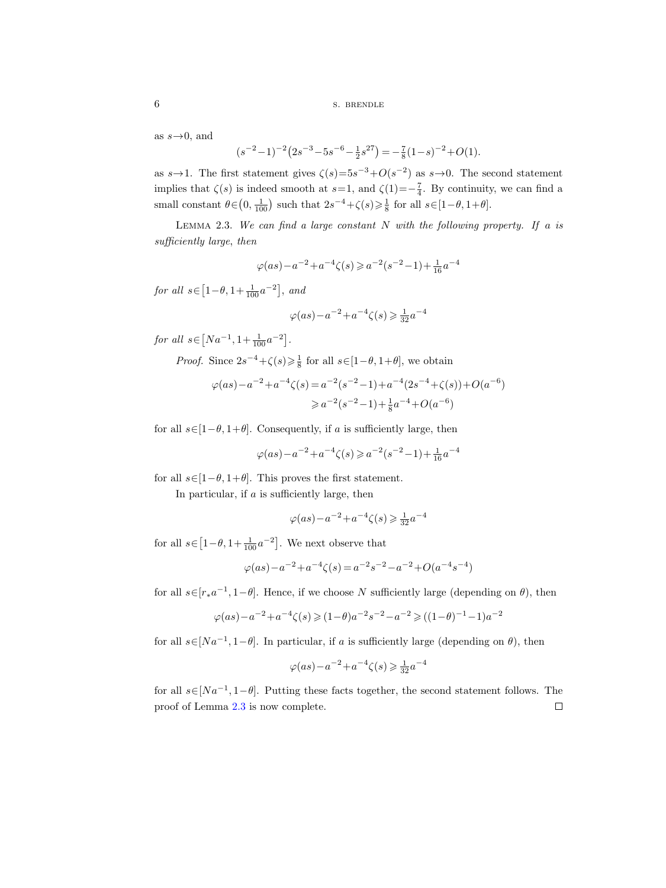as  $s\rightarrow 0$ , and

$$
(s^{-2}-1)^{-2}\big(2s^{-3}-5s^{-6}-\tfrac12 s^{27}\big)=-\tfrac78(1-s)^{-2}+O(1).
$$

as  $s \rightarrow 1$ . The first statement gives  $\zeta(s) = 5s^{-3} + O(s^{-2})$  as  $s \rightarrow 0$ . The second statement implies that  $\zeta(s)$  is indeed smooth at  $s=1$ , and  $\zeta(1)=-\frac{7}{4}$ . By continuity, we can find a small constant  $\theta \in (0, \frac{1}{100})$  such that  $2s^{-4} + \zeta(s) \geq \frac{1}{8}$  for all  $s \in [1 - \theta, 1 + \theta]$ .

<span id="page-5-0"></span>LEMMA 2.3. We can find a large constant  $N$  with the following property. If a is sufficiently large, then

$$
\varphi(as)\!-\!a^{-2}\!+\!a^{-4}\zeta(s)\!\geqslant\!a^{-2}(s^{-2}\!-\!1)\!+\!\tfrac{1}{16}a^{-4}
$$

for all  $s \in [1-\theta, 1+\frac{1}{100}a^{-2}]$ , and

$$
\varphi(as)\!-\!a^{-2}\!+\!a^{-4}\zeta(s)\!\geqslant\!\tfrac{1}{32}a^{-4}
$$

for all  $s \in [Na^{-1}, 1 + \frac{1}{100}a^{-2}]$ .

*Proof.* Since  $2s^{-4} + \zeta(s) \geq \frac{1}{8}$  for all  $s \in [1-\theta, 1+\theta]$ , we obtain

$$
\varphi(as) - a^{-2} + a^{-4}\zeta(s) = a^{-2}(s^{-2} - 1) + a^{-4}(2s^{-4} + \zeta(s)) + O(a^{-6})
$$
  

$$
\geq a^{-2}(s^{-2} - 1) + \frac{1}{8}a^{-4} + O(a^{-6})
$$

for all  $s \in [1-\theta, 1+\theta]$ . Consequently, if a is sufficiently large, then

$$
\varphi(as)\!-\!a^{-2}\!+\!a^{-4}\zeta(s)\!\geqslant\!a^{-2}(s^{-2}\!-\!1)\!+\!\tfrac{1}{16}a^{-4}
$$

for all  $s \in [1-\theta, 1+\theta]$ . This proves the first statement.

In particular, if  $a$  is sufficiently large, then

$$
\varphi(as) - a^{-2} + a^{-4}\zeta(s) \ge \frac{1}{32}a^{-4}
$$

for all  $s \in [1-\theta, 1+\frac{1}{100}a^{-2}]$ . We next observe that

$$
\varphi(as) - a^{-2} + a^{-4}\zeta(s) = a^{-2}s^{-2} - a^{-2} + O(a^{-4}s^{-4})
$$

for all  $s \in [r_* a^{-1}, 1-\theta]$ . Hence, if we choose N sufficiently large (depending on  $\theta$ ), then

$$
\varphi(as)\!-\!a^{-2}\!+\!a^{-4}\zeta(s)\!\geqslant\!(1\!-\!\theta)a^{-2}s^{-2}\!-\!a^{-2}\!\geqslant\!((1\!-\!\theta)^{-1}\!-\!1)a^{-2}
$$

for all  $s \in [Na^{-1}, 1-\theta]$ . In particular, if a is sufficiently large (depending on  $\theta$ ), then

$$
\varphi(as)\!-\!a^{-2}\!+\!a^{-4}\zeta(s)\!\geqslant\!\tfrac{1}{32}a^{-4}
$$

for all  $s \in [Na^{-1}, 1-\theta]$ . Putting these facts together, the second statement follows. The proof of Lemma [2.3](#page-5-0) is now complete. $\Box$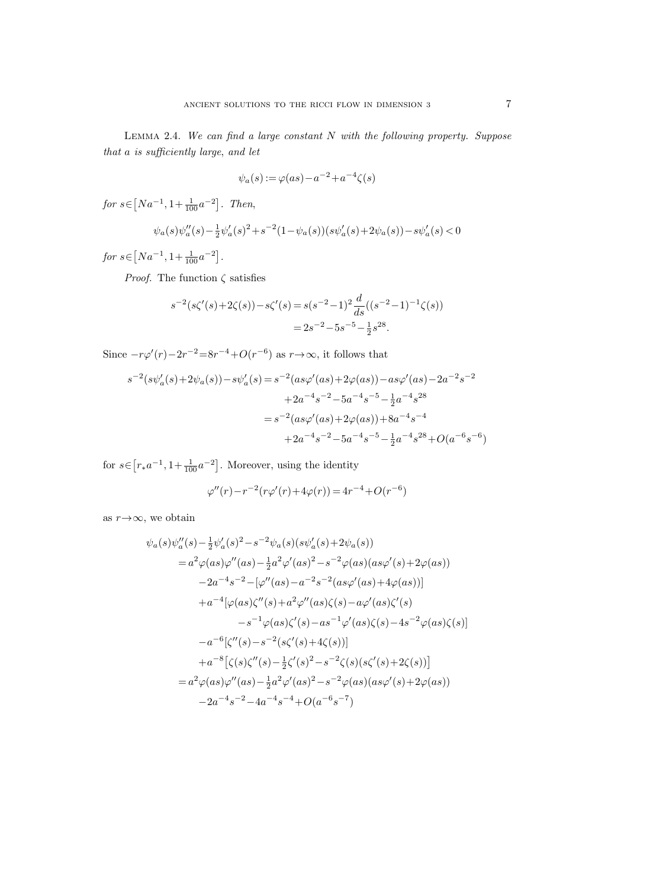<span id="page-6-0"></span>LEMMA 2.4. We can find a large constant  $N$  with the following property. Suppose that a is sufficiently large, and let

$$
\psi_a(s) := \varphi(as) - a^{-2} + a^{-4}\zeta(s)
$$

for  $s \in [Na^{-1}, 1 + \frac{1}{100}a^{-2}]$ . Then,

$$
\psi_a(s)\psi_a''(s) - \frac{1}{2}\psi_a'(s)^2 + s^{-2}(1 - \psi_a(s))(s\psi_a'(s) + 2\psi_a(s)) - s\psi_a'(s) < 0
$$

for  $s \in [Na^{-1}, 1 + \frac{1}{100}a^{-2}]$ .

*Proof.* The function  $\zeta$  satisfies

$$
s^{-2}(s\zeta'(s) + 2\zeta(s)) - s\zeta'(s) = s(s^{-2} - 1)^2 \frac{d}{ds}((s^{-2} - 1)^{-1}\zeta(s))
$$
  
=  $2s^{-2} - 5s^{-5} - \frac{1}{2}s^{28}$ .

Since  $-r\varphi'(r)-2r^{-2}=8r^{-4}+O(r^{-6})$  as  $r\to\infty$ , it follows that

$$
s^{-2}(s\psi_a'(s) + 2\psi_a(s)) - s\psi_a'(s) = s^{-2}(as\varphi'(as) + 2\varphi(as)) - as\varphi'(as) - 2a^{-2}s^{-2}
$$

$$
+ 2a^{-4}s^{-2} - 5a^{-4}s^{-5} - \frac{1}{2}a^{-4}s^{28}
$$

$$
= s^{-2}(as\varphi'(as) + 2\varphi(as)) + 8a^{-4}s^{-4}
$$

$$
+ 2a^{-4}s^{-2} - 5a^{-4}s^{-5} - \frac{1}{2}a^{-4}s^{28} + O(a^{-6}s^{-6})
$$

for  $s \in [r_* a^{-1}, 1 + \frac{1}{100} a^{-2}]$ . Moreover, using the identity

$$
\varphi''(r) - r^{-2}(r\varphi'(r) + 4\varphi(r)) = 4r^{-4} + O(r^{-6})
$$

as  $r \rightarrow \infty$ , we obtain

$$
\psi_a(s)\psi_a''(s) - \frac{1}{2}\psi_a'(s)^2 - s^{-2}\psi_a(s)(s\psi_a'(s) + 2\psi_a(s))
$$
  
\n
$$
= a^2\varphi(as)\varphi''(as) - \frac{1}{2}a^2\varphi'(as)^2 - s^{-2}\varphi(as)(as\varphi'(s) + 2\varphi(as))
$$
  
\n
$$
-2a^{-4}s^{-2} - [\varphi''(as) - a^{-2}s^{-2}(as\varphi'(as) + 4\varphi(as))]
$$
  
\n
$$
+a^{-4}[\varphi(as)\zeta''(s) + a^2\varphi''(as)\zeta(s) - a\varphi'(as)\zeta'(s)
$$
  
\n
$$
-s^{-1}\varphi(as)\zeta'(s) - as^{-1}\varphi'(as)\zeta(s) - 4s^{-2}\varphi(as)\zeta(s)]
$$
  
\n
$$
-a^{-6}[\zeta''(s) - s^{-2}(s\zeta'(s) + 4\zeta(s))]
$$
  
\n
$$
+a^{-8}[\zeta(s)\zeta''(s) - \frac{1}{2}\zeta'(s)^2 - s^{-2}\zeta(s)(s\zeta'(s) + 2\zeta(s))]
$$
  
\n
$$
= a^2\varphi(as)\varphi''(as) - \frac{1}{2}a^2\varphi'(as)^2 - s^{-2}\varphi(as)(as\varphi'(s) + 2\varphi(as))
$$
  
\n
$$
-2a^{-4}s^{-2} - 4a^{-4}s^{-4} + O(a^{-6}s^{-7})
$$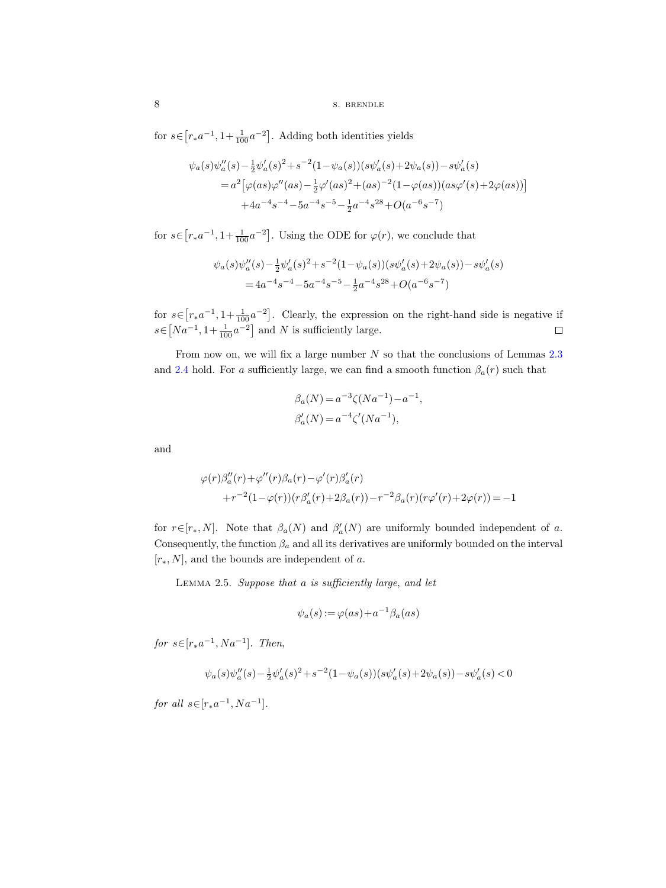for  $s \in [r_* a^{-1}, 1 + \frac{1}{100} a^{-2}]$ . Adding both identities yields

$$
\psi_a(s)\psi_a''(s) - \frac{1}{2}\psi_a'(s)^2 + s^{-2}(1-\psi_a(s))(s\psi_a'(s) + 2\psi_a(s)) - s\psi_a'(s)
$$
  
=  $a^2[\varphi(as)\varphi''(as) - \frac{1}{2}\varphi'(as)^2 + (as)^{-2}(1-\varphi(as))(as\varphi'(s) + 2\varphi(as))]$   
+  $4a^{-4}s^{-4} - 5a^{-4}s^{-5} - \frac{1}{2}a^{-4}s^{28} + O(a^{-6}s^{-7})$ 

for  $s \in [r_* a^{-1}, 1 + \frac{1}{100} a^{-2}]$ . Using the ODE for  $\varphi(r)$ , we conclude that

$$
\psi_a(s)\psi_a''(s) - \frac{1}{2}\psi_a'(s)^2 + s^{-2}(1 - \psi_a(s))(s\psi_a'(s) + 2\psi_a(s)) - s\psi_a'(s)
$$
  
=  $4a^{-4}s^{-4} - 5a^{-4}s^{-5} - \frac{1}{2}a^{-4}s^{28} + O(a^{-6}s^{-7})$ 

for  $s \in [r_* a^{-1}, 1 + \frac{1}{100} a^{-2}]$ . Clearly, the expression on the right-hand side is negative if  $s \in [Na^{-1}, 1 + \frac{1}{100}a^{-2}]$  and N is sufficiently large.  $\Box$ 

From now on, we will fix a large number  $N$  so that the conclusions of Lemmas [2.3](#page-5-0) and [2.4](#page-6-0) hold. For a sufficiently large, we can find a smooth function  $\beta_a(r)$  such that

$$
\beta_a(N) = a^{-3} \zeta(Na^{-1}) - a^{-1},
$$
  

$$
\beta'_a(N) = a^{-4} \zeta'(Na^{-1}),
$$

and

$$
\varphi(r)\beta_a''(r) + \varphi''(r)\beta_a(r) - \varphi'(r)\beta_a'(r)
$$
  
+
$$
r^{-2}(1-\varphi(r))(r\beta_a'(r) + 2\beta_a(r)) - r^{-2}\beta_a(r)(r\varphi'(r) + 2\varphi(r)) = -1
$$

for  $r \in [r_*, N]$ . Note that  $\beta_a(N)$  and  $\beta'_a(N)$  are uniformly bounded independent of a. Consequently, the function  $\beta_a$  and all its derivatives are uniformly bounded on the interval  $[r_*, N]$ , and the bounds are independent of a.

<span id="page-7-0"></span>LEMMA 2.5. Suppose that a is sufficiently large, and let

$$
\psi_a(s) := \varphi(as) + a^{-1}\beta_a(as)
$$

for  $s \in [r_* a^{-1}, Na^{-1}]$ . Then,

$$
\psi_a(s)\psi_a''(s) - \tfrac{1}{2}\psi_a'(s)^2 + s^{-2}(1-\psi_a(s))(s\psi_a'(s) + 2\psi_a(s)) - s\psi_a'(s) < 0
$$

for all  $s \in [r_* a^{-1}, Na^{-1}].$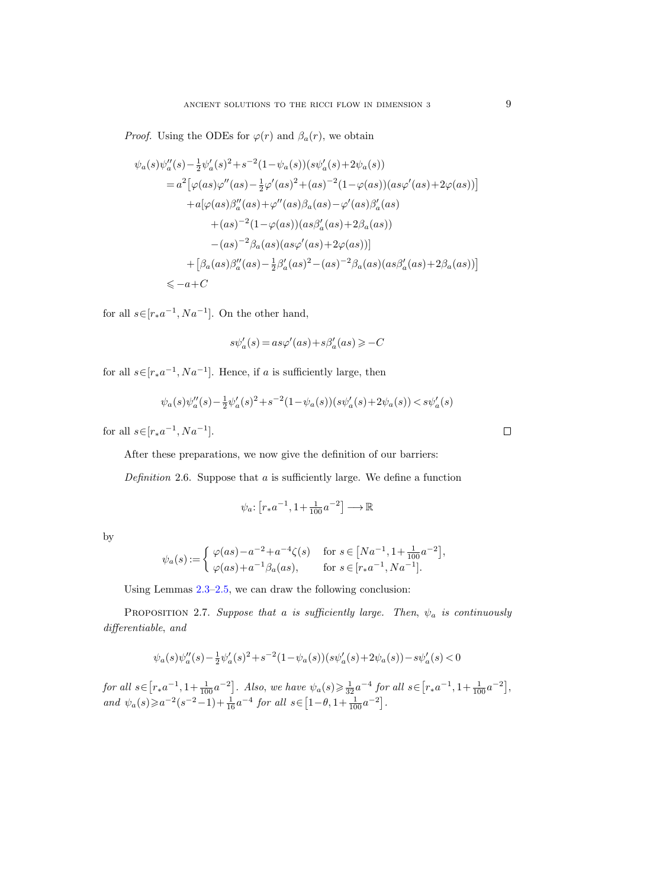*Proof.* Using the ODEs for  $\varphi(r)$  and  $\beta_a(r)$ , we obtain

$$
\psi_a(s)\psi_a''(s) - \frac{1}{2}\psi_a'(s)^2 + s^{-2}(1-\psi_a(s))(s\psi_a'(s) + 2\psi_a(s))
$$
  
\n
$$
= a^2[\varphi(as)\varphi''(as) - \frac{1}{2}\varphi'(as)^2 + (as)^{-2}(1-\varphi(as))(as\varphi'(as) + 2\varphi(as))]
$$
  
\n
$$
+ a[\varphi(as)\beta_a''(as) + \varphi''(as)\beta_a(as) - \varphi'(as)\beta_a'(as)
$$
  
\n
$$
+ (as)^{-2}(1-\varphi(as))(as\beta_a'(as) + 2\beta_a(as))
$$
  
\n
$$
- (as)^{-2}\beta_a(as)(as\varphi'(as) + 2\varphi(as))]
$$
  
\n
$$
+ [\beta_a(as)\beta_a''(as) - \frac{1}{2}\beta_a'(as)^2 - (as)^{-2}\beta_a(as)(as\beta_a'(as) + 2\beta_a(as))]
$$
  
\n
$$
\leq -a + C
$$

for all  $s \in [r_* a^{-1}, Na^{-1}]$ . On the other hand,

$$
s\psi'_a(s)\,{=}\,as\varphi'(as)\,{+}\,s\beta'_a(as)\,{\geqslant}\,{-}\,C
$$

for all  $s \in [r_* a^{-1}, Na^{-1}]$ . Hence, if a is sufficiently large, then

$$
\psi_a(s)\psi_a''(s) - \frac{1}{2}\psi_a'(s)^2 + s^{-2}(1 - \psi_a(s))(s\psi_a'(s) + 2\psi_a(s)) < s\psi_a'(s)
$$

for all  $s \in [r_* a^{-1}, Na^{-1}].$ 

After these preparations, we now give the definition of our barriers:

Definition 2.6. Suppose that  $a$  is sufficiently large. We define a function

$$
\psi_a\colon \bigl[r_*a^{-1},1+\tfrac{1}{100}a^{-2}\bigr]\longrightarrow \mathbb{R}
$$

| . .     |  |
|---------|--|
| ۰,<br>٠ |  |

$$
\psi_a(s) := \begin{cases} \varphi(as) - a^{-2} + a^{-4}\zeta(s) & \text{for } s \in [Na^{-1}, 1 + \frac{1}{100}a^{-2}], \\ \varphi(as) + a^{-1}\beta_a(as), & \text{for } s \in [r_*a^{-1}, Na^{-1}]. \end{cases}
$$

Using Lemmas [2.3–](#page-5-0)[2.5,](#page-7-0) we can draw the following conclusion:

<span id="page-8-0"></span>PROPOSITION 2.7. Suppose that a is sufficiently large. Then,  $\psi_a$  is continuously differentiable, and

$$
\psi_a(s)\psi_a''(s)-\tfrac{1}{2}\psi_a'(s)^2+s^{-2}(1-\psi_a(s))(s\psi_a'(s)+2\psi_a(s))-s\psi_a'(s)<0
$$

 $for \ all \ s \in \left[ r_* a^{-1}, 1+\frac{1}{100} a^{-2} \right].$  Also, we have  $\psi_a(s) \geq \frac{1}{32} a^{-4}$  for all  $s \in \left[ r_* a^{-1}, 1+\frac{1}{100} a^{-2} \right],$ and  $\psi_a(s) \geqslant a^{-2}(s^{-2}-1)+\frac{1}{16}a^{-4}$  for all  $s \in \left[1-\theta,1+\frac{1}{100}a^{-2}\right]$ .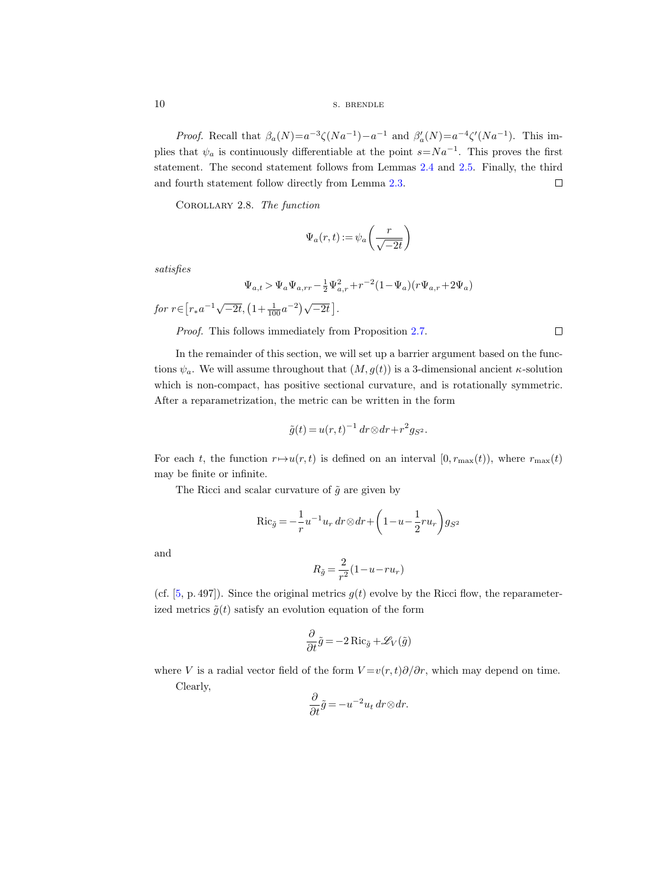10 s. BRENDLE

*Proof.* Recall that  $\beta_a(N) = a^{-3} \zeta(Na^{-1}) - a^{-1}$  and  $\beta'_a(N) = a^{-4} \zeta'(Na^{-1})$ . This implies that  $\psi_a$  is continuously differentiable at the point  $s=N a^{-1}$ . This proves the first statement. The second statement follows from Lemmas [2.4](#page-6-0) and [2.5.](#page-7-0) Finally, the third and fourth statement follow directly from Lemma [2.3.](#page-5-0)  $\Box$ 

<span id="page-9-0"></span>Corollary 2.8. The function

$$
\Psi_a(r,t):=\psi_a\!\left(\frac{r}{\sqrt{-2t}}\right)
$$

satisfies

$$
\Psi_{a,t} > \Psi_a \Psi_{a,rr} - \frac{1}{2} \Psi_{a,r}^2 + r^{-2} (1 - \Psi_a)(r \Psi_{a,r} + 2\Psi_a)
$$

for  $r \in [r_* a^{-1} \sqrt{-2t}, (1 + \frac{1}{100} a^{-2}) \sqrt{-2t}]$ .

Proof. This follows immediately from Proposition [2.7.](#page-8-0)

 $\Box$ 

In the remainder of this section, we will set up a barrier argument based on the functions  $\psi_a$ . We will assume throughout that  $(M, g(t))$  is a 3-dimensional ancient  $\kappa$ -solution which is non-compact, has positive sectional curvature, and is rotationally symmetric. After a reparametrization, the metric can be written in the form

$$
\tilde{g}(t) = u(r,t)^{-1} dr \otimes dr + r^2 g_{S^2}.
$$

For each t, the function  $r \mapsto u(r, t)$  is defined on an interval  $[0, r_{\max}(t))$ , where  $r_{\max}(t)$ may be finite or infinite.

The Ricci and scalar curvature of  $\tilde{g}$  are given by

$$
\operatorname{Ric}_{\tilde{g}} = -\frac{1}{r}u^{-1}u_r dr \otimes dr + \left(1 - u - \frac{1}{2}ru_r\right)g_{S^2}
$$

and

$$
R_{\tilde{g}} = \frac{2}{r^2} (1 - u - ru_r)
$$

(cf. [\[5,](#page-100-12) p. 497]). Since the original metrics  $g(t)$  evolve by the Ricci flow, the reparameterized metrics  $\tilde{q}(t)$  satisfy an evolution equation of the form

$$
\frac{\partial}{\partial t}\tilde{g} = -2 \operatorname{Ric}_{\tilde{g}} + \mathscr{L}_V(\tilde{g})
$$

where V is a radial vector field of the form  $V = v(r, t)\partial/\partial r$ , which may depend on time.

Clearly,

$$
\frac{\partial}{\partial t}\tilde{g} = -u^{-2}u_t dr \otimes dr.
$$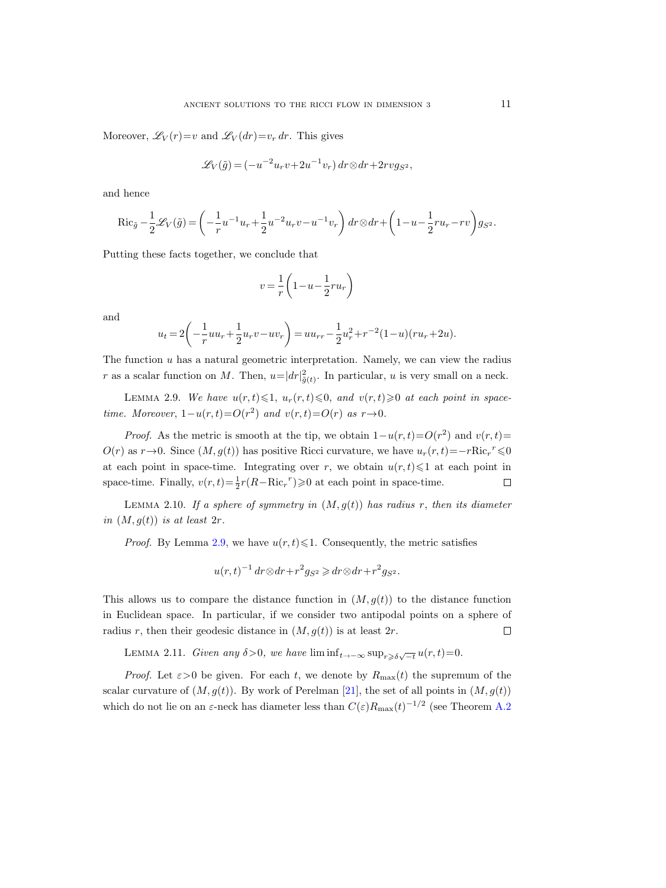Moreover,  $\mathscr{L}_V(r)=v$  and  $\mathscr{L}_V(dr)=v_r dr$ . This gives

$$
\mathscr{L}_V(\tilde{g}) = (-u^{-2}u_r v + 2u^{-1}v_r) dr \otimes dr + 2rvg_{S^2},
$$

and hence

$$
\mathrm{Ric}_{\tilde{g}}-\frac{1}{2}\mathscr{L}_V(\tilde{g})=\left(-\frac{1}{r}u^{-1}u_r+\frac{1}{2}u^{-2}u_rv-u^{-1}v_r\right)dr\otimes dr+\left(1-u-\frac{1}{2}ru_r-rv\right)g_{S^2}.
$$

Putting these facts together, we conclude that

$$
v = \frac{1}{r} \left( 1 - u - \frac{1}{2} r u_r \right)
$$

and

$$
u_t = 2\left(-\frac{1}{r}uu_r + \frac{1}{2}u_rv - uv_r\right) = uu_{rr} - \frac{1}{2}u_r^2 + r^{-2}(1-u)(ru_r + 2u).
$$

The function  $u$  has a natural geometric interpretation. Namely, we can view the radius r as a scalar function on M. Then,  $u=|dr|^2_{\tilde{g}(t)}$ . In particular, u is very small on a neck.

<span id="page-10-0"></span>LEMMA 2.9. We have  $u(r, t) \leq 1$ ,  $u_r(r, t) \leq 0$ , and  $v(r, t) \geq 0$  at each point in spacetime. Moreover,  $1-u(r,t) = O(r^2)$  and  $v(r,t) = O(r)$  as  $r \rightarrow 0$ .

*Proof.* As the metric is smooth at the tip, we obtain  $1-u(r,t)=O(r^2)$  and  $v(r,t)=$  $O(r)$  as  $r \rightarrow 0$ . Since  $(M, g(t))$  has positive Ricci curvature, we have  $u_r(r, t) = -rRic_r^{r} \leq 0$ at each point in space-time. Integrating over r, we obtain  $u(r, t) \leq 1$  at each point in space-time. Finally,  $v(r,t) = \frac{1}{2}r(R - Ric_r^r) \ge 0$  at each point in space-time.  $\Box$ 

LEMMA 2.10. If a sphere of symmetry in  $(M, g(t))$  has radius r, then its diameter in  $(M, q(t))$  is at least  $2r$ .

*Proof.* By Lemma [2.9,](#page-10-0) we have  $u(r, t) \leq 1$ . Consequently, the metric satisfies

 $u(r,t)^{-1} dr \otimes dr + r^2 g_{S^2} \geq dr \otimes dr + r^2 g_{S^2}.$ 

This allows us to compare the distance function in  $(M, g(t))$  to the distance function in Euclidean space. In particular, if we consider two antipodal points on a sphere of radius r, then their geodesic distance in  $(M, g(t))$  is at least  $2r$ .  $\Box$ 

<span id="page-10-1"></span>LEMMA 2.11. Given any  $\delta > 0$ , we have  $\liminf_{t \to -\infty} \sup_{r \geq \delta \sqrt{-t}} u(r, t) = 0$ .

*Proof.* Let  $\epsilon > 0$  be given. For each t, we denote by  $R_{\text{max}}(t)$  the supremum of the scalar curvature of  $(M, g(t))$ . By work of Perelman [\[21\]](#page-100-1), the set of all points in  $(M, g(t))$ which do not lie on an  $\varepsilon$ -neck has diameter less than  $C(\varepsilon)R_{\text{max}}(t)^{-1/2}$  (see Theorem [A.2](#page-95-0)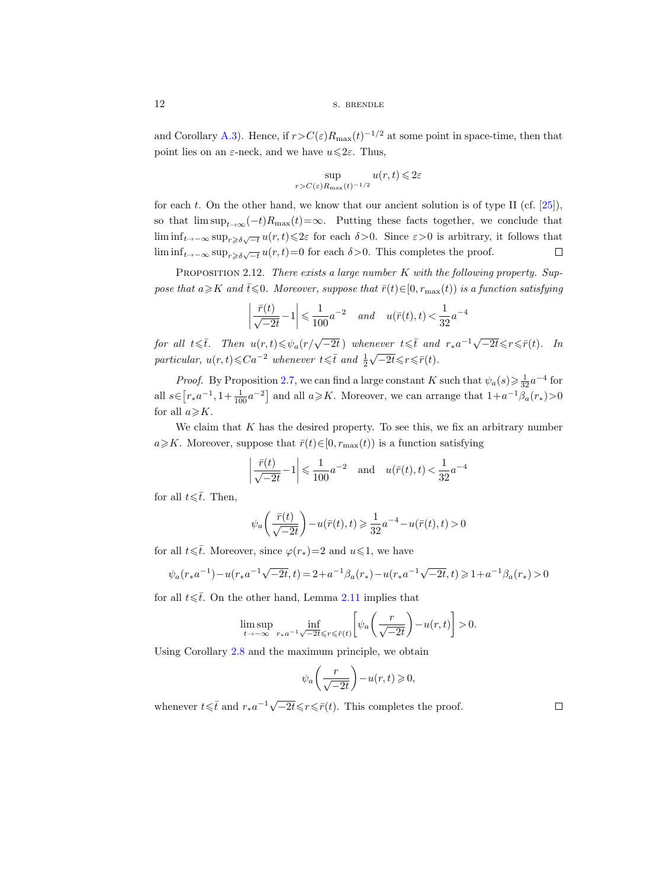12 s. BRENDLE

and Corollary [A.3\)](#page-95-1). Hence, if  $r > C(\varepsilon)R_{\text{max}}(t)^{-1/2}$  at some point in space-time, then that point lies on an  $\varepsilon$ -neck, and we have  $u \leq 2\varepsilon$ . Thus,

$$
\sup_{r>C(\varepsilon)R_{\max}(t)^{-1/2}} u(r,t) \leq 2\varepsilon
$$

for each t. On the other hand, we know that our ancient solution is of type II (cf.  $[25]$ ), so that  $\limsup_{t\to\infty}(-t)R_{\text{max}}(t)=\infty$ . Putting these facts together, we conclude that  $\liminf_{t\to-\infty} \sup_{r\geqslant\delta\sqrt{-t}} u(r,t)\leqslant 2\varepsilon$  for each  $\delta>0$ . Since  $\varepsilon>0$  is arbitrary, it follows that lim  $\inf_{t \to -\infty} \sup_{r \ge \delta \sqrt{-t}} u(r, t) = 0$  for each  $\delta > 0$ . This completes the proof.  $\Box$ 

<span id="page-11-0"></span>PROPOSITION 2.12. There exists a large number  $K$  with the following property. Suppose that  $a \geq K$  and  $\overline{t} \leq 0$ . Moreover, suppose that  $\overline{r}(t) \in [0, r_{\max}(t))$  is a function satisfying

$$
\left| \frac{\bar{r}(t)}{\sqrt{-2t}} - 1 \right| \leq \frac{1}{100} a^{-2} \quad and \quad u(\bar{r}(t), t) < \frac{1}{32} a^{-4}
$$

for all  $t \leq \bar{t}$ . Then  $u(r,t) \leq \psi_a(r/\sqrt{-2t})$  whenever  $t \leq \bar{t}$  and  $r_* a^{-1} \sqrt{-2t} \leq r \leq \bar{r}(t)$ . In particular,  $u(r,t) \leqslant Ca^{-2}$  whenever  $t \leqslant \overline{t}$  and  $\frac{1}{2}$  $\sqrt{-2t} \leqslant r \leqslant \bar{r}(t).$ 

*Proof.* By Proposition [2.7,](#page-8-0) we can find a large constant K such that  $\psi_a(s) \geq \frac{1}{32} a^{-4}$  for all  $s \in [r_* a^{-1}, 1 + \frac{1}{100} a^{-2}]$  and all  $a \ge K$ . Moreover, we can arrange that  $1 + a^{-1} \beta_a(r_*) > 0$ for all  $a \geqslant K$ .

We claim that  $K$  has the desired property. To see this, we fix an arbitrary number  $a \geq K$ . Moreover, suppose that  $\bar{r}(t) \in [0, r_{\max}(t))$  is a function satisfying

$$
\left| \frac{\bar{r}(t)}{\sqrt{-2t}} - 1 \right| \leq \frac{1}{100} a^{-2}
$$
 and  $u(\bar{r}(t), t) < \frac{1}{32} a^{-4}$ 

for all  $t\leq t$ . Then,

$$
\psi_a\bigg(\frac{\bar{r}(t)}{\sqrt{-2t}}\bigg)-u(\bar{r}(t),t)\geqslant\frac{1}{32}a^{-4}-u(\bar{r}(t),t)>0
$$

for all  $t\leq t$ . Moreover, since  $\varphi(r_*)=2$  and  $u\leq 1$ , we have

$$
\psi_a(r_* a^{-1}) - u(r_* a^{-1} \sqrt{-2t}, t) = 2 + a^{-1} \beta_a(r_*) - u(r_* a^{-1} \sqrt{-2t}, t) \ge 1 + a^{-1} \beta_a(r_*) > 0
$$

for all  $t\leq t$ . On the other hand, Lemma [2.11](#page-10-1) implies that

$$
\limsup_{t\to -\infty}\ \inf_{r_*a^{-1}\sqrt{-2t}\leqslant r\leqslant \bar r(t)}\biggl[\psi_a\biggl(\frac{r}{\sqrt{-2t}}\biggr)-u(r,t)\biggr]>0.
$$

Using Corollary [2.8](#page-9-0) and the maximum principle, we obtain

$$
\psi_a\bigg(\frac{r}{\sqrt{-2t}}\bigg)-u(r,t)\geqslant 0,
$$

whenever  $t \leq \bar{t}$  and  $r_* a^{-1} \sqrt{-2t} \leq r \leq \bar{r}(t)$ . This completes the proof.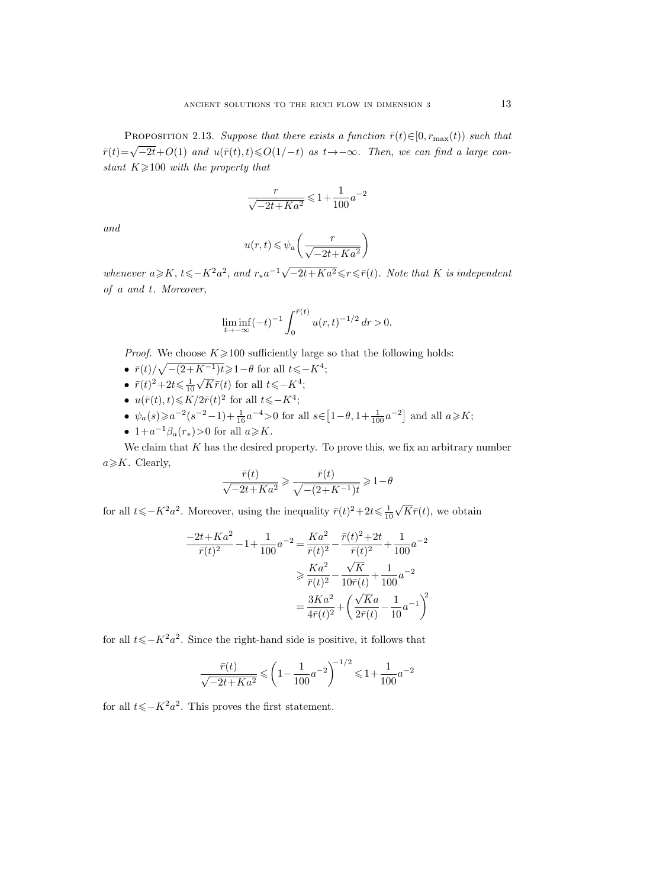<span id="page-12-0"></span>PROPOSITION 2.13. Suppose that there exists a function  $\bar{r}(t) \in [0, r_{\text{max}}(t))$  such that r rich estation 2.15. Suppose that there exists a function  $r(s) \in [0, \frac{m}{\max}(s))$  such that<br> $\bar{r}(t) = \sqrt{-2t} + O(1)$  and  $u(\bar{r}(t), t) \le O(1/t)$  as  $t \to -\infty$ . Then, we can find a large constant  $K \geq 100$  with the property that

$$
\frac{r}{\sqrt{-2t+Ka^2}}\leqslant 1+\frac{1}{100}a^{-2}
$$

and

$$
u(r,t) \le \psi_a\left(\frac{r}{\sqrt{-2t + Ka^2}}\right)
$$

whenever  $a \geqslant K$ ,  $t \leqslant -K^2a^2$ , and  $r_*a^{-1}\sqrt{-2t+Ka^2} \leqslant r \leqslant \bar{r}(t)$ . Note that K is independent of a and t. Moreover,

$$
\liminf_{t \to -\infty} (-t)^{-1} \int_0^{\bar{r}(t)} u(r,t)^{-1/2} \, dr > 0.
$$

*Proof.* We choose  $K \ge 100$  sufficiently large so that the following holds:

- $\bar{r}(t)/\sqrt{-(2+K^{-1})t} \geq 1-\theta$  for all  $t \leq -K^4$ ;
- $\bar{r}(t)^2 + 2t \leq \frac{1}{10}$  $\sqrt{K}\bar{r}(t)$  for all  $t\leqslant$ - $K^4$ ;
- $u(\bar{r}(t), t) \leqslant K/2\bar{r}(t)^2$  for all  $t \leqslant -K^4$ ;
- $\psi_a(s) \ge a^{-2}(s^{-2}-1) + \frac{1}{16}a^{-4} > 0$  for all  $s \in [1-\theta, 1+\frac{1}{100}a^{-2}]$  and all  $a \ge K$ ;
- $1+a^{-1}\beta_a(r_*)>0$  for all  $a\geqslant K$ .

We claim that  $K$  has the desired property. To prove this, we fix an arbitrary number  $a \geqslant K$ . Clearly,

$$
\frac{\bar{r}(t)}{\sqrt{-2t+Ka^2}} \ge \frac{\bar{r}(t)}{\sqrt{-(2+K^{-1})t}} \ge 1-\theta
$$

for all  $t\leqslant-K^2a^2$ . Moreover, using the inequality  $\bar{r}(t)^2+2t\leqslant\frac{1}{10}$ √  $K\bar{r}(t)$ , we obtain

$$
\frac{-2t + Ka^2}{\bar{r}(t)^2} - 1 + \frac{1}{100}a^{-2} = \frac{Ka^2}{\bar{r}(t)^2} - \frac{\bar{r}(t)^2 + 2t}{\bar{r}(t)^2} + \frac{1}{100}a^{-2}
$$

$$
\geq \frac{Ka^2}{\bar{r}(t)^2} - \frac{\sqrt{K}}{10\bar{r}(t)} + \frac{1}{100}a^{-2}
$$

$$
= \frac{3Ka^2}{4\bar{r}(t)^2} + \left(\frac{\sqrt{Ka}}{2\bar{r}(t)} - \frac{1}{10}a^{-1}\right)^2
$$

for all  $t\leqslant K^2a^2$ . Since the right-hand side is positive, it follows that

$$
\frac{\bar{r}(t)}{\sqrt{-2t+Ka^2}} \leqslant \left(1 - \frac{1}{100}a^{-2}\right)^{-1/2} \leqslant 1 + \frac{1}{100}a^{-2}
$$

for all  $t\leqslant K^2a^2$ . This proves the first statement.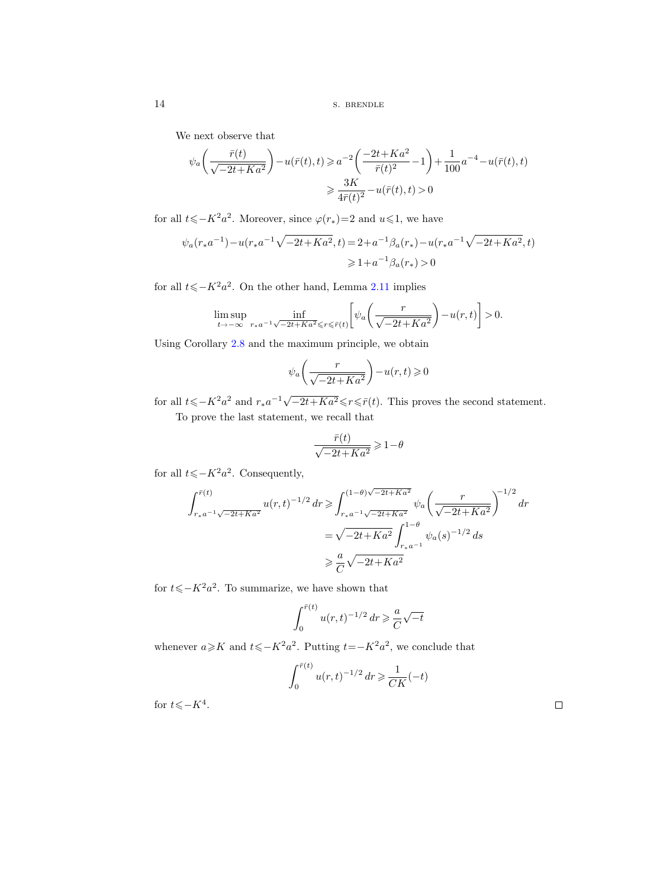We next observe that

$$
\psi_a\left(\frac{\bar{r}(t)}{\sqrt{-2t+Ka^2}}\right) - u(\bar{r}(t), t) \ge a^{-2}\left(\frac{-2t+Ka^2}{\bar{r}(t)^2} - 1\right) + \frac{1}{100}a^{-4} - u(\bar{r}(t), t)
$$

$$
\ge \frac{3K}{4\bar{r}(t)^2} - u(\bar{r}(t), t) > 0
$$

for all  $t\leqslant-K^2a^2$ . Moreover, since  $\varphi(r_*)=2$  and  $u\leqslant 1$ , we have

$$
\psi_a(r_* a^{-1}) - u(r_* a^{-1} \sqrt{-2t + Ka^2}, t) = 2 + a^{-1} \beta_a(r_*) - u(r_* a^{-1} \sqrt{-2t + Ka^2}, t)
$$
  

$$
\ge 1 + a^{-1} \beta_a(r_*) > 0
$$

for all  $t\leqslant K^2a^2$ . On the other hand, Lemma [2.11](#page-10-1) implies

$$
\limsup_{t\to -\infty}\ \inf_{r_*a^{-1}\sqrt{-2t+Ka^2}\leqslant r\leqslant \bar r(t)}\bigg[\psi_a\bigg(\frac{r}{\sqrt{-2t+Ka^2}}\bigg)-u(r,t)\bigg]>0.
$$

Using Corollary [2.8](#page-9-0) and the maximum principle, we obtain

$$
\psi_a\bigg(\frac{r}{\sqrt{-2t+Ka^2}}\bigg)-u(r,t)\geqslant 0
$$

for all  $t\leqslant -K^2a^2$  and  $r_*a^{-1}\sqrt{-2t+Ka^2}\leqslant r\leqslant \bar{r}(t)$ . This proves the second statement.

To prove the last statement, we recall that

$$
\frac{\bar{r}(t)}{\sqrt{-2t+Ka^2}} \geq 1-\theta
$$

for all  $t\leqslant K^2a^2$ . Consequently,

$$
\int_{r+a^{-1}\sqrt{-2t+Ka^2}}^{\bar{r}(t)} u(r,t)^{-1/2} dr \ge \int_{r+a^{-1}\sqrt{-2t+Ka^2}}^{(1-\theta)\sqrt{-2t+Ka^2}} \psi_a \left(\frac{r}{\sqrt{-2t+Ka^2}}\right)^{-1/2} dr
$$
  
=  $\sqrt{-2t+Ka^2} \int_{r+a^{-1}}^{1-\theta} \psi_a(s)^{-1/2} ds$   
 $\ge \frac{a}{C} \sqrt{-2t+Ka^2}$ 

for  $t\leqslant K^2a^2$ . To summarize, we have shown that

$$
\int_0^{\bar{r}(t)} u(r,t)^{-1/2} dr \geq \frac{a}{C} \sqrt{-t}
$$

whenever  $a \ge K$  and  $t \le -K^2 a^2$ . Putting  $t=-K^2 a^2$ , we conclude that

$$
\int_0^{\bar{r}(t)} u(r,t)^{-1/2} \, dr \geq \frac{1}{C K}(-t)
$$

for  $t\leqslant$  -K<sup>4</sup>.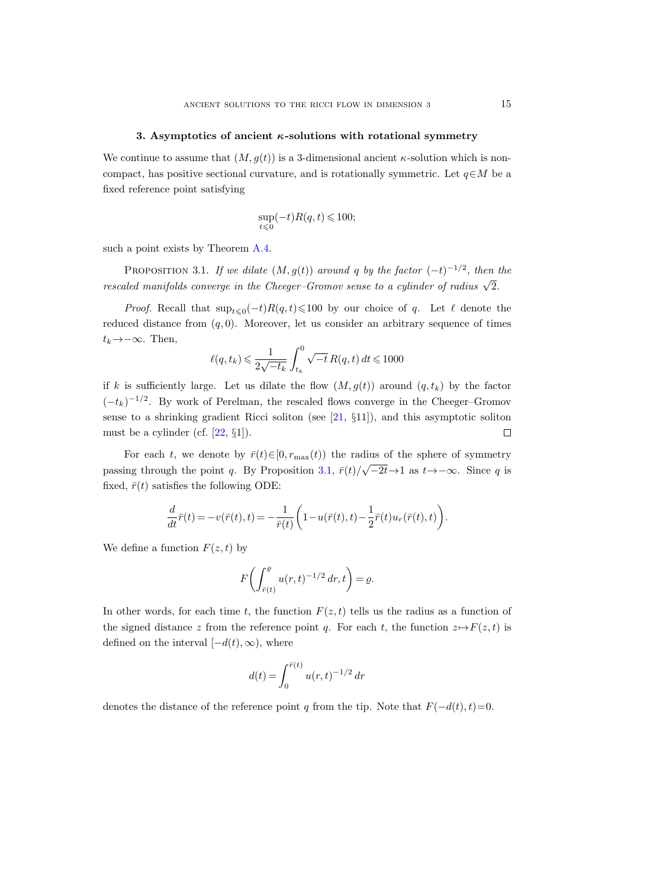#### 3. Asymptotics of ancient  $\kappa$ -solutions with rotational symmetry

<span id="page-14-0"></span>We continue to assume that  $(M, g(t))$  is a 3-dimensional ancient  $\kappa$ -solution which is noncompact, has positive sectional curvature, and is rotationally symmetric. Let  $q \in M$  be a fixed reference point satisfying

$$
\sup_{t\leqslant 0}(-t)R(q,t)\leqslant 100;
$$

such a point exists by Theorem [A.4.](#page-96-0)

<span id="page-14-1"></span>PROPOSITION 3.1. If we dilate  $(M, g(t))$  around q by the factor  $(-t)^{-1/2}$ , then the rescaled manifolds converge in the Cheeger–Gromov sense to a cylinder of radius  $\sqrt{2}$ .

*Proof.* Recall that  $\sup_{t\leq0}(-t)R(q,t)\leq100$  by our choice of q. Let  $\ell$  denote the reduced distance from  $(q, 0)$ . Moreover, let us consider an arbitrary sequence of times  $t_k \rightarrow -\infty$ . Then,

$$
\ell(q,t_k) \leqslant \frac{1}{2\sqrt{-t_k}} \int_{t_k}^0 \sqrt{-t} \, R(q,t) \, dt \leqslant 1000
$$

if k is sufficiently large. Let us dilate the flow  $(M, g(t))$  around  $(q, t_k)$  by the factor  $(-t_k)^{-1/2}$ . By work of Perelman, the rescaled flows converge in the Cheeger–Gromov sense to a shrinking gradient Ricci soliton (see [\[21,](#page-100-1) §11]), and this asymptotic soliton must be a cylinder (cf.  $[22, \S1]$ ).  $\Box$ 

For each t, we denote by  $\bar{r}(t) \in [0, r_{\max}(t))$  the radius of the sphere of symmetry passing through the point q. By Proposition [3.1,](#page-14-1)  $\bar{r}(t)/\sqrt{-2t} \rightarrow 1$  as  $t \rightarrow -\infty$ . Since q is fixed,  $\bar{r}(t)$  satisfies the following ODE:

$$
\frac{d}{dt}\bar{r}(t)=-v(\bar{r}(t),t)=-\frac{1}{\bar{r}(t)}\bigg(1-u(\bar{r}(t),t)-\frac{1}{2}\bar{r}(t)u_r(\bar{r}(t),t)\bigg).
$$

We define a function  $F(z, t)$  by

$$
F\biggl(\int_{\bar{r}(t)}^{\varrho} u(r,t)^{-1/2} dr, t\biggr) = \varrho.
$$

In other words, for each time t, the function  $F(z, t)$  tells us the radius as a function of the signed distance z from the reference point q. For each t, the function  $z \mapsto F(z, t)$  is defined on the interval  $[-d(t), \infty)$ , where

$$
d(t) = \int_0^{\bar{r}(t)} u(r, t)^{-1/2} dr
$$

denotes the distance of the reference point q from the tip. Note that  $F(-d(t), t)=0$ .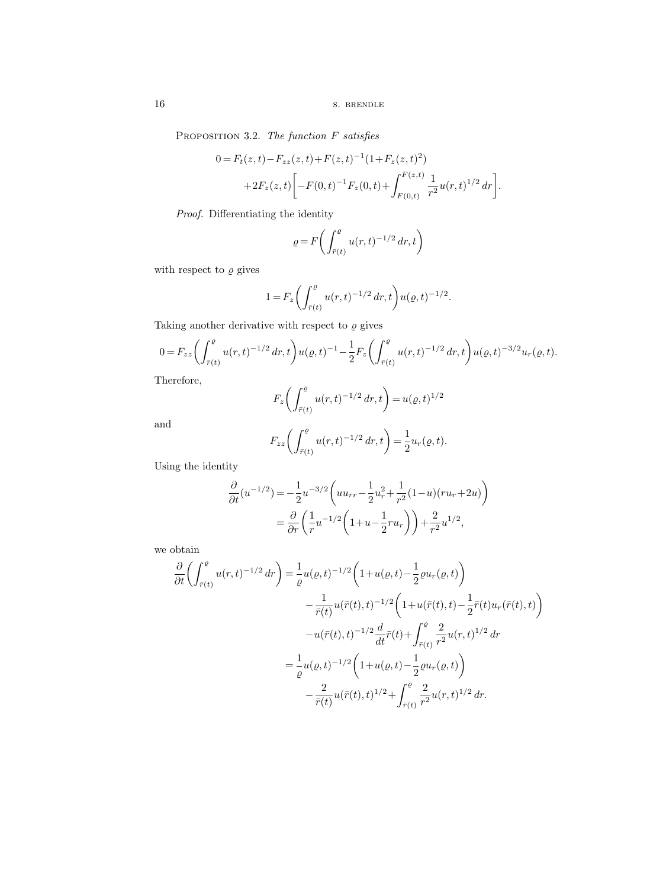<span id="page-15-0"></span>PROPOSITION 3.2. The function F satisfies

$$
0 = F_t(z, t) - F_{zz}(z, t) + F(z, t)^{-1} (1 + F_z(z, t)^2)
$$
  
+2F<sub>z</sub>(z, t)  $\left[ -F(0, t)^{-1} F_z(0, t) + \int_{F(0, t)}^{F(z, t)} \frac{1}{r^2} u(r, t)^{1/2} dr \right].$ 

Proof. Differentiating the identity

$$
\varrho = F\biggl(\int_{\bar{r}(t)}^{\varrho} u(r,t)^{-1/2} dr, t\biggr)
$$

with respect to  $\varrho$  gives

$$
1 = F_z \left( \int_{\bar{r}(t)}^{\rho} u(r,t)^{-1/2} dr, t \right) u(\rho, t)^{-1/2}.
$$

Taking another derivative with respect to  $\varrho$  gives

$$
0 = F_{zz} \left( \int_{\bar{r}(t)}^{\rho} u(r,t)^{-1/2} dr, t \right) u(\varrho, t)^{-1} - \frac{1}{2} F_z \left( \int_{\bar{r}(t)}^{\rho} u(r,t)^{-1/2} dr, t \right) u(\varrho, t)^{-3/2} u_r(\varrho, t).
$$

Therefore,

$$
F_z \left( \int_{\bar{r}(t)}^{\rho} u(r,t)^{-1/2} dr, t \right) = u(\varrho, t)^{1/2}
$$

and

$$
F_{zz}\bigg(\int_{\bar{r}(t)}^{\varrho} u(r,t)^{-1/2} dr, t\bigg) = \frac{1}{2}u_r(\varrho, t).
$$

Using the identity

$$
\frac{\partial}{\partial t}(u^{-1/2}) = -\frac{1}{2}u^{-3/2}\left(uu_{rr} - \frac{1}{2}u_r^2 + \frac{1}{r^2}(1-u)(ru_r + 2u)\right)
$$

$$
= \frac{\partial}{\partial r}\left(\frac{1}{r}u^{-1/2}\left(1+u - \frac{1}{2}ru_r\right)\right) + \frac{2}{r^2}u^{1/2},
$$

we obtain

$$
\frac{\partial}{\partial t} \left( \int_{\bar{r}(t)}^{\rho} u(r,t)^{-1/2} dr \right) = \frac{1}{\varrho} u(\varrho, t)^{-1/2} \left( 1 + u(\varrho, t) - \frac{1}{2} \varrho u_r(\varrho, t) \right)
$$

$$
- \frac{1}{\bar{r}(t)} u(\bar{r}(t), t)^{-1/2} \left( 1 + u(\bar{r}(t), t) - \frac{1}{2} \bar{r}(t) u_r(\bar{r}(t), t) \right)
$$

$$
- u(\bar{r}(t), t)^{-1/2} \frac{d}{dt} \bar{r}(t) + \int_{\bar{r}(t)}^{\varrho} \frac{2}{r^2} u(r, t)^{1/2} dr
$$

$$
= \frac{1}{\varrho} u(\varrho, t)^{-1/2} \left( 1 + u(\varrho, t) - \frac{1}{2} \varrho u_r(\varrho, t) \right)
$$

$$
- \frac{2}{\bar{r}(t)} u(\bar{r}(t), t)^{1/2} + \int_{\bar{r}(t)}^{\varrho} \frac{2}{r^2} u(r, t)^{1/2} dr.
$$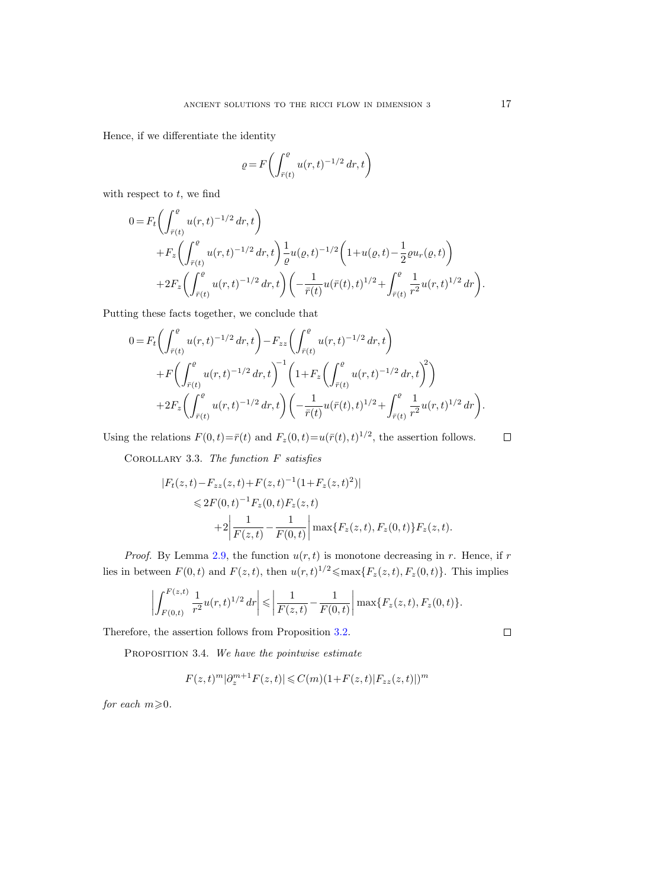Hence, if we differentiate the identity

$$
\varrho = F\biggl(\int_{\bar{r}(t)}^{\varrho} u(r,t)^{-1/2} \, dr, t\biggr)
$$

with respect to  $t$ , we find

$$
0 = F_t \left( \int_{\bar{r}(t)}^e u(r,t)^{-1/2} dr, t \right)
$$
  
+ 
$$
F_z \left( \int_{\bar{r}(t)}^e u(r,t)^{-1/2} dr, t \right) \frac{1}{\varrho} u(\varrho, t)^{-1/2} \left( 1 + u(\varrho, t) - \frac{1}{2} \varrho u_r(\varrho, t) \right)
$$
  
+ 
$$
2F_z \left( \int_{\bar{r}(t)}^e u(r,t)^{-1/2} dr, t \right) \left( -\frac{1}{\bar{r}(t)} u(\bar{r}(t), t)^{1/2} + \int_{\bar{r}(t)}^e \frac{1}{r^2} u(r,t)^{1/2} dr \right).
$$

Putting these facts together, we conclude that

$$
0 = F_t \left( \int_{\bar{r}(t)}^e u(r,t)^{-1/2} dr, t \right) - F_{zz} \left( \int_{\bar{r}(t)}^e u(r,t)^{-1/2} dr, t \right)
$$
  
+ 
$$
F \left( \int_{\bar{r}(t)}^e u(r,t)^{-1/2} dr, t \right)^{-1} \left( 1 + F_z \left( \int_{\bar{r}(t)}^e u(r,t)^{-1/2} dr, t \right)^2 \right)
$$
  
+ 
$$
2F_z \left( \int_{\bar{r}(t)}^e u(r,t)^{-1/2} dr, t \right) \left( -\frac{1}{\bar{r}(t)} u(\bar{r}(t), t)^{1/2} + \int_{\bar{r}(t)}^e \frac{1}{r^2} u(r,t)^{1/2} dr \right).
$$

<span id="page-16-0"></span>Using the relations  $F(0, t) = \bar{r}(t)$  and  $F_z(0, t) = u(\bar{r}(t), t)^{1/2}$ , the assertion follows.

 $\Box$ 

COROLLARY 3.3. The function  $F$  satisfies

$$
|F_t(z,t) - F_{zz}(z,t) + F(z,t)^{-1} (1 + F_z(z,t)^2)|
$$
  
\n
$$
\leq 2F(0,t)^{-1} F_z(0,t) F_z(z,t)
$$
  
\n
$$
+ 2 \left| \frac{1}{F(z,t)} - \frac{1}{F(0,t)} \right| \max \{ F_z(z,t), F_z(0,t) \} F_z(z,t).
$$

*Proof.* By Lemma [2.9,](#page-10-0) the function  $u(r, t)$  is monotone decreasing in r. Hence, if r lies in between  $F(0, t)$  and  $F(z, t)$ , then  $u(r, t)^{1/2} \leq \max\{F_z(z, t), F_z(0, t)\}\.$  This implies

$$
\left| \int_{F(0,t)}^{F(z,t)} \frac{1}{r^2} u(r,t)^{1/2} dr \right| \leq \left| \frac{1}{F(z,t)} - \frac{1}{F(0,t)} \right| \max\{F_z(z,t), F_z(0,t)\}.
$$

<span id="page-16-1"></span>Therefore, the assertion follows from Proposition [3.2.](#page-15-0)

PROPOSITION 3.4. We have the pointwise estimate

$$
F(z,t)^{m} |\partial_{z}^{m+1} F(z,t)| \leq C(m)(1+F(z,t)|F_{zz}(z,t)|)^{m}
$$

for each  $m\!\geqslant\!0$ .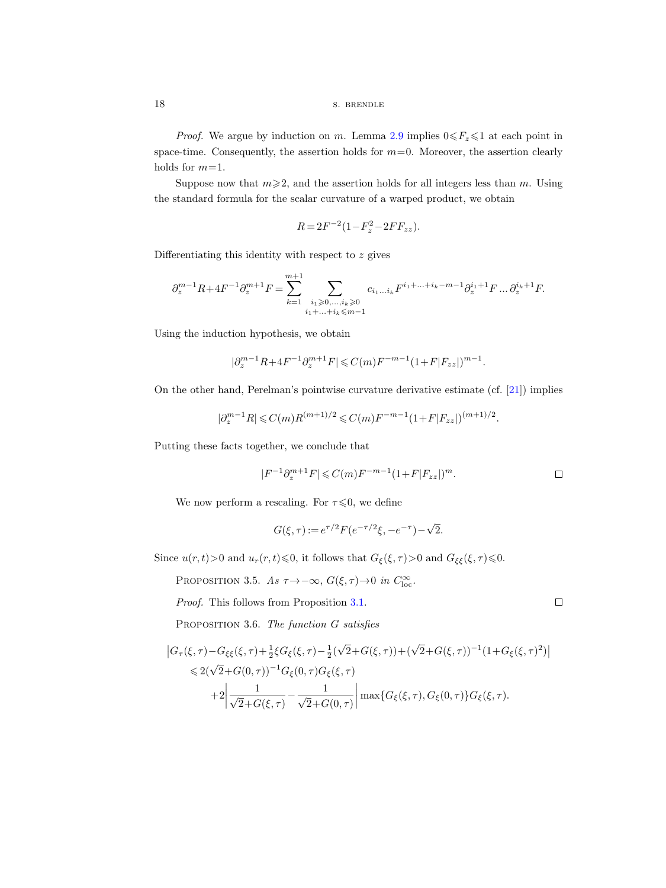*Proof.* We argue by induction on m. Lemma [2.9](#page-10-0) implies  $0 \le F_z \le 1$  at each point in space-time. Consequently, the assertion holds for  $m=0$ . Moreover, the assertion clearly holds for  $m=1$ .

Suppose now that  $m \geq 2$ , and the assertion holds for all integers less than m. Using the standard formula for the scalar curvature of a warped product, we obtain

$$
R = 2F^{-2}(1 - F_z^2 - 2FF_{zz}).
$$

Differentiating this identity with respect to  $z$  gives

$$
\partial_z^{m-1} R + 4 F^{-1} \partial_z^{m+1} F = \sum_{k=1}^{m+1} \sum_{\substack{i_1 \geqslant 0,\ldots, i_k \geqslant 0 \\ i_1 + \ldots + i_k \leqslant m-1}} c_{i_1 \ldots i_k} F^{i_1 + \ldots + i_k - m - 1} \partial_z^{i_1 + 1} F \ldots \partial_z^{i_k + 1} F.
$$

Using the induction hypothesis, we obtain

$$
|\partial_z^{m-1} R + 4F^{-1} \partial_z^{m+1} F| \leqslant C(m) F^{-m-1} (1 + F|F_{zz}|)^{m-1}.
$$

On the other hand, Perelman's pointwise curvature derivative estimate (cf. [\[21\]](#page-100-1)) implies

$$
|\partial_z^{m-1} R| \leqslant C(m) R^{(m+1)/2} \leqslant C(m) F^{-m-1} (1+F|F_{zz}|)^{(m+1)/2}.
$$

Putting these facts together, we conclude that

$$
|F^{-1}\partial_z^{m+1}F| \leqslant C(m)F^{-m-1}(1+F|F_{zz}|)^m.
$$

 $\Box$ 

We now perform a rescaling. For  $\tau \leq 0$ , we define

$$
G(\xi,\tau) := e^{\tau/2} F(e^{-\tau/2}\xi, -e^{-\tau}) - \sqrt{2}.
$$

<span id="page-17-0"></span>Since  $u(r, t) > 0$  and  $u_r(r, t) \le 0$ , it follows that  $G_{\xi}(\xi, \tau) > 0$  and  $G_{\xi\xi}(\xi, \tau) \le 0$ .

PROPOSITION 3.5. As  $\tau \rightarrow -\infty$ ,  $G(\xi, \tau) \rightarrow 0$  in  $C_{\text{loc}}^{\infty}$ .

Proof. This follows from Proposition [3.1.](#page-14-1)

<span id="page-17-1"></span>PROPOSITION 3.6. The function G satisfies

$$
\begin{split} \left| G_{\tau}(\xi,\tau) - G_{\xi\xi}(\xi,\tau) + \tfrac{1}{2}\xi G_{\xi}(\xi,\tau) - \tfrac{1}{2}(\sqrt{2} + G(\xi,\tau)) + (\sqrt{2} + G(\xi,\tau))^{-1}(1 + G_{\xi}(\xi,\tau)^{2}) \right| \\ &\leqslant 2(\sqrt{2} + G(0,\tau))^{-1}G_{\xi}(0,\tau)G_{\xi}(\xi,\tau) \\ &+ 2\bigg| \frac{1}{\sqrt{2} + G(\xi,\tau)} - \frac{1}{\sqrt{2} + G(0,\tau)} \bigg| \max\{G_{\xi}(\xi,\tau), G_{\xi}(0,\tau)\}G_{\xi}(\xi,\tau). \end{split}
$$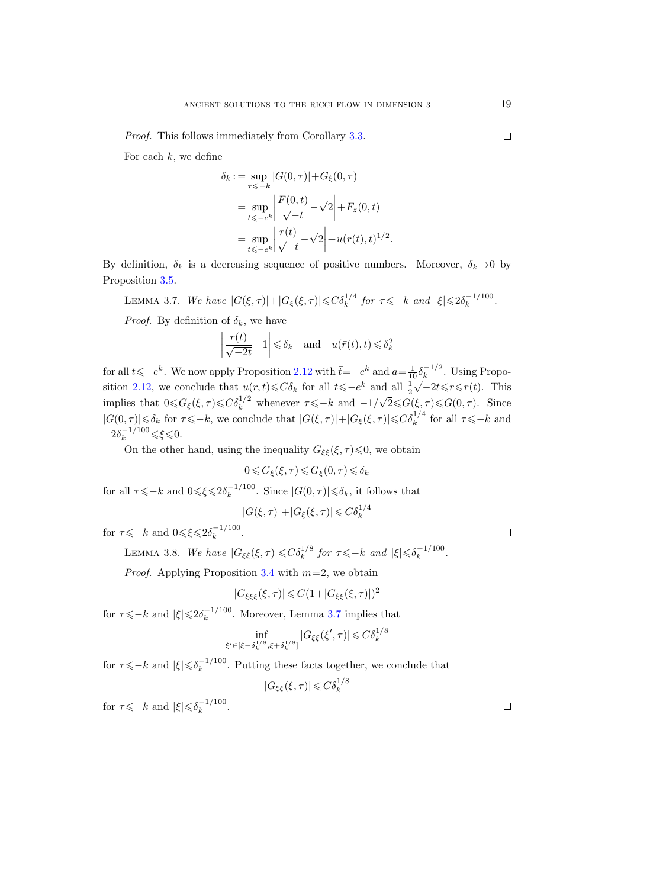Proof. This follows immediately from Corollary [3.3.](#page-16-0)

For each  $k$ , we define

$$
\delta_k := \sup_{\tau \le -k} |G(0, \tau)| + G_{\xi}(0, \tau)
$$
  
= 
$$
\sup_{t \le -e^k} \left| \frac{F(0, t)}{\sqrt{-t}} - \sqrt{2} \right| + F_z(0, t)
$$
  
= 
$$
\sup_{t \le -e^k} \left| \frac{\bar{r}(t)}{\sqrt{-t}} - \sqrt{2} \right| + u(\bar{r}(t), t)^{1/2}
$$

.

By definition,  $\delta_k$  is a decreasing sequence of positive numbers. Moreover,  $\delta_k \rightarrow 0$  by Proposition [3.5.](#page-17-0)

<span id="page-18-0"></span>LEMMA 3.7. We have  $|G(\xi,\tau)|+|G_{\xi}(\xi,\tau)|\leqslant C\delta_k^{1/4}$  for  $\tau\leqslant -k$  and  $|\xi|\leqslant 2\delta_k^{-1/100}$  $\frac{k-1}{100}$ .

*Proof.* By definition of  $\delta_k$ , we have

$$
\left| \frac{\bar{r}(t)}{\sqrt{-2t}} - 1 \right| \leq \delta_k \quad \text{and} \quad u(\bar{r}(t), t) \leq \delta_k^2
$$

for all  $t\leqslant-e^k$ . We now apply Proposition [2.12](#page-11-0) with  $\bar{t}=-e^k$  and  $a=\frac{1}{10}\delta_k^{-1/2}$  $\frac{1}{2} \delta_k^{-1/2}$ . Using Propo-sition [2.12,](#page-11-0) we conclude that  $u(r,t) \leq C\delta_k$  for all  $t \leqslant -e^k$  and all  $\frac{1}{2}\sqrt{-2t} \leqslant r \leqslant \bar{r}(t)$ . This implies that  $0 \leq G_{\xi}(\xi, \tau) \leq C \delta_k^{1/2}$  whenever  $\tau \leq -k$  and  $-1/\sqrt{2} \leq G(\xi, \tau) \leq G(0, \tau)$ . Since  $|G(0, \tau)| \leq \delta_k$  for  $\tau \leq -k$ , we conclude that  $|G(\xi, \tau)| + |G_{\xi}(\xi, \tau)| \leq C \delta_k^{1/4}$  for all  $\tau \leq -k$  and  $-2\delta_k^{-1/100} \leq \xi \leq 0.$ 

On the other hand, using the inequality  $G_{\xi\xi}(\xi,\tau)$   $\leq 0$ , we obtain

$$
0 \leqslant G_{\xi}(\xi,\tau) \leqslant G_{\xi}(0,\tau) \leqslant \delta_k
$$

for all  $\tau \leqslant -k$  and  $0 \leqslant \xi \leqslant 2\delta_k^{-1/100}$  $\int_k^{-1/100}$ . Since  $|G(0, \tau)| \leq \delta_k$ , it follows that

$$
|G(\xi,\tau)|+|G_{\xi}(\xi,\tau)|\leq C\delta_k^{1/4}
$$

<span id="page-18-1"></span>for  $\tau \leqslant -k$  and  $0 \leqslant \xi \leqslant 2\delta_k^{-1/100}$  $\frac{k-1}{k}$ .

> LEMMA 3.8. We have  $|G_{\xi\xi}(\xi,\tau)|{\leqslant}C\delta_k^{1/8}$  for  $\tau{\leqslant}\t-k$  and  $|\xi|{\leqslant}\delta_k^{-1/100}$  $\frac{k-1}{k}$ .

*Proof.* Applying Proposition [3.4](#page-16-1) with  $m=2$ , we obtain

$$
|G_{\xi\xi\xi}(\xi,\tau)| \leqslant C(1+|G_{\xi\xi}(\xi,\tau)|)^2
$$

for  $\tau \leqslant -k$  and  $|\xi| \leqslant 2\delta_k^{-1/100}$  $\frac{(-1)^{100}}{k}$ . Moreover, Lemma [3.7](#page-18-0) implies that

$$
\inf_{\xi' \in [\xi - \delta_k^{1/8}, \xi + \delta_k^{1/8}]} |G_{\xi\xi}(\xi', \tau)| \leq C \delta_k^{1/8}
$$

for  $\tau \leqslant -k$  and  $|\xi| \leqslant \delta_k^{-1/100}$  $\frac{(-1)^{100}}{k}$ . Putting these facts together, we conclude that

$$
|G_{\xi\xi}(\xi,\tau)| \leqslant C\delta_k^{1/8}
$$

for  $\tau \leqslant -k$  and  $|\xi| \leqslant \delta_k^{-1/100}$  $\frac{k-1}{k}$  .  $\Box$ 

 $\Box$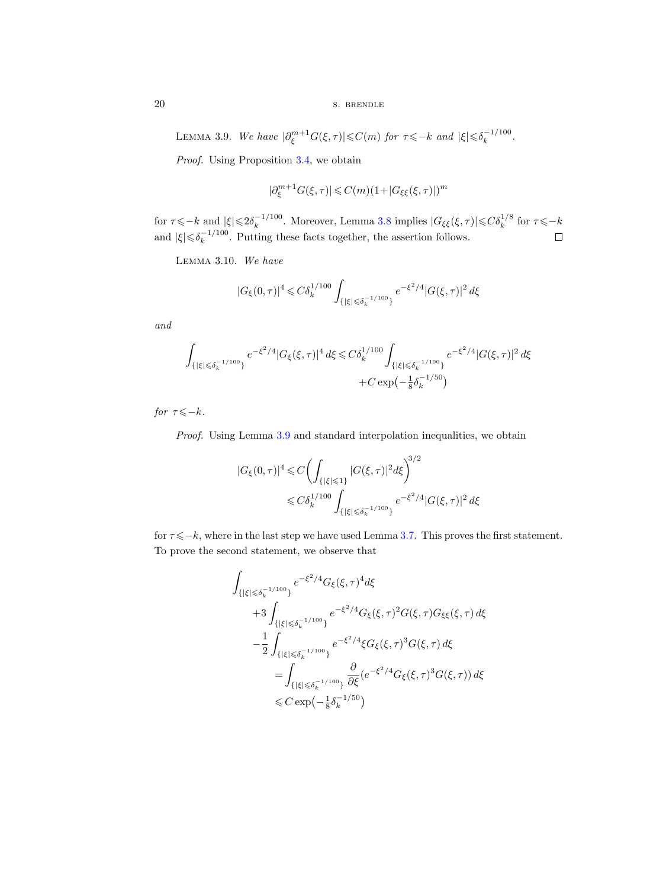20 s. BRENDLE

<span id="page-19-0"></span>LEMMA 3.9. We have  $|\partial_{\xi}^{m+1}G(\xi,\tau)|{\leqslant}C(m)$  for  $\tau{\leqslant}{-k}$  and  $|\xi|{\leqslant}\delta_{k}^{-1/100}$  $\frac{k-1}{k}$ .

Proof. Using Proposition [3.4,](#page-16-1) we obtain

$$
|\partial^{m+1}_{\xi}G(\xi,\tau)|\leqslant C(m)(1+|G_{\xi\xi}(\xi,\tau)|)^m
$$

for  $\tau \leqslant -k$  and  $|\xi| \leqslant 2\delta_k^{-1/100}$ <sup>-1/100</sup>. Moreover, Lemma [3.8](#page-18-1) implies  $|G_{\xi\xi}(\xi,\tau)| \leq C \delta_k^{1/8}$  for  $\tau \leq -k$ and  $|\xi| \leq \delta_k^{-1/100}$  $\frac{(-1)^{100}}{k}$ . Putting these facts together, the assertion follows.

<span id="page-19-1"></span>Lemma 3.10. We have

$$
|G_\xi(0,\tau)|^4\leqslant C\delta_k^{1/100}\int_{\{|\xi|\leqslant \delta_k^{-1/100}\}}e^{-\xi^2/4}|G(\xi,\tau)|^2\,d\xi
$$

and

$$
\int_{\{|\xi| \leq \delta_k^{-1/100}\}} e^{-\xi^2/4} |G_{\xi}(\xi,\tau)|^4 d\xi \leq C \delta_k^{1/100} \int_{\{|\xi| \leq \delta_k^{-1/100}\}} e^{-\xi^2/4} |G(\xi,\tau)|^2 d\xi
$$
  
+ 
$$
C \exp(-\frac{1}{8}\delta_k^{-1/50})
$$

for  $\tau \leqslant -k$ .

Proof. Using Lemma [3.9](#page-19-0) and standard interpolation inequalities, we obtain

$$
|G_{\xi}(0,\tau)|^{4} \leq C \left( \int_{\{|\xi| \leq 1\}} |G(\xi,\tau)|^{2} d\xi \right)^{3/2}
$$
  

$$
\leq C \delta_{k}^{1/100} \int_{\{|\xi| \leq \delta_{k}^{-1/100}\}} e^{-\xi^{2}/4} |G(\xi,\tau)|^{2} d\xi
$$

for  $\tau \leq -k$ , where in the last step we have used Lemma [3.7.](#page-18-0) This proves the first statement. To prove the second statement, we observe that

$$
\int_{\{|\xi| \leqslant \delta_k^{-1/100}\}} e^{-\xi^2/4} G_{\xi}(\xi,\tau)^4 d\xi
$$
\n
$$
+ 3 \int_{\{|\xi| \leqslant \delta_k^{-1/100}\}} e^{-\xi^2/4} G_{\xi}(\xi,\tau)^2 G(\xi,\tau) G_{\xi\xi}(\xi,\tau) d\xi
$$
\n
$$
- \frac{1}{2} \int_{\{|\xi| \leqslant \delta_k^{-1/100}\}} e^{-\xi^2/4} \xi G_{\xi}(\xi,\tau)^3 G(\xi,\tau) d\xi
$$
\n
$$
= \int_{\{|\xi| \leqslant \delta_k^{-1/100}\}} \frac{\partial}{\partial \xi} (e^{-\xi^2/4} G_{\xi}(\xi,\tau)^3 G(\xi,\tau)) d\xi
$$
\n
$$
\leq C \exp(-\frac{1}{8} \delta_k^{-1/50})
$$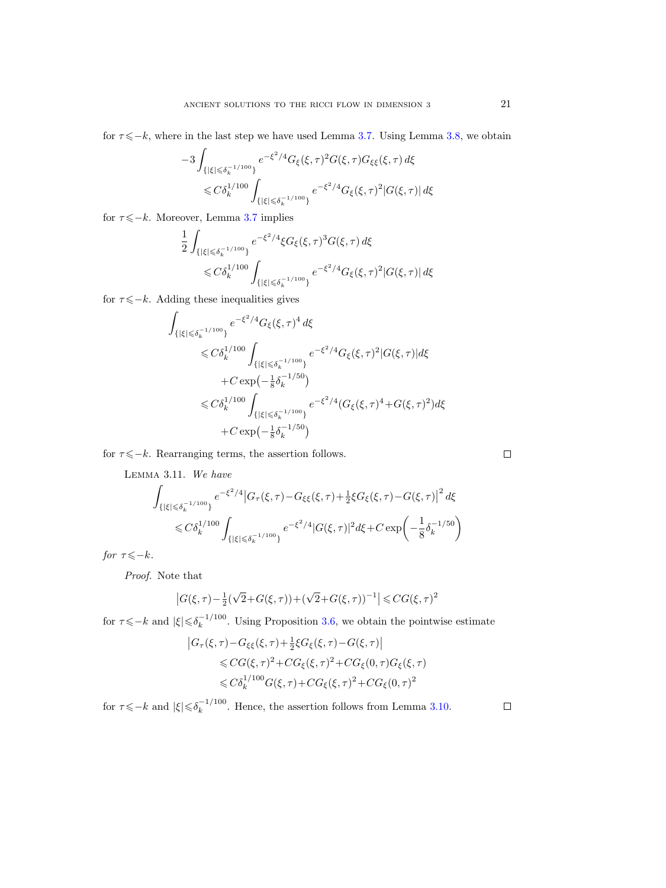for  $\tau \leq -k$ , where in the last step we have used Lemma [3.7.](#page-18-0) Using Lemma [3.8,](#page-18-1) we obtain

$$
-3\int_{\{|\xi| \leq \delta_k^{-1/100}\}} e^{-\xi^2/4} G_{\xi}(\xi,\tau)^2 G(\xi,\tau) G_{\xi\xi}(\xi,\tau) d\xi
$$
  

$$
\leq C \delta_k^{1/100} \int_{\{|\xi| \leq \delta_k^{-1/100}\}} e^{-\xi^2/4} G_{\xi}(\xi,\tau)^2 |G(\xi,\tau)| d\xi
$$

for  $\tau \leq -k$ . Moreover, Lemma [3.7](#page-18-0) implies

$$
\frac{1}{2} \int_{\{|\xi| \leq \delta_k^{-1/100}\}} e^{-\xi^2/4} \xi G_{\xi}(\xi,\tau)^3 G(\xi,\tau) d\xi
$$
  
\$\leq C \delta\_k^{1/100} \int\_{\{|\xi| \leq \delta\_k^{-1/100}\}} e^{-\xi^2/4} G\_{\xi}(\xi,\tau)^2 |G(\xi,\tau)| d\xi\$

for  $\tau \leq -k$ . Adding these inequalities gives

$$
\int_{\{|\xi| \leq \delta_k^{-1/100}\}} e^{-\xi^2/4} G_{\xi}(\xi, \tau)^4 d\xi
$$
\n
$$
\leq C \delta_k^{1/100} \int_{\{|\xi| \leq \delta_k^{-1/100}\}} e^{-\xi^2/4} G_{\xi}(\xi, \tau)^2 |G(\xi, \tau)| d\xi
$$
\n
$$
+ C \exp\left(-\frac{1}{8} \delta_k^{-1/50}\right)
$$
\n
$$
\leq C \delta_k^{1/100} \int_{\{|\xi| \leq \delta_k^{-1/100}\}} e^{-\xi^2/4} (G_{\xi}(\xi, \tau)^4 + G(\xi, \tau)^2) d\xi
$$
\n
$$
+ C \exp\left(-\frac{1}{8} \delta_k^{-1/50}\right)
$$

<span id="page-20-0"></span>for  $\tau \leqslant -k$ . Rearranging terms, the assertion follows.

Lemma 3.11. We have

$$
\int_{\{|\xi| \leqslant \delta_k^{-1/100}\}} e^{-\xi^2/4} |G_\tau(\xi,\tau) - G_{\xi\xi}(\xi,\tau) + \frac{1}{2}\xi G_{\xi}(\xi,\tau) - G(\xi,\tau)|^2 d\xi
$$
\n
$$
\leqslant C\delta_k^{1/100} \int_{\{|\xi| \leqslant \delta_k^{-1/100}\}} e^{-\xi^2/4} |G(\xi,\tau)|^2 d\xi + C \exp\left(-\frac{1}{8}\delta_k^{-1/50}\right)
$$

for  $\tau \leqslant -k$ .

Proof. Note that

$$
\left|G(\xi,\tau)-\tfrac{1}{2}(\sqrt{2}+G(\xi,\tau))+(\sqrt{2}+G(\xi,\tau))^{-1}\right|\leqslant CG(\xi,\tau)^2
$$

for  $\tau \leqslant -k$  and  $|\xi| \leqslant \delta_k^{-1/100}$  $\frac{(-1)^{100}}{k}$ . Using Proposition [3.6,](#page-17-1) we obtain the pointwise estimate

$$
|G_{\tau}(\xi,\tau) - G_{\xi\xi}(\xi,\tau) + \frac{1}{2}\xi G_{\xi}(\xi,\tau) - G(\xi,\tau)|
$$
  
\$\leq C G(\xi,\tau)^{2} + C G\_{\xi}(\xi,\tau)^{2} + C G\_{\xi}(0,\tau)G\_{\xi}(\xi,\tau)\$  
\$\leq C \delta\_{k}^{1/100} G(\xi,\tau) + C G\_{\xi}(\xi,\tau)^{2} + C G\_{\xi}(0,\tau)^{2}\$

for  $\tau \leqslant -k$  and  $|\xi| \leqslant \delta_k^{-1/100}$  $\frac{(-1)^{1100}}{k}$ . Hence, the assertion follows from Lemma [3.10.](#page-19-1)  $\Box$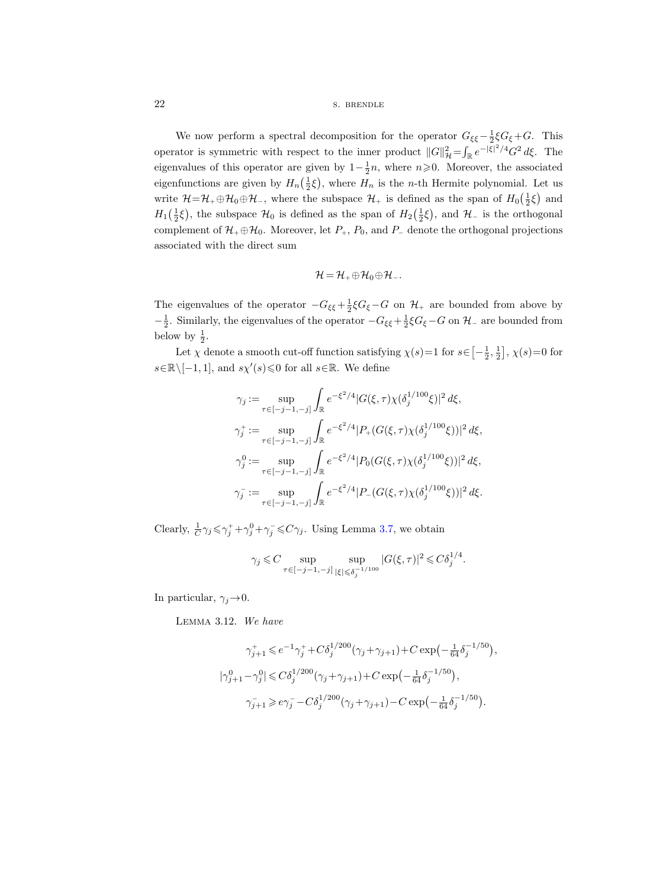# 22 s. BRENDLE

We now perform a spectral decomposition for the operator  $G_{\xi\xi} - \frac{1}{2}\xi G_{\xi} + G$ . This operator is symmetric with respect to the inner product  $||G||_{\mathcal{H}}^2 = \int_{\mathbb{R}} e^{-|\xi|^2/4} G^2 d\xi$ . The eigenvalues of this operator are given by  $1-\frac{1}{2}n$ , where  $n\geqslant 0$ . Moreover, the associated eigenfunctions are given by  $H_n(\frac{1}{2}\xi)$ , where  $H_n$  is the *n*-th Hermite polynomial. Let us write  $\mathcal{H}=\mathcal{H}_+\oplus\mathcal{H}_0\oplus\mathcal{H}_-,$  where the subspace  $\mathcal{H}_+$  is defined as the span of  $H_0(\frac{1}{2}\xi)$  and  $H_1(\frac{1}{2}\xi)$ , the subspace  $\mathcal{H}_0$  is defined as the span of  $H_2(\frac{1}{2}\xi)$ , and  $\mathcal{H}_-$  is the orthogonal complement of  $\mathcal{H}_+ \oplus \mathcal{H}_0$ . Moreover, let  $P_+$ ,  $P_0$ , and  $P_-$  denote the orthogonal projections associated with the direct sum

$$
\mathcal{H}=\mathcal{H}_+\oplus\mathcal{H}_0\oplus\mathcal{H}_-.
$$

The eigenvalues of the operator  $-G_{\xi\xi} + \frac{1}{2}\xi G_{\xi} - G$  on  $\mathcal{H}_+$  are bounded from above by  $-\frac{1}{2}$ . Similarly, the eigenvalues of the operator  $-G_{\xi\xi} + \frac{1}{2}\xi G_{\xi} - G$  on  $\mathcal{H}$ - are bounded from below by  $\frac{1}{2}$ .

Let  $\chi$  denote a smooth cut-off function satisfying  $\chi(s) = 1$  for  $s \in \left[-\frac{1}{2}, \frac{1}{2}\right], \chi(s) = 0$  for  $s \in \mathbb{R} \setminus [-1, 1]$ , and  $s \chi'(s) \leq 0$  for all  $s \in \mathbb{R}$ . We define

$$
\gamma_j := \sup_{\tau \in [-j-1, -j]} \int_{\mathbb{R}} e^{-\xi^2/4} |G(\xi, \tau) \chi(\delta_j^{1/100} \xi)|^2 d\xi,
$$
  
\n
$$
\gamma_j^+ := \sup_{\tau \in [-j-1, -j]} \int_{\mathbb{R}} e^{-\xi^2/4} |P_+(G(\xi, \tau) \chi(\delta_j^{1/100} \xi))|^2 d\xi,
$$
  
\n
$$
\gamma_j^0 := \sup_{\tau \in [-j-1, -j]} \int_{\mathbb{R}} e^{-\xi^2/4} |P_0(G(\xi, \tau) \chi(\delta_j^{1/100} \xi))|^2 d\xi,
$$
  
\n
$$
\gamma_j^- := \sup_{\tau \in [-j-1, -j]} \int_{\mathbb{R}} e^{-\xi^2/4} |P_-(G(\xi, \tau) \chi(\delta_j^{1/100} \xi))|^2 d\xi.
$$

Clearly,  $\frac{1}{C}\gamma_j \leq \gamma_j^+ + \gamma_j^0 + \gamma_j^- \leq C\gamma_j$ . Using Lemma [3.7,](#page-18-0) we obtain

$$
\gamma_j \leq C \sup_{\tau \in [-j-1,-j]} \sup_{|\xi| \leq \delta_j^{-1/100}} |G(\xi,\tau)|^2 \leq C \delta_j^{1/4}.
$$

<span id="page-21-0"></span>In particular,  $\gamma_j \rightarrow 0$ .

Lemma 3.12. We have

$$
\begin{aligned} \gamma_{j+1}^+ &\leqslant e^{-1}\gamma_j^+ + C\delta_j^{1/200}(\gamma_j+\gamma_{j+1}) + C\exp\Bigl(-\tfrac{1}{64}\delta_j^{-1/50}\Bigr),\\ |\gamma_{j+1}^0 - \gamma_j^0| &\leqslant C\delta_j^{1/200}(\gamma_j+\gamma_{j+1}) + C\exp\Bigl(-\tfrac{1}{64}\delta_j^{-1/50}\Bigr),\\ \gamma_{j+1}^- &\geqslant e\gamma_j^- - C\delta_j^{1/200}(\gamma_j+\gamma_{j+1}) - C\exp\Bigl(-\tfrac{1}{64}\delta_j^{-1/50}\Bigr). \end{aligned}
$$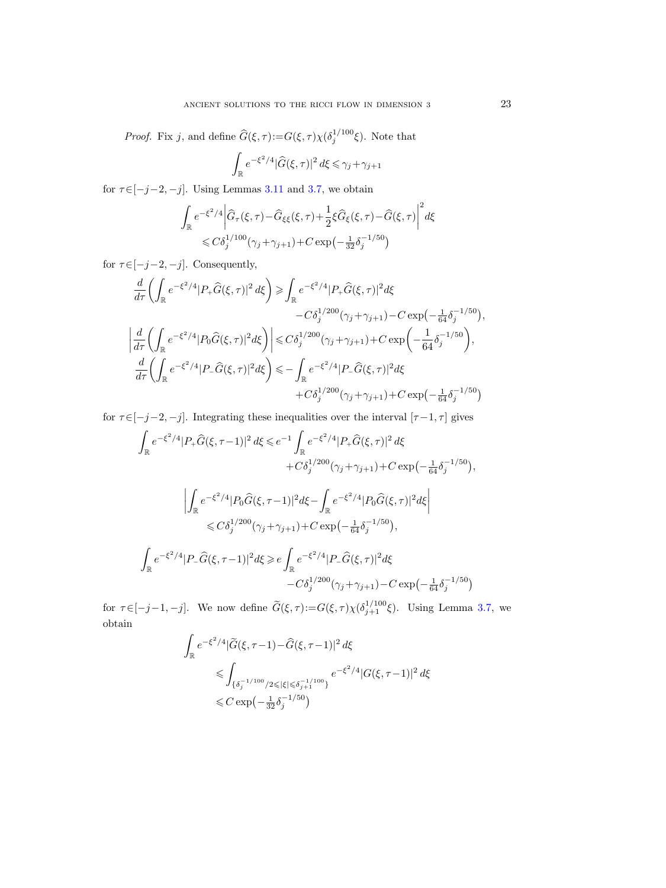*Proof.* Fix j, and define  $\widehat{G}(\xi, \tau) := G(\xi, \tau) \chi(\delta_j^{1/100}\xi)$ . Note that

$$
\int_{\mathbb{R}} e^{-\xi^2/4} |\widehat{G}(\xi,\tau)|^2 d\xi \le \gamma_j + \gamma_{j+1}
$$

for  $\tau \in [-j-2, -j]$ . Using Lemmas [3.11](#page-20-0) and [3.7,](#page-18-0) we obtain

$$
\int_{\mathbb{R}} e^{-\xi^2/4} \left| \hat{G}_{\tau}(\xi,\tau) - \hat{G}_{\xi\xi}(\xi,\tau) + \frac{1}{2}\xi \hat{G}_{\xi}(\xi,\tau) - \hat{G}(\xi,\tau) \right|^2 d\xi
$$
  
\$\leqslant C\delta\_j^{1/100}(\gamma\_j + \gamma\_{j+1}) + C \exp\left(-\frac{1}{32}\delta\_j^{-1/50}\right)\$

for  $\tau \in [-j-2, -j]$ . Consequently,

$$
\frac{d}{d\tau} \left( \int_{\mathbb{R}} e^{-\xi^2/4} |P_+ \hat{G}(\xi,\tau)|^2 d\xi \right) \ge \int_{\mathbb{R}} e^{-\xi^2/4} |P_+ \hat{G}(\xi,\tau)|^2 d\xi \n- C\delta_j^{1/200} (\gamma_j + \gamma_{j+1}) - C \exp\left(-\frac{1}{64} \delta_j^{-1/50}\right),
$$
\n
$$
\left| \frac{d}{d\tau} \left( \int_{\mathbb{R}} e^{-\xi^2/4} |P_0 \hat{G}(\xi,\tau)|^2 d\xi \right) \right| \le C\delta_j^{1/200} (\gamma_j + \gamma_{j+1}) + C \exp\left(-\frac{1}{64} \delta_j^{-1/50}\right),
$$
\n
$$
\frac{d}{d\tau} \left( \int_{\mathbb{R}} e^{-\xi^2/4} |P_- \hat{G}(\xi,\tau)|^2 d\xi \right) \le - \int_{\mathbb{R}} e^{-\xi^2/4} |P_- \hat{G}(\xi,\tau)|^2 d\xi \n+ C\delta_j^{1/200} (\gamma_j + \gamma_{j+1}) + C \exp\left(-\frac{1}{64} \delta_j^{-1/50}\right)
$$

for  $\tau \in [-j-2,-j]$ . Integrating these inequalities over the interval  $[\tau -1,\tau]$  gives

$$
\int_{\mathbb{R}} e^{-\xi^2/4} |P_+ \hat{G}(\xi, \tau - 1)|^2 d\xi \le e^{-1} \int_{\mathbb{R}} e^{-\xi^2/4} |P_+ \hat{G}(\xi, \tau)|^2 d\xi \n+ C\delta_j^{1/200} (\gamma_j + \gamma_{j+1}) + C \exp\left(-\frac{1}{64} \delta_j^{-1/50}\right),
$$
\n
$$
\left| \int_{\mathbb{R}} e^{-\xi^2/4} |P_0 \hat{G}(\xi, \tau - 1)|^2 d\xi - \int_{\mathbb{R}} e^{-\xi^2/4} |P_0 \hat{G}(\xi, \tau)|^2 d\xi \right| \n\le C\delta_j^{1/200} (\gamma_j + \gamma_{j+1}) + C \exp\left(-\frac{1}{64} \delta_j^{-1/50}\right),
$$
\n
$$
\int_{\mathbb{R}} e^{-\xi^2/4} |P_- \hat{G}(\xi, \tau - 1)|^2 d\xi \ge e \int_{\mathbb{R}} e^{-\xi^2/4} |P_- \hat{G}(\xi, \tau)|^2 d\xi \n- C\delta_j^{1/200} (\gamma_j + \gamma_{j+1}) - C \exp\left(-\frac{1}{64} \delta_j^{-1/50}\right)
$$

for  $\tau \in [-j-1, -j]$ . We now define  $\widetilde{G}(\xi, \tau) := G(\xi, \tau) \chi(\delta_{j+1}^{1/100}\xi)$ . Using Lemma [3.7,](#page-18-0) we obtain

$$
\int_{\mathbb{R}} e^{-\xi^2/4} |\widetilde{G}(\xi, \tau - 1) - \widehat{G}(\xi, \tau - 1)|^2 d\xi
$$
  
\$\leqslant \int\_{\{\delta\_j^{-1/100}/2 \leqslant |\xi| \leqslant \delta\_{j+1}^{-1/100}\}} e^{-\xi^2/4} |G(\xi, \tau - 1)|^2 d\xi\$  
\$\leqslant C \exp\left(-\frac{1}{32} \delta\_j^{-1/50}\right)\$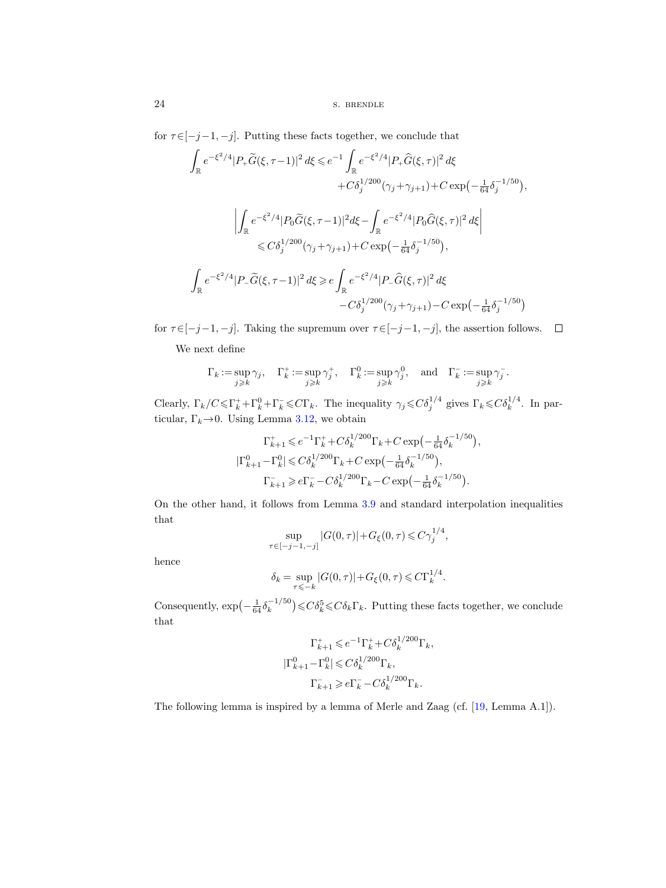for  $\tau \in [-j-1,-j].$  Putting these facts together, we conclude that

$$
\int_{\mathbb{R}} e^{-\xi^2/4} |P_+ \widetilde{G}(\xi, \tau - 1)|^2 d\xi \le e^{-1} \int_{\mathbb{R}} e^{-\xi^2/4} |P_+ \widehat{G}(\xi, \tau)|^2 d\xi \n+ C \delta_j^{1/200} (\gamma_j + \gamma_{j+1}) + C \exp\left(-\frac{1}{64} \delta_j^{-1/50}\right),
$$
\n
$$
\left| \int_{\mathbb{R}} e^{-\xi^2/4} |P_0 \widetilde{G}(\xi, \tau - 1)|^2 d\xi - \int_{\mathbb{R}} e^{-\xi^2/4} |P_0 \widehat{G}(\xi, \tau)|^2 d\xi \right| \n\le C \delta_j^{1/200} (\gamma_j + \gamma_{j+1}) + C \exp\left(-\frac{1}{64} \delta_j^{-1/50}\right),
$$
\n
$$
\int_{\mathbb{R}} e^{-\xi^2/4} |P_- \widetilde{G}(\xi, \tau - 1)|^2 d\xi \ge e \int_{\mathbb{R}} e^{-\xi^2/4} |P_- \widehat{G}(\xi, \tau)|^2 d\xi \n- C \delta_j^{1/200} (\gamma_j + \gamma_{j+1}) - C \exp\left(-\frac{1}{64} \delta_j^{-1/50}\right)
$$

for  $\tau \in [-j-1,-j].$  Taking the supremum over  $\tau \in [-j-1,-j],$  the assertion follows.  $\Box$ 

We next define

$$
\Gamma_k := \sup_{j \geqslant k} \gamma_j, \quad \Gamma_k^+ := \sup_{j \geqslant k} \gamma_j^+, \quad \Gamma_k^0 := \sup_{j \geqslant k} \gamma_j^0, \quad \text{and} \quad \Gamma_k^- := \sup_{j \geqslant k} \gamma_j^-.
$$

Clearly,  $\Gamma_k/C \leq \Gamma_k^+ + \Gamma_k^0 + \Gamma_k^- \leq C\Gamma_k$ . The inequality  $\gamma_j \leq C\delta_j^{1/4}$  gives  $\Gamma_k \leq C\delta_k^{1/4}$ . In particular,  $\Gamma_k \rightarrow 0$ . Using Lemma [3.12,](#page-21-0) we obtain

$$
\Gamma_{k+1}^{+} \leqslant e^{-1} \Gamma_{k}^{+} + C \delta_{k}^{1/200} \Gamma_{k} + C \exp\left(-\frac{1}{64} \delta_{k}^{-1/50}\right),
$$
\n
$$
|\Gamma_{k+1}^{0} - \Gamma_{k}^{0}| \leqslant C \delta_{k}^{1/200} \Gamma_{k} + C \exp\left(-\frac{1}{64} \delta_{k}^{-1/50}\right),
$$
\n
$$
\Gamma_{k+1}^{-} \geqslant e \Gamma_{k}^{-} - C \delta_{k}^{1/200} \Gamma_{k} - C \exp\left(-\frac{1}{64} \delta_{k}^{-1/50}\right).
$$

On the other hand, it follows from Lemma [3.9](#page-19-0) and standard interpolation inequalities that

$$
\sup_{\tau \in [-j-1,-j]} |G(0,\tau)| + G_{\xi}(0,\tau) \leq C \gamma_j^{1/4},
$$

hence

$$
\delta_k = \sup_{\tau \leq -k} |G(0, \tau)| + G_{\xi}(0, \tau) \leq C \Gamma_k^{1/4}.
$$

Consequently,  $\exp\left(-\frac{1}{64}\delta_k^{-1/50}\right)$  $\binom{-1/50}{k} \leqslant C \delta_k^5 \leqslant C \delta_k \Gamma_k$ . Putting these facts together, we conclude that

$$
\begin{aligned} \Gamma^+_{k+1} &\leqslant e^{-1} \Gamma^+_k + C \delta_k^{1/200} \Gamma_k, \\ |\Gamma^0_{k+1}-\Gamma^0_k| &\leqslant C \delta_k^{1/200} \Gamma_k, \\ \Gamma^-_{k+1} &\geqslant e \Gamma^-_k - C \delta_k^{1/200} \Gamma_k. \end{aligned}
$$

The following lemma is inspired by a lemma of Merle and Zaag (cf. [\[19,](#page-100-15) Lemma A.1]).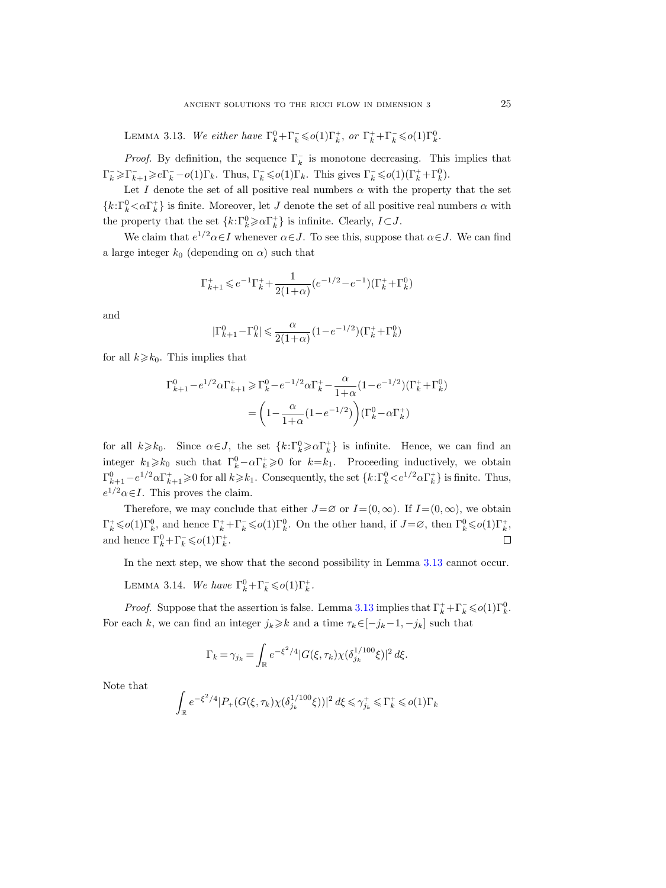<span id="page-24-0"></span>LEMMA 3.13. We either have  $\Gamma_k^0 + \Gamma_k^- \leqslant o(1)\Gamma_k^+$ , or  $\Gamma_k^+ + \Gamma_k^- \leqslant o(1)\Gamma_k^0$ .

*Proof.* By definition, the sequence  $\Gamma_k^-$  is monotone decreasing. This implies that  $\Gamma_k \geq \Gamma_{k+1} \geq e\Gamma_k - o(1)\Gamma_k$ . Thus,  $\Gamma_k \leqslant o(1)\Gamma_k$ . This gives  $\Gamma_k \leqslant o(1)(\Gamma_k^+ + \Gamma_k^0)$ .

Let I denote the set of all positive real numbers  $\alpha$  with the property that the set  ${k: \Gamma_k^0 < \alpha \Gamma_k^+}$  is finite. Moreover, let J denote the set of all positive real numbers  $\alpha$  with the property that the set  $\{k:\Gamma_k^0\geqslant \alpha\Gamma_k^+\}$  is infinite. Clearly,  $I\subset J$ .

We claim that  $e^{1/2} \alpha \in I$  whenever  $\alpha \in J$ . To see this, suppose that  $\alpha \in J$ . We can find a large integer  $k_0$  (depending on  $\alpha$ ) such that

$$
\Gamma_{k+1}^+ \leqslant e^{-1} \Gamma_k^+ + \frac{1}{2(1+\alpha)} \big( e^{-1/2} - e^{-1} \big) \big( \Gamma_k^+ + \Gamma_k^0 \big)
$$

and

$$
|\Gamma_{k+1}^0-\Gamma_k^0|\leqslant \frac{\alpha}{2(1+\alpha)}(1-e^{-1/2})(\Gamma_k^++\Gamma_k^0)
$$

for all  $k \geq k_0$ . This implies that

$$
\begin{split} \Gamma^0_{k+1} - e^{1/2} \alpha \Gamma^+_{k+1} &\geq \Gamma^0_{k} - e^{-1/2} \alpha \Gamma^+_{k} - \frac{\alpha}{1+\alpha} (1-e^{-1/2}) (\Gamma^+_{k} + \Gamma^0_{k}) \\ & = \bigg( 1 - \frac{\alpha}{1+\alpha} (1-e^{-1/2}) \bigg) (\Gamma^0_{k} - \alpha \Gamma^+_{k}) \end{split}
$$

for all  $k \geq k_0$ . Since  $\alpha \in J$ , the set  $\{k: \Gamma_k^0 \geq \alpha \Gamma_k^+\}$  is infinite. Hence, we can find an integer  $k_1 \geq k_0$  such that  $\Gamma_k^0 - \alpha \Gamma_k^+ \geq 0$  for  $k = k_1$ . Proceeding inductively, we obtain  $\Gamma_{k+1}^0 - e^{1/2} \alpha \Gamma_{k+1}^+ \geq 0$  for all  $k \geq k_1$ . Consequently, the set  $\{k: \Gamma_k^0 \lt e^{1/2} \alpha \Gamma_k^+\}$  is finite. Thus,  $e^{1/2}\alpha \in I$ . This proves the claim.

Therefore, we may conclude that either  $J=\varnothing$  or  $I=(0,\infty)$ . If  $I=(0,\infty)$ , we obtain  $\Gamma_k^+ \leqslant o(1) \Gamma_k^0$ , and hence  $\Gamma_k^+ + \Gamma_k^- \leqslant o(1) \Gamma_k^0$ . On the other hand, if  $J = \varnothing$ , then  $\Gamma_k^0 \leqslant o(1) \Gamma_k^+$ , and hence  $\Gamma_k^0 + \Gamma_k^- \leqslant o(1) \Gamma_k^+$ .  $\Box$ 

In the next step, we show that the second possibility in Lemma  $3.13$  cannot occur.

<span id="page-24-1"></span>LEMMA 3.14. We have  $\Gamma_k^0 + \Gamma_k^- \leqslant o(1)\Gamma_k^+$ .

*Proof.* Suppose that the assertion is false. Lemma [3.13](#page-24-0) implies that  $\Gamma_k^+ + \Gamma_k^- \leqslant o(1)\Gamma_k^0$ . For each k, we can find an integer  $j_k \geq k$  and a time  $\tau_k \in [-j_k-1, -j_k]$  such that

$$
\Gamma_k = \gamma_{j_k} = \int_{\mathbb{R}} e^{-\xi^2/4} |G(\xi, \tau_k) \chi(\delta_{j_k}^{1/100} \xi)|^2 d\xi.
$$

Note that

$$
\int_{\mathbb{R}} e^{-\xi^2/4} |P_+(G(\xi,\tau_k)\chi(\delta_{j_k}^{1/100}\xi))|^2\,d\xi\leqslant \gamma_{j_k}^+\leqslant \Gamma_k^+\leqslant o(1)\Gamma_k
$$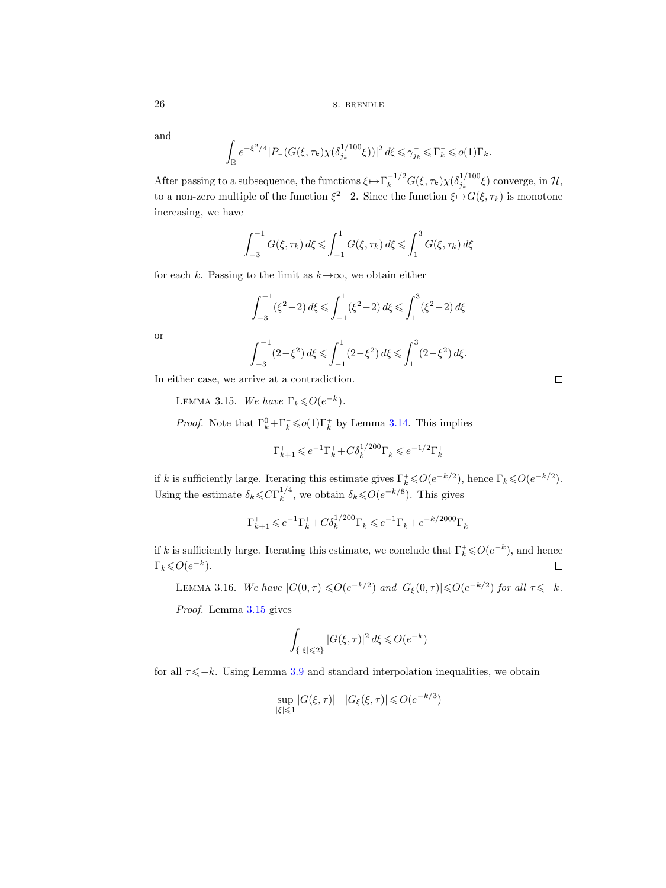and

$$
\int_{\mathbb{R}} e^{-\xi^2/4} |P_{-}(G(\xi,\tau_k)\chi(\delta_{j_k}^{1/100}\xi))|^2 d\xi \leq \gamma_{j_k}^{-} \leq \Gamma_k^{-} \leqslant o(1)\Gamma_k.
$$

After passing to a subsequence, the functions  $\xi \mapsto \Gamma_k^{-1/2} G(\xi, \tau_k) \chi(\delta_{j_k}^{1/100} \xi)$  converge, in  $\mathcal{H}$ , to a non-zero multiple of the function  $\xi^2-2$ . Since the function  $\xi \mapsto G(\xi, \tau_k)$  is monotone increasing, we have

$$
\int_{-3}^{-1} G(\xi, \tau_k) d\xi \le \int_{-1}^{1} G(\xi, \tau_k) d\xi \le \int_{1}^{3} G(\xi, \tau_k) d\xi
$$

for each k. Passing to the limit as  $k \rightarrow \infty$ , we obtain either

$$
\int_{-3}^{-1} (\xi^2 - 2) d\xi \le \int_{-1}^{1} (\xi^2 - 2) d\xi \le \int_{1}^{3} (\xi^2 - 2) d\xi
$$

or

$$
\int_{-3}^{-1} (2 - \xi^2) d\xi \le \int_{-1}^{1} (2 - \xi^2) d\xi \le \int_{1}^{3} (2 - \xi^2) d\xi.
$$

<span id="page-25-0"></span>In either case, we arrive at a contradiction.

LEMMA 3.15. We have  $\Gamma_k \leqslant O(e^{-k})$ .

*Proof.* Note that  $\Gamma_k^0 + \Gamma_k^- \leq \rho(1)\Gamma_k^+$  by Lemma [3.14.](#page-24-1) This implies

$$
\Gamma_{k+1}^+ \leqslant e^{-1} \Gamma_k^+ + C \delta_k^{1/200} \Gamma_k^+ \leqslant e^{-1/2} \Gamma_k^+
$$

if k is sufficiently large. Iterating this estimate gives  $\Gamma_k^* \leqslant O(e^{-k/2})$ , hence  $\Gamma_k \leqslant O(e^{-k/2})$ . Using the estimate  $\delta_k \leqslant C \Gamma_k^{1/4}$  $_k^{1/4}$ , we obtain  $\delta_k \leqslant O(e^{-k/8})$ . This gives

$$
\Gamma_{k+1}^+ \leqslant e^{-1} \Gamma_k^+ + C \delta_k^{1/200} \Gamma_k^+ \leqslant e^{-1} \Gamma_k^+ + e^{-k/2000} \Gamma_k^+
$$

if k is sufficiently large. Iterating this estimate, we conclude that  $\Gamma_k^+ \leqslant O(e^{-k})$ , and hence  $\Gamma_k \leqslant O(e^{-k}).$  $\Box$ 

<span id="page-25-1"></span>LEMMA 3.16. We have  $|G(0, \tau)| \leqslant O(e^{-k/2})$  and  $|G_{\xi}(0, \tau)| \leqslant O(e^{-k/2})$  for all  $\tau \leqslant -k$ .

Proof. Lemma [3.15](#page-25-0) gives

$$
\int_{\{|\xi| \leqslant 2\}} |G(\xi,\tau)|^2 \, d\xi \leqslant O(e^{-k})
$$

for all  $\tau \leq -k$ . Using Lemma [3.9](#page-19-0) and standard interpolation inequalities, we obtain

$$
\sup_{|\xi| \le 1} |G(\xi, \tau)| + |G_{\xi}(\xi, \tau)| \le O(e^{-k/3})
$$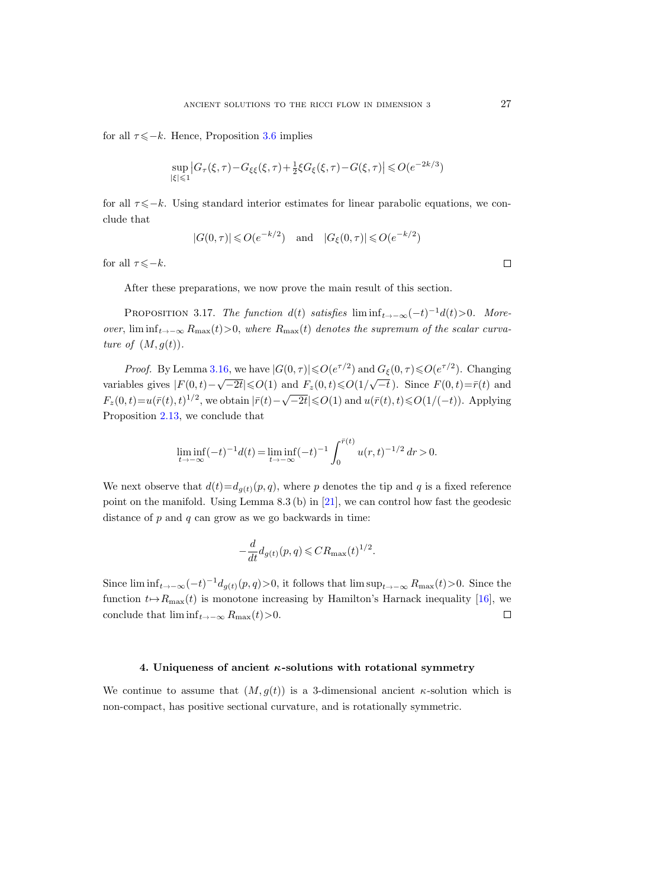for all  $\tau \leq -k$ . Hence, Proposition [3.6](#page-17-1) implies

$$
\sup_{|\xi|\leqslant 1}\left|G_\tau(\xi,\tau)-G_{\xi\xi}(\xi,\tau)+\tfrac12\xi G_\xi(\xi,\tau)-G(\xi,\tau)\right|\leqslant O(e^{-2k/3})
$$

for all  $\tau \leq -k$ . Using standard interior estimates for linear parabolic equations, we conclude that

$$
|G(0,\tau)| \leqslant O(e^{-k/2}) \quad \text{and} \quad |G_{\xi}(0,\tau)| \leqslant O(e^{-k/2})
$$

for all  $\tau \leqslant -k$ .

After these preparations, we now prove the main result of this section.

<span id="page-26-1"></span>PROPOSITION 3.17. The function  $d(t)$  satisfies  $\liminf_{t \to -\infty} (-t)^{-1} d(t) > 0$ . Moreover,  $\liminf_{t\to-\infty} R_{\max}(t) > 0$ , where  $R_{\max}(t)$  denotes the supremum of the scalar curvature of  $(M, g(t))$ .

*Proof.* By Lemma [3.16,](#page-25-1) we have  $|G(0, \tau)| \leq 0 \cdot (e^{\tau/2})$  and  $G_{\xi}(0, \tau) \leq 0 \cdot (e^{\tau/2})$ . Changing variables gives  $|F(0,t)-\sqrt{-2t}| \le O(1)$  and  $F_z(0,t) \le O(1/\sqrt{-t})$ . Since  $F(0,t)=\bar{r}(t)$  and F<sub>z</sub>(0, t)=u( $\bar{r}(t)$ ,  $t$ )<sup>1</sup>/2, we obtain  $|\bar{r}(t) - \sqrt{-2t}| \le O(1)$  and  $u(\bar{r}(t), t) \le O(1/(-t))$ . Applying Proposition [2.13,](#page-12-0) we conclude that

$$
\liminf_{t \to -\infty} (-t)^{-1} d(t) = \liminf_{t \to -\infty} (-t)^{-1} \int_0^{\bar{r}(t)} u(r, t)^{-1/2} dr > 0.
$$

We next observe that  $d(t) = d_{q(t)}(p, q)$ , where p denotes the tip and q is a fixed reference point on the manifold. Using Lemma  $8.3$  (b) in [\[21\]](#page-100-1), we can control how fast the geodesic distance of  $p$  and  $q$  can grow as we go backwards in time:

$$
-\frac{d}{dt}d_{g(t)}(p,q) \leqslant CR_{\max}(t)^{1/2}.
$$

Since  $\liminf_{t\to-\infty}(-t)^{-1}d_{g(t)}(p,q) > 0$ , it follows that  $\limsup_{t\to-\infty}R_{\max}(t) > 0$ . Since the function  $t \mapsto R_{\text{max}}(t)$  is monotone increasing by Hamilton's Harnack inequality [\[16\]](#page-100-16), we conclude that lim inf $_{t\rightarrow -\infty} R_{\text{max}}(t)$ >0.  $\Box$ 

#### 4. Uniqueness of ancient  $\kappa$ -solutions with rotational symmetry

<span id="page-26-0"></span>We continue to assume that  $(M, g(t))$  is a 3-dimensional ancient  $\kappa$ -solution which is non-compact, has positive sectional curvature, and is rotationally symmetric.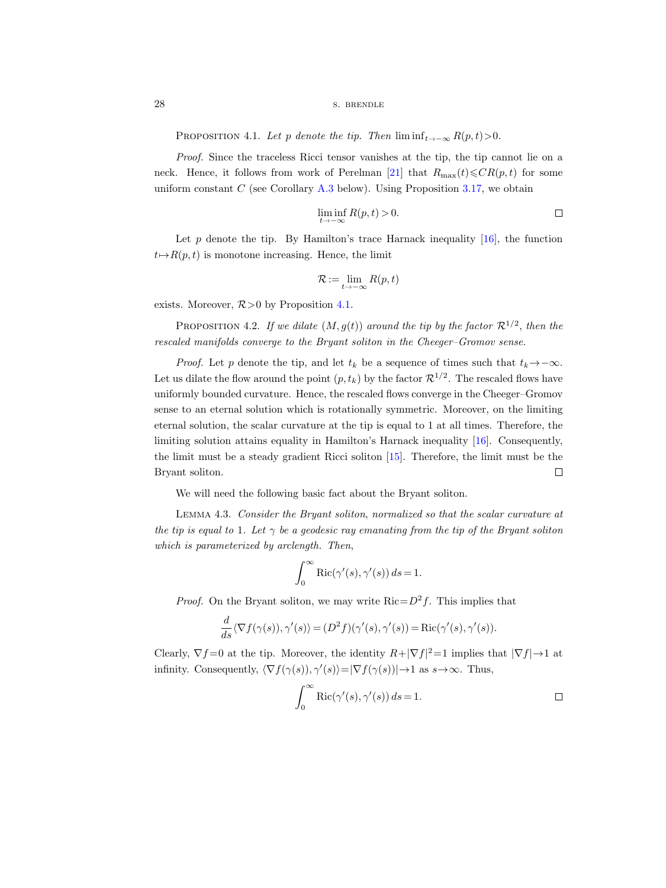28 s. BRENDLE

<span id="page-27-0"></span>PROPOSITION 4.1. Let p denote the tip. Then  $\liminf_{t\to-\infty} R(p,t) > 0$ .

Proof. Since the traceless Ricci tensor vanishes at the tip, the tip cannot lie on a neck. Hence, it follows from work of Perelman [\[21\]](#page-100-1) that  $R_{\text{max}}(t) \leqslant CR(p, t)$  for some uniform constant  $C$  (see Corollary [A.3](#page-95-1) below). Using Proposition [3.17,](#page-26-1) we obtain

$$
\liminf_{t \to -\infty} R(p, t) > 0. \qquad \qquad \Box
$$

Let p denote the tip. By Hamilton's trace Harnack inequality  $[16]$ , the function  $t \mapsto R(p, t)$  is monotone increasing. Hence, the limit

$$
\mathcal{R}:=\lim_{t\to-\infty}R(p,t)
$$

exists. Moreover,  $R>0$  by Proposition [4.1.](#page-27-0)

<span id="page-27-2"></span>PROPOSITION 4.2. If we dilate  $(M, g(t))$  around the tip by the factor  $\mathcal{R}^{1/2}$ , then the rescaled manifolds converge to the Bryant soliton in the Cheeger–Gromov sense.

*Proof.* Let p denote the tip, and let  $t_k$  be a sequence of times such that  $t_k \rightarrow -\infty$ . Let us dilate the flow around the point  $(p, t_k)$  by the factor  $\mathcal{R}^{1/2}$ . The rescaled flows have uniformly bounded curvature. Hence, the rescaled flows converge in the Cheeger–Gromov sense to an eternal solution which is rotationally symmetric. Moreover, on the limiting eternal solution, the scalar curvature at the tip is equal to 1 at all times. Therefore, the limiting solution attains equality in Hamilton's Harnack inequality [\[16\]](#page-100-16). Consequently, the limit must be a steady gradient Ricci soliton [\[15\]](#page-100-17). Therefore, the limit must be the  $\Box$ Bryant soliton.

We will need the following basic fact about the Bryant soliton.

<span id="page-27-1"></span>Lemma 4.3. Consider the Bryant soliton, normalized so that the scalar curvature at the tip is equal to 1. Let  $\gamma$  be a geodesic ray emanating from the tip of the Bryant soliton which is parameterized by arclength. Then,

$$
\int_0^\infty \text{Ric}(\gamma'(s), \gamma'(s)) ds = 1.
$$

*Proof.* On the Bryant soliton, we may write  $Ric = D^2f$ . This implies that

$$
\frac{d}{ds}\langle \nabla f(\gamma(s)), \gamma'(s)\rangle = (D^2 f)(\gamma'(s), \gamma'(s)) = \text{Ric}(\gamma'(s), \gamma'(s)).
$$

Clearly,  $\nabla f = 0$  at the tip. Moreover, the identity  $R + |\nabla f|^2 = 1$  implies that  $|\nabla f| \rightarrow 1$  at infinity. Consequently,  $\langle \nabla f(\gamma(s)), \gamma'(s) \rangle = |\nabla f(\gamma(s))| \to 1$  as  $s \to \infty$ . Thus,

$$
\int_0^\infty \text{Ric}(\gamma'(s), \gamma'(s)) ds = 1.
$$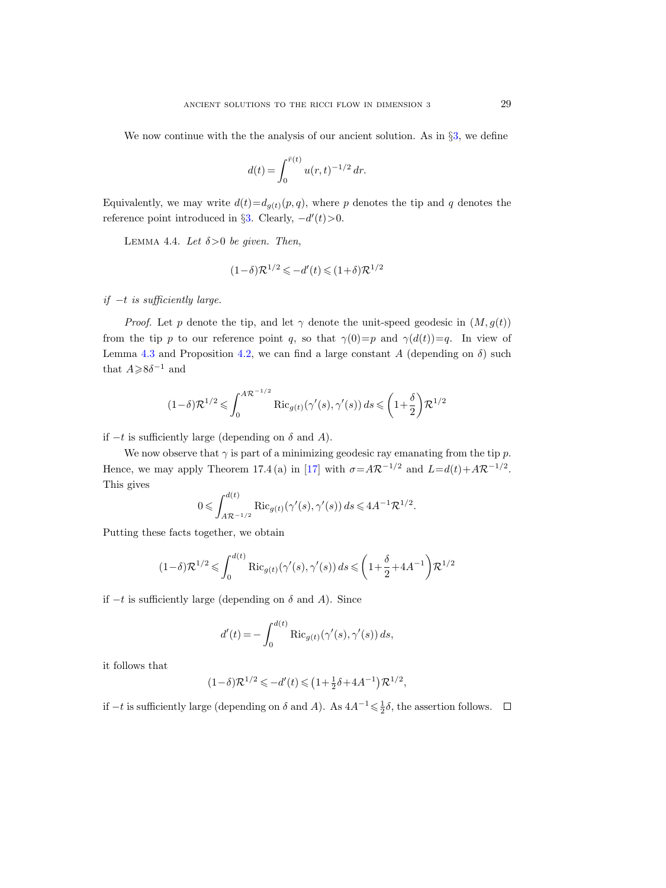We now continue with the the analysis of our ancient solution. As in §[3,](#page-14-0) we define

$$
d(t) = \int_0^{\bar{r}(t)} u(r, t)^{-1/2} dr.
$$

Equivalently, we may write  $d(t) = d_{q(t)}(p, q)$ , where p denotes the tip and q denotes the reference point introduced in §[3.](#page-14-0) Clearly,  $-d'(t) > 0$ .

LEMMA 4.4. Let  $\delta > 0$  be given. Then,

$$
(1-\delta)\mathcal{R}^{1/2} \leqslant -d'(t) \leqslant (1+\delta)\mathcal{R}^{1/2}
$$

if  $-t$  is sufficiently large.

*Proof.* Let p denote the tip, and let  $\gamma$  denote the unit-speed geodesic in  $(M, g(t))$ from the tip p to our reference point q, so that  $\gamma(0)=p$  and  $\gamma(d(t))=q$ . In view of Lemma [4.3](#page-27-1) and Proposition [4.2,](#page-27-2) we can find a large constant A (depending on  $\delta$ ) such that  $A \ge 8\delta^{-1}$  and

$$
(1-\delta)\mathcal{R}^{1/2} \leqslant \int_0^{A\mathcal{R}^{-1/2}} \textup{Ric}_{g(t)}(\gamma'(s),\gamma'(s))\,ds \leqslant \bigg(1+\frac{\delta}{2}\bigg)\mathcal{R}^{1/2}
$$

if −t is sufficiently large (depending on δ and A).

We now observe that  $\gamma$  is part of a minimizing geodesic ray emanating from the tip p. Hence, we may apply Theorem 17.4 (a) in [\[17\]](#page-100-0) with  $\sigma = A \mathcal{R}^{-1/2}$  and  $L = d(t) + A \mathcal{R}^{-1/2}$ . This gives

$$
0 \leqslant \int_{A\mathcal{R}^{-1/2}}^{d(t)} \mathrm{Ric}_{g(t)}(\gamma'(s), \gamma'(s)) ds \leqslant 4A^{-1}\mathcal{R}^{1/2}.
$$

Putting these facts together, we obtain

$$
(1-\delta)\mathcal{R}^{1/2} \leqslant \int_0^{d(t)} \mathrm{Ric}_{g(t)}(\gamma'(s),\gamma'(s))\,ds \leqslant \bigg(1+\frac{\delta}{2}+4A^{-1}\bigg)\mathcal{R}^{1/2}
$$

if −t is sufficiently large (depending on δ and A). Since

$$
d'(t) = -\int_0^{d(t)} \text{Ric}_{g(t)}(\gamma'(s), \gamma'(s)) ds,
$$

it follows that

$$
(1-\delta)\mathcal{R}^{1/2} \leqslant -d'(t) \leqslant \left(1 + \frac{1}{2}\delta + 4A^{-1}\right)\mathcal{R}^{1/2},
$$

if  $-t$  is sufficiently large (depending on  $\delta$  and  $A$ ). As  $4A^{-1} \leq \frac{1}{2}\delta$ , the assertion follows.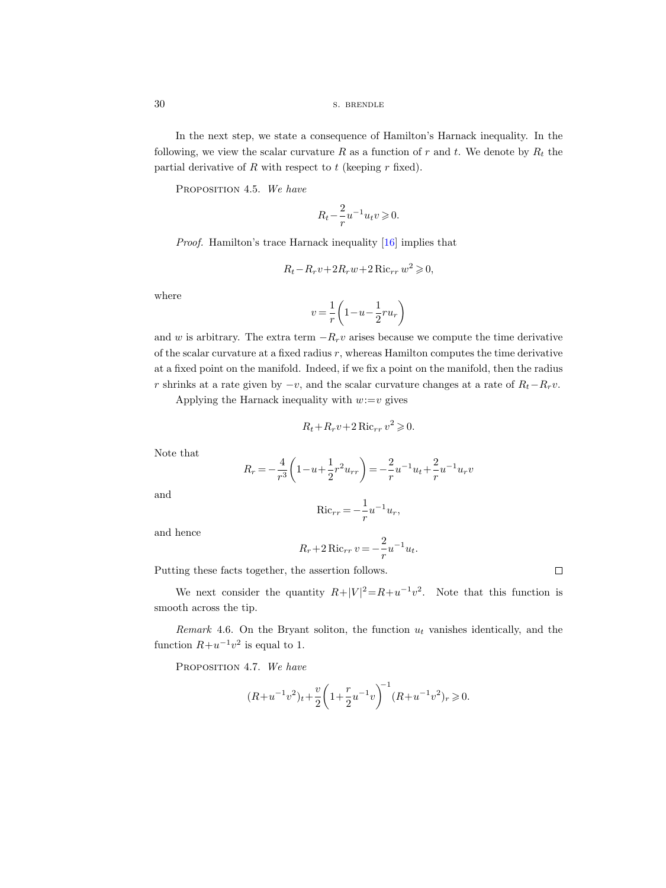In the next step, we state a consequence of Hamilton's Harnack inequality. In the following, we view the scalar curvature R as a function of r and t. We denote by  $R_t$  the partial derivative of  $R$  with respect to  $t$  (keeping  $r$  fixed).

<span id="page-29-0"></span>PROPOSITION 4.5. We have

$$
R_t - \frac{2}{r}u^{-1}u_tv \geqslant 0.
$$

Proof. Hamilton's trace Harnack inequality [\[16\]](#page-100-16) implies that

$$
R_t - R_r v + 2R_r w + 2 \operatorname{Ric}_{rr} w^2 \geqslant 0,
$$

where

$$
v = \frac{1}{r} \left( 1 - u - \frac{1}{2} r u_r \right)
$$

and w is arbitrary. The extra term  $-R_r v$  arises because we compute the time derivative of the scalar curvature at a fixed radius r, whereas Hamilton computes the time derivative at a fixed point on the manifold. Indeed, if we fix a point on the manifold, then the radius r shrinks at a rate given by  $-v$ , and the scalar curvature changes at a rate of  $R_t-R_rv$ .

Applying the Harnack inequality with  $w:=v$  gives

$$
R_t + R_r v + 2 \operatorname{Ric}_{rr} v^2 \geq 0.
$$

Note that

$$
R_r = -\frac{4}{r^3} \left( 1 - u + \frac{1}{2} r^2 u_{rr} \right) = -\frac{2}{r} u^{-1} u_t + \frac{2}{r} u^{-1} u_r v
$$

and

$$
\operatorname{Ric}_{rr} = -\frac{1}{r}u^{-1}u_r,
$$

and hence

$$
R_r + 2 \text{ Ric}_{rr} v = -\frac{2}{r} u^{-1} u_t.
$$

Putting these facts together, the assertion follows.

 $\Box$ 

We next consider the quantity  $R+|V|^2=R+u^{-1}v^2$ . Note that this function is smooth across the tip.

Remark 4.6. On the Bryant soliton, the function  $u_t$  vanishes identically, and the function  $R+u^{-1}v^2$  is equal to 1.

<span id="page-29-1"></span>PROPOSITION 4.7. We have

$$
(R+u^{-1}v^2)_t+\frac{v}{2}\bigg(1+\frac{r}{2}u^{-1}v\bigg)^{-1}(R+u^{-1}v^2)_r\geqslant 0.
$$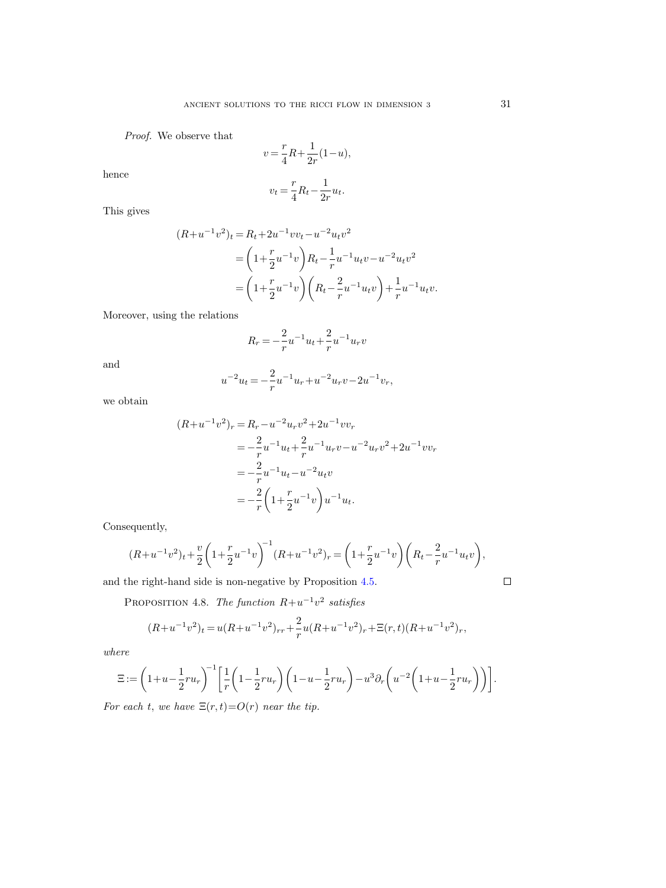Proof. We observe that

$$
v = \frac{r}{4}R + \frac{1}{2r}(1 - u),
$$

hence

$$
v_t = \frac{r}{4}R_t - \frac{1}{2r}u_t.
$$

This gives

$$
(R+u^{-1}v^{2})_{t} = R_{t}+2u^{-1}vv_{t}-u^{-2}u_{t}v^{2}
$$
  
=  $\left(1+\frac{r}{2}u^{-1}v\right)R_{t}-\frac{1}{r}u^{-1}u_{t}v-u^{-2}u_{t}v^{2}$   
=  $\left(1+\frac{r}{2}u^{-1}v\right)\left(R_{t}-\frac{2}{r}u^{-1}u_{t}v\right)+\frac{1}{r}u^{-1}u_{t}v.$ 

Moreover, using the relations

$$
R_r = -\frac{2}{r} u^{-1} u_t + \frac{2}{r} u^{-1} u_r v
$$

and

$$
u^{-2}u_t=-\frac{2}{r}u^{-1}u_r+u^{-2}u_rv-2u^{-1}v_r,\\
$$

we obtain

$$
(R+u^{-1}v^{2})_{r} = R_{r} - u^{-2}u_{r}v^{2} + 2u^{-1}vv_{r}
$$
  
=  $-\frac{2}{r}u^{-1}u_{t} + \frac{2}{r}u^{-1}u_{r}v - u^{-2}u_{r}v^{2} + 2u^{-1}vv_{r}$   
=  $-\frac{2}{r}u^{-1}u_{t} - u^{-2}u_{t}v$   
=  $-\frac{2}{r}\left(1 + \frac{r}{2}u^{-1}v\right)u^{-1}u_{t}.$ 

Consequently,

$$
(R+u^{-1}v^{2})_{t}+\frac{v}{2}\left(1+\frac{r}{2}u^{-1}v\right)^{-1}(R+u^{-1}v^{2})_{r}=\left(1+\frac{r}{2}u^{-1}v\right)\left(R_{t}-\frac{2}{r}u^{-1}u_{t}v\right),
$$

<span id="page-30-0"></span>and the right-hand side is non-negative by Proposition [4.5.](#page-29-0)

 $\Box$ 

PROPOSITION 4.8. The function  $R+u^{-1}v^2$  satisfies

$$
(R+u^{-1}v^{2})_{t}=u(R+u^{-1}v^{2})_{rr}+\frac{2}{r}u(R+u^{-1}v^{2})_{r}+\Xi(r,t)(R+u^{-1}v^{2})_{r},
$$

where

$$
\Xi := \left(1 + u - \frac{1}{2}ru_r\right)^{-1} \left[\frac{1}{r}\left(1 - \frac{1}{2}ru_r\right)\left(1 - u - \frac{1}{2}ru_r\right) - u^3\partial_r\left(u^{-2}\left(1 + u - \frac{1}{2}ru_r\right)\right)\right].
$$

For each t, we have  $\Xi(r,t) = O(r)$  near the tip.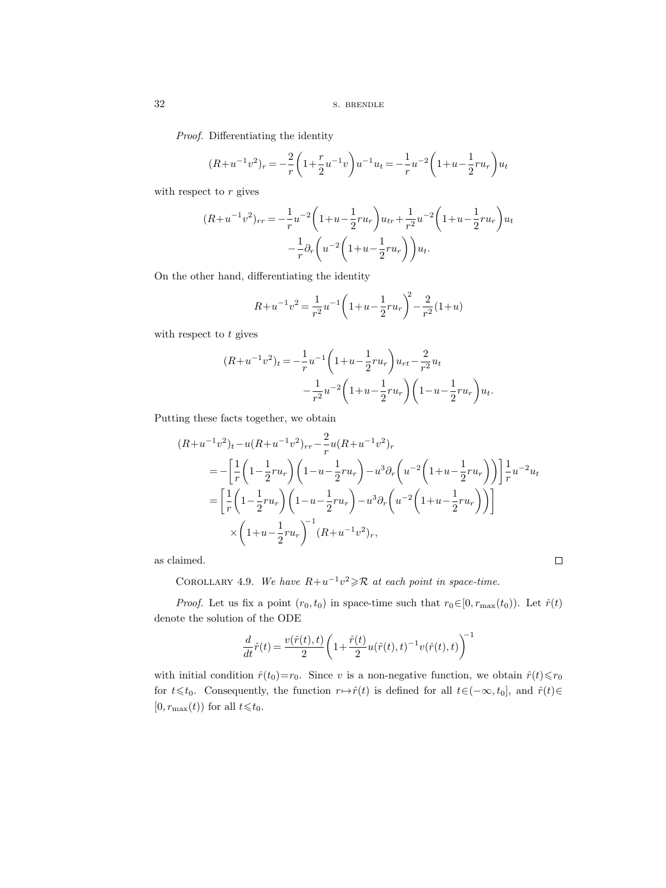Proof. Differentiating the identity

$$
(R+u^{-1}v^{2})_{r} = -\frac{2}{r}\left(1+\frac{r}{2}u^{-1}v\right)u^{-1}u_{t} = -\frac{1}{r}u^{-2}\left(1+u-\frac{1}{2}ru_{r}\right)u_{t}
$$

with respect to  $r$  gives

$$
(R+u^{-1}v^{2})_{rr} = -\frac{1}{r}u^{-2}\left(1+u-\frac{1}{2}ru_{r}\right)u_{tr} + \frac{1}{r^{2}}u^{-2}\left(1+u-\frac{1}{2}ru_{r}\right)u_{t}
$$

$$
-\frac{1}{r}\partial_{r}\left(u^{-2}\left(1+u-\frac{1}{2}ru_{r}\right)\right)u_{t}.
$$

On the other hand, differentiating the identity

$$
R + u^{-1}v^{2} = \frac{1}{r^{2}}u^{-1}\left(1 + u - \frac{1}{2}ru_{r}\right)^{2} - \frac{2}{r^{2}}(1 + u)
$$

with respect to  $t$  gives

$$
(R+u^{-1}v^{2})_{t} = -\frac{1}{r}u^{-1}\left(1+u-\frac{1}{2}ru_{r}\right)u_{rt} - \frac{2}{r^{2}}u_{t}
$$

$$
-\frac{1}{r^{2}}u^{-2}\left(1+u-\frac{1}{2}ru_{r}\right)\left(1-u-\frac{1}{2}ru_{r}\right)u_{t}.
$$

Putting these facts together, we obtain

$$
(R+u^{-1}v^{2})_{t}-u(R+u^{-1}v^{2})_{rr}-\frac{2}{r}u(R+u^{-1}v^{2})_{r}
$$
  
=
$$
-\left[\frac{1}{r}\left(1-\frac{1}{2}ru_{r}\right)\left(1-u-\frac{1}{2}ru_{r}\right)-u^{3}\partial_{r}\left(u^{-2}\left(1+u-\frac{1}{2}ru_{r}\right)\right)\right]\frac{1}{r}u^{-2}u_{t}
$$
  
=
$$
\left[\frac{1}{r}\left(1-\frac{1}{2}ru_{r}\right)\left(1-u-\frac{1}{2}ru_{r}\right)-u^{3}\partial_{r}\left(u^{-2}\left(1+u-\frac{1}{2}ru_{r}\right)\right)\right]
$$

$$
\times\left(1+u-\frac{1}{2}ru_{r}\right)^{-1}(R+u^{-1}v^{2})_{r},
$$

<span id="page-31-0"></span>as claimed.

COROLLARY 4.9. We have  $R+u^{-1}v^2 \geq R$  at each point in space-time.

*Proof.* Let us fix a point  $(r_0, t_0)$  in space-time such that  $r_0 \in [0, r_{\max}(t_0))$ . Let  $\hat{r}(t)$ denote the solution of the ODE

 $\Box$ 

$$
\frac{d}{dt}\hat{r}(t)=\frac{v(\hat{r}(t),t)}{2}\bigg(1+\frac{\hat{r}(t)}{2}u(\hat{r}(t),t)^{-1}v(\hat{r}(t),t)\bigg)^{\!\!-1}
$$

with initial condition  $\hat{r}(t_0)=r_0$ . Since v is a non-negative function, we obtain  $\hat{r}(t)\leq r_0$ for  $t\leq t_0$ . Consequently, the function  $r\mapsto\hat{r}(t)$  is defined for all  $t\in(-\infty, t_0]$ , and  $\hat{r}(t)\in$  $[0, r_{\text{max}}(t))$  for all  $t \leq t_0$ .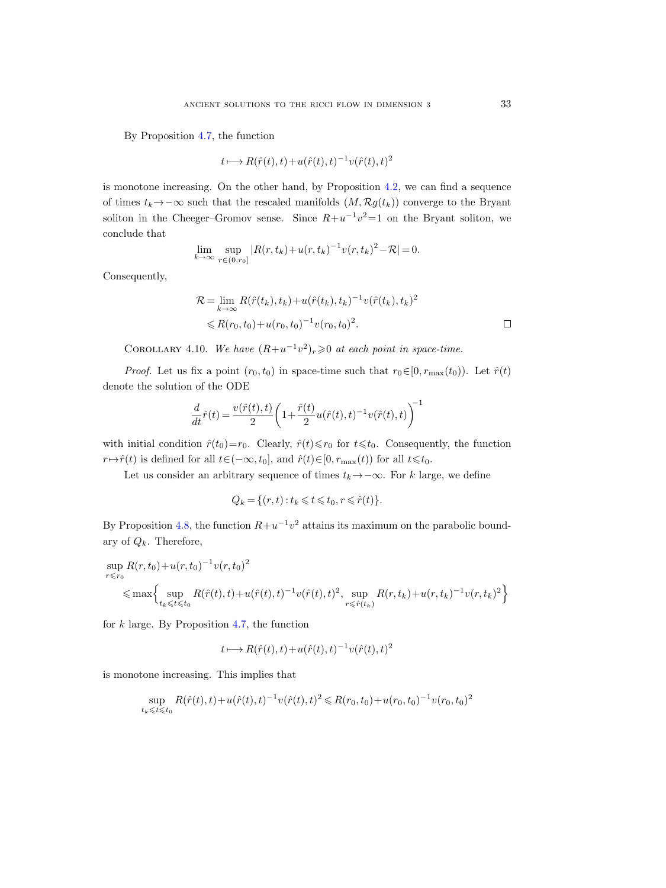By Proposition [4.7,](#page-29-1) the function

$$
t \longmapsto R(\hat{r}(t), t) + u(\hat{r}(t), t)^{-1} v(\hat{r}(t), t)^2
$$

is monotone increasing. On the other hand, by Proposition [4.2,](#page-27-2) we can find a sequence of times  $t_k \rightarrow -\infty$  such that the rescaled manifolds  $(M, \mathcal{R}g(t_k))$  converge to the Bryant soliton in the Cheeger–Gromov sense. Since  $R+u^{-1}v^2=1$  on the Bryant soliton, we conclude that

$$
\lim_{k \to \infty} \sup_{r \in (0,r_0]} |R(r,t_k) + u(r,t_k)^{-1} v(r,t_k)^2 - \mathcal{R}| = 0.
$$

Consequently,

$$
\mathcal{R} = \lim_{k \to \infty} R(\hat{r}(t_k), t_k) + u(\hat{r}(t_k), t_k)^{-1} v(\hat{r}(t_k), t_k)^2
$$
  
\$\leq R(r\_0, t\_0) + u(r\_0, t\_0)^{-1} v(r\_0, t\_0)^2\$.

COROLLARY 4.10. We have  $(R+u^{-1}v^2)_r \geq 0$  at each point in space-time.

*Proof.* Let us fix a point  $(r_0, t_0)$  in space-time such that  $r_0 \in [0, r_{\max}(t_0))$ . Let  $\hat{r}(t)$ denote the solution of the ODE

$$
\frac{d}{dt}\hat{r}(t)=\frac{v(\hat{r}(t),t)}{2}\bigg(1+\frac{\hat{r}(t)}{2}u(\hat{r}(t),t)^{-1}v(\hat{r}(t),t)\bigg)^{\!\!-1}
$$

with initial condition  $\hat{r}(t_0)=r_0$ . Clearly,  $\hat{r}(t)\leq r_0$  for  $t\leq t_0$ . Consequently, the function  $r \mapsto \hat{r}(t)$  is defined for all  $t \in (-\infty, t_0]$ , and  $\hat{r}(t) \in [0, r_{\max}(t))$  for all  $t \leq t_0$ .

Let us consider an arbitrary sequence of times  $t_k \rightarrow -\infty$ . For k large, we define

$$
Q_k = \{(r, t) : t_k \leq t \leq t_0, r \leq \hat{r}(t)\}.
$$

By Proposition [4.8,](#page-30-0) the function  $R + u^{-1}v^2$  attains its maximum on the parabolic boundary of  $Q_k$ . Therefore,

$$
\sup_{r \leq r_0} R(r, t_0) + u(r, t_0)^{-1} v(r, t_0)^2
$$
  
\$\leq\$ max
$$
\left\{ \sup_{t_k \leq t \leq t_0} R(\hat{r}(t), t) + u(\hat{r}(t), t)^{-1} v(\hat{r}(t), t)^2, \sup_{r \leq \hat{r}(t_k)} R(r, t_k) + u(r, t_k)^{-1} v(r, t_k)^2 \right\}
$$

for  $k$  large. By Proposition [4.7,](#page-29-1) the function

$$
t \longmapsto R(\hat{r}(t), t) + u(\hat{r}(t), t)^{-1} v(\hat{r}(t), t)^2
$$

is monotone increasing. This implies that

$$
\sup_{t_k \leq t \leq t_0} R(\hat{r}(t), t) + u(\hat{r}(t), t)^{-1} v(\hat{r}(t), t)^2 \leq R(r_0, t_0) + u(r_0, t_0)^{-1} v(r_0, t_0)^2
$$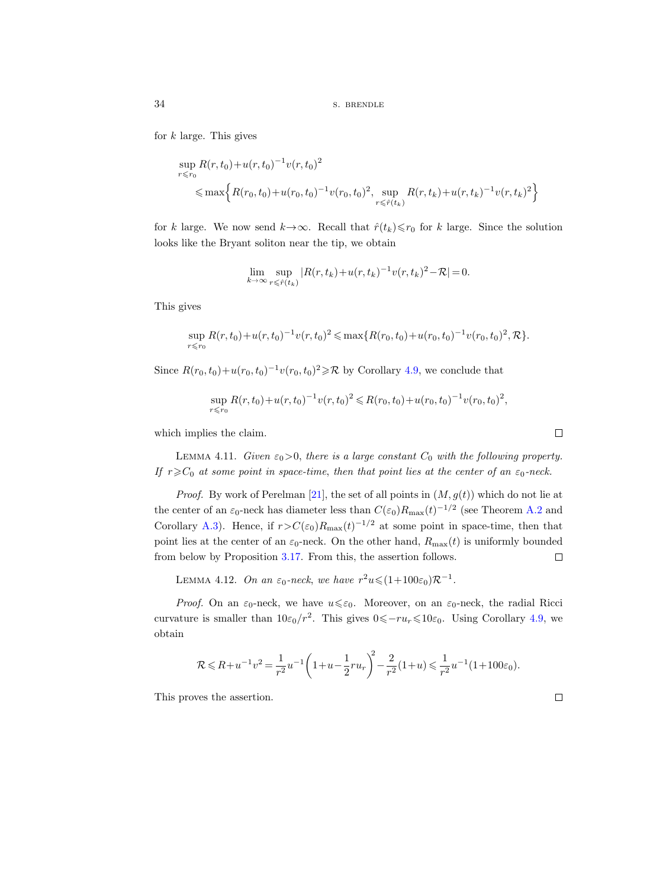for  $k$  large. This gives

$$
\sup_{r \le r_0} R(r, t_0) + u(r, t_0)^{-1} v(r, t_0)^2
$$
  
\n
$$
\le \max \Big\{ R(r_0, t_0) + u(r_0, t_0)^{-1} v(r_0, t_0)^2, \sup_{r \le \hat{r}(t_k)} R(r, t_k) + u(r, t_k)^{-1} v(r, t_k)^2 \Big\}
$$

for k large. We now send  $k \to \infty$ . Recall that  $\hat{r}(t_k) \le r_0$  for k large. Since the solution looks like the Bryant soliton near the tip, we obtain

$$
\lim_{k \to \infty} \sup_{r \leq \hat{r}(t_k)} |R(r, t_k) + u(r, t_k)^{-1} v(r, t_k)^2 - \mathcal{R}| = 0.
$$

This gives

$$
\sup_{r \le r_0} R(r, t_0) + u(r, t_0)^{-1} v(r, t_0)^2 \le \max\{R(r_0, t_0) + u(r_0, t_0)^{-1} v(r_0, t_0)^2, \mathcal{R}\}.
$$

Since  $R(r_0, t_0) + u(r_0, t_0)^{-1}v(r_0, t_0)^2 \ge \mathcal{R}$  by Corollary [4.9,](#page-31-0) we conclude that

$$
\sup_{r \le r_0} R(r, t_0) + u(r, t_0)^{-1} v(r, t_0)^2 \le R(r_0, t_0) + u(r_0, t_0)^{-1} v(r_0, t_0)^2,
$$

which implies the claim.

<span id="page-33-0"></span>LEMMA 4.11. Given  $\varepsilon_0 > 0$ , there is a large constant  $C_0$  with the following property. If  $r \geq C_0$  at some point in space-time, then that point lies at the center of an  $\varepsilon_0$ -neck.

*Proof.* By work of Perelman [\[21\]](#page-100-1), the set of all points in  $(M, g(t))$  which do not lie at the center of an  $\varepsilon_0$ -neck has diameter less than  $C(\varepsilon_0)R_{\text{max}}(t)^{-1/2}$  (see Theorem [A.2](#page-95-0) and Corollary [A.3\)](#page-95-1). Hence, if  $r > C(\epsilon_0)R_{\text{max}}(t)^{-1/2}$  at some point in space-time, then that point lies at the center of an  $\varepsilon_0$ -neck. On the other hand,  $R_{\text{max}}(t)$  is uniformly bounded from below by Proposition [3.17.](#page-26-1) From this, the assertion follows.  $\Box$ 

<span id="page-33-1"></span>LEMMA 4.12. On an  $\varepsilon_0$ -neck, we have  $r^2u \leqslant (1+100\varepsilon_0)\mathcal{R}^{-1}$ .

*Proof.* On an  $\varepsilon_0$ -neck, we have  $u \leq \varepsilon_0$ . Moreover, on an  $\varepsilon_0$ -neck, the radial Ricci curvature is smaller than  $10\varepsilon_0/r^2$ . This gives  $0 \leq -ru_r \leq 10\varepsilon_0$ . Using Corollary [4.9,](#page-31-0) we obtain

$$
\mathcal{R} \leq R + u^{-1}v^2 = \frac{1}{r^2}u^{-1}\left(1 + u - \frac{1}{2}ru_r\right)^2 - \frac{2}{r^2}(1 + u) \leq \frac{1}{r^2}u^{-1}(1 + 100\varepsilon_0).
$$

This proves the assertion.

|         |     | ۰,<br>٠ |  |
|---------|-----|---------|--|
| ۰.<br>٩ | $-$ |         |  |
|         |     |         |  |

 $\Box$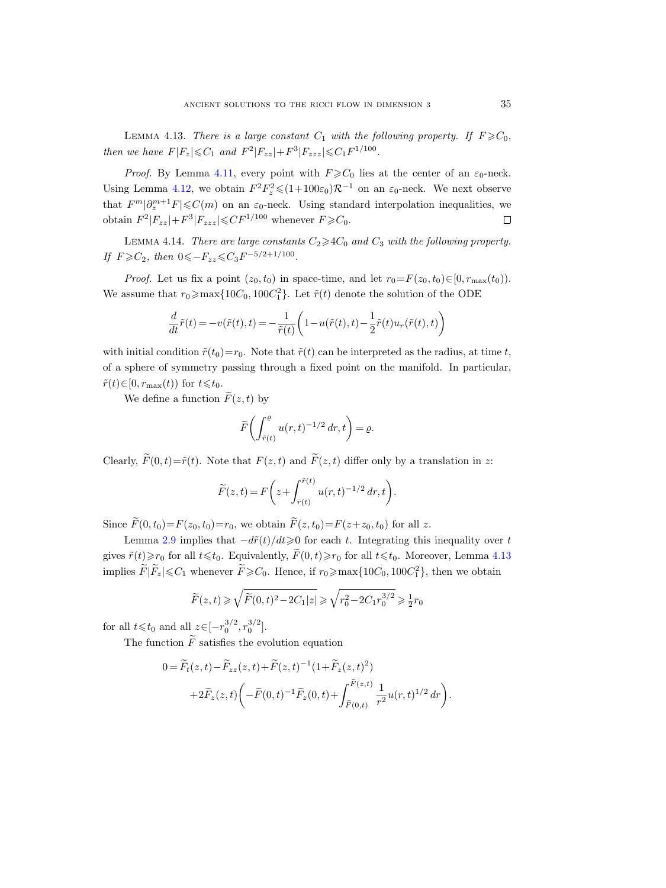<span id="page-34-0"></span>LEMMA 4.13. There is a large constant  $C_1$  with the following property. If  $F \geqslant C_0$ , then we have  $F|F_z| \leq C_1$  and  $F^2|F_{zz}| + F^3|F_{zzz}| \leq C_1 F^{1/100}$ .

*Proof.* By Lemma [4.11,](#page-33-0) every point with  $F \geq C_0$  lies at the center of an  $\varepsilon_0$ -neck. Using Lemma [4.12,](#page-33-1) we obtain  $F^2F_z^2 \leq (1+100\varepsilon_0)\mathcal{R}^{-1}$  on an  $\varepsilon_0$ -neck. We next observe that  $F^m|\partial_z^{m+1}F| \leqslant C(m)$  on an  $\varepsilon_0$ -neck. Using standard interpolation inequalities, we obtain  $F^2|F_{zz}|+F^3|F_{zzz}|\leqslant CF^{1/100}$  whenever  $F\geqslant C_0$ .  $\Box$ 

<span id="page-34-1"></span>LEMMA 4.14. There are large constants  $C_2 \geq 4C_0$  and  $C_3$  with the following property. If  $F \geqslant C_2$ , then  $0 \leqslant -F_{zz} \leqslant C_3 F^{-5/2+1/100}$ .

*Proof.* Let us fix a point  $(z_0, t_0)$  in space-time, and let  $r_0 = F(z_0, t_0) \in [0, r_{\max}(t_0))$ . We assume that  $r_0 \ge \max\{10C_0, 100C_1^2\}$ . Let  $\tilde{r}(t)$  denote the solution of the ODE

$$
\frac{d}{dt}\tilde{r}(t)=-v(\tilde{r}(t),t)=-\frac{1}{\tilde{r}(t)}\bigg(1-u(\tilde{r}(t),t)-\frac{1}{2}\tilde{r}(t)u_r(\tilde{r}(t),t)\bigg)
$$

with initial condition  $\tilde{r}(t_0)=r_0$ . Note that  $\tilde{r}(t)$  can be interpreted as the radius, at time t, of a sphere of symmetry passing through a fixed point on the manifold. In particular,  $\tilde{r}(t) \in [0, r_{\text{max}}(t))$  for  $t \leq t_0$ .

We define a function  $\tilde{F}(z,t)$  by

$$
\widetilde{F}\bigg(\int_{\tilde{r}(t)}^{\varrho} u(r,t)^{-1/2} dr, t\bigg) = \varrho.
$$

Clearly,  $\widetilde{F}(0, t) = \widetilde{r}(t)$ . Note that  $F(z, t)$  and  $\widetilde{F}(z, t)$  differ only by a translation in z:

$$
\widetilde{F}(z,t) = F\bigg(z + \int_{\overline{r}(t)}^{\overline{r}(t)} u(r,t)^{-1/2} dr, t\bigg).
$$

Since  $\widetilde{F}(0, t_0)=F(z_0, t_0)=r_0$ , we obtain  $\widetilde{F}(z, t_0)=F(z+z_0, t_0)$  for all z.

Lemma [2.9](#page-10-0) implies that  $-d\tilde{r}(t)/dt \geq 0$  for each t. Integrating this inequality over t gives  $\tilde{r}(t)\geq r_0$  for all  $t\leq t_0$ . Equivalently,  $\tilde{F}(0, t)\geq r_0$  for all  $t\leq t_0$ . Moreover, Lemma [4.13](#page-34-0) implies  $\widetilde{F}|\widetilde{F}_z|\leqslant C_1$  whenever  $\widetilde{F}\geqslant C_0$ . Hence, if  $r_0\geqslant \max\{10C_0, 100C_1^2\}$ , then we obtain

$$
\widetilde{F}(z,t) \geqslant \sqrt{\widetilde{F}(0,t)^2 - 2C_1 |z|} \geqslant \sqrt{r_0^2 - 2C_1 r_0^{3/2}} \geqslant \frac{1}{2}r_0
$$

for all  $t \le t_0$  and all  $z \in [-r_0^{3/2}, r_0^{3/2}]$ .

The function  $\widetilde{F}$  satisfies the evolution equation

$$
0 = \widetilde{F}_t(z,t) - \widetilde{F}_{zz}(z,t) + \widetilde{F}(z,t)^{-1} (1 + \widetilde{F}_z(z,t)^2) + 2\widetilde{F}_z(z,t) \left( -\widetilde{F}(0,t)^{-1} \widetilde{F}_z(0,t) + \int_{\widetilde{F}(0,t)}^{\widetilde{F}(z,t)} \frac{1}{r^2} u(r,t)^{1/2} dr \right).
$$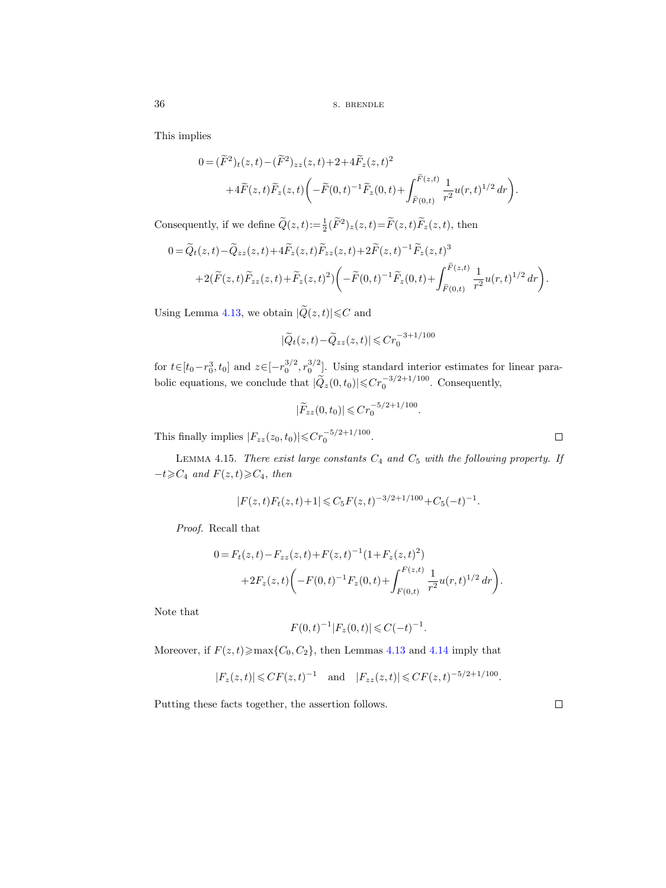This implies

$$
0 = (\widetilde{F}^2)_t(z, t) - (\widetilde{F}^2)_{zz}(z, t) + 2 + 4\widetilde{F}_z(z, t)^2
$$
  
+4\widetilde{F}(z, t)\widetilde{F}\_z(z, t) \left( -\widetilde{F}(0, t)^{-1}\widetilde{F}\_z(0, t) + \int\_{\widetilde{F}(0, t)}^{\widetilde{F}(z, t)} \frac{1}{r^2} u(r, t)^{1/2} dr \right).

Consequently, if we define  $\widetilde{Q}(z,t) := \frac{1}{2} (\widetilde{F}^2)_z(z,t) = \widetilde{F}(z,t) \widetilde{F}_z(z,t)$ , then

$$
0 = \widetilde{Q}_t(z,t) - \widetilde{Q}_{zz}(z,t) + 4\widetilde{F}_z(z,t)\widetilde{F}_{zz}(z,t) + 2\widetilde{F}(z,t)^{-1}\widetilde{F}_z(z,t)^3 + 2(\widetilde{F}(z,t)\widetilde{F}_{zz}(z,t) + \widetilde{F}_z(z,t)^2) \bigg( -\widetilde{F}(0,t)^{-1}\widetilde{F}_z(0,t) + \int_{\widetilde{F}(0,t)}^{\widetilde{F}(z,t)} \frac{1}{r^2} u(r,t)^{1/2} dr \bigg).
$$

Using Lemma [4.13,](#page-34-0) we obtain  $|\widetilde{Q}(z,t)| \leq C$  and

$$
|\widetilde{Q}_t(z,t) - \widetilde{Q}_{zz}(z,t)| \leqslant Cr_0^{-3+1/100}
$$

for  $t \in [t_0 - r_0^3, t_0]$  and  $z \in [-r_0^{3/2}, r_0^{3/2}]$ . Using standard interior estimates for linear parabolic equations, we conclude that  $|\tilde{Q}_z(0, t_0)| \leq C r_0^{-3/2 + 1/100}$ . Consequently,

$$
|\widetilde{F}_{zz}(0,t_0)| \leqslant Cr_0^{-5/2+1/100}
$$

.

.

This finally implies  $|F_{zz}(z_0, t_0)| \leqslant C r_0^{-5/2 + 1/100}$ .

LEMMA 4.15. There exist large constants  $C_4$  and  $C_5$  with the following property. If  $-t\geqslant C_4$  and  $F(z,t)\geqslant C_4$ , then

$$
|F(z,t)F_t(z,t)+1| \leq C_5 F(z,t)^{-3/2+1/100} + C_5(-t)^{-1}.
$$

Proof. Recall that

$$
0 = F_t(z, t) - F_{zz}(z, t) + F(z, t)^{-1} (1 + F_z(z, t)^2)
$$
  
+2F<sub>z</sub>(z, t)  $\left( -F(0, t)^{-1} F_z(0, t) + \int_{F(0, t)}^{F(z, t)} \frac{1}{r^2} u(r, t)^{1/2} dr \right).$ 

Note that

$$
F(0,t)^{-1}|F_z(0,t)| \leqslant C(-t)^{-1}
$$

Moreover, if  $F(z, t) \ge \max\{C_0, C_2\}$ , then Lemmas [4.13](#page-34-0) and [4.14](#page-34-1) imply that

$$
|F_z(z,t)| \leq C F(z,t)^{-1}
$$
 and  $|F_{zz}(z,t)| \leq C F(z,t)^{-5/2+1/100}$ .

Putting these facts together, the assertion follows.

 $\Box$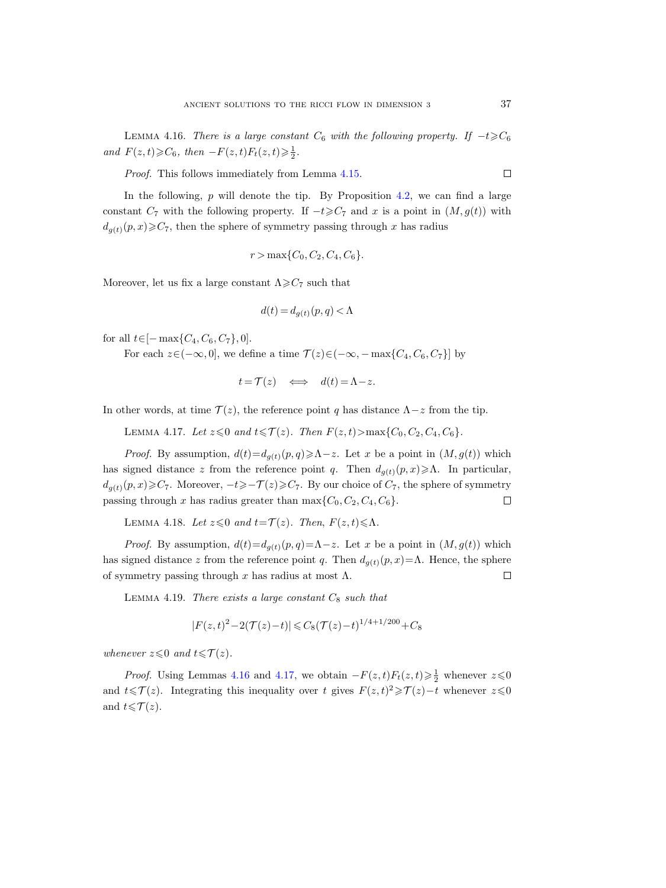<span id="page-36-0"></span>LEMMA 4.16. There is a large constant  $C_6$  with the following property. If  $-t\geqslant C_6$ and  $F(z,t) \geqslant C_6$ , then  $-F(z,t)F_t(z,t) \geqslant \frac{1}{2}$ .

Proof. This follows immediately from Lemma [4.15.](#page-35-0)

In the following,  $p$  will denote the tip. By Proposition [4.2,](#page-27-0) we can find a large constant  $C_7$  with the following property. If  $-t\geqslant C_7$  and x is a point in  $(M, g(t))$  with  $d_{q(t)}(p, x) \geqslant C_7$ , then the sphere of symmetry passing through x has radius

$$
r > \max\{C_0, C_2, C_4, C_6\}.
$$

Moreover, let us fix a large constant  $\Lambda \geq C_7$  such that

$$
d(t) = d_{g(t)}(p, q) < \Lambda
$$

for all  $t \in [-\max\{C_4, C_6, C_7\}, 0].$ 

For each  $z\in(-\infty,0]$ , we define a time  $\mathcal{T}(z)\in(-\infty,-\max\{C_4,C_6,C_7\}]$  by

$$
t = \mathcal{T}(z) \iff d(t) = \Lambda - z.
$$

<span id="page-36-1"></span>In other words, at time  $\mathcal{T}(z)$ , the reference point q has distance  $\Lambda - z$  from the tip.

LEMMA 4.17. Let  $z \leq 0$  and  $t \leq \mathcal{T}(z)$ . Then  $F(z, t) > \max\{C_0, C_2, C_4, C_6\}$ .

*Proof.* By assumption,  $d(t) = d_{q(t)}(p, q) \ge \Lambda - z$ . Let x be a point in  $(M, g(t))$  which has signed distance z from the reference point q. Then  $d_{q(t)}(p, x) \geq \Lambda$ . In particular,  $d_{g(t)}(p, x) \geqslant C_7$ . Moreover,  $-t \geqslant -\mathcal{T}(z) \geqslant C_7$ . By our choice of  $C_7$ , the sphere of symmetry passing through x has radius greater than  $\max\{C_0, C_2, C_4, C_6\}.$  $\Box$ 

<span id="page-36-2"></span>LEMMA 4.18. Let  $z \leq 0$  and  $t = \mathcal{T}(z)$ . Then,  $F(z, t) \leq \Lambda$ .

*Proof.* By assumption,  $d(t) = d_{g(t)}(p, q) = \Lambda - z$ . Let x be a point in  $(M, g(t))$  which has signed distance z from the reference point q. Then  $d_{q(t)}(p, x) = \Lambda$ . Hence, the sphere of symmetry passing through x has radius at most  $\Lambda$ .  $\Box$ 

<span id="page-36-3"></span>LEMMA 4.19. There exists a large constant  $C_8$  such that

$$
|F(z,t)^{2}-2(\mathcal{T}(z)-t)| \leq C_{8}(\mathcal{T}(z)-t)^{1/4+1/200}+C_{8}
$$

whenever  $z \leq 0$  and  $t \leq \mathcal{T}(z)$ .

*Proof.* Using Lemmas [4.16](#page-36-0) and [4.17,](#page-36-1) we obtain  $-F(z,t)F_t(z,t) \geq \frac{1}{2}$  whenever  $z \leq 0$ and  $t \leq \mathcal{T}(z)$ . Integrating this inequality over t gives  $F(z,t)^2 \geq \mathcal{T}(z) - t$  whenever  $z \leq 0$ and  $t \leq \mathcal{T}(z)$ .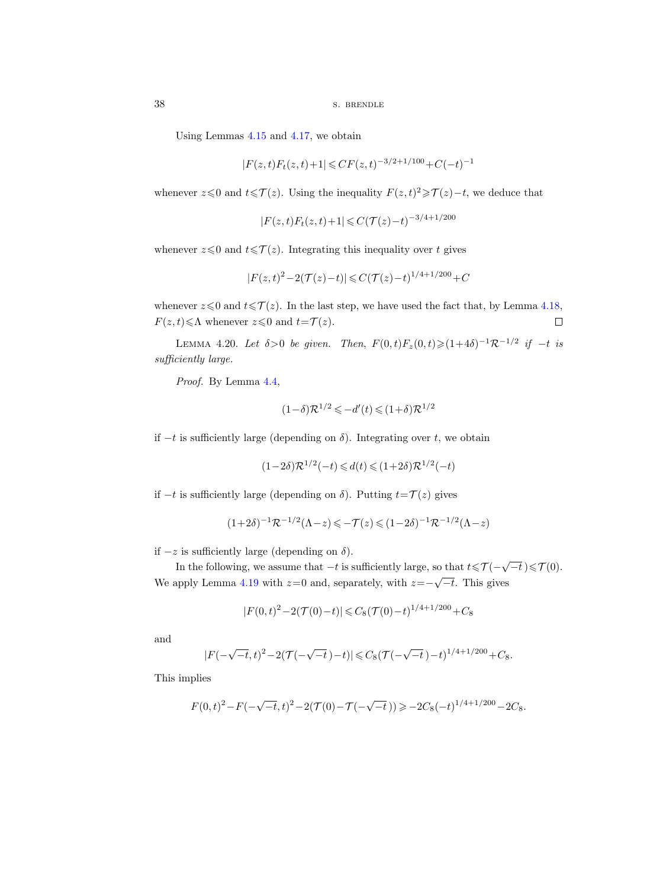Using Lemmas [4.15](#page-35-0) and [4.17,](#page-36-1) we obtain

$$
|F(z,t)F_t(z,t)+1| \le C F(z,t)^{-3/2+1/100} + C(-t)^{-1}
$$

whenever  $z \leq 0$  and  $t \leq \mathcal{T}(z)$ . Using the inequality  $F(z, t)^2 \geq \mathcal{T}(z) - t$ , we deduce that

$$
|F(z,t)F_t(z,t)+1|\leqslant C(\mathcal{T}(z)-t)^{-3/4+1/200}
$$

whenever  $z \leq 0$  and  $t \leq \mathcal{T}(z)$ . Integrating this inequality over t gives

$$
|F(z,t)^{2} - 2(\mathcal{T}(z) - t)| \leq C(\mathcal{T}(z) - t)^{1/4 + 1/200} + C
$$

whenever  $z \le 0$  and  $t \le \mathcal{T}(z)$ . In the last step, we have used the fact that, by Lemma [4.18,](#page-36-2)  $F(z, t) \leq \Lambda$  whenever  $z \leq 0$  and  $t = \mathcal{T} (z)$ .  $\Box$ 

<span id="page-37-0"></span>LEMMA 4.20. Let  $\delta > 0$  be given. Then,  $F(0,t)F_z(0,t) \geq (1+4\delta)^{-1} \mathcal{R}^{-1/2}$  if  $-t$  is sufficiently large.

Proof. By Lemma [4.4,](#page-28-0)

$$
(1-\delta)\mathcal{R}^{1/2} \leqslant -d'(t) \leqslant (1+\delta)\mathcal{R}^{1/2}
$$

if  $-t$  is sufficiently large (depending on δ). Integrating over t, we obtain

$$
(1 - 2\delta)\mathcal{R}^{1/2}(-t) \leq d(t) \leq (1 + 2\delta)\mathcal{R}^{1/2}(-t)
$$

if  $-t$  is sufficiently large (depending on  $\delta$ ). Putting  $t=$ T(z) gives

$$
(1+2\delta)^{-1}\mathcal{R}^{-1/2}(\Lambda-z) \leq -\mathcal{T}(z) \leq (1-2\delta)^{-1}\mathcal{R}^{-1/2}(\Lambda-z)
$$

if −z is sufficiently large (depending on δ).

In the following, we assume that  $-t$  is sufficiently large, so that  $t \leq \mathcal{T}(-\sqrt{-t}) \leq \mathcal{T}(0)$ . We apply Lemma [4.19](#page-36-3) with  $z=0$  and, separately, with  $z=-\sqrt{-t}$ . This gives

$$
|F(0,t)^{2} - 2(\mathcal{T}(0)-t)| \leq C_{8}(\mathcal{T}(0)-t)^{1/4+1/200} + C_{8}
$$

and

$$
|F(-\sqrt{-t},t)^2 - 2(\mathcal{T}(-\sqrt{-t}\,)-t)| \leq C_8(\mathcal{T}(-\sqrt{-t}\,)-t)^{1/4+1/200} + C_8.
$$

This implies

$$
F(0,t)^{2} - F(-\sqrt{-t},t)^{2} - 2(\mathcal{T}(0) - \mathcal{T}(-\sqrt{-t})) \geq -2C_{8}(-t)^{1/4+1/200} - 2C_{8}.
$$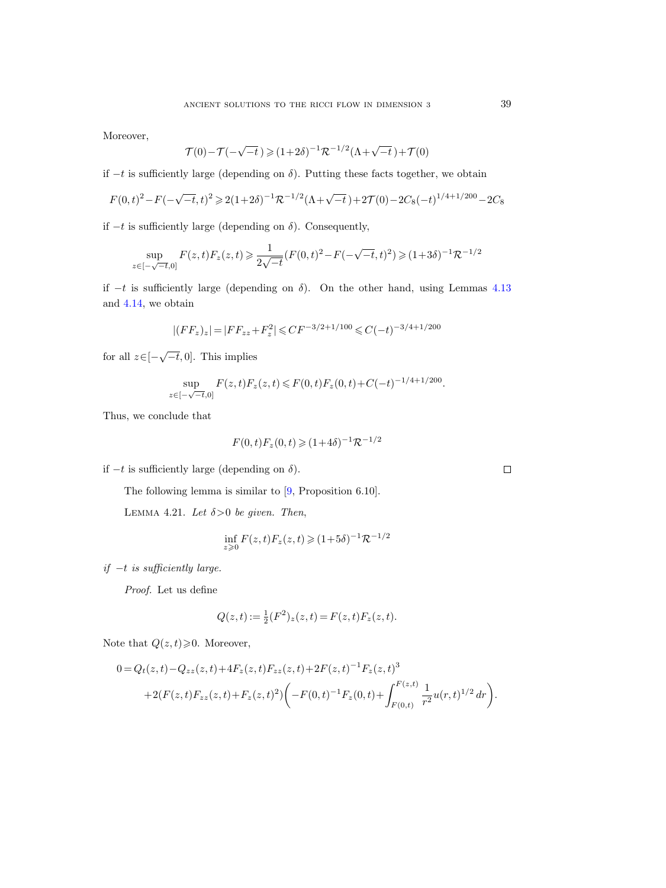Moreover,

$$
\mathcal{T}(0)-\mathcal{T}(-\sqrt{-t}\,)\geqslant(1+2\delta)^{-1}\mathcal{R}^{-1/2}(\Lambda+\sqrt{-t}\,)+\mathcal{T}(0)
$$

if −t is sufficiently large (depending on δ). Putting these facts together, we obtain

$$
F(0,t)^2 - F(-\sqrt{-t},t)^2 \ge 2(1+2\delta)^{-1}\mathcal{R}^{-1/2}(\Lambda + \sqrt{-t}) + 2\mathcal{T}(0) - 2C_8(-t)^{1/4+1/200} - 2C_8
$$

if  $-t$  is sufficiently large (depending on  $\delta$ ). Consequently,

$$
\sup_{z \in [-\sqrt{-t},0]} F(z,t) F_z(z,t) \geqslant \frac{1}{2\sqrt{-t}} (F(0,t)^2 - F(-\sqrt{-t},t)^2) \geqslant (1+3\delta)^{-1} \mathcal{R}^{-1/2}
$$

if  $-t$  is sufficiently large (depending on  $\delta$ ). On the other hand, using Lemmas [4.13](#page-34-0) and [4.14,](#page-34-1) we obtain

$$
|(FF_z)_z| = |FF_{zz} + F_z^2| \leq C F^{-3/2 + 1/100} \leq C (-t)^{-3/4 + 1/200}
$$

for all  $z \in [-\sqrt{-t}, 0]$ . This implies

$$
\sup_{z \in [-\sqrt{-t},0]} F(z,t)F_z(z,t) \le F(0,t)F_z(0,t) + C(-t)^{-1/4+1/200}.
$$

Thus, we conclude that

$$
F(0, t)F_z(0, t) \ge (1+4\delta)^{-1} \mathcal{R}^{-1/2}
$$

if −t is sufficiently large (depending on δ).

The following lemma is similar to [\[9,](#page-100-0) Proposition 6.10].

<span id="page-38-0"></span>LEMMA 4.21. Let  $\delta > 0$  be given. Then,

$$
\inf_{z \ge 0} F(z, t) F_z(z, t) \ge (1 + 5\delta)^{-1} \mathcal{R}^{-1/2}
$$

 $if -t$  is sufficiently large.

Proof. Let us define

$$
Q(z,t):=\tfrac{1}{2}(F^2)_z(z,t)\,{=}\,F(z,t)F_z(z,t).
$$

Note that  $Q(z, t) \geq 0$ . Moreover,

$$
0 = Q_t(z, t) - Q_{zz}(z, t) + 4F_z(z, t)F_{zz}(z, t) + 2F(z, t)^{-1}F_z(z, t)^3
$$
  
+2(F(z, t)F\_{zz}(z, t) + F\_z(z, t)^2) \left(-F(0, t)^{-1}F\_z(0, t) + \int\_{F(0, t)}^{F(z, t)} \frac{1}{r^2}u(r, t)^{1/2} dr\right).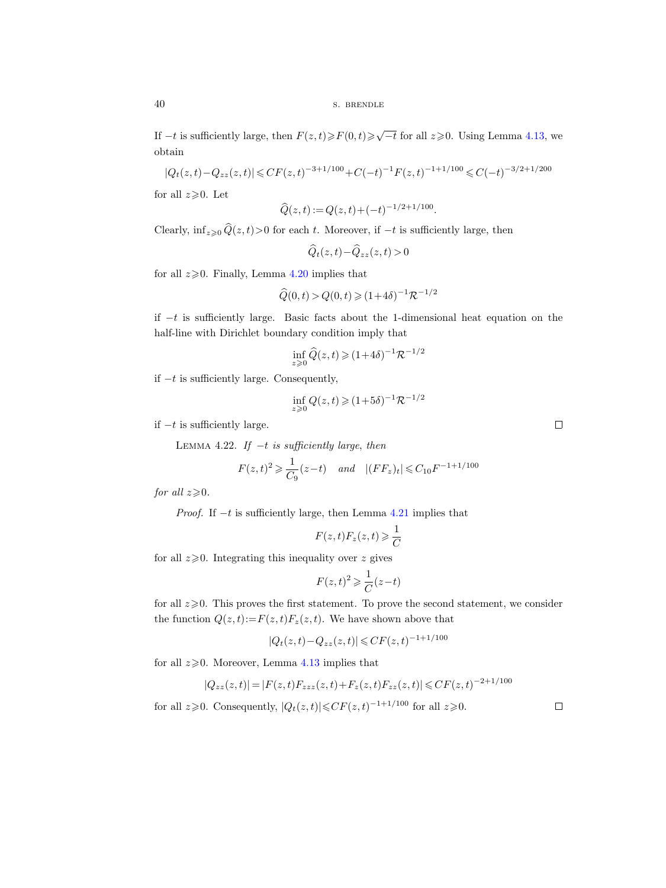If  $-t$  is sufficiently large, then  $F(z,t) \geq F(0,t) \geq \sqrt{-t}$  for all  $z \geq 0$ . Using Lemma [4.13,](#page-34-0) we obtain

$$
|Q_t(z,t) - Q_{zz}(z,t)| \le C F(z,t)^{-3+1/100} + C(-t)^{-1} F(z,t)^{-1+1/100} \le C(-t)^{-3/2+1/200}
$$

for all  $z\geqslant0$ . Let

$$
\widehat{Q}(z,t) := Q(z,t) + (-t)^{-1/2 + 1/100}.
$$

Clearly,  $\inf_{z\geq0} \widehat{Q}(z, t)$ >0 for each t. Moreover, if  $-t$  is sufficiently large, then

$$
\widehat{Q}_t(z,t) - \widehat{Q}_{zz}(z,t) > 0
$$

for all  $z \ge 0$ . Finally, Lemma [4.20](#page-37-0) implies that

$$
\widehat{Q}(0,t) > Q(0,t) \geq (1+4\delta)^{-1} \mathcal{R}^{-1/2}
$$

if −t is sufficiently large. Basic facts about the 1-dimensional heat equation on the half-line with Dirichlet boundary condition imply that

$$
\inf_{z\geqslant 0} \widehat Q(z,t)\geqslant (1\!+\!4\delta)^{-1}{\mathcal R}^{-1/2}
$$

if −t is sufficiently large. Consequently,

$$
\inf_{z \ge 0} Q(z, t) \ge (1 + 5\delta)^{-1} \mathcal{R}^{-1/2}
$$

<span id="page-39-0"></span>if  $-t$  is sufficiently large.

LEMMA 4.22. If  $-t$  is sufficiently large, then

$$
F(z,t)^2 \ge \frac{1}{C_9}(z-t)
$$
 and  $|(FF_z)_t| \le C_{10}F^{-1+1/100}$ 

for all  $z\geqslant0$ .

*Proof.* If  $-t$  is sufficiently large, then Lemma [4.21](#page-38-0) implies that

$$
F(z,t)F_z(z,t) \geq \frac{1}{C}
$$

for all  $z \geqslant 0$ . Integrating this inequality over z gives

$$
F(z,t)^2 \geqslant \frac{1}{C}(z-t)
$$

for all  $z\geqslant0$ . This proves the first statement. To prove the second statement, we consider the function  $Q(z, t) := F(z, t)F_z(z, t)$ . We have shown above that

$$
|Q_t(z,t) - Q_{zz}(z,t)| \leq C F(z,t)^{-1+1/100}
$$

for all  $z \ge 0$ . Moreover, Lemma [4.13](#page-34-0) implies that

$$
|Q_{zz}(z,t)| = |F(z,t)F_{zzz}(z,t) + F_z(z,t)F_{zz}(z,t)| \leq C F(z,t)^{-2+1/100}
$$

for all  $z \geq 0$ . Consequently,  $|Q_t(z,t)| \leq C F(z,t)^{-1+1/100}$  for all  $z \geq 0$ .

 $\Box$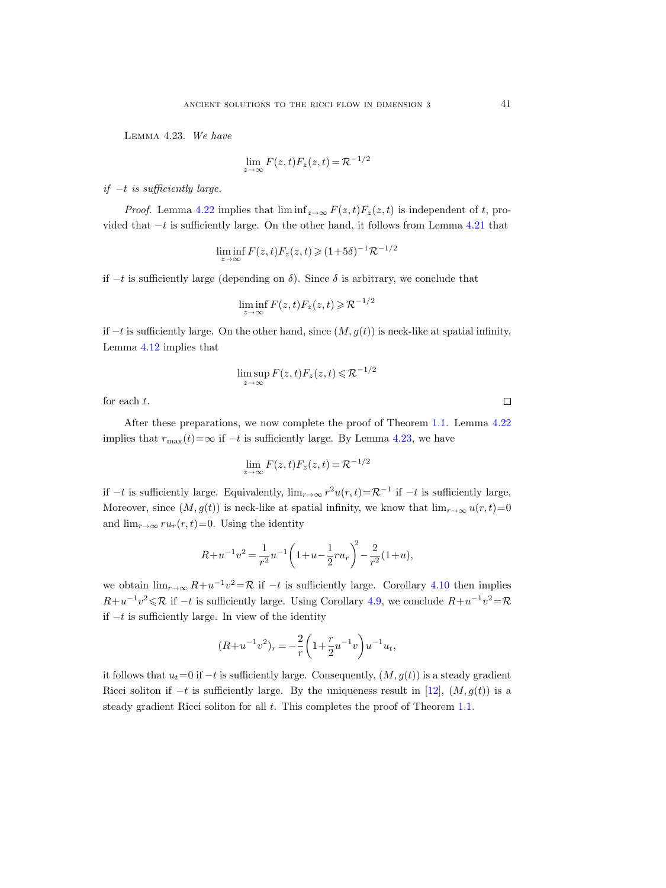<span id="page-40-0"></span>Lemma 4.23. We have

$$
\lim_{z \to \infty} F(z, t) F_z(z, t) = \mathcal{R}^{-1/2}
$$

if  $-t$  is sufficiently large.

*Proof.* Lemma [4.22](#page-39-0) implies that  $\liminf_{z\to\infty} F(z, t)F_z(z, t)$  is independent of t, provided that  $-t$  is sufficiently large. On the other hand, it follows from Lemma [4.21](#page-38-0) that

$$
\liminf_{z \to \infty} F(z, t) F_z(z, t) \geq (1 + 5\delta)^{-1} \mathcal{R}^{-1/2}
$$

if  $-t$  is sufficiently large (depending on  $\delta$ ). Since  $\delta$  is arbitrary, we conclude that

$$
\liminf_{z \to \infty} F(z, t) F_z(z, t) \geqslant \mathcal{R}^{-1/2}
$$

if  $-t$  is sufficiently large. On the other hand, since  $(M, g(t))$  is neck-like at spatial infinity, Lemma [4.12](#page-33-0) implies that

$$
\limsup_{z \to \infty} F(z, t) F_z(z, t) \leqslant \mathcal{R}^{-1/2}
$$

for each t.

After these preparations, we now complete the proof of Theorem [1.1.](#page-1-0) Lemma [4.22](#page-39-0) implies that  $r_{\text{max}}(t) = \infty$  if  $-t$  is sufficiently large. By Lemma [4.23,](#page-40-0) we have

$$
\lim_{z \to \infty} F(z, t) F_z(z, t) = \mathcal{R}^{-1/2}
$$

if  $-t$  is sufficiently large. Equivalently,  $\lim_{r\to\infty} r^2u(r,t)=\mathcal{R}^{-1}$  if  $-t$  is sufficiently large. Moreover, since  $(M, g(t))$  is neck-like at spatial infinity, we know that  $\lim_{r \to \infty} u(r, t) = 0$ and  $\lim_{r\to\infty} ru_r(r, t)=0$ . Using the identity

$$
R + u^{-1}v^{2} = \frac{1}{r^{2}}u^{-1}\left(1 + u - \frac{1}{2}ru_{r}\right)^{2} - \frac{2}{r^{2}}(1 + u),
$$

we obtain  $\lim_{r\to\infty} R+u^{-1}v^2=\mathcal{R}$  if  $-t$  is sufficiently large. Corollary [4.10](#page-32-0) then implies  $R+u^{-1}v^2 \leq R$  if  $-t$  is sufficiently large. Using Corollary [4.9,](#page-31-0) we conclude  $R+u^{-1}v^2 = R$ if −t is sufficiently large. In view of the identity

$$
(R+u^{-1}v^{2})_{r} = -\frac{2}{r}\left(1+\frac{r}{2}u^{-1}v\right)u^{-1}u_{t},
$$

it follows that  $u_t=0$  if  $-t$  is sufficiently large. Consequently,  $(M, g(t))$  is a steady gradient Ricci soliton if  $-t$  is sufficiently large. By the uniqueness result in [\[12\]](#page-100-1),  $(M, g(t))$  is a steady gradient Ricci soliton for all t. This completes the proof of Theorem [1.1.](#page-1-0)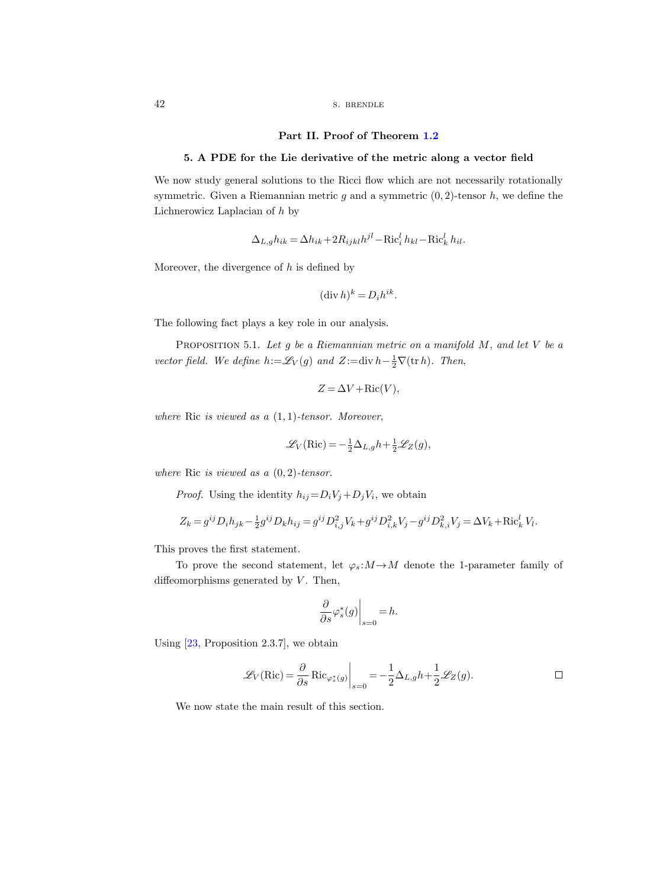### Part II. Proof of Theorem [1.2](#page-1-1)

## 5. A PDE for the Lie derivative of the metric along a vector field

We now study general solutions to the Ricci flow which are not necessarily rotationally symmetric. Given a Riemannian metric q and a symmetric  $(0, 2)$ -tensor h, we define the Lichnerowicz Laplacian of h by

$$
\Delta_{L,g} h_{ik} = \Delta h_{ik} + 2R_{ijkl}h^{jl} - \text{Ric}_i^l h_{kl} - \text{Ric}_k^l h_{il}.
$$

Moreover, the divergence of  $h$  is defined by

$$
(\operatorname{div} h)^k = D_i h^{ik}.
$$

The following fact plays a key role in our analysis.

<span id="page-41-0"></span>PROPOSITION 5.1. Let  $g$  be a Riemannian metric on a manifold  $M$ , and let  $V$  be a vector field. We define  $h:=\mathscr{L}_V(g)$  and  $Z:=\text{div } h-\frac{1}{2}\nabla(\text{tr } h)$ . Then,

$$
Z = \Delta V + \text{Ric}(V),
$$

where Ric is viewed as a  $(1, 1)$ -tensor. Moreover,

$$
\mathcal{L}_V(\operatorname{Ric}) = -\frac{1}{2}\Delta_{L,g}h + \frac{1}{2}\mathcal{L}_Z(g),
$$

where Ric is viewed as a  $(0, 2)$ -tensor.

*Proof.* Using the identity  $h_{ij} = D_i V_j + D_j V_i$ , we obtain

$$
Z_k = g^{ij} D_i h_{jk} - \frac{1}{2} g^{ij} D_k h_{ij} = g^{ij} D_{i,j}^2 V_k + g^{ij} D_{i,k}^2 V_j - g^{ij} D_{k,i}^2 V_j = \Delta V_k + \text{Ric}_k^l V_l.
$$

This proves the first statement.

To prove the second statement, let  $\varphi_s : M \to M$  denote the 1-parameter family of diffeomorphisms generated by  $V$ . Then,

$$
\left. \frac{\partial}{\partial s} \varphi_s^*(g) \right|_{s=0} = h.
$$

Using [\[23,](#page-100-2) Proposition 2.3.7], we obtain

$$
\mathcal{L}_V(\text{Ric}) = \frac{\partial}{\partial s} \text{Ric}_{\varphi_s^*(g)} \bigg|_{s=0} = -\frac{1}{2} \Delta_{L,g} h + \frac{1}{2} \mathcal{L}_Z(g).
$$

We now state the main result of this section.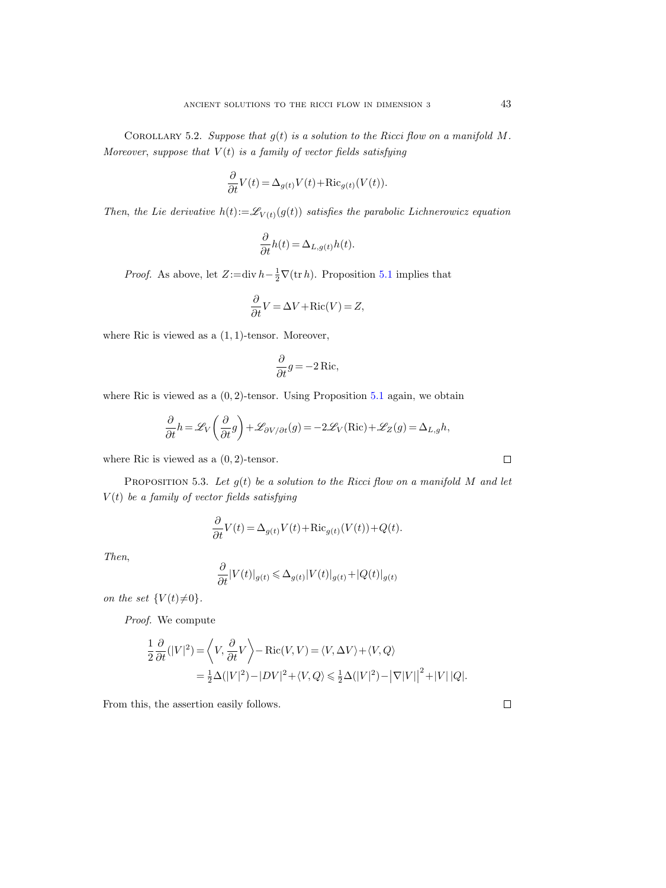<span id="page-42-1"></span>COROLLARY 5.2. Suppose that  $g(t)$  is a solution to the Ricci flow on a manifold M. Moreover, suppose that  $V(t)$  is a family of vector fields satisfying

$$
\frac{\partial}{\partial t}V(t) = \Delta_{g(t)}V(t) + \text{Ric}_{g(t)}(V(t)).
$$

Then, the Lie derivative  $h(t) := \mathscr{L}_{V(t)}(g(t))$  satisfies the parabolic Lichnerowicz equation

$$
\frac{\partial}{\partial t}h(t) = \Delta_{L,g(t)}h(t).
$$

*Proof.* As above, let  $Z:=\text{div } h - \frac{1}{2}\nabla(\text{tr } h)$ . Proposition [5.1](#page-41-0) implies that

$$
\frac{\partial}{\partial t}V = \Delta V + \text{Ric}(V) = Z,
$$

where Ric is viewed as a  $(1, 1)$ -tensor. Moreover,

$$
\frac{\partial}{\partial t}g = -2 \operatorname{Ric},
$$

where Ric is viewed as a  $(0, 2)$ -tensor. Using Proposition [5.1](#page-41-0) again, we obtain

$$
\frac{\partial}{\partial t}h = \mathscr{L}_V\bigg(\frac{\partial}{\partial t}g\bigg) + \mathscr{L}_{\partial V/\partial t}(g) = -2\mathscr{L}_V(\mathrm{Ric}) + \mathscr{L}_Z(g) = \Delta_{L,g}h,
$$

where Ric is viewed as a  $(0, 2)$ -tensor.

<span id="page-42-0"></span>PROPOSITION 5.3. Let  $g(t)$  be a solution to the Ricci flow on a manifold M and let  $V(t)$  be a family of vector fields satisfying

$$
\frac{\partial}{\partial t}V(t) = \Delta_{g(t)}V(t) + \text{Ric}_{g(t)}(V(t)) + Q(t).
$$

Then,

$$
\frac{\partial}{\partial t}|V(t)|_{g(t)} \leq \Delta_{g(t)}|V(t)|_{g(t)} + |Q(t)|_{g(t)}
$$

on the set  $\{V(t)\neq0\}$ .

Proof. We compute

$$
\frac{1}{2} \frac{\partial}{\partial t} (|V|^2) = \left\langle V, \frac{\partial}{\partial t} V \right\rangle - \text{Ric}(V, V) = \left\langle V, \Delta V \right\rangle + \left\langle V, Q \right\rangle
$$

$$
= \frac{1}{2} \Delta (|V|^2) - |DV|^2 + \left\langle V, Q \right\rangle \le \frac{1}{2} \Delta (|V|^2) - |\nabla |V||^2 + |V||Q|.
$$

From this, the assertion easily follows.

 $\Box$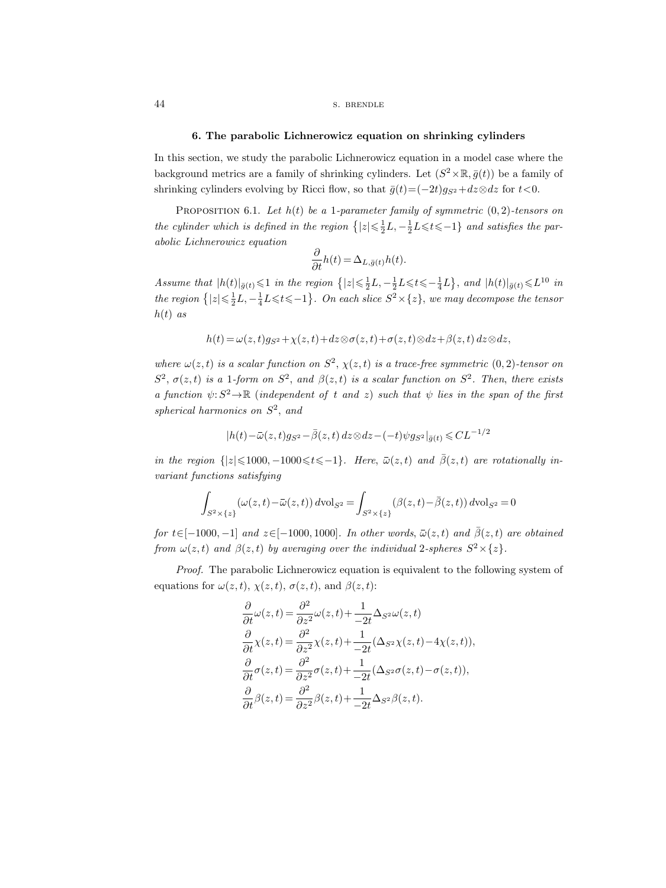# 44 S. BRENDLE

#### 6. The parabolic Lichnerowicz equation on shrinking cylinders

In this section, we study the parabolic Lichnerowicz equation in a model case where the background metrics are a family of shrinking cylinders. Let  $(S^2 \times \mathbb{R}, \bar{g}(t))$  be a family of shrinking cylinders evolving by Ricci flow, so that  $\bar{g}(t)=(-2t)g_{S^2}+dz\otimes dz$  for  $t<0$ .

<span id="page-43-0"></span>PROPOSITION 6.1. Let  $h(t)$  be a 1-parameter family of symmetric  $(0, 2)$ -tensors on the cylinder which is defined in the region  $\{|z| \leq \frac{1}{2}L, -\frac{1}{2}L \leq t \leq -1\}$  and satisfies the parabolic Lichnerowicz equation

$$
\frac{\partial}{\partial t}h(t) = \Delta_{L,\bar{g}(t)}h(t).
$$

Assume that  $|h(t)|_{\bar{g}(t)} \leq 1$  in the region  $\{|z| \leq \frac{1}{2}L, -\frac{1}{2}L \leq t \leq -\frac{1}{4}L\}$ , and  $|h(t)|_{\bar{g}(t)} \leq L^{10}$  in the region  $\{|z| \leq \frac{1}{2}L, -\frac{1}{4}L \leq t \leq -1\}$ . On each slice  $S^2 \times \{z\}$ , we may decompose the tensor  $h(t)$  as

$$
h(t) = \omega(z, t)g_{S^2} + \chi(z, t) + dz \otimes \sigma(z, t) + \sigma(z, t) \otimes dz + \beta(z, t) dz \otimes dz,
$$

where  $\omega(z,t)$  is a scalar function on  $S^2$ ,  $\chi(z,t)$  is a trace-free symmetric  $(0,2)$ -tensor on  $S^2$ ,  $\sigma(z,t)$  is a 1-form on  $S^2$ , and  $\beta(z,t)$  is a scalar function on  $S^2$ . Then, there exists a function  $\psi: S^2 \to \mathbb{R}$  (independent of t and z) such that  $\psi$  lies in the span of the first spherical harmonics on  $S^2$ , and  $\partial t$ <br>  $\langle t \rangle |_{\bar{g}(t)} \leq 1$  in the region  $\{|z| \leq \frac{1}{2}L, -\frac{1}{2}L \leq t \leq -\frac{1}{4}L\}$ , and  $|\frac{1}{2}L, -\frac{1}{4}L \leq t \leq -1\}$ . On each slice  $S^2 \times \{z\}$ , we may decorrelate  $S^2 \times \{z\}$ , we may decorrelate  $S^2 \times \{z, t\}$ the region  $\{|z| \leq \frac{1}{2}L, -\frac{1}{4}L \leq t \leq -1\}$ . On each slice  $S^2 \times \{z\}$ , we may decompose the tensor<br>
h(t) as<br>
h(t) =  $\omega(z, t) g_{S^2} + \chi(z, t) + dz \otimes \sigma(z, t) + \sigma(z, t) \otimes dz + \beta(z, t) dz \otimes dz$ ,<br>
where  $\omega(z, t)$  is a scalar function on  $\omega(z, t)g_{S^2} + \chi(z, t) + dz \otimes \sigma$ <br>
scalar function on  $S^2$ ,  $\chi($ , form on  $S^2$ , and  $\beta(z, t)$  i<br>  $\rightarrow \mathbb{R}$  (independent of t an<br>
ics on  $S^2$ , and<br>  $(t) - \bar{\omega}(z, t)g_{S^2} - \bar{\beta}(z, t) dz$ <br>  $\leq$ 1000, −1000 $\leq t \leq -1$ }.<br>
satisfying for t∈[-1000, -1] and z∈[-1000, 1000]. In other words,  $\bar{\omega}(z,t)$  and  $\bar{\beta}(z,t)$  are obtained<br>for t∈[-1000, -1] and  $\bar{\omega}$  are  $\bar{\omega}(z,t)$  and  $\bar{\beta}(z,t)$  are  $\bar{\omega}(z,t)$  as a scalar function on  $S^2$ . Then, there exists<br>a

$$
|h(t)-\bar{\omega}(z,t)g_{S^2}-\bar{\beta}(z,t)\,dz\otimes dz-(-t)\psi g_{S^2}|_{\bar{g}(t)}\leqslant CL^{-1/2}
$$

variant functions satisfying

$$
\int_{S^2 \times \{z\}} (\omega(z, t) - \bar{\omega}(z, t)) d\text{vol}_{S^2} = \int_{S^2 \times \{z\}} (\beta(z, t) - \bar{\beta}(z, t)) d\text{vol}_{S^2} = 0
$$

from  $\omega(z,t)$  and  $\beta(z,t)$  by averaging over the individual 2-spheres  $S^2\times\{z\}$ .

Proof. The parabolic Lichnerowicz equation is equivalent to the following system of equations for  $\omega(z, t)$ ,  $\chi(z, t)$ ,  $\sigma(z, t)$ , and  $\beta(z, t)$ :

$$
\frac{\partial}{\partial t}\omega(z,t) = \frac{\partial^2}{\partial z^2}\omega(z,t) + \frac{1}{-2t}\Delta_{S^2}\omega(z,t) \n\frac{\partial}{\partial t}\chi(z,t) = \frac{\partial^2}{\partial z^2}\chi(z,t) + \frac{1}{-2t}(\Delta_{S^2}\chi(z,t) - 4\chi(z,t)), \n\frac{\partial}{\partial t}\sigma(z,t) = \frac{\partial^2}{\partial z^2}\sigma(z,t) + \frac{1}{-2t}(\Delta_{S^2}\sigma(z,t) - \sigma(z,t)), \n\frac{\partial}{\partial t}\beta(z,t) = \frac{\partial^2}{\partial z^2}\beta(z,t) + \frac{1}{-2t}\Delta_{S^2}\beta(z,t).
$$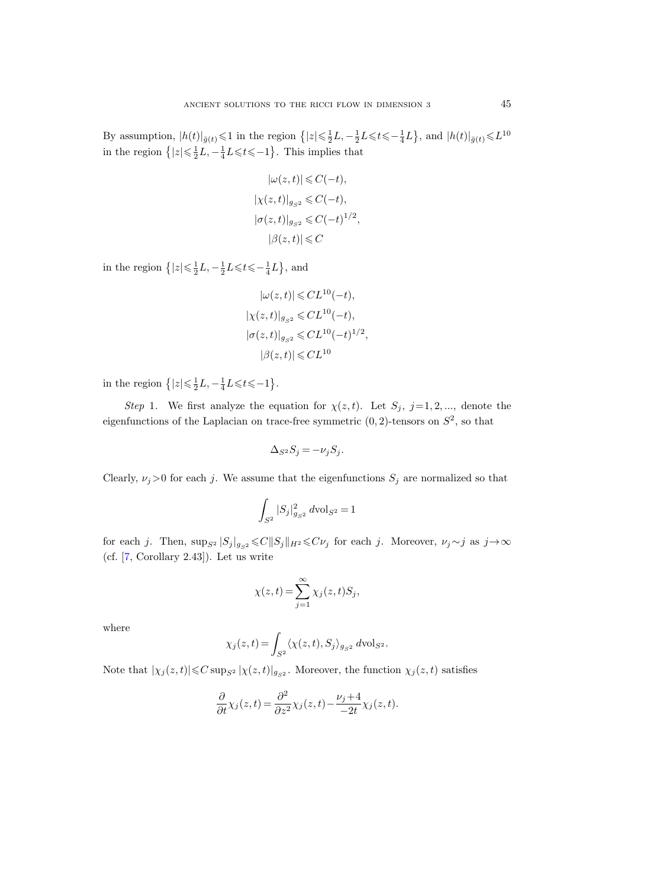By assumption,  $|h(t)|_{\bar{g}(t)} \leq 1$  in the region  $\{|z| \leq \frac{1}{2}L, -\frac{1}{2}L \leq t \leq -\frac{1}{4}L\}$ , and  $|h(t)|_{\bar{g}(t)} \leq L^{10}$ in the region  $\left\{ |z| \leq \frac{1}{2}L, -\frac{1}{4}L \leq t \leq -1 \right\}$ . This implies that

$$
|\omega(z, t)| \leq C(-t),
$$
  
\n
$$
|\chi(z, t)|_{g_{S^2}} \leq C(-t),
$$
  
\n
$$
|\sigma(z, t)|_{g_{S^2}} \leq C(-t)^{1/2},
$$
  
\n
$$
|\beta(z, t)| \leq C
$$

in the region  $\left\{ |z| \leqslant \frac{1}{2}L, -\frac{1}{2}L \leqslant t \leqslant -\frac{1}{4}L \right\}$ , and

$$
|\omega(z,t)| \leqslant CL^{10}(-t),
$$
  
\n
$$
|\chi(z,t)|_{g_{S^2}} \leqslant CL^{10}(-t),
$$
  
\n
$$
|\sigma(z,t)|_{g_{S^2}} \leqslant CL^{10}(-t)^{1/2},
$$
  
\n
$$
|\beta(z,t)| \leqslant CL^{10}
$$

in the region  $\{|z| \leq \frac{1}{2}L, -\frac{1}{4}L \leq t \leq -1\}$ .

Step 1. We first analyze the equation for  $\chi(z, t)$ . Let  $S_j$ , j=1,2,..., denote the eigenfunctions of the Laplacian on trace-free symmetric  $(0, 2)$ -tensors on  $S^2$ , so that

$$
\Delta_{S^2} S_j = -\nu_j S_j.
$$

Clearly,  $\nu_j>0$  for each j. We assume that the eigenfunctions  $S_j$  are normalized so that

$$
\int_{S^2} |S_j|^2_{g_{S^2}} \, d\text{\rm vol}_{S^2} \,{=}\, 1
$$

for each j. Then,  $\sup_{S^2} |S_j|_{g_{S^2}} \leq C ||S_j||_{H^2} \leq C \nu_j$  for each j. Moreover,  $\nu_j \sim j$  as  $j \to \infty$ (cf. [\[7,](#page-100-3) Corollary 2.43]). Let us write

$$
\chi(z,t) = \sum_{j=1}^{\infty} \chi_j(z,t) S_j,
$$

where

$$
\chi_j(z,t) = \int_{S^2} \langle \chi(z,t), S_j \rangle_{g_{S^2}} d\text{vol}_{S^2}.
$$

Note that  $|\chi_j(z,t)| \leq C \sup_{S^2} |\chi(z,t)|_{g_{S^2}}$ . Moreover, the function  $\chi_j(z,t)$  satisfies

$$
\frac{\partial}{\partial t}\chi_j(z,t) = \frac{\partial^2}{\partial z^2}\chi_j(z,t) - \frac{\nu_j+4}{-2t}\chi_j(z,t).
$$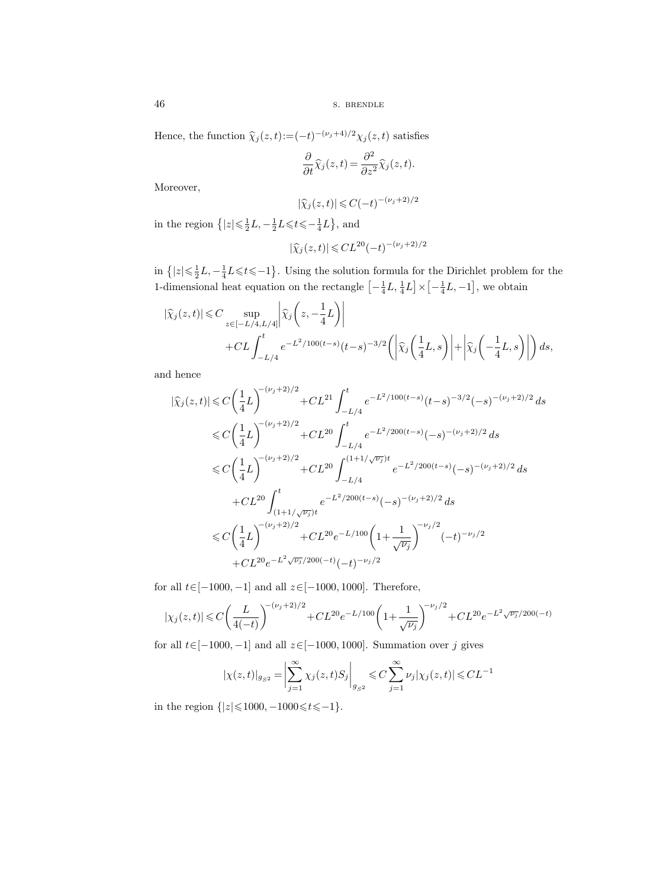46 S. BRENDLE

Hence, the function  $\hat{\chi}_j(z,t) := (-t)^{-(\nu_j+4)/2} \chi_j(z,t)$  satisfies

$$
\frac{\partial}{\partial t}\widehat{\chi}_j(z,t) = \frac{\partial^2}{\partial z^2}\widehat{\chi}_j(z,t).
$$

Moreover,

$$
|\widehat{\chi}_j(z,t)| \leqslant C(-t)^{-(\nu_j+2)/2}
$$

in the region  $\left\{ |z| \leqslant \frac{1}{2}L, -\frac{1}{2}L \leqslant t \leqslant -\frac{1}{4}L \right\}$ , and

$$
|\hat{\chi}_j(z,t)| \leq CL^{20}(-t)^{-(\nu_j+2)/2}
$$

in  $\{|z| \leq \frac{1}{2}L, -\frac{1}{4}L \leq t \leq -1\}$ . Using the solution formula for the Dirichlet problem for the 1-dimensional heat equation on the rectangle  $\left[-\frac{1}{4}L, \frac{1}{4}L\right] \times \left[-\frac{1}{4}L, -1\right]$ , we obtain

$$
\begin{split} |\widehat{\chi}_j(z,t)| &\leq C \sup_{z\in[-L/4,L/4]} \left| \widehat{\chi}_j\left(z, -\frac{1}{4}L\right) \right| \\ &+ CL \int_{-L/4}^t e^{-L^2/100(t-s)} (t-s)^{-3/2} \left( \left| \widehat{\chi}_j\left(\frac{1}{4}L, s\right) \right| + \left| \widehat{\chi}_j\left(-\frac{1}{4}L, s\right) \right| \right) ds, \end{split}
$$

and hence

$$
\begin{split} |\widehat{\chi}_{j}(z,t)|&\leqslant C\bigg(\frac{1}{4}L\bigg)^{-(\nu_{j}+2)/2}+CL^{21}\int_{-L/4}^{t}e^{-L^{2}/100(t-s)}(t-s)^{-3/2}(-s)^{-(\nu_{j}+2)/2}\,ds\\ &\leqslant C\bigg(\frac{1}{4}L\bigg)^{-(\nu_{j}+2)/2}+CL^{20}\int_{-L/4}^{t}e^{-L^{2}/200(t-s)}(-s)^{-(\nu_{j}+2)/2}\,ds\\ &\leqslant C\bigg(\frac{1}{4}L\bigg)^{-(\nu_{j}+2)/2}+CL^{20}\int_{-L/4}^{(1+1/\sqrt{\nu_{j}})t}e^{-L^{2}/200(t-s)}(-s)^{-(\nu_{j}+2)/2}\,ds\\ &\quad +CL^{20}\int_{(1+1/\sqrt{\nu_{j}})t}^{t}e^{-L^{2}/200(t-s)}(-s)^{-(\nu_{j}+2)/2}\,ds\\ &\leqslant C\bigg(\frac{1}{4}L\bigg)^{-(\nu_{j}+2)/2}+CL^{20}e^{-L/100}\bigg(1+\frac{1}{\sqrt{\nu_{j}}}\bigg)^{-\nu_{j}/2}(-t)^{-\nu_{j}/2}\\ &\quad +CL^{20}e^{-L^{2}\sqrt{\nu_{j}}/200(-t)}(-t)^{-\nu_{j}/2}\end{split}
$$

for all  $t \in [-1000, -1]$  and all  $z \in [-1000, 1000]$ . Therefore,

$$
|\chi_j(z,t)| \leqslant C \bigg(\frac{L}{4(-t)}\bigg)^{-(\nu_j+2)/2} + CL^{20} e^{-L/100} \bigg(1+\frac{1}{\sqrt{\nu_j}}\bigg)^{-\nu_j/2} + CL^{20} e^{-L^2 \sqrt{\nu_j}/200(-t)}
$$

for all  $t \in [-1000, -1]$  and all  $z \in [-1000, 1000]$ . Summation over j gives

$$
|\chi(z,t)|_{g_{S^2}} = \left| \sum_{j=1}^{\infty} \chi_j(z,t) S_j \right|_{g_{S^2}} \leq C \sum_{j=1}^{\infty} \nu_j |\chi_j(z,t)| \leq CL^{-1}
$$

in the region  $\{|z| \le 1000, -1000 \le t \le -1\}.$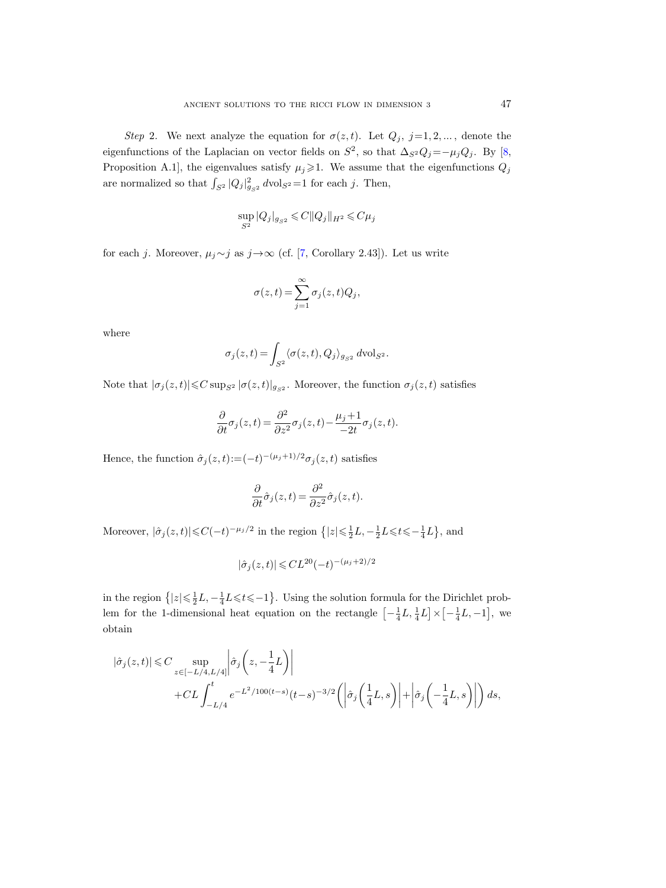Step 2. We next analyze the equation for  $\sigma(z, t)$ . Let  $Q_j$ ,  $j=1, 2, \ldots$ , denote the eigenfunctions of the Laplacian on vector fields on  $S^2$ , so that  $\Delta_{S^2}Q_j = -\mu_jQ_j$ . By [\[8,](#page-100-4) Proposition A.1], the eigenvalues satisfy  $\mu_j \geq 1$ . We assume that the eigenfunctions  $Q_j$ are normalized so that  $\int_{S^2} |Q_j|_{g_{S^2}}^2 dvol_{S^2} = 1$  for each j. Then,

$$
\sup_{S^2}|Q_j|_{g_{S^2}}\leqslant C\|Q_j\|_{H^2}\leqslant C\mu_j
$$

for each j. Moreover,  $\mu_j \sim j$  as  $j \to \infty$  (cf. [\[7,](#page-100-3) Corollary 2.43]). Let us write

$$
\sigma(z,t) = \sum_{j=1}^{\infty} \sigma_j(z,t) Q_j,
$$

where

$$
\sigma_j(z,t) = \int_{S^2} \langle \sigma(z,t), Q_j \rangle_{g_{S^2}} d\text{vol}_{S^2}.
$$

Note that  $|\sigma_j(z,t)| \leq C \sup_{S^2} |\sigma(z,t)|_{g_{S^2}}$ . Moreover, the function  $\sigma_j(z,t)$  satisfies

$$
\frac{\partial}{\partial t}\sigma_j(z,t) = \frac{\partial^2}{\partial z^2}\sigma_j(z,t) - \frac{\mu_j + 1}{-2t}\sigma_j(z,t).
$$

Hence, the function  $\hat{\sigma}_j(z,t) := (-t)^{-(\mu_j+1)/2} \sigma_j(z,t)$  satisfies

$$
\frac{\partial}{\partial t}\hat{\sigma}_j(z,t) = \frac{\partial^2}{\partial z^2}\hat{\sigma}_j(z,t).
$$

Moreover,  $|\hat{\sigma}_j(z,t)| \leq C(-t)^{-\mu_j/2}$  in the region  $\{|z| \leq \frac{1}{2}L, -\frac{1}{2}L \leq t \leq -\frac{1}{4}L\}$ , and

$$
|\hat{\sigma}_j(z,t)| \leq C L^{20} (-t)^{-(\mu_j+2)/2}
$$

in the region  $\{|z| \leq \frac{1}{2}L, -\frac{1}{4}L \leqslant t \leqslant -1\}$ . Using the solution formula for the Dirichlet problem for the 1-dimensional heat equation on the rectangle  $\left[-\frac{1}{4}L, \frac{1}{4}L\right] \times \left[-\frac{1}{4}L, -1\right]$ , we obtain

$$
\begin{split} |\hat{\sigma}_j(z,t)| &\leq C \sup_{z \in [-L/4,L/4]} \left| \hat{\sigma}_j \left( z, -\frac{1}{4} L \right) \right| \\ &\quad + CL \int_{-L/4}^t e^{-L^2/100(t-s)} (t-s)^{-3/2} \left( \left| \hat{\sigma}_j \left( \frac{1}{4} L, s \right) \right| + \left| \hat{\sigma}_j \left( -\frac{1}{4} L, s \right) \right| \right) ds, \end{split}
$$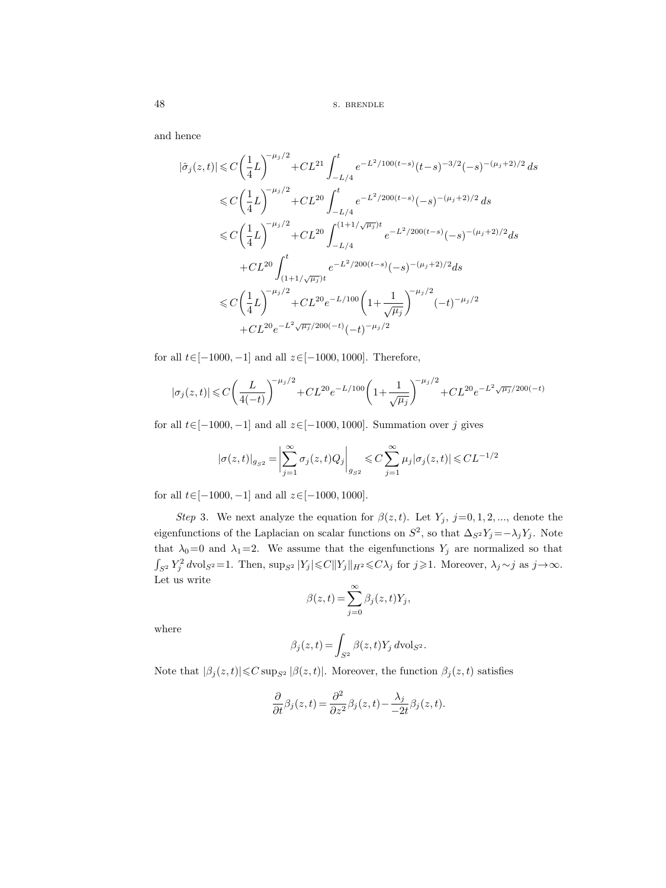and hence

$$
|\hat{\sigma}_j(z,t)| \leq C \left(\frac{1}{4}L\right)^{-\mu_j/2} + CL^{21} \int_{-L/4}^t e^{-L^2/100(t-s)} (t-s)^{-3/2}(-s)^{-(\mu_j+2)/2} ds
$$
  
\n
$$
\leq C \left(\frac{1}{4}L\right)^{-\mu_j/2} + CL^{20} \int_{-L/4}^t e^{-L^2/200(t-s)}(-s)^{-(\mu_j+2)/2} ds
$$
  
\n
$$
\leq C \left(\frac{1}{4}L\right)^{-\mu_j/2} + CL^{20} \int_{-L/4}^{(1+1/\sqrt{\mu_j})t} e^{-L^2/200(t-s)}(-s)^{-(\mu_j+2)/2} ds
$$
  
\n
$$
+ CL^{20} \int_{(1+1/\sqrt{\mu_j})t}^t e^{-L^2/200(t-s)}(-s)^{-(\mu_j+2)/2} ds
$$
  
\n
$$
\leq C \left(\frac{1}{4}L\right)^{-\mu_j/2} + CL^{20} e^{-L/100} \left(1 + \frac{1}{\sqrt{\mu_j}}\right)^{-\mu_j/2} (-t)^{-\mu_j/2}
$$
  
\n
$$
+ CL^{20} e^{-L^2 \sqrt{\mu_j}/200(-t)} (-t)^{-\mu_j/2}
$$

for all  $t \in [-1000, -1]$  and all  $z \in [-1000, 1000]$ . Therefore,

$$
|\sigma_j(z,t)|\leqslant C\bigg(\frac{L}{4(-t)}\bigg)^{-\mu_j/2}+CL^{20}e^{-L/100}\bigg(1+\frac{1}{\sqrt{\mu_j}}\bigg)^{-\mu_j/2}+CL^{20}e^{-L^2\sqrt{\mu_j}/200(-t)}
$$

for all  $t \in [-1000, -1]$  and all  $z \in [-1000, 1000]$ . Summation over j gives

$$
|\sigma(z,t)|_{g_{S^2}} = \biggl|\sum_{j=1}^\infty \sigma_j(z,t) Q_j\biggr|_{g_{S^2}} \leqslant C \sum_{j=1}^\infty \mu_j |\sigma_j(z,t)| \leqslant CL^{-1/2}
$$

for all  $t \in [-1000, -1]$  and all  $z \in [-1000, 1000]$ .

Step 3. We next analyze the equation for  $\beta(z,t)$ . Let  $Y_j$ ,  $j=0,1,2,...$ , denote the eigenfunctions of the Laplacian on scalar functions on  $S^2$ , so that  $\Delta_{S^2} Y_j = -\lambda_j Y_j$ . Note that  $\lambda_0=0$  and  $\lambda_1=2$ . We assume that the eigenfunctions  $Y_j$  are normalized so that  $\int_{S^2} Y_j^2 dvol_{S^2} = 1$ . Then,  $\sup_{S^2} |Y_j| \leq C ||Y_j||_{H^2} \leq C \lambda_j$  for  $j \geq 1$ . Moreover,  $\lambda_j \sim j$  as  $j \to \infty$ . Let us write

$$
\beta(z,t) = \sum_{j=0}^{\infty} \beta_j(z,t) Y_j,
$$

where

$$
\beta_j(z,t) = \int_{S^2} \beta(z,t) Y_j d{\rm vol}_{S^2}.
$$

Note that  $|\beta_j(z,t)| \leq C \sup_{S^2} |\beta(z,t)|$ . Moreover, the function  $\beta_j(z,t)$  satisfies

$$
\frac{\partial}{\partial t}\beta_j(z,t)=\frac{\partial^2}{\partial z^2}\beta_j(z,t)-\frac{\lambda_j}{-2t}\beta_j(z,t).
$$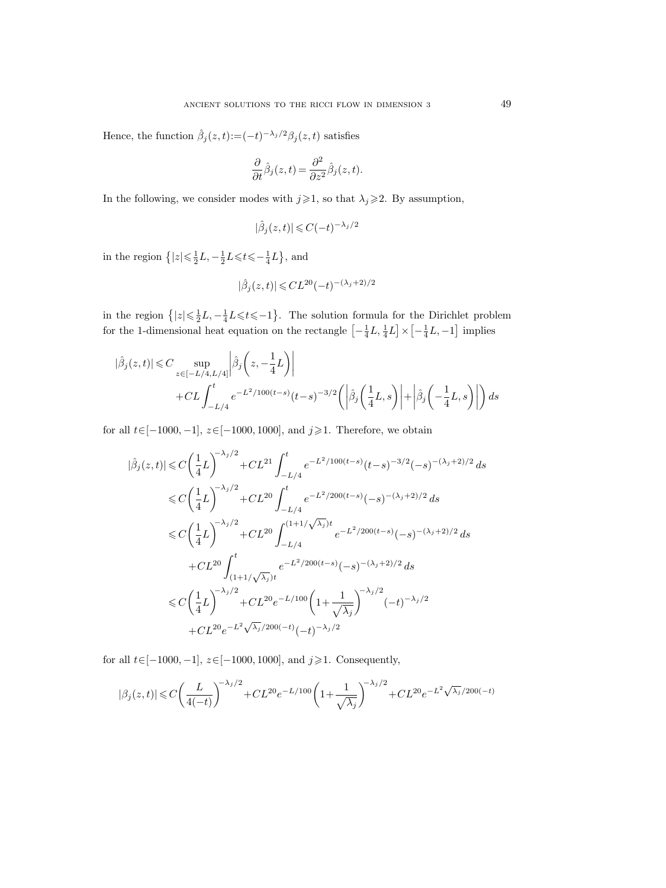Hence, the function  $\hat{\beta}_j(z,t) := (-t)^{-\lambda_j/2} \beta_j(z,t)$  satisfies

$$
\frac{\partial}{\partial t}\hat{\beta}_j(z,t)=\frac{\partial^2}{\partial z^2}\hat{\beta}_j(z,t).
$$

In the following, we consider modes with  $j\geqslant 1$ , so that  $\lambda_j\geqslant 2$ . By assumption,

$$
|\hat{\beta}_j(z,t)| \leqslant C(-t)^{-\lambda_j/2}
$$

in the region  $\left\{ |z| \leqslant \frac{1}{2}L, -\frac{1}{2}L \leqslant t \leqslant -\frac{1}{4}L \right\}$ , and

$$
|\hat{\beta}_j(z,t)| \leqslant C L^{20} (-t)^{-(\lambda_j+2)/2}
$$

in the region  $\{|z| \leq \frac{1}{2}L, -\frac{1}{4}L \leq t \leq -1\}$ . The solution formula for the Dirichlet problem for the 1-dimensional heat equation on the rectangle  $\left[-\frac{1}{4}L, \frac{1}{4}L\right] \times \left[-\frac{1}{4}L, -1\right]$  implies

$$
|\hat{\beta}_j(z,t)| \leq C \sup_{z \in [-L/4, L/4]} \left| \hat{\beta}_j \left( z, -\frac{1}{4} L \right) \right|
$$
  
+ 
$$
CL \int_{-L/4}^t e^{-L^2/100(t-s)} (t-s)^{-3/2} \left( \left| \hat{\beta}_j \left( \frac{1}{4} L, s \right) \right| + \left| \hat{\beta}_j \left( -\frac{1}{4} L, s \right) \right| \right) ds
$$

for all  $t \in [-1000, -1]$ ,  $z \in [-1000, 1000]$ , and  $j \ge 1$ . Therefore, we obtain

$$
|\hat{\beta}_{j}(z,t)| \leq C \left(\frac{1}{4}L\right)^{-\lambda_{j}/2} + CL^{21} \int_{-L/4}^{t} e^{-L^{2}/100(t-s)} (t-s)^{-3/2}(-s)^{-(\lambda_{j}+2)/2} ds
$$
  
\n
$$
\leq C \left(\frac{1}{4}L\right)^{-\lambda_{j}/2} + CL^{20} \int_{-L/4}^{t} e^{-L^{2}/200(t-s)}(-s)^{-(\lambda_{j}+2)/2} ds
$$
  
\n
$$
\leq C \left(\frac{1}{4}L\right)^{-\lambda_{j}/2} + CL^{20} \int_{-L/4}^{(1+1/\sqrt{\lambda_{j}})t} e^{-L^{2}/200(t-s)}(-s)^{-(\lambda_{j}+2)/2} ds
$$
  
\n
$$
+ CL^{20} \int_{(1+1/\sqrt{\lambda_{j}})t}^{t} e^{-L^{2}/200(t-s)}(-s)^{-(\lambda_{j}+2)/2} ds
$$
  
\n
$$
\leq C \left(\frac{1}{4}L\right)^{-\lambda_{j}/2} + CL^{20}e^{-L/100} \left(1 + \frac{1}{\sqrt{\lambda_{j}}}\right)^{-\lambda_{j}/2} (-t)^{-\lambda_{j}/2}
$$
  
\n
$$
+ CL^{20}e^{-L^{2}\sqrt{\lambda_{j}}/200(-t)}(-t)^{-\lambda_{j}/2}
$$

for all  $t\in[-1000,-1],$   $z\in[-1000,1000],$  and  $j\geqslant1.$  Consequently,

$$
|\beta_j(z,t)| \leqslant C \bigg(\frac{L}{4(-t)}\bigg)^{-\lambda_j/2} + CL^{20} e^{-L/100} \bigg(1 + \frac{1}{\sqrt{\lambda_j}}\bigg)^{-\lambda_j/2} + CL^{20} e^{-L^2 \sqrt{\lambda_j}/200(-t)}
$$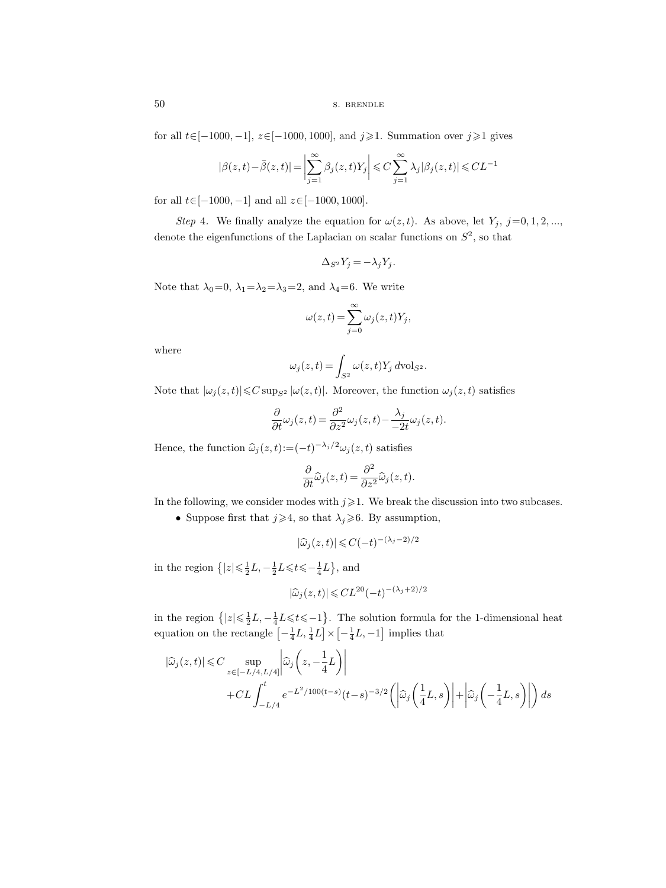50 s. BRENDLE

for all  $t \in [-1000, -1]$ ,  $z \in [-1000, 1000]$ , and  $j \ge 1$ . Summation over  $j \ge 1$  gives

$$
|\beta(z,t)-\bar{\beta}(z,t)| = \bigg|\sum_{j=1}^{\infty} \beta_j(z,t)Y_j\bigg| \leqslant C \sum_{j=1}^{\infty} \lambda_j |\beta_j(z,t)| \leqslant CL^{-1}
$$

for all  $t \in [-1000, -1]$  and all  $z \in [-1000, 1000]$ .

Step 4. We finally analyze the equation for  $\omega(z, t)$ . As above, let  $Y_j$ , j=0, 1, 2, ..., denote the eigenfunctions of the Laplacian on scalar functions on  $S^2$ , so that

$$
\Delta_{S^2} Y_j = -\lambda_j Y_j.
$$

Note that  $\lambda_0=0$ ,  $\lambda_1=\lambda_2=\lambda_3=2$ , and  $\lambda_4=6$ . We write

$$
\omega(z,t) = \sum_{j=0}^{\infty} \omega_j(z,t) Y_j,
$$

where

$$
\omega_j(z,t) = \int_{S^2} \omega(z,t) Y_j \, d\text{vol}_{S^2}.
$$

Note that  $|\omega_j(z,t)| \leq C \sup_{S^2} |\omega(z,t)|$ . Moreover, the function  $\omega_j(z,t)$  satisfies

$$
\frac{\partial}{\partial t}\omega_j(z,t) = \frac{\partial^2}{\partial z^2}\omega_j(z,t) - \frac{\lambda_j}{-2t}\omega_j(z,t).
$$

Hence, the function  $\hat{\omega}_j(z,t) := (-t)^{-\lambda_j/2} \omega_j(z,t)$  satisfies

$$
\frac{\partial}{\partial t}\widehat{\omega}_j(z,t) = \frac{\partial^2}{\partial z^2}\widehat{\omega}_j(z,t).
$$

In the following, we consider modes with  $j\geqslant1$ . We break the discussion into two subcases.

• Suppose first that  $j \ge 4$ , so that  $\lambda_j \ge 6$ . By assumption,

$$
|\widehat{\omega}_j(z,t)| \leqslant C(-t)^{-(\lambda_j-2)/2}
$$

in the region  $\left\{ |z| \leq \frac{1}{2}L, -\frac{1}{2}L \leqslant t \leqslant -\frac{1}{4}L \right\}$ , and

$$
|\widehat{\omega}_j(z,t)| \leqslant CL^{20}(-t)^{-(\lambda_j+2)/2}
$$

in the region  $\{|z| \leq \frac{1}{2}L, -\frac{1}{4}L \leq t \leq -1\}$ . The solution formula for the 1-dimensional heat equation on the rectangle  $\left[-\frac{1}{4}L, \frac{1}{4}L\right] \times \left[-\frac{1}{4}L, -1\right]$  implies that

$$
|\widehat{\omega}_j(z,t)| \leq C \sup_{z \in [-L/4, L/4]} \left| \widehat{\omega}_j \left( z, -\frac{1}{4} L \right) \right|
$$
  
+ 
$$
CL \int_{-L/4}^t e^{-t^2/100(t-s)} (t-s)^{-3/2} \left( \left| \widehat{\omega}_j \left( \frac{1}{4} L, s \right) \right| + \left| \widehat{\omega}_j \left( -\frac{1}{4} L, s \right) \right| \right) ds
$$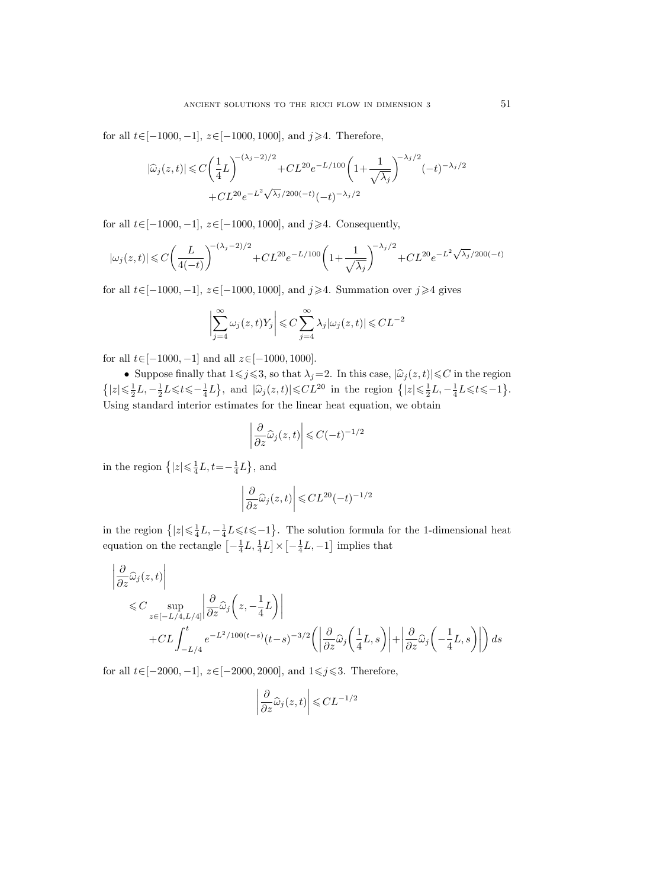for all  $t \in [-1000, -1]$ ,  $z \in [-1000, 1000]$ , and  $j \ge 4$ . Therefore,

$$
|\widehat{\omega}_j(z,t)| \leq C \left(\frac{1}{4}L\right)^{-(\lambda_j-2)/2} + CL^{20}e^{-L/100} \left(1 + \frac{1}{\sqrt{\lambda_j}}\right)^{-\lambda_j/2} (-t)^{-\lambda_j/2} + CL^{20}e^{-L^2\sqrt{\lambda_j}/200(-t)} (-t)^{-\lambda_j/2}
$$

for all  $t \in [-1000, -1]$ ,  $z \in [-1000, 1000]$ , and  $j \ge 4$ . Consequently,

$$
|\omega_j(z,t)|\leqslant C\bigg(\frac{L}{4(-t)}\bigg)^{-(\lambda_j-2)/2}+CL^{20}e^{-L/100}\bigg(1+\frac{1}{\sqrt{\lambda_j}}\bigg)^{-\lambda_j/2}+CL^{20}e^{-L^2\sqrt{\lambda_j}/200(-t)}
$$

for all  $t \in [-1000, -1]$ ,  $z \in [-1000, 1000]$ , and  $j \ge 4$ . Summation over  $j \ge 4$  gives

$$
\biggl|\sum_{j=4}^{\infty}\omega_j(z,t)Y_j\biggr|\leqslant C\sum_{j=4}^{\infty}\lambda_j|\omega_j(z,t)|\leqslant CL^{-2}
$$

for all  $t \in [-1000, -1]$  and all  $z \in [-1000, 1000]$ .

• Suppose finally that  $1 \leq j \leq 3$ , so that  $\lambda_j=2$ . In this case,  $|\widehat{\omega}_j(z, t)| \leq C$  in the region  $\{|z| \le \frac{1}{2}L, -\frac{1}{2}L \le t \le -\frac{1}{4}L\},\$ and  $|\hat{\omega}_j(z, t)| \le CL^{20}$  in the region  $\{|z| \le \frac{1}{2}L, -\frac{1}{4}L \le t \le -1\}.$ Using standard interior estimates for the linear heat equation, we obtain

$$
\left| \frac{\partial}{\partial z} \widehat{\omega}_j(z, t) \right| \leqslant C(-t)^{-1/2}
$$

in the region  $\{|z| \leq \frac{1}{4}L, t=-\frac{1}{4}L\}$ , and

$$
\left|\frac{\partial}{\partial z}\widehat{\omega}_j(z,t)\right|\!\leqslant\! CL^{20}(-t)^{-1/2}
$$

in the region  $\{|z| \leq \frac{1}{4}L, -\frac{1}{4}L \leq t \leq -1\}$ . The solution formula for the 1-dimensional heat equation on the rectangle  $\left[-\frac{1}{4}L, \frac{1}{4}L\right] \times \left[-\frac{1}{4}L, -1\right]$  implies that

$$
\begin{split}\n&\left|\frac{\partial}{\partial z}\widehat{\omega}_{j}(z,t)\right| \\
&\leq C \sup_{z\in[-L/4,L/4]}\left|\frac{\partial}{\partial z}\widehat{\omega}_{j}\left(z,-\frac{1}{4}L\right)\right| \\
&+ CL \int_{-L/4}^{t} e^{-L^{2}/100(t-s)}(t-s)^{-3/2}\left(\left|\frac{\partial}{\partial z}\widehat{\omega}_{j}\left(\frac{1}{4}L,s\right)\right| + \left|\frac{\partial}{\partial z}\widehat{\omega}_{j}\left(-\frac{1}{4}L,s\right)\right|\right)ds\n\end{split}
$$

for all  $t\in[-2000,-1], z\in[-2000,2000],$  and  $1\leq j\leq 3$ . Therefore,

$$
\left|\frac{\partial}{\partial z}\widehat{\omega}_j(z,t)\right| \leqslant CL^{-1/2}
$$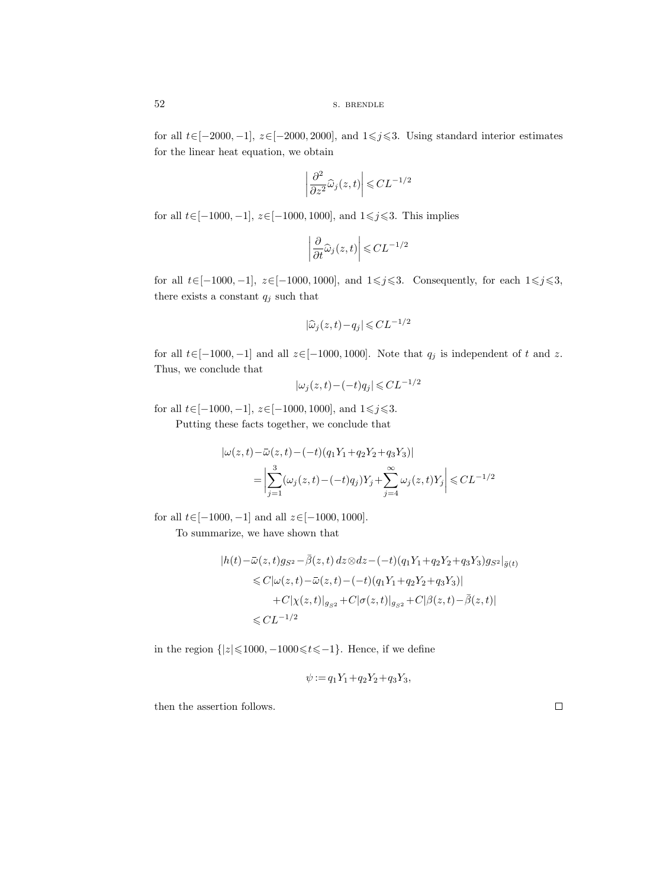for all  $t\in[-2000, -1]$ ,  $z\in[-2000, 2000]$ , and  $1\leq j\leq 3$ . Using standard interior estimates for the linear heat equation, we obtain

$$
\left|\frac{\partial^2}{\partial z^2}\widehat{\omega}_j(z,t)\right| \leqslant CL^{-1/2}
$$

for all  $t \in [-1000, -1]$ ,  $z \in [-1000, 1000]$ , and  $1 \leq j \leq 3$ . This implies

$$
\left|\frac{\partial}{\partial t}\widehat{\omega}_j(z,t)\right| \leqslant CL^{-1/2}
$$

for all  $t\in[-1000, -1]$ ,  $z\in[-1000, 1000]$ , and  $1\leq j\leq 3$ . Consequently, for each  $1\leq j\leq 3$ , there exists a constant  $\mathfrak{q}_j$  such that

$$
|\widehat{\omega}_j(z,t) - q_j| \leqslant CL^{-1/2}
$$

for all  $t \in [-1000, -1]$  and all  $z \in [-1000, 1000]$ . Note that  $q_j$  is independent of t and z. Thus, we conclude that  $|\hat{\omega}_j(z, t) - q_j| \leq C L^{-1/2}$ <br>
constant  $q_j$  such that<br>  $|\hat{\omega}_j(z, t) - q_j| \leq CL^{-1/2}$ <br>
00, -1] and all  $z \in [-1000, 1000]$ . Note th<br>
lude that<br>  $|\omega_j(z, t) - (-t)q_j| \leq CL^{-1}$ <br>
00, -1],  $z \in [-1000, 1000]$ , and  $1 \leq j \leq 3$ .<br>
nese facts to

$$
|\omega_j(z,t)-(-t)q_j|\leqslant CL^{-1/2}
$$

for all  $t \in [-1000, -1]$ ,  $z \in [-1000, 1000]$ , and  $1 \le j \le 3$ .

Putting these facts together, we conclude that

$$
[0.0, -1], z \in [-1000, 1000], \text{ and } 1 \le j \le 3.
$$
  
\nthese facts together, we conclude that  
\n
$$
|\omega(z, t) - \bar{\omega}(z, t) - (-t)(q_1 Y_1 + q_2 Y_2 + q_3 Y_3)|
$$
\n
$$
= \left| \sum_{j=1}^{3} (\omega_j(z, t) - (-t)q_j) Y_j + \sum_{j=4}^{\infty} \omega_j(z, t) Y_j \right| \le CL^{-1/2}
$$
  
\n
$$
[0.0, -1] \text{ and all } z \in [-1000, 1000].
$$
  
\narize, we have shown that  
\n
$$
|h(t) - \bar{\omega}(z, t)g_{S^2} - \bar{\beta}(z, t) dz \otimes dz - (-t)(q_1 Y_1 + q_2 Y_2 + q_3 Y_3)g_{S^2}|_{\bar{g}(t)}
$$
\n
$$
\le C|\omega(z, t) - \bar{\omega}(z, t) - (-t)(q_1 Y_1 + q_2 Y_2 + q_3 Y_3)|
$$

for all  $t \in [-1000, -1]$  and all  $z \in [-1000, 1000]$ .

To summarize, we have shown that

$$
|h(t) - \bar{\omega}(z, t)g_{S^2} - \bar{\beta}(z, t) dz \otimes dz - (-t)(q_1 Y_1 + q_2 Y_2 + q_3 Y_3)g_{S^2}|_{\bar{g}(t)}
$$
  
\n
$$
\leq C|\omega(z, t) - \bar{\omega}(z, t) - (-t)(q_1 Y_1 + q_2 Y_2 + q_3 Y_3)|
$$
  
\n
$$
+ C|\chi(z, t)|_{g_{S^2}} + C|\sigma(z, t)|_{g_{S^2}} + C|\beta(z, t) - \bar{\beta}(z, t)|
$$
  
\n
$$
\leq CL^{-1/2}
$$

in the region  $\{|z| \le 1000, -1000 \le t \le -1\}$ . Hence, if we define

$$
\psi := q_1 Y_1 + q_2 Y_2 + q_3 Y_3,
$$

then the assertion follows.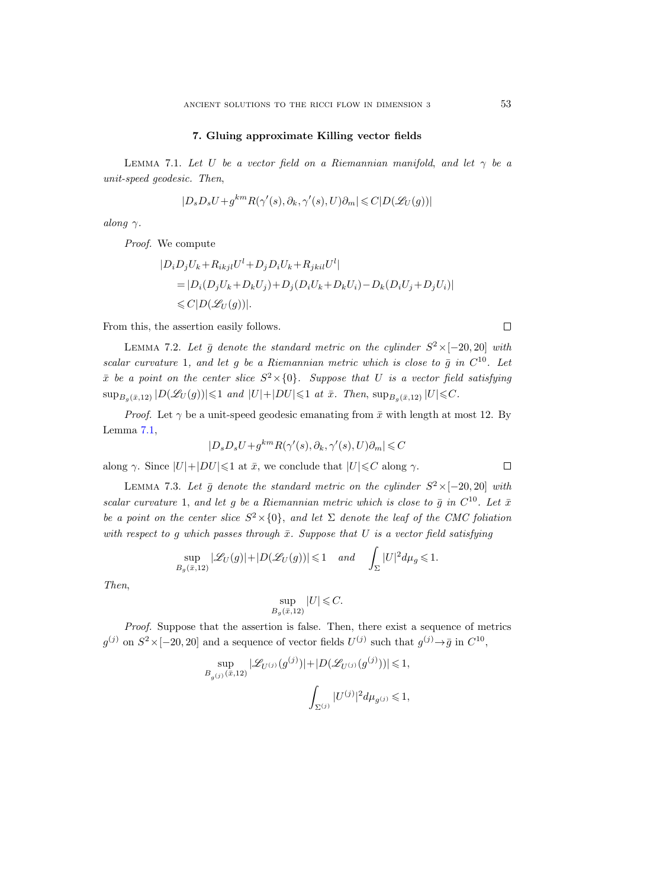#### 7. Gluing approximate Killing vector fields

<span id="page-52-0"></span>LEMMA 7.1. Let U be a vector field on a Riemannian manifold, and let  $\gamma$  be a unit-speed geodesic. Then,

$$
|D_s D_s U + g^{km} R(\gamma'(s), \partial_k, \gamma'(s), U)\partial_m| \leqslant C|D(\mathcal{L}_U(g))|
$$

along  $\gamma$ .

Proof. We compute

$$
|D_i D_j U_k + R_{ikjl} U^l + D_j D_i U_k + R_{jkil} U^l|
$$
  
= 
$$
|D_i (D_j U_k + D_k U_j) + D_j (D_i U_k + D_k U_i) - D_k (D_i U_j + D_j U_i)|
$$
  

$$
\leq C|D(\mathcal{L}_U(g))|.
$$

From this, the assertion easily follows.

<span id="page-52-1"></span>LEMMA 7.2. Let  $\bar{g}$  denote the standard metric on the cylinder  $S^2 \times [-20, 20]$  with scalar curvature 1, and let g be a Riemannian metric which is close to  $\bar{g}$  in  $C^{10}$ . Let  $\bar{x}$  be a point on the center slice  $S^2 \times \{0\}$ . Suppose that U is a vector field satisfying  $\sup_{B_q(\bar{x},12)} |D(\mathscr{L}_U(g))| \leqslant 1$  and  $|U|+|DU| \leqslant 1$  at  $\bar{x}$ . Then,  $\sup_{B_q(\bar{x},12)} |U| \leqslant C$ .

*Proof.* Let  $\gamma$  be a unit-speed geodesic emanating from  $\bar{x}$  with length at most 12. By Lemma [7.1,](#page-52-0)

$$
|D_s D_s U + g^{km} R(\gamma'(s), \partial_k, \gamma'(s), U)\partial_m| \leqslant C
$$

along  $\gamma$ . Since  $|U|+|DU|\leq 1$  at  $\bar{x}$ , we conclude that  $|U|\leq C$  along  $\gamma$ .

<span id="page-52-2"></span>LEMMA 7.3. Let  $\bar{g}$  denote the standard metric on the cylinder  $S^2 \times [-20, 20]$  with scalar curvature 1, and let g be a Riemannian metric which is close to  $\bar{g}$  in  $C^{10}$ . Let  $\bar{x}$ be a point on the center slice  $S^2 \times \{0\}$ , and let  $\Sigma$  denote the leaf of the CMC foliation with respect to g which passes through  $\bar{x}$ . Suppose that U is a vector field satisfying

$$
\sup_{B_g(\bar{x},12)} |\mathscr{L}_U(g)| + |D(\mathscr{L}_U(g))| \leq 1 \quad and \quad \int_{\Sigma} |U|^2 d\mu_g \leq 1.
$$

Then,

$$
\sup_{B_g(\bar{x},12)}|U| \leqslant C.
$$

Proof. Suppose that the assertion is false. Then, there exist a sequence of metrics  $g^{(j)}$  on  $S^2 \times [-20, 20]$  and a sequence of vector fields  $U^{(j)}$  such that  $g^{(j)} \rightarrow \bar{g}$  in  $C^{10}$ ,

$$
\sup_{B_{g(j)}(\bar{x},12)}|\mathscr{L}_{U^{(j)}}(g^{(j)})|+|D(\mathscr{L}_{U^{(j)}}(g^{(j)}))|\leqslant 1,
$$
  

$$
\int_{\Sigma^{(j)}}|U^{(j)}|^2d\mu_{g^{(j)}}\leqslant 1,
$$

 $\Box$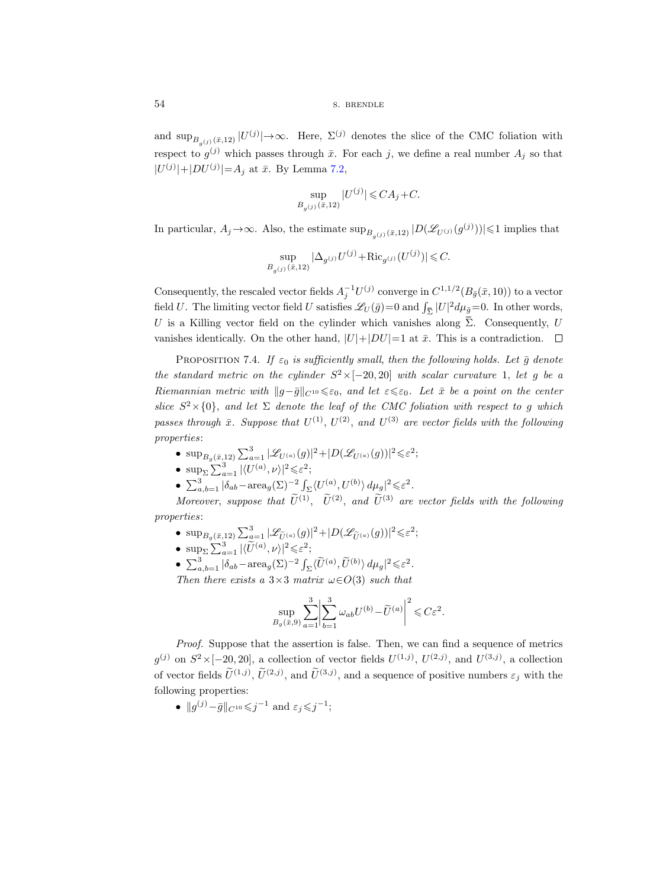54 S. BRENDLE

and  $\sup_{B_{g}(j)} (x, 12) |U^{(j)}| \to \infty$ . Here,  $\Sigma^{(j)}$  denotes the slice of the CMC foliation with respect to  $g^{(j)}$  which passes through  $\bar{x}$ . For each j, we define a real number  $A_j$  so that  $|U^{(j)}|+|DU^{(j)}|=A_j$  at  $\bar{x}$ . By Lemma [7.2,](#page-52-1)

$$
\sup_{B_{g(j)}(\bar{x},12)} |U^{(j)}| \leq C A_j + C.
$$

In particular,  $A_j \to \infty$ . Also, the estimate  $\sup_{B_{g}(j)} (x, 12) |D(\mathscr{L}_{U^{(j)}}(g^{(j)}))| \leq 1$  implies that

$$
\sup_{B_{g^{(j)}}(\bar{x},12)}|\Delta_{g^{(j)}}U^{(j)} + \text{Ric}_{g^{(j)}}(U^{(j)})| \leq C.
$$

Consequently, the rescaled vector fields  $A_j^{-1}U^{(j)}$  converge in  $C^{1,1/2}(B_{\bar{g}}(\bar{x}, 10))$  to a vector field U. The limiting vector field U satisfies  $\mathscr{L}_U(\bar{g})=0$  and  $\int_{\bar{\Sigma}}|U|^2d\mu_{\bar{g}}=0$ . In other words, Σ |U| respect to  $g^{(j)}$  which passes through  $\bar{x}$ . For each  $j$ , we define a real number  $A_j$  so that<br>  $|U^{(j)}|+|DU^{(j)}|=A_j$  at  $\bar{x}$ . By Lemma 7.2,<br>  $\sup_{B_g(j)}|U^{(j)}| \leq CA_j + C$ .<br>
In particular,  $A_j \to \infty$ . Also, the estimate  $\sup_{$ vanishes identically. On the other hand,  $|U|+|DU|=1$  at  $\bar{x}$ . This is a contradiction.  $\square$ 

<span id="page-53-0"></span>PROPOSITION 7.4. If  $\varepsilon_0$  is sufficiently small, then the following holds. Let  $\bar{g}$  denote the standard metric on the cylinder  $S^2 \times [-20, 20]$  with scalar curvature 1, let g be a Riemannian metric with  $||g-\bar{g}||_{C^{10}} \leq \varepsilon_0$ , and let  $\varepsilon \leq \varepsilon_0$ . Let  $\bar{x}$  be a point on the center slice  $S^2 \times \{0\}$ , and let  $\Sigma$  denote the leaf of the CMC foliation with respect to g which passes through  $\bar{x}$ . Suppose that  $U^{(1)}$ ,  $U^{(2)}$ , and  $U^{(3)}$  are vector fields with the following properties:

- $\sup_{B_q(\bar{x},12)} \sum_{a=1}^3 |\mathscr{L}_{U^{(a)}}(g)|^2 + |D(\mathscr{L}_{U^{(a)}}(g))|^2 \leqslant \varepsilon^2;$
- $\sup_{\Sigma} \sum_{a=1}^{3} |\langle U^{(a)}, \nu \rangle|^2 \leqslant \varepsilon^2;$
- $\sum_{a,b=1}^{3} |\delta_{ab} \text{area}_{g}(\Sigma)^{-2} \int_{\Sigma} \langle U^{(a)}, U^{(b)} \rangle d\mu_{g}|^{2} \leq \varepsilon^{2}$ .

Moreover, suppose that  $\tilde{U}^{(1)}$ ,  $\tilde{U}^{(2)}$ , and  $\tilde{U}^{(3)}$  are vector fields with the following properties:

- $\sup_{B_g(\bar{x},12)} \sum_{\alpha=1}^3 |\mathscr{L}_{\tilde{U}^{(a)}}(g)|^2 + |D(\mathscr{L}_{\tilde{U}^{(a)}}(g))|^2 \leqslant \varepsilon^2;$
- $\sup_{\Sigma} \sum_{a=1}^{3} |\langle \widetilde{U}^{(a)}, \nu \rangle|^2 \leqslant \varepsilon^2;$
- $\sum_{a,b=1}^{3} |\delta_{ab}-\text{area}_{g}(\Sigma)^{-2} \int_{\Sigma} \langle \widetilde{U}^{(a)}, \widetilde{U}^{(b)} \rangle d\mu_{g}|^{2} \leq \varepsilon^{2}$ .

Then there exists a  $3\times3$  matrix  $\omega \in O(3)$  such that

$$
\sup_{B_g(\bar{x},9)} \sum_{a=1}^3 \left| \sum_{b=1}^3 \omega_{ab} U^{(b)} - \widetilde{U}^{(a)} \right|^2 \leqslant C \varepsilon^2.
$$

Proof. Suppose that the assertion is false. Then, we can find a sequence of metrics  $g^{(j)}$  on  $S^2 \times [-20, 20]$ , a collection of vector fields  $U^{(1,j)}$ ,  $U^{(2,j)}$ , and  $U^{(3,j)}$ , a collection of vector fields  $\tilde{U}^{(1,j)}$ ,  $\tilde{U}^{(2,j)}$ , and  $\tilde{U}^{(3,j)}$ , and a sequence of positive numbers  $\varepsilon_j$  with the following properties:

•  $||g^{(j)}-\bar{g}||_{C^{10}} \leqslant j^{-1}$  and  $\varepsilon_j \leqslant j^{-1}$ ;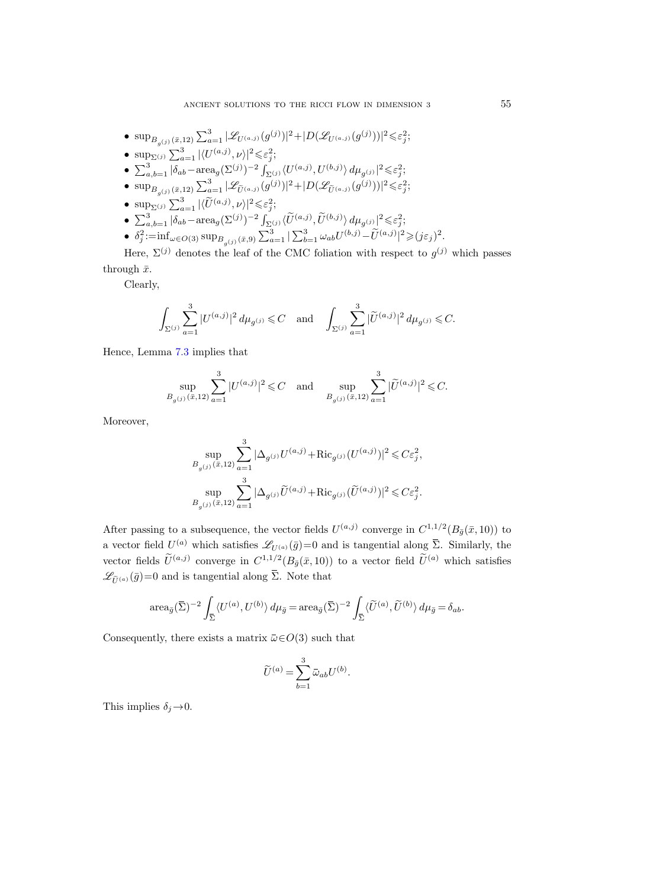\n- \n
$$
\sup_{B_g(j)}(\bar{x},12) \sum_{a=1}^3 |\mathcal{L}_{U^{(a,j)}}(g^{(j)})|^2 + |D(\mathcal{L}_{U^{(a,j)}}(g^{(j)}))|^2 \leq \varepsilon_j^2;
$$
\n
\n- \n $\sup_{\Sigma^{(j)}} \sum_{a=1}^3 |\langle U^{(a,j)}, \nu \rangle|^2 \leq \varepsilon_j^2;$ \n
\n- \n $\sum_{a,b=1}^3 |\delta_{ab} - \text{area}_g(\Sigma^{(j)})^{-2} \int_{\Sigma^{(j)}} \langle U^{(a,j)}, U^{(b,j)} \rangle d\mu_{g^{(j)}}|^2 \leq \varepsilon_j^2;$ \n
\n- \n $\sup_{B_g(j)}(\bar{x},12) \sum_{a=1}^3 |\mathcal{L}_{\tilde{U}^{(a,j)}}(g^{(j)})|^2 + |D(\mathcal{L}_{\tilde{U}^{(a,j)}}(g^{(j)}))|^2 \leq \varepsilon_j^2;$ \n
\n- \n $\sup_{\Sigma^{(j)}} \sum_{a=1}^3 |\langle \tilde{U}^{(a,j)}, \nu \rangle|^2 \leq \varepsilon_j^2;$ \n
\n- \n $\sum_{a,b=1}^3 |\delta_{ab} - \text{area}_g(\Sigma^{(j)})^{-2} \int_{\Sigma^{(j)}} \langle \tilde{U}^{(a,j)}, \tilde{U}^{(b,j)} \rangle d\mu_{g^{(j)}}|^2 \leq \varepsilon_j^2;$ \n
\n- \n $\delta_j^2 := \inf_{\omega \in O(3)} \sup_{B_{g^{(j)}}(\bar{x},9)} \sum_{a=1}^3 |\sum_{b=1}^3 \omega_{ab} U^{(b,j)} - \tilde{U}^{(a,j)}|^2 \geq (j\varepsilon_j)^2$ \n
\n

Here,  $\Sigma^{(j)}$  denotes the leaf of the CMC foliation with respect to  $g^{(j)}$  which passes through  $\bar{x}$ .

Clearly,

$$
\int_{\Sigma^{(j)}} \sum_{a=1}^3 |U^{(a,j)}|^2 \, d\mu_{g^{(j)}} \leq C \quad \text{and} \quad \int_{\Sigma^{(j)}} \sum_{a=1}^3 |\widetilde{U}^{(a,j)}|^2 \, d\mu_{g^{(j)}} \leq C.
$$

Hence, Lemma [7.3](#page-52-2) implies that

$$
\sup_{B_{g(j)}(\bar{x},12)} \sum_{a=1}^{3} |U^{(a,j)}|^2 \leq C \quad \text{and} \quad \sup_{B_{g(j)}(\bar{x},12)} \sum_{a=1}^{3} |\widetilde{U}^{(a,j)}|^2 \leq C.
$$

Moreover,

$$
\sup_{(j)} \sum_{a=1}^{3} |U^{(a,j)}|^2 \leq C \quad \text{and} \quad \sup_{B_g(j)} \sum_{a=1}^{3} |\widetilde{U}^{(a,j)}|^2 \leq C.
$$
\n
$$
\sup_{B_g(j)} \sum_{a=1}^{3} |\Delta_{g(j)} U^{(a,j)} + \text{Ric}_{g(j)} (U^{(a,j)})|^2 \leq C \varepsilon_j^2,
$$
\n
$$
\sup_{B_g(j)} \sum_{a=1}^{3} |\Delta_{g(j)} \widetilde{U}^{(a,j)} + \text{Ric}_{g(j)} (\widetilde{U}^{(a,j)})|^2 \leq C \varepsilon_j^2.
$$
\n
$$
\sup_{B_g(j)} \sum_{a=1}^{3} |\Delta_{g(j)} \widetilde{U}^{(a,j)} + \text{Ric}_{g(j)} (\widetilde{U}^{(a,j)})|^2 \leq C \varepsilon_j^2.
$$
\nis a subsequence, the vector fields  $U^{(a,j)}$  converge in  $C^{1,1/2}(B_{\overline{g}}(\overline{x}, 10))$  to  $(a)$  which satisfies  $\mathcal{L}_{U^{(a)}}(\overline{g}) = 0$  and is tangential along  $\overline{\Sigma}$ . Similarly, the  $(a,j)$  converge in  $C^{1,1/2}(B_{\overline{g}}(\overline{x}, 10))$  to a vector field  $\widetilde{U}^{(a)}$  which satisfies  $\overline{\Sigma}$ . Note that

\n
$$
(\overline{\Sigma})^{-2} \int \langle U^{(a)}, U^{(b)} \rangle d\mu_{\overline{g}} = \text{area}_{\overline{g}}(\overline{\Sigma})^{-2} \int \langle \widetilde{U}^{(a)}, \widetilde{U}^{(b)} \rangle d\mu_{\overline{g}} = \delta_{ab}.
$$

After passing to a subsequence, the vector fields  $U^{(a,j)}$  converge in  $C^{1,1/2}(B_{\bar{g}}(\bar{x}, 10))$  to a vector field  $U^{(a)}$  which satisfies  $\mathscr{L}_{U^{(a)}}(\bar{g})=0$  and is tangential along  $\bar{\Sigma}$ . Similarly, the vector fields  $\tilde{U}^{(a,j)}$  converge in  $C^{1,1/2}(B_{\bar{g}}(\bar{x}, 10))$  to a vector field  $\tilde{U}^{(a)}$  which satisfies Moreover,<br>  $\sup_{B_{g(j)}(\bar{x},12)} \sum_{a=1}^{3} |\Delta_{g^{(j)}} U^{(a,j)} + \text{Ric}$ <br>  $\sup_{B_{g^{(j)}}(\bar{x},12)} \sum_{a=1}^{3} |\Delta_{g^{(j)}} \tilde{U}^{(a,j)} + \text{Ric}$ <br>
After passing to a subsequence, the vector fields<br>
a vector field  $U^{(a)}$  which satisfies  $\mathscr{L}_{U^{(a)}}(\$  $B_{\epsilon}$ <br>ing to a su<br>eld  $U^{(a)}$  wi<br>ds  $\widetilde{U}^{(a,j)}$  c<br>=0 and is ta<br>area $_{\bar{g}}(\overline{\Sigma})^{-2}$ cl nv<br>ge<br>f a<br>E<br> $\int$  $\sup_{g(j)} \sum_{a=1}^{3} |\Delta_{g(j)}\widetilde{U}^{(a,j)} + \text{Ric}_{g(j)}(\widetilde{U}^{(a,j)})|$ <br>
After passing to a subsequence, the vector fields  $U^{(a,j)}$ <br>
a vector field  $U^{(a)}$  which satisfies  $\mathscr{L}_{U^{(a)}}(\bar{g})=0$  and is t<br>
vector fields  $\widetilde{U}^{(a,j)}$  c elds  $l$ <br>0 and  $10$ ))<br>that<br> $a_{\bar{g}}(\bar{\Sigma}$ <br>such<br> $\bar{\omega}_{ab}U$ 

$$
\operatorname{area}_{\bar{g}}(\bar{\Sigma})^{-2} \int_{\bar{\Sigma}} \langle U^{(a)}, U^{(b)} \rangle \, d\mu_{\bar{g}} = \operatorname{area}_{\bar{g}}(\bar{\Sigma})^{-2} \int_{\bar{\Sigma}} \langle \widetilde{U}^{(a)}, \widetilde{U}^{(b)} \rangle \, d\mu_{\bar{g}} = \delta_{ab}.
$$

$$
\widetilde{U}^{(a)} = \sum_{b=1}^{3} \bar{\omega}_{ab} U^{(b)}.
$$

This implies  $\delta_i \rightarrow 0$ .

.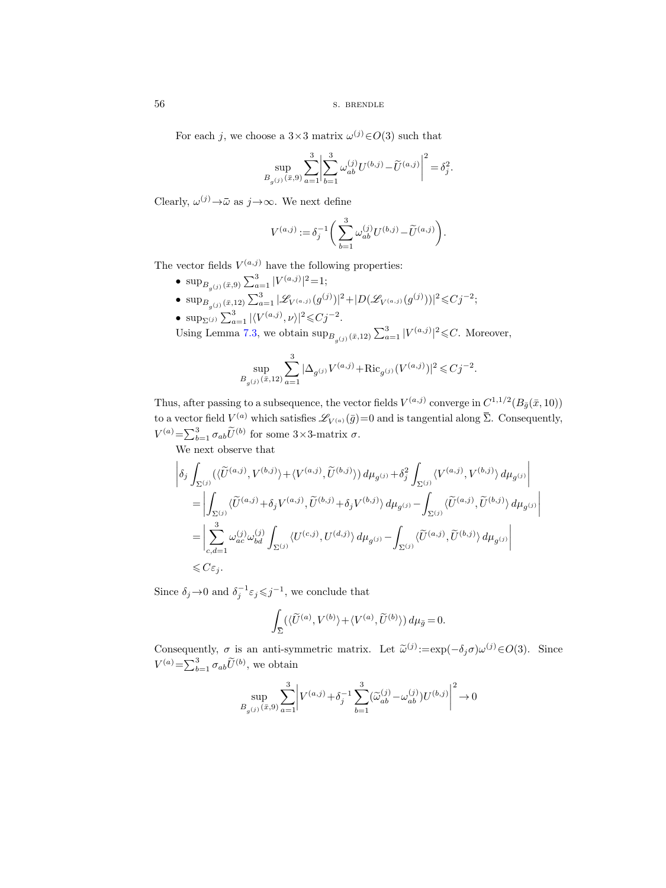56 s. BRENDLE

For each j, we choose a  $3 \times 3$  matrix  $\omega^{(j)} \in O(3)$  such that

s. BRENDLE  
ach j, we choose a 3×3 matrix 
$$
\omega^{(j)} \in O(3)
$$
 such that  

$$
\sup_{B_{g(j)}(\bar{x},9)} \sum_{a=1}^{3} \left| \sum_{b=1}^{3} \omega_{ab}^{(j)} U^{(b,j)} - \widetilde{U}^{(a,j)} \right|^2 = \delta_j^2.
$$
  
(j)  $\rightarrow \bar{\omega}$  as  $j \rightarrow \infty$ . We next define

Clearly,  $\omega^{(j)} \rightarrow \bar{\omega}$  as  $j \rightarrow \infty$ . We next define

$$
V^{(a,j)} := \delta_j^{-1} \bigg( \sum_{b=1}^3 \omega_{ab}^{(j)} U^{(b,j)} - \widetilde{U}^{(a,j)} \bigg).
$$

The vector fields  $V^{(a,j)}$  have the following properties:

- $\sup_{B_{g}(j)} (\bar{x}, 9) \sum_{a=1}^{3} |V^{(a,j)}|^{2} = 1;$ •  $\sup_{B_{g}(j)} \left( \bar{x}, 12 \right) \sum_{a=1}^{3} |\mathscr{L}_{V^{(a,j)}}(g^{(j)})|^2 + |D(\mathscr{L}_{V^{(a,j)}}(g^{(j)}))|^2 \leq C j^{-2};$
- $\sup_{\Sigma^{(j)}} \sum_{a=1}^3 |\langle V^{(a,j)}, \nu \rangle|^2 \leq C j^{-2}$ .

Using Lemma [7.3,](#page-52-2) we obtain  $\sup_{B_{g}(j)} (\bar{x}, 12) \sum_{a=1}^{3} |V^{(a,j)}|^2 \leq C$ . Moreover,

$$
\sup_{B_{g^{(j)}}(\bar x,12)} \sum_{a=1}^3 |\Delta_{g^{(j)}} V^{(a,j)} + \text{\rm Ric}_{g^{(j)}} (V^{(a,j)})|^2 \leqslant C j^{-2}.
$$

Thus, after passing to a subsequence, the vector fields  $V^{(a,j)}$  converge in  $C^{1,1/2}(B_{\bar{g}}(\bar{x},10))$ to a vector field  $V^{(a)}$  which satisfies  $\mathscr{L}_{V^{(a)}}(\bar{g})=0$  and is tangential along  $\bar{\Sigma}$ . Consequently,  $V^{(a,j)}$  have the following properties:<br>  $\sum_{a=1}^{3} |V^{(a,j)}|^2 = 1;$ <br>  $\sum_{a=1}^{3} |\mathscr{L}_{V^{(a,j)}}(g^{(j)})|^2 + |D(\mathscr{L}_{V^{(a,j)}}(g^{(j)}))|^2 \leq Cj^{-2};$ <br>  $=1 \left|\langle V^{(a,j)}, \nu \rangle\right|^2 \leq Cj^{-2}.$ <br>  $=1 \times 7.3$ , we obtain  $\sup_{B_{g^{(j)}}(\bar{x},12)} \sum_{a=1}^{3} |V^{(a$  $V^{(a)} = \sum_{b=1}^{3} \sigma_{ab} \widetilde{U}^{(b)}$  for some  $3 \times 3$ -matrix  $\sigma$ .

We next observe that

$$
\begin{split}\n&\left|\delta_j \int_{\Sigma^{(j)}} \langle \langle \widetilde{U}^{(a,j)}, V^{(b,j)} \rangle + \langle V^{(a,j)}, \widetilde{U}^{(b,j)} \rangle \right) d\mu_{g^{(j)}} + \delta_j^2 \int_{\Sigma^{(j)}} \langle V^{(a,j)}, V^{(b,j)} \rangle d\mu_{g^{(j)}} \right| \\
&= \left| \int_{\Sigma^{(j)}} \langle \widetilde{U}^{(a,j)} + \delta_j V^{(a,j)}, \widetilde{U}^{(b,j)} + \delta_j V^{(b,j)} \rangle d\mu_{g^{(j)}} - \int_{\Sigma^{(j)}} \langle \widetilde{U}^{(a,j)}, \widetilde{U}^{(b,j)} \rangle d\mu_{g^{(j)}} \right| \\
&= \left| \sum_{c,d=1}^3 \omega_{ac}^{(j)} \omega_{bd}^{(j)} \int_{\Sigma^{(j)}} \langle U^{(c,j)}, U^{(d,j)} \rangle d\mu_{g^{(j)}} - \int_{\Sigma^{(j)}} \langle \widetilde{U}^{(a,j)}, \widetilde{U}^{(b,j)} \rangle d\mu_{g^{(j)}} \right| \\
&\leq C\varepsilon_j.\n\end{split}
$$
\n  
\n2.9.9 and  $\delta_j^{-1}\varepsilon_j \leq j^{-1}$ , we conclude that  
\n
$$
\int_{\overline{\Sigma}} (\langle \widetilde{U}^{(a)}, V^{(b)} \rangle + \langle V^{(a)}, \widetilde{U}^{(b)} \rangle) d\mu_{\overline{g}} = 0.
$$

Since  $\delta_j \rightarrow 0$  and  $\delta_j^{-1} \varepsilon_j \leq j^{-1}$ , we conclude that

$$
\int_{\overline{\Sigma}} (\langle \widetilde{U}^{(a)}, V^{(b)} \rangle + \langle V^{(a)}, \widetilde{U}^{(b)} \rangle) d\mu_{\overline{g}} = 0.
$$

Consequently,  $\sigma$  is an anti-symmetric matrix. Let  $\tilde{\omega}^{(j)} := \exp(-\delta_j \sigma) \omega^{(j)} \in O(3)$ . Since  $V^{(a)} = \sum_{b=1}^{3} \sigma_{ab} \widetilde{U}^{(b)}$ , we obtain

$$
\sup_{B_{g^{(j)}}(\bar{x},9)}\sum_{a=1}^3\bigg|V^{(a,j)}+\delta_j^{-1}\sum_{b=1}^3(\widetilde{\omega}_{ab}^{(j)}-\omega_{ab}^{(j)})U^{(b,j)}\bigg|^2\to 0
$$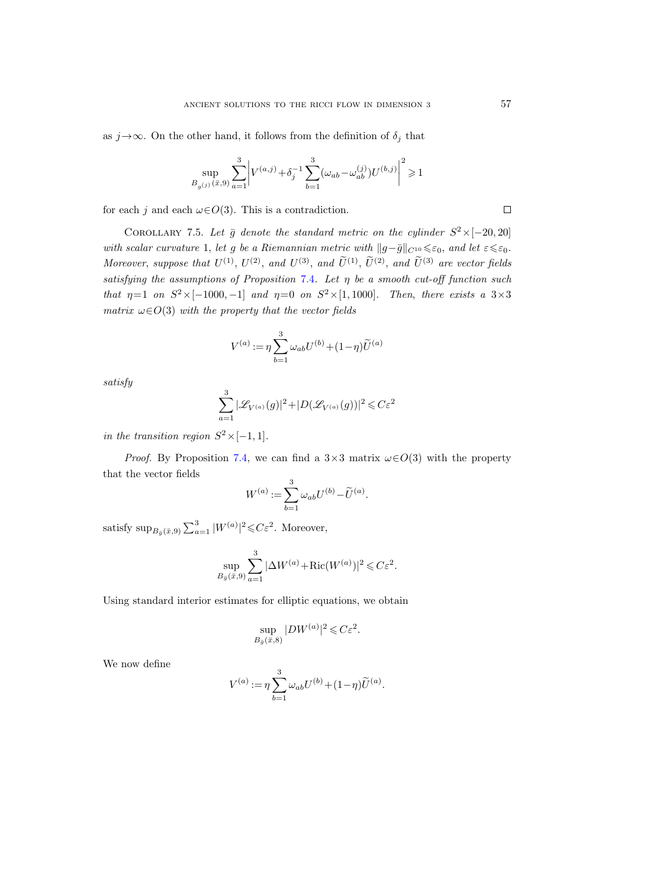as  $j \rightarrow \infty$ . On the other hand, it follows from the definition of  $\delta_j$  that

$$
\sup_{B_{g(j)}({\bar x},9)} \sum_{a=1}^3 \bigg|V^{(a,j)} + \delta_j^{-1} \sum_{b=1}^3 (\omega_{ab}-\omega_{ab}^{(j)}) U^{(b,j)}\bigg|^2 \geqslant 1
$$

for each j and each  $\omega \in O(3)$ . This is a contradiction.

<span id="page-56-0"></span>COROLLARY 7.5. Let  $\bar{g}$  denote the standard metric on the cylinder  $S^2 \times [-20, 20]$ with scalar curvature 1, let g be a Riemannian metric with  $||g-\bar{g}||_{C^{10}} \leq \varepsilon_0$ , and let  $\varepsilon \leq \varepsilon_0$ . Moreover, suppose that  $U^{(1)}$ ,  $U^{(2)}$ , and  $U^{(3)}$ , and  $\tilde{U}^{(1)}$ ,  $\tilde{U}^{(2)}$ , and  $\tilde{U}^{(3)}$  are vector fields satisfying the assumptions of Proposition [7.4](#page-53-0). Let  $\eta$  be a smooth cut-off function such that  $\eta=1$  on  $S^2\times[-1000,-1]$  and  $\eta=0$  on  $S^2\times[1,1000]$ . Then, there exists a  $3\times3$ matrix  $\omega \in O(3)$  with the property that the vector fields

$$
V^{(a)} := \eta \sum_{b=1}^3 \omega_{ab} U^{(b)} + (1-\eta) \widetilde{U}^{(a)}
$$

satisfy

$$
\sum_{a=1}^{3} |\mathcal{L}_{V^{(a)}}(g)|^2 + |D(\mathcal{L}_{V^{(a)}}(g))|^2 \leq C\varepsilon^2
$$

in the transition region  $S^2 \times [-1,1]$ .

*Proof.* By Proposition [7.4,](#page-53-0) we can find a  $3\times3$  matrix  $\omega\in O(3)$  with the property that the vector fields

$$
W^{(a)} := \sum_{b=1}^{3} \omega_{ab} U^{(b)} - \widetilde{U}^{(a)}.
$$

satisfy  $\sup_{B_{\bar{g}}(\bar{x},9)} \sum_{a=1}^{3} |W^{(a)}|^2 \leqslant C \varepsilon^2$ . Moreover,

$$
\sup_{B_{\bar{g}}(\bar{x},9)} \sum_{a=1}^{3} |\Delta W^{(a)} + \text{Ric}(W^{(a)})|^2 \leqslant C\varepsilon^2.
$$

Using standard interior estimates for elliptic equations, we obtain

$$
\sup_{B_{\bar{g}}(\bar{x}, 8)} |DW^{(a)}|^2 \leqslant C\varepsilon^2.
$$

We now define

$$
V^{(a)} := \eta \sum_{b=1}^{3} \omega_{ab} U^{(b)} + (1 - \eta) \widetilde{U}^{(a)}.
$$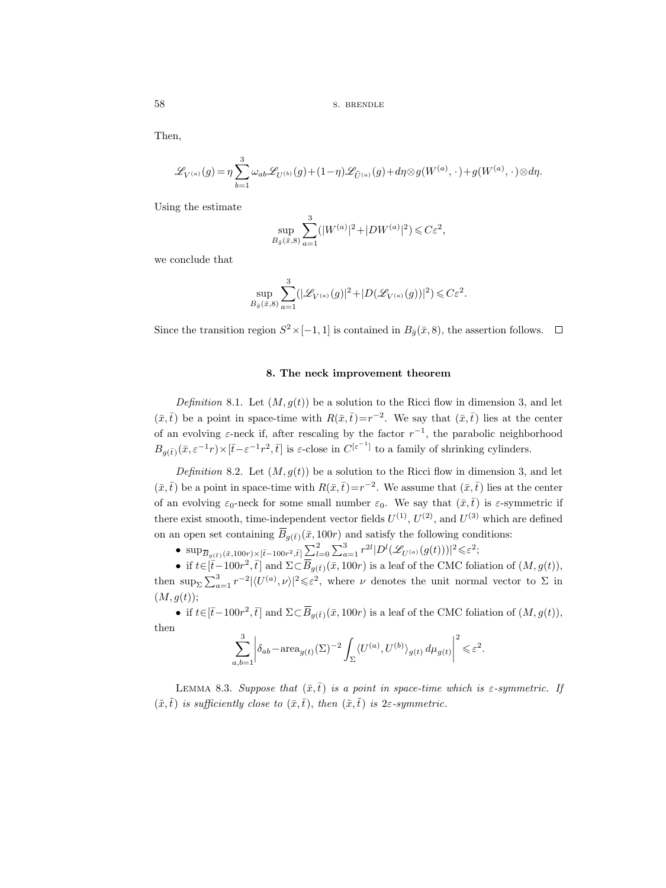Then,

$$
\mathscr{L}_{V^{(a)}}(g) = \eta \sum_{b=1}^{3} \omega_{ab} \mathscr{L}_{U^{(b)}}(g) + (1-\eta) \mathscr{L}_{\widetilde{U}^{(a)}}(g) + d\eta \otimes g(W^{(a)},\cdot) + g(W^{(a)},\cdot) \otimes d\eta.
$$

Using the estimate

$$
\sup_{B_{\bar{g}}(\bar{x}, 8)} \sum_{a=1}^{3} (|W^{(a)}|^2 + |DW^{(a)}|^2) \leq C\varepsilon^2,
$$

we conclude that

$$
\sup_{B_{\bar{g}}(\bar{x},8)} \sum_{a=1}^{3} (|\mathscr{L}_{V^{(a)}}(g)|^2 + |D(\mathscr{L}_{V^{(a)}}(g))|^2) \leqslant C\varepsilon^2.
$$

Since the transition region  $S^2 \times [-1, 1]$  is contained in  $B_{\bar{g}}(\bar{x}, 8)$ , the assertion follows.

### 8. The neck improvement theorem

<span id="page-57-0"></span>Definition 8.1. Let  $(M, g(t))$  be a solution to the Ricci flow in dimension 3, and let  $(\bar{x}, \bar{t})$  be a point in space-time with  $R(\bar{x}, \bar{t})=r^{-2}$ . We say that  $(\bar{x}, \bar{t})$  lies at the center of an evolving  $\varepsilon$ -neck if, after rescaling by the factor  $r^{-1}$ , the parabolic neighborhood  $B_{g(\bar{t})}(\bar{x}, \varepsilon^{-1} r) \times [\bar{t}-\varepsilon^{-1} r^2, \bar{t}]$  is  $\varepsilon$ -close in  $C^{[\varepsilon^{-1}]}$  to a family of shrinking cylinders.

Definition 8.2. Let  $(M, g(t))$  be a solution to the Ricci flow in dimension 3, and let  $(\bar{x}, \bar{t})$  be a point in space-time with  $R(\bar{x}, \bar{t}) = r^{-2}$ . We assume that  $(\bar{x}, \bar{t})$  lies at the center of an evolving  $\varepsilon_0$ -neck for some small number  $\varepsilon_0$ . We say that  $(\bar{x}, \bar{t})$  is  $\varepsilon$ -symmetric if there exist smooth, time-independent vector fields  $U^{(1)}$ ,  $U^{(2)}$ , and  $U^{(3)}$  which are defined **8. T**<br> **Definition 8.1.** Let  $(M, (\bar{x}, \bar{t}))$  be a point in space-tin<br>
of an evolving  $\varepsilon$ -neck if, aft<br>  $B_{g(\bar{t})}(\bar{x}, \varepsilon^{-1}r) \times [\bar{t} - \varepsilon^{-1}r^2, \bar{t}]$ <br> *Definition* 8.2. Let  $(M, (\bar{x}, \bar{t}))$  be a point in space-tim<br>
of an on an open set containing  $\overline{B}_{q(\overline{t})}(\overline{x}, 100r)$  and satisfy the following conditions: *Definition* 8.2. Let  $(M, g(t))$  be a solution to the Ricci flow in different ( $\bar{x}, \bar{t}$ ) be a point in space-time with  $R(\bar{x}, \bar{t}) = r^{-2}$ . We assume that  $(\bar{x}, \bar{t})$  is evolving  $\varepsilon_0$ -neck for some small number  $\varepsilon_0$ . *Definition* 8.1. Let  $(M, g(t))$  be a solution to the Ricci flow in dimension 3, and let<br>
) be a point in space-time with  $R(\bar{x}, \bar{t}) = r^{-2}$ . We say that  $(\bar{x}, \bar{t})$  lies at the center<br>
1 evolving  $\varepsilon$ -neck if, after rescal  $^{-1}r^2$ , *t̄*] is *ε*-cl<br>Let  $(M, g(t))$ <br>bace-time with<br>ck for some s<br>ime-independ<br>ining  $\overline{B}_{g(\overline{t})}(\overline{x})$ <br>>×[ $\overline{t}$ -100 $r^2$ ,*τ̄*]  $\sum$ <br>,*τ̄*] and Σ⊂ $\overline{B}$ <sub>;</sub><br> $|\langle U^{(a)}, \nu \rangle|^2 \leq \varepsilon$ <br>, *τ̄*] and Σ⊂ $\overline{B}$ ;

then  $\sup_{\Sigma} \sum_{a=1}^{3} r^{-2} |\langle U^{(a)}, \nu \rangle|^2 \leq \varepsilon^2$ , where  $\nu$  denotes the unit normal vector to  $\Sigma$  in  $(M, g(t));$ 

• if  $t \in [\bar{t}-100r^2, \bar{t}]$  and  $\Sigma \subset \overline{B}_{g(\bar{t})}(\bar{x}, 100r)$  is a leaf of the CMC foliation of  $(M, g(t)),$ then

$$
\sum_{a,b=1}^3 \left| \delta_{ab} - \text{area}_{g(t)}(\Sigma)^{-2} \int_{\Sigma} \langle U^{(a)}, U^{(b)} \rangle_{g(t)} d\mu_{g(t)} \right|^2 \leq \varepsilon^2.
$$

LEMMA 8.3. Suppose that  $(\bar{x}, \bar{t})$  is a point in space-time which is  $\varepsilon$ -symmetric. If  $(\tilde{x},\tilde{t})$  is sufficiently close to  $(\bar{x},\bar{t})$ , then  $(\tilde{x},\tilde{t})$  is 2 $\varepsilon$ -symmetric.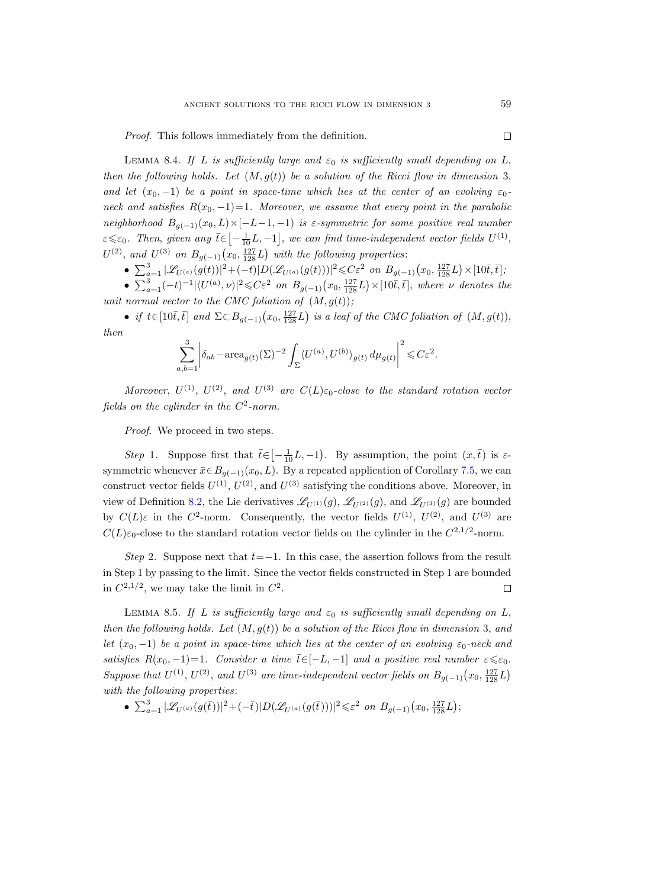Proof. This follows immediately from the definition.

<span id="page-58-0"></span>LEMMA 8.4. If L is sufficiently large and  $\varepsilon_0$  is sufficiently small depending on L, then the following holds. Let  $(M, g(t))$  be a solution of the Ricci flow in dimension 3, and let  $(x_0, -1)$  be a point in space-time which lies at the center of an evolving  $\varepsilon_0$ neck and satisfies  $R(x_0, -1)=1$ . Moreover, we assume that every point in the parabolic neighborhood  $B_{q(-1)}(x_0,L) \times [-L-1,-1]$  is  $\varepsilon$ -symmetric for some positive real number  $\varepsilon \leq \varepsilon_0$ . Then, given any  $\bar{t} \in \left[ -\frac{1}{10}L, -1 \right]$ , we can find time-independent vector fields  $U^{(1)}$ ,  $U^{(2)}$ , and  $U^{(3)}$  on  $B_{g(-1)}(x_0, \frac{127}{128}L)$  with the following properties:

- $\sum_{a=1}^{3} |\mathscr{L}_{U^{(a)}}(g(t))|^2 + (-t)|D(\mathscr{L}_{U^{(a)}}(g(t)))|^2 \leqslant C\varepsilon^2$  on  $B_{g(-1)}(x_0, \frac{127}{128}L) \times [10\overline{t}, \overline{t}];$
- $\sum_{a=1}^{3}(-t)^{-1}|\langle U^{(a)},\nu\rangle|^2 \leqslant C\varepsilon^2$  on  $B_{g(-1)}(x_0,\frac{127}{128}L)\times[10\bar{t},\bar{t}],$  where  $\nu$  denotes the unit normal vector to the CMC foliation of  $(M, g(t))$ ;

• if  $t \in [10\bar{t}, \bar{t}]$  and  $\Sigma \subset B_{g(-1)}(x_0, \frac{127}{128}L)$  is a leaf of the CMC foliation of  $(M, g(t)),$ then

$$
\sum_{a,b=1}^3 \left| \delta_{ab} - \text{area}_{g(t)}(\Sigma)^{-2} \int_{\Sigma} \langle U^{(a)}, U^{(b)} \rangle_{g(t)} d\mu_{g(t)} \right|^2 \leqslant C\varepsilon^2.
$$

Moreover,  $U^{(1)}$ ,  $U^{(2)}$ , and  $U^{(3)}$  are  $C(L)\varepsilon_0$ -close to the standard rotation vector fields on the cylinder in the  $C^2$ -norm.

Proof. We proceed in two steps.

Step 1. Suppose first that  $\bar{t} \in \left[-\frac{1}{10}L, -1\right)$ . By assumption, the point  $(\bar{x}, \bar{t})$  is  $\varepsilon$ symmetric whenever  $\bar{x} \in B_{g(-1)}(x_0, L)$ . By a repeated application of Corollary [7.5,](#page-56-0) we can construct vector fields  $U^{(1)}$ ,  $U^{(2)}$ , and  $U^{(3)}$  satisfying the conditions above. Moreover, in view of Definition [8.2,](#page-57-0) the Lie derivatives  $\mathscr{L}_{U^{(1)}}(g)$ ,  $\mathscr{L}_{U^{(2)}}(g)$ , and  $\mathscr{L}_{U^{(3)}}(g)$  are bounded by  $C(L)\varepsilon$  in the C<sup>2</sup>-norm. Consequently, the vector fields  $U^{(1)}$ ,  $U^{(2)}$ , and  $U^{(3)}$  are  $C(L)\varepsilon_0$ -close to the standard rotation vector fields on the cylinder in the  $C^{2,1/2}$ -norm.

Step 2. Suppose next that  $\bar{t}=-1$ . In this case, the assertion follows from the result in Step 1 by passing to the limit. Since the vector fields constructed in Step 1 are bounded in  $C^{2,1/2}$ , we may take the limit in  $C^2$ .  $\Box$ 

<span id="page-58-1"></span>LEMMA 8.5. If L is sufficiently large and  $\varepsilon_0$  is sufficiently small depending on L, then the following holds. Let  $(M, g(t))$  be a solution of the Ricci flow in dimension 3, and let  $(x_0, -1)$  be a point in space-time which lies at the center of an evolving  $\varepsilon_0$ -neck and satisfies  $R(x_0, -1)=1$ . Consider a time  $\bar{t} \in [-L, -1]$  and a positive real number  $\varepsilon \leq \varepsilon_0$ . Suppose that  $U^{(1)}$ ,  $U^{(2)}$ , and  $U^{(3)}$  are time-independent vector fields on  $B_{g(-1)}(x_0, \frac{127}{128}L)$ with the following properties:

•  $\sum_{a=1}^{3} |\mathscr{L}_{U^{(a)}}(g(\bar{t}))|^2 + (-\bar{t})|D(\mathscr{L}_{U^{(a)}}(g(\bar{t})))|^2 \leqslant \varepsilon^2$  on  $B_{g(-1)}(x_0, \frac{127}{128}L);$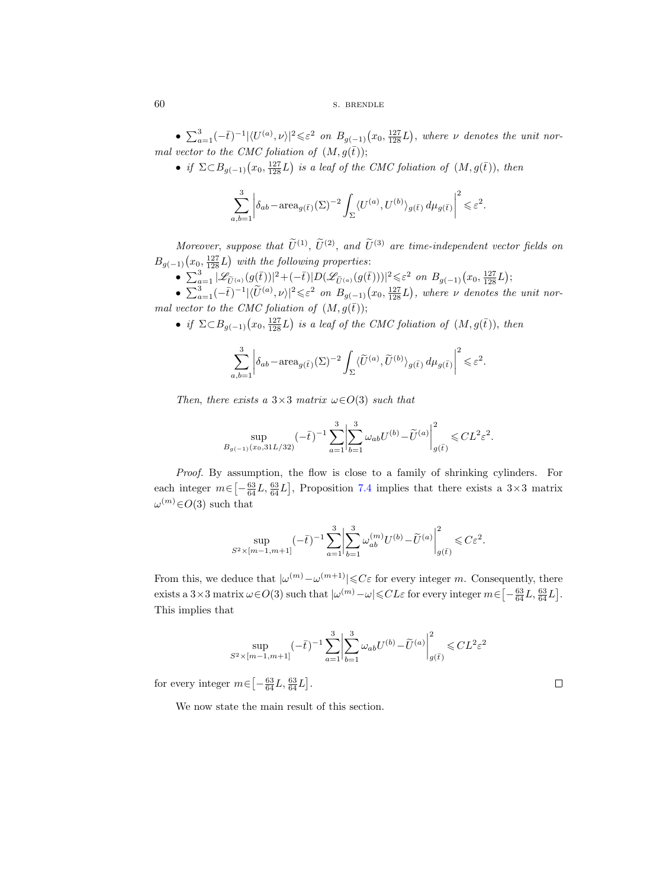•  $\sum_{a=1}^{3}(-\bar{t})^{-1}|\langle U^{(a)},\nu\rangle|^2 \leqslant \varepsilon^2$  on  $B_{g(-1)}(x_0,\frac{127}{128}L)$ , where  $\nu$  denotes the unit normal vector to the CMC foliation of  $(M, g(\bar{t}))$ ;

• if  $\Sigma \subset B_{g(-1)}(x_0, \frac{127}{128}L)$  is a leaf of the CMC foliation of  $(M, g(\overline{t}))$ , then

$$
\sum_{a,b=1}^3 \left| \delta_{ab} - \text{area}_{g(\bar{t})}(\Sigma)^{-2} \int_{\Sigma} \langle U^{(a)}, U^{(b)} \rangle_{g(\bar{t})} \, d\mu_{g(\bar{t})} \right|^2 \leq \varepsilon^2.
$$

Moreover, suppose that  $\tilde{U}^{(1)}$ ,  $\tilde{U}^{(2)}$ , and  $\tilde{U}^{(3)}$  are time-independent vector fields on  $B_{g(-1)}(x_0, \frac{127}{128}L)$  with the following properties:

•  $\sum_{a=1}^3 |\mathscr{L}_{\tilde{U}^{(a)}}(g(\bar{t}))|^2 + (-\bar{t})|D(\mathscr{L}_{\tilde{U}^{(a)}}(g(\bar{t})))|^2 \leqslant \varepsilon^2 \text{ on } B_{g(-1)}(x_0, \frac{127}{128}L);$ 

•  $\sum_{a=1}^{3}(-\bar{t})^{-1}|\langle \widetilde{U}^{(a)},\nu\rangle|^2 \leqslant \varepsilon^2$  on  $B_{g(-1)}(x_0, \frac{127}{128}L)$ , where  $\nu$  denotes the unit normal vector to the CMC foliation of  $(M, g(\bar{t}))$ ;

• if  $\Sigma \subset B_{g(-1)}(x_0, \frac{127}{128}L)$  is a leaf of the CMC foliation of  $(M, g(\overline{t}))$ , then

$$
\sum_{a,b=1}^3 \left| \delta_{ab} - \text{area}_{g(\bar{t})}(\Sigma)^{-2} \int_{\Sigma} \langle \widetilde{U}^{(a)}, \widetilde{U}^{(b)} \rangle_{g(\bar{t})} d\mu_{g(\bar{t})} \right|^2 \leq \varepsilon^2.
$$

Then, there exists a  $3\times3$  matrix  $\omega\in O(3)$  such that

$$
\sup_{B_{g(-1)}(x_0,31L/32)}(-\bar t\,)^{-1}\sum_{a=1}^3\biggl|\sum_{b=1}^3\omega_{ab}U^{(b)}-\widetilde U^{(a)}\biggr|^2_{g(\bar t)}\leqslant CL^2\varepsilon^2.
$$

Proof. By assumption, the flow is close to a family of shrinking cylinders. For each integer  $m \in \left[-\frac{63}{64}L, \frac{63}{64}L\right]$ , Proposition [7.4](#page-53-0) implies that there exists a 3×3 matrix  $\omega^{(m)}$  $\in$  O(3) such that

$$
\sup_{S^2 \times [m-1,m+1]} (-\bar t)^{-1} \sum_{a=1}^3 \biggl|\sum_{b=1}^3 \omega_{ab}^{(m)} U^{(b)} - \widetilde U^{(a)}\biggr|_{g(\bar t)}^2 \leqslant C \varepsilon^2.
$$

From this, we deduce that  $|\omega^{(m)}-\omega^{(m+1)}|\leqslant C\varepsilon$  for every integer m. Consequently, there exists a  $3 \times 3$  matrix  $\omega \in O(3)$  such that  $|\omega^{(m)} - \omega| \leq C L \varepsilon$  for every integer  $m \in \left[ -\frac{63}{64}L, \frac{63}{64}L \right]$ . This implies that

$$
\sup_{S^2 \times [m-1,m+1]} (-\bar{t})^{-1} \sum_{a=1}^3 \left| \sum_{b=1}^3 \omega_{ab} U^{(b)} - \widetilde{U}^{(a)} \right|_{g(\bar{t})}^2 \leq C L^2 \varepsilon^2
$$

for every integer  $m \in \left[ -\frac{63}{64}L, \frac{63}{64}L \right]$ .

We now state the main result of this section.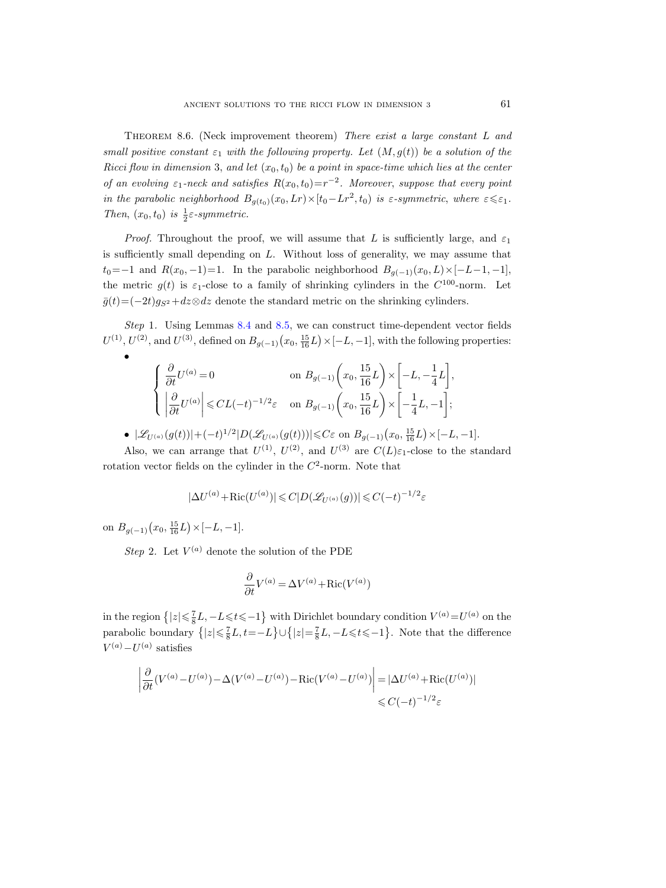Theorem 8.6. (Neck improvement theorem) There exist a large constant L and small positive constant  $\varepsilon_1$  with the following property. Let  $(M, g(t))$  be a solution of the Ricci flow in dimension 3, and let  $(x_0, t_0)$  be a point in space-time which lies at the center of an evolving  $\varepsilon_1$ -neck and satisfies  $R(x_0,t_0)=r^{-2}$ . Moreover, suppose that every point in the parabolic neighborhood  $B_{g(t_0)}(x_0, Lr) \times [t_0 - Lr^2, t_0)$  is  $\varepsilon$ -symmetric, where  $\varepsilon \leq \varepsilon_1$ . Then,  $(x_0, t_0)$  is  $\frac{1}{2} \varepsilon$ -symmetric.

*Proof.* Throughout the proof, we will assume that L is sufficiently large, and  $\varepsilon_1$ is sufficiently small depending on L. Without loss of generality, we may assume that  $t_0=-1$  and  $R(x_0,-1)=1$ . In the parabolic neighborhood  $B_{g(-1)}(x_0,L)\times[-L-1,-1],$ the metric  $g(t)$  is  $\varepsilon_1$ -close to a family of shrinking cylinders in the  $C^{100}$ -norm. Let  $\bar{g}(t)=(-2t)g_{S^2}+dz\otimes dz$  denote the standard metric on the shrinking cylinders.

Step 1. Using Lemmas [8.4](#page-58-0) and [8.5,](#page-58-1) we can construct time-dependent vector fields  $U^{(1)}$ ,  $U^{(2)}$ , and  $U^{(3)}$ , defined on  $B_{g(-1)}(x_0, \frac{15}{16}L) \times [-L, -1]$ , with the following properties:

$$
\begin{cases}\n\frac{\partial}{\partial t}U^{(a)} = 0 & \text{on } B_{g(-1)}\left(x_0, \frac{15}{16}L\right) \times \left[-L, -\frac{1}{4}L\right], \\
\left|\frac{\partial}{\partial t}U^{(a)}\right| \leqslant CL(-t)^{-1/2}\varepsilon & \text{on } B_{g(-1)}\left(x_0, \frac{15}{16}L\right) \times \left[-\frac{1}{4}L, -1\right];\n\end{cases}
$$

• 
$$
|\mathscr{L}_{U^{(a)}}(g(t))| + (-t)^{1/2} |D(\mathscr{L}_{U^{(a)}}(g(t)))| \leq C\varepsilon
$$
 on  $B_{g(-1)}(x_0, \frac{15}{16}L) \times [-L, -1]$ .

Also, we can arrange that  $U^{(1)}$ ,  $U^{(2)}$ , and  $U^{(3)}$  are  $C(L)\varepsilon_1$ -close to the standard rotation vector fields on the cylinder in the  $C^2$ -norm. Note that

$$
|\Delta U^{(a)} + \text{Ric}(U^{(a)})| \leq C|D(\mathcal{L}_{U^{(a)}}(g))| \leq C(-t)^{-1/2}\varepsilon
$$

on  $B_{g(-1)}(x_0, \frac{15}{16}L) \times [-L, -1].$ 

•

Step 2. Let  $V^{(a)}$  denote the solution of the PDE

$$
\frac{\partial}{\partial t}V^{(a)} = \Delta V^{(a)} + \text{Ric}(V^{(a)})
$$

in the region  $\{|z| \leq \frac{7}{8}L, -L \leq t \leq -1\}$  with Dirichlet boundary condition  $V^{(a)} = U^{(a)}$  on the parabolic boundary  $\{|z| \leq \frac{7}{8}L, t=-L\} \cup \{|z| = \frac{7}{8}L, -L \leq t \leq -1\}$ . Note that the difference  $V^{(a)} - U^{(a)}$  satisfies

$$
\left| \frac{\partial}{\partial t} (V^{(a)} - U^{(a)}) - \Delta (V^{(a)} - U^{(a)}) - \text{Ric}(V^{(a)} - U^{(a)}) \right| = |\Delta U^{(a)} + \text{Ric}(U^{(a)})|
$$
  

$$
\leq C(-t)^{-1/2} \varepsilon
$$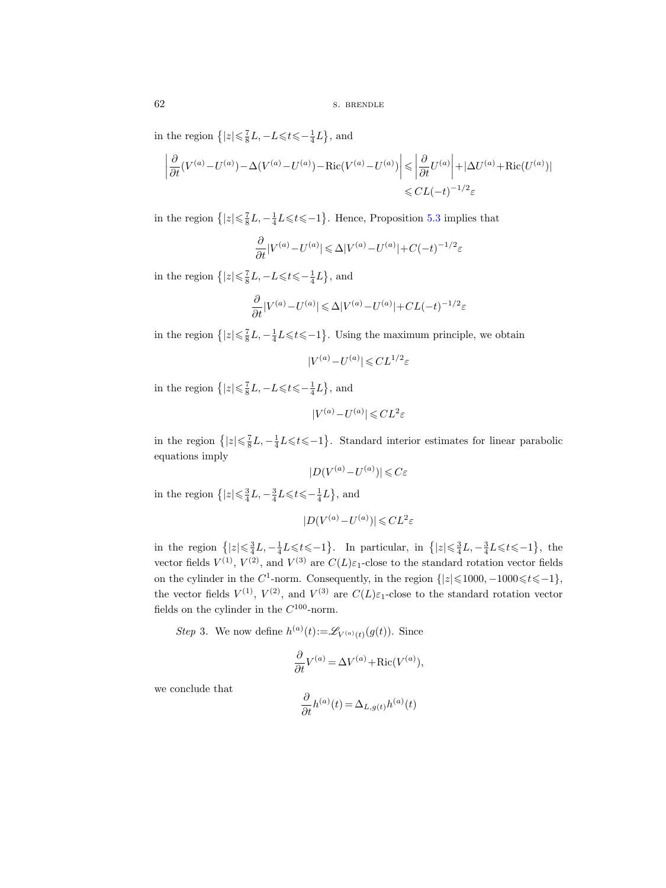62 s. BRENDLE

in the region  $\left\{ |z| \leq \frac{7}{8}L, -L \leq t \leq -\frac{1}{4}L \right\}$ , and

$$
\left| \frac{\partial}{\partial t} (V^{(a)} - U^{(a)}) - \Delta (V^{(a)} - U^{(a)}) - \text{Ric}(V^{(a)} - U^{(a)}) \right| \leq \left| \frac{\partial}{\partial t} U^{(a)} \right| + |\Delta U^{(a)} + \text{Ric}(U^{(a)})|
$$
  

$$
\leq CL(-t)^{-1/2} \varepsilon
$$

in the region  $\{|z| \leq \frac{7}{8}L, -\frac{1}{4}L \leq t \leq -1\}$ . Hence, Proposition [5.3](#page-42-0) implies that

$$
\frac{\partial}{\partial t}|V^{(a)} - U^{(a)}| \leq \Delta |V^{(a)} - U^{(a)}| + C(-t)^{-1/2}\varepsilon
$$

in the region  $\left\{ |z| \leq \frac{7}{8}L, -L \leq t \leq -\frac{1}{4}L \right\}$ , and

$$
\frac{\partial}{\partial t} |V^{(a)}-U^{(a)}| \leqslant \Delta |V^{(a)}-U^{(a)}|+CL(-t)^{-1/2}\varepsilon
$$

in the region  $\{|z| \leq \frac{7}{8}L, -\frac{1}{4}L \leq t \leq -1\}$ . Using the maximum principle, we obtain

 $|V^{(a)} - U^{(a)}| \leqslant C L^{1/2} \varepsilon$ 

in the region  $\left\{ |z| \leq \frac{7}{8}L, -L \leq t \leq -\frac{1}{4}L \right\}$ , and

$$
|V^{(a)} - U^{(a)}| \leqslant C L^2 \varepsilon
$$

in the region  $\{|z| \leq \frac{7}{8}L, -\frac{1}{4}L \leq t \leq -1\}$ . Standard interior estimates for linear parabolic equations imply

$$
|D(V^{(a)} - U^{(a)})| \leqslant C\varepsilon
$$

in the region  $\left\{ |z| \leq \frac{3}{4}L, -\frac{3}{4}L \leqslant t \leqslant -\frac{1}{4}L \right\}$ , and

$$
|D(V^{(a)} - U^{(a)})| \leqslant CL^2 \varepsilon
$$

in the region  $\{|z| \leq \frac{3}{4}L, -\frac{1}{4}L \leqslant t \leqslant -1\}$ . In particular, in  $\{|z| \leqslant \frac{3}{4}L, -\frac{3}{4}L \leqslant t \leqslant -1\}$ , the vector fields  $V^{(1)}$ ,  $V^{(2)}$ , and  $V^{(3)}$  are  $C(L)\varepsilon_1$ -close to the standard rotation vector fields on the cylinder in the C<sup>1</sup>-norm. Consequently, in the region  $\{|z| \le 1000, -1000 \le t \le -1\}$ , the vector fields  $V^{(1)}$ ,  $V^{(2)}$ , and  $V^{(3)}$  are  $C(L)\varepsilon_1$ -close to the standard rotation vector fields on the cylinder in the  $C^{100}$ -norm.

Step 3. We now define  $h^{(a)}(t) := \mathscr{L}_{V^{(a)}(t)}(g(t))$ . Since

$$
\frac{\partial}{\partial t}V^{(a)} = \Delta V^{(a)} + \text{Ric}(V^{(a)}),
$$

we conclude that

$$
\frac{\partial}{\partial t}h^{(a)}(t) = \Delta_{L,g(t)}h^{(a)}(t)
$$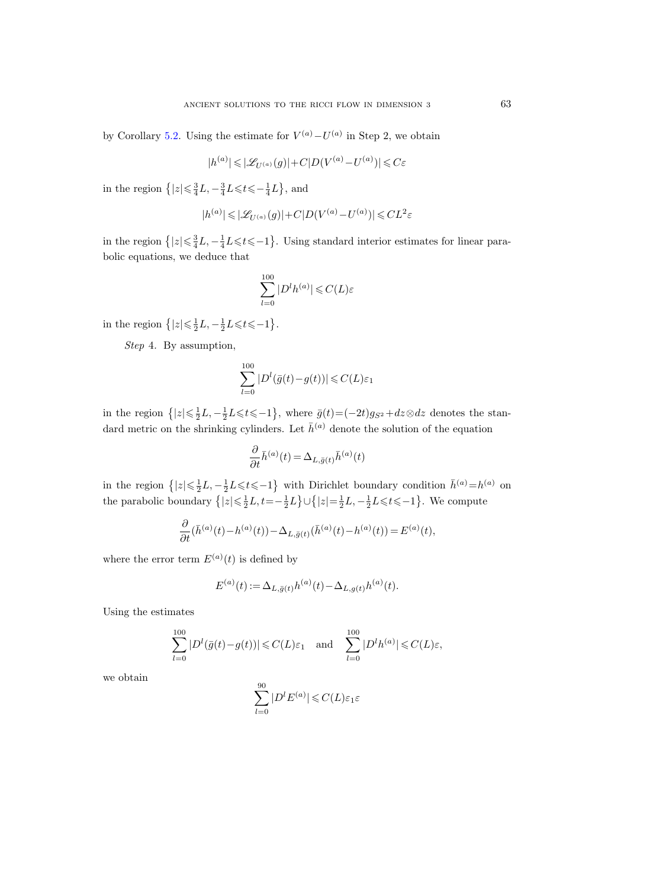by Corollary [5.2.](#page-42-1) Using the estimate for  $V^{(a)} - U^{(a)}$  in Step 2, we obtain

$$
|h^{(a)}| \leqslant |\mathscr{L}_{U^{(a)}}(g)| + C|D(V^{(a)} - U^{(a)})| \leqslant C \varepsilon
$$

in the region  $\left\{ |z| \leqslant \frac{3}{4}L, -\frac{3}{4}L \leqslant t \leqslant -\frac{1}{4}L \right\}$ , and

$$
|h^{(a)}| \leqslant |\mathscr{L}_{U^{(a)}}(g)| + C|D(V^{(a)} - U^{(a)})| \leqslant CL^2\varepsilon
$$

in the region  $\{|z| \leq \frac{3}{4}L, -\frac{1}{4}L \leq t \leq -1\}$ . Using standard interior estimates for linear parabolic equations, we deduce that

$$
\sum_{l=0}^{100} |D^l h^{(a)}| \leqslant C(L)\varepsilon
$$

in the region  $\{|z| \leq \frac{1}{2}L, -\frac{1}{2}L \leq t \leq -1\}$ .

Step 4. By assumption,

$$
\sum_{l=0}^{100} |D^l(\bar{g}(t)-g(t))| \leqslant C(L)\varepsilon_1
$$

in the region  $\{|z| \leq \frac{1}{2}L, -\frac{1}{2}L \leq t \leq -1\}$ , where  $\bar{g}(t) = (-2t)g_{S^2} + dz \otimes dz$  denotes the standard metric on the shrinking cylinders. Let  $\bar{h}^{(a)}$  denote the solution of the equation

$$
\frac{\partial}{\partial t} \bar{h}^{(a)}(t) = \Delta_{L,\bar{g}(t)} \bar{h}^{(a)}(t)
$$

in the region  $\{|z| \leq \frac{1}{2}L, -\frac{1}{2}L \leq t \leq -1\}$  with Dirichlet boundary condition  $\bar{h}^{(a)} = h^{(a)}$  on the parabolic boundary  $\{|z| \leq \frac{1}{2}L, t=-\frac{1}{2}L\} \cup \{|z| = \frac{1}{2}L, -\frac{1}{2}L \leq t \leq -1\}$ . We compute

$$
\frac{\partial}{\partial t}(\bar{h}^{(a)}(t) - h^{(a)}(t)) - \Delta_{L,\bar{g}(t)}(\bar{h}^{(a)}(t) - h^{(a)}(t)) = E^{(a)}(t),
$$

where the error term  $E^{(a)}(t)$  is defined by

$$
E^{(a)}(t) := \Delta_{L,\bar{g}(t)} h^{(a)}(t) - \Delta_{L,g(t)} h^{(a)}(t).
$$

Using the estimates

$$
\sum_{l=0}^{100} |D^l(\bar{g}(t) - g(t))| \leq C(L)\varepsilon_1 \quad \text{and} \quad \sum_{l=0}^{100} |D^l h^{(a)}| \leq C(L)\varepsilon,
$$

we obtain

$$
\sum_{l=0}^{90} |D^l E^{(a)}| \leqslant C(L)\varepsilon_1 \varepsilon
$$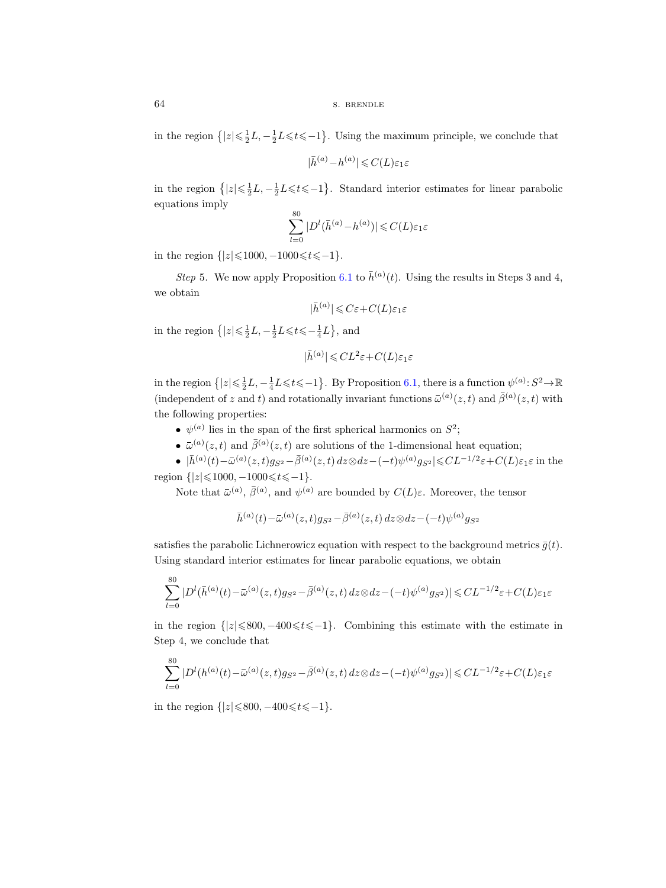64 s. BRENDLE

in the region  $\{|z| \leq \frac{1}{2}L, -\frac{1}{2}L \leq t \leq -1\}$ . Using the maximum principle, we conclude that

$$
|\bar h^{(a)}-h^{(a)}|\leqslant C(L)\varepsilon_1\varepsilon
$$

in the region  $\{|z| \leq \frac{1}{2}L, -\frac{1}{2}L \leq t \leq -1\}$ . Standard interior estimates for linear parabolic equations imply

$$
\sum_{l=0}^{80} |D^l(\bar{h}^{(a)} - h^{(a)})| \leqslant C(L)\varepsilon_1\varepsilon
$$

in the region  $\{|z| \le 1000, -1000 \le t \le -1\}.$ 

Step 5. We now apply Proposition [6.1](#page-43-0) to  $\bar{h}^{(a)}(t)$ . Using the results in Steps 3 and 4, we obtain

$$
|\bar h^{(a)}| \leqslant C\varepsilon + C(L)\varepsilon_1\varepsilon
$$

in the region  $\left\{ |z| \leq \frac{1}{2}L, -\frac{1}{2}L \leq t \leq -\frac{1}{4}L \right\}$ , and

$$
|\bar{h}^{(a)}| \leqslant CL^2\varepsilon + C(L)\varepsilon_1\varepsilon
$$

in the region  $\{|z| \leq \frac{1}{2}L, -\frac{1}{4}L \leqslant t \leqslant -1\}$ . By Proposition [6.1,](#page-43-0) there is a function  $\psi^{(a)}: S^2 \to \mathbb{R}$ (i.e. the independent of  $z$  and t) and rotationally invariant functions  $\bar{\mu}$ <br>
(i.e.  $\bar{h}^{(a)}(t)$ ). Using the solution<br>  $|\bar{h}^{(a)}| \leqslant C\varepsilon + C(L)\varepsilon_1\varepsilon$ <br>
in the region  $\{|z| \leqslant \frac{1}{2}L, -\frac{1}{2}L \leqslant t \leqslant -\frac{1}{4}$  $\bar{a}(a)(z,t)$  and  $\bar{\beta}^{(a)}(z,t)$  with the following properties:  $Step$ <br>btai<br>e re<br>e re<br>e re<br>e per<br>o lo<br> $\bullet$   $\psi$ (the same of  $\{ |z| \}$ <br>
(the same of  $z$ )<br>
(the same of  $z$ )<br>
(t) -  $\bar{\omega}$ e region  $\{|z\>$ <br>
e region  $\{|z|\>$ <br>
ependent of .<br>
ollowing proverse i<br>  $\psi^{(a)}$  lies i<br>  $\bar{\psi}^{(a)}(z,t)$ <br>
o  $|\bar{h}^{(a)}(t) - \bar{h}^{(a)}(t)|$ <br>
m  $\{|z| \leq 1000$ <br>
Note that  $\bar{\omega}$  $, -\frac{1}{4}L$ <br>  $t)$  and<br>
es:<br>
span<br>  $\bar{g}^{(a)}(z,$ <br>  $z, t)g_{S^2}$ <br>  $(0, 0, \text{at})$ <br>  $(t) -\bar{\omega}$ 

- $\psi^{(a)}$  lies in the span of the first spherical harmonics on  $S^2$ ;
- $^{(a)}(z,t)$  and  $\bar{\beta}^{(a)}(z,t)$  are solutions of the 1-dimensional heat equation;

•  $|\bar{h}^{(a)}(t) - \bar{\omega}^{(a)}(z, t)g_{S^2} - \bar{\beta}^{(a)}(z, t) dz \otimes dz - (-t)\psi^{(a)}g_{S^2}| \leqslant CL^{-1/2}\varepsilon + C(L)\varepsilon_1\varepsilon$  in the region  $\{|z| \le 1000, -1000 \le t \le -1\}.$ (the signal signal signal signal signal signal signal signal signal signal signal signal signal signal signal signal signal signal signal signal signal signal signal signal signal signal signal signal signal signal signal

(a),  $\bar{\beta}^{(a)}$ , and  $\psi^{(a)}$  are bounded by  $C(L)\varepsilon$ . Moreover, the tensor

$$
\bar h^{(a)}(t) - \bar \omega^{(a)}(z,t) g_{S^2} - \bar \beta^{(a)}(z,t) \, dz \otimes dz - (-t) \psi^{(a)} g_{S^2}
$$

satisfies the parabolic Lichnerowicz equation with respect to the background metrics  $\bar{g}(t)$ . Using standard interior estimates for linear parabolic equations, we obtain

$$
\bar{h}^{(a)}(t) - \bar{\omega}^{(a)}(z, t) g_{S^2} - \bar{\beta}^{(a)}(z, t) dz \otimes dz - (-t)\psi^{(a)}g_{S^2}
$$
  
tisfies the parabolic Lieherowicz equation with respect to the background metrics  $\bar{g}$ (  
sing standard interior estimates for linear parabolic equations, we obtain  

$$
\sum_{l=0}^{80} |D^l(\bar{h}^{(a)}(t) - \bar{\omega}^{(a)}(z, t)g_{S^2} - \bar{\beta}^{(a)}(z, t) dz \otimes dz - (-t)\psi^{(a)}g_{S^2})| \leq CL^{-1/2}\varepsilon + C(L)\varepsilon_1\varepsilon
$$
  
the region  $\{|z| \leq 800, -400 \leq t \leq -1\}$ . Combining this estimate with the estimate  
rep 4, we conclude that  

$$
\sum_{l=0}^{80} |D^l(h^{(a)}(t) - \bar{\omega}^{(a)}(z, t)g_{S^2} - \bar{\beta}^{(a)}(z, t) dz \otimes dz - (-t)\psi^{(a)}g_{S^2})| \leq CL^{-1/2}\varepsilon + C(L)\varepsilon_1\varepsilon
$$

in the region  $\{|z|\leq 800, -400\leq t\leq -1\}$ . Combining this estimate with the estimate in Step 4, we conclude that

$$
\sum_{l=0}^{80} |D^l(h^{(a)}(t) - \bar{\omega}^{(a)}(z, t)g_{S^2} - \bar{\beta}^{(a)}(z, t) dz \otimes dz - (-t)\psi^{(a)}g_{S^2})| \leq CL^{-1/2}\varepsilon + C(L)\varepsilon_1\varepsilon
$$

in the region  $\{|z| \le 800, -400 \le t \le -1\}.$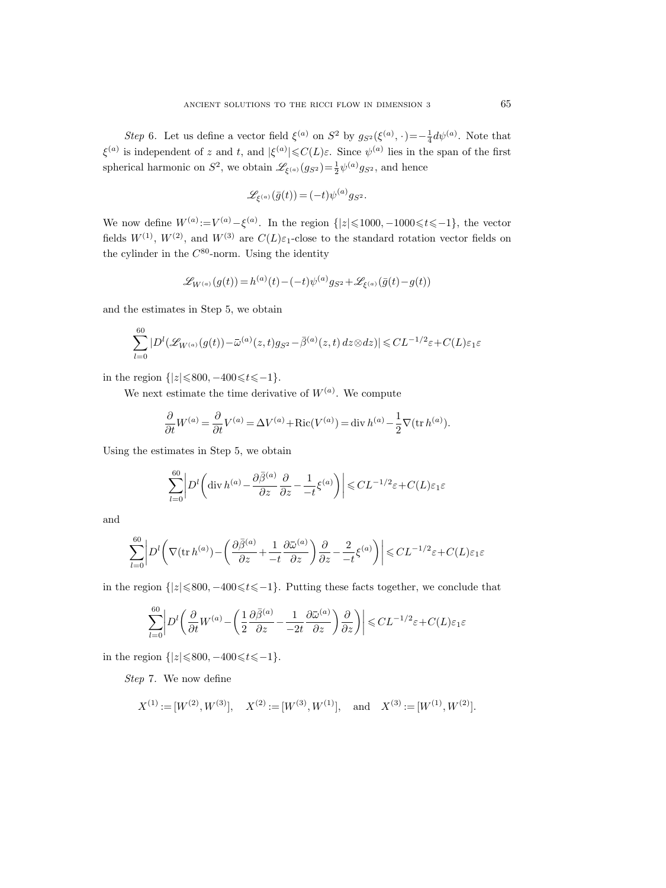Step 6. Let us define a vector field  $\xi^{(a)}$  on  $S^2$  by  $g_{S^2}(\xi^{(a)},\cdot)=-\frac{1}{4}d\psi^{(a)}$ . Note that  $\xi^{(a)}$  is independent of z and t, and  $|\xi^{(a)}| \leq C(L)\varepsilon$ . Since  $\psi^{(a)}$  lies in the span of the first spherical harmonic on  $S^2$ , we obtain  $\mathscr{L}_{\xi^{(a)}}(g_{S^2}) = \frac{1}{2} \psi^{(a)} g_{S^2}$ , and hence

$$
\mathscr{L}_{\xi^{(a)}}(\bar{g}(t)) = (-t)\psi^{(a)}g_{S^2}.
$$

We now define  $W^{(a)} := V^{(a)} - \xi^{(a)}$ . In the region  $\{|z| \leq 1000, -1000 \leq t \leq -1\}$ , the vector fields  $W^{(1)}$ ,  $W^{(2)}$ , and  $W^{(3)}$  are  $C(L)\varepsilon_1$ -close to the standard rotation vector fields on the cylinder in the  $C^{80}$ -norm. Using the identity (LW(a) :=  $V^{(a)}$  =  $V^{(a)}$  =  $V^{(2)}$ , and  $W^{(3)}$  :<br>
n the  $C^{80}$ -norm.<br>  $\mathscr{L}_{W^{(a)}}(g(t))$ <br>
ates in Step 5, v<br>  $(\mathscr{L}_{W^{(a)}}(g(t))-\bar{\omega})$ 

$$
\mathscr{L}_{W^{(a)}}(g(t))\,{=}\,h^{(a)}(t){-}(-t)\psi^{(a)}g_{S^2}\,{+}\,\mathscr{L}_{\xi^{(a)}}(\bar g(t){-}g(t))
$$

and the estimates in Step 5, we obtain

$$
\sum_{l=0}^{60} |D^l(\mathscr{L}_{W^{(a)}}(g(t)) - \bar{\omega}^{(a)}(z,t)g_{S^2} - \bar{\beta}^{(a)}(z,t) dz \otimes dz)| \leq CL^{-1/2}\varepsilon + C(L)\varepsilon_1\varepsilon
$$

in the region  $\{|z| \le 800, -400 \le t \le -1\}.$ 

We next estimate the time derivative of  $W^{(a)}$ . We compute

$$
\frac{\partial}{\partial t}W^{(a)} = \frac{\partial}{\partial t}V^{(a)} = \Delta V^{(a)} + \text{Ric}(V^{(a)}) = \text{div } h^{(a)} - \frac{1}{2}\nabla(\text{tr } h^{(a)}).
$$

Using the estimates in Step 5, we obtain

$$
|z| \le 800, -400 \le t \le -1\}.
$$
  
\nestimate the time derivative of  $W^{(a)}$ . We compute  
\n
$$
\frac{\partial}{\partial t} W^{(a)} = \frac{\partial}{\partial t} V^{(a)} = \Delta V^{(a)} + \text{Ric}(V^{(a)}) = \text{div } h^{(a)} - \frac{1}{2} \nabla (\text{tr } h^{(a)})
$$
  
\nmates in Step 5, we obtain  
\n
$$
\sum_{l=0}^{60} \left| D^l \left( \text{div } h^{(a)} - \frac{\partial \bar{\beta}^{(a)}}{\partial z} \frac{\partial}{\partial z} - \frac{1}{-t} \xi^{(a)} \right) \right| \le CL^{-1/2} \varepsilon + C(L) \varepsilon_1 \varepsilon
$$

and

the estimates in Step 5, we obtain  
\n
$$
\sum_{l=0}^{60} \left| D^l \left( \text{div } h^{(a)} - \frac{\partial \bar{\beta}^{(a)}}{\partial z} \frac{\partial}{\partial z} - \frac{1}{-t} \xi^{(a)} \right) \right| \leq CL^{-1/2} \varepsilon + C(L) \varepsilon_1 \varepsilon
$$
\n
$$
\sum_{l=0}^{60} \left| D^l \left( \nabla (\text{tr } h^{(a)}) - \left( \frac{\partial \bar{\beta}^{(a)}}{\partial z} + \frac{1}{-t} \frac{\partial \bar{\omega}^{(a)}}{\partial z} \right) \frac{\partial}{\partial z} - \frac{2}{-t} \xi^{(a)} \right) \right| \leq CL^{-1/2} \varepsilon + C(L) \varepsilon_1 \varepsilon
$$
\nregion {|z|<800, -400 $\leq t \leq -1}$  Putting these facts together, we conclude t

in the region  $\{|z|\leqslant 800, -400 \leqslant t \leqslant -1\}$ . Putting these facts together, we conclude that

$$
\sum_{l=0}^{60} \left| D^l \left( \frac{\partial}{\partial t} W^{(a)} - \left( \frac{1}{2} \frac{\partial \bar{\beta}^{(a)}}{\partial z} - \frac{1}{2t} \frac{\partial \bar{\omega}^{(a)}}{\partial z} \right) \frac{\partial}{\partial z} \right) \right| \leqslant CL^{-1/2} \varepsilon + C(L)\varepsilon_1 \varepsilon
$$

in the region  $\{|z| \le 800, -400 \le t \le -1\}.$ 

Step 7. We now define

$$
X^{(1)}\hspace{-1.5pt}:=\hspace{-1.5pt}[W^{(2)},W^{(3)}],\quad X^{(2)}\hspace{-1.5pt}:=\hspace{-1.5pt}[W^{(3)},W^{(1)}],\quad\text{and}\quad X^{(3)}\hspace{-1.5pt}:=\hspace{-1.5pt}[W^{(1)},W^{(2)}].
$$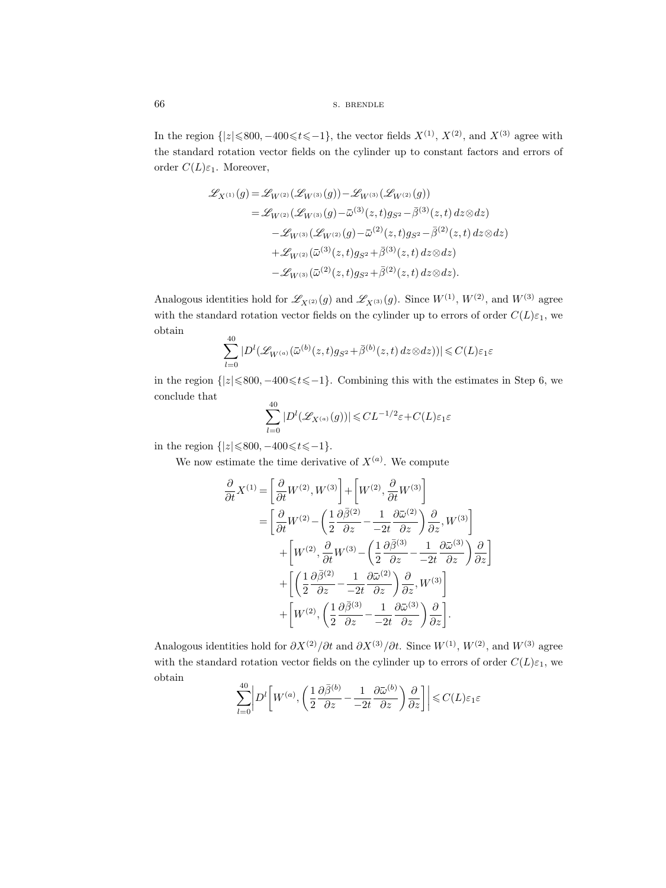In the region  $\{|z| \le 800, -400 \le t \le -1\}$ , the vector fields  $X^{(1)}$ ,  $X^{(2)}$ , and  $X^{(3)}$  agree with the standard rotation vector fields on the cylinder up to constant factors and errors of order  $C(L)\varepsilon_1$ . Moreover, S. Bl<br>
00, -400 ≤ t ≤ -1}, the<br>
n vector fields on the<br>
wer,<br>
=  $\mathcal{L}_{W^{(2)}}(\mathcal{L}_{W^{(3)}}(g))$  - .<br>
=  $\mathcal{L}_{W^{(2)}}(\mathcal{L}_{W^{(3)}}(g) - \bar{\omega})$ 

s. BRENDE  
\nn 
$$
\{|z| \le 800, -400 \le t \le -1\}
$$
, the vector fields  $X^{(1)}$ ,  $X^{(2)}$ , and  $X^{(3)}$   
\nd rotation vector fields on the cylinder up to constant factors an  
\n
$$
\mathscr{L}_{X^{(1)}}(g) = \mathscr{L}_{W^{(2)}}(\mathscr{L}_{W^{(3)}}(g)) - \mathscr{L}_{W^{(3)}}(\mathscr{L}_{W^{(2)}}(g))
$$
\n
$$
= \mathscr{L}_{W^{(2)}}(\mathscr{L}_{W^{(3)}}(g) - \bar{\omega}^{(3)}(z, t) g_{S^2} - \bar{\beta}^{(3)}(z, t) dz \otimes dz)
$$
\n
$$
- \mathscr{L}_{W^{(3)}}(\mathscr{L}_{W^{(2)}}(g) - \bar{\omega}^{(2)}(z, t) g_{S^2} - \bar{\beta}^{(2)}(z, t) dz \otimes dz)
$$
\n
$$
+ \mathscr{L}_{W^{(2)}}(\bar{\omega}^{(3)}(z, t) g_{S^2} + \bar{\beta}^{(3)}(z, t) dz \otimes dz).
$$
\ndentities hold for  $\mathscr{L}_{X^{(2)}}(g)$  and  $\mathscr{L}_{X^{(3)}}(g)$ . Since  $W^{(1)}$ ,  $W^{(2)}$ , and  
\nandard rotation vector fields on the cylinder up to errors of order  
\n
$$
\sum_{i=1}^{40} |D^l(\mathscr{L}_{W^{(a)}}(\bar{\omega}^{(b)}(z, t) g_{S^2} + \bar{\beta}^{(b)}(z, t) dz \otimes dz))| \le C(L)\varepsilon_1 \varepsilon
$$

Analogous identities hold for  $\mathscr{L}_{X^{(2)}}(g)$  and  $\mathscr{L}_{X^{(3)}}(g)$ . Since  $W^{(1)}$ ,  $W^{(2)}$ , and  $W^{(3)}$  agree with the standard rotation vector fields on the cylinder up to errors of order  $C(L)\varepsilon_1$ , we obtain

$$
\sum_{l=0}^{40} |D^l(\mathscr{L}_{W^{(a)}}(\bar{\omega}^{(b)}(z,t)g_{S^2}+\bar{\beta}^{(b)}(z,t) dz \otimes dz))| \leq C(L)\varepsilon_1\varepsilon
$$

in the region  $\{|z| \le 800, -400 \le t \le -1\}$ . Combining this with the estimates in Step 6, we conclude that  $40$ 

$$
\sum_{l=0}^{40} |D^l(\mathscr{L}_{X^{(a)}}(g))| \leqslant CL^{-1/2}\varepsilon + C(L)\varepsilon_1\varepsilon
$$

in the region  $\{|z| \le 800, -400 \le t \le -1\}.$ 

We now estimate the time derivative of  $X^{(a)}$ . We compute

$$
\sum_{l=0} |D^{l}(\mathcal{L}_{W^{(a)}}(\bar{\omega}^{(b)}(z,t)g_{S^2} + \bar{\beta}^{(b)}(z,t) dz \otimes dz))| \leq C(L)\varepsilon_1\varepsilon
$$
  
\n
$$
z| \leq 800, -400 \leq t \leq -1 \}.
$$
 Combining this with the estimate  
\n
$$
\sum_{l=0}^{40} |D^{l}(\mathcal{L}_{X^{(a)}}(g))| \leq CL^{-1/2}\varepsilon + C(L)\varepsilon_1\varepsilon
$$
  
\n
$$
z| \leq 800, -400 \leq t \leq -1 \}.
$$
  
\ntime the time derivative of  $X^{(a)}$ . We compute  
\n
$$
\frac{\partial}{\partial t} X^{(1)} = \left[\frac{\partial}{\partial t}W^{(2)}, W^{(3)}\right] + \left[W^{(2)}, \frac{\partial}{\partial t}W^{(3)}\right]
$$
  
\n
$$
= \left[\frac{\partial}{\partial t}W^{(2)} - \left(\frac{1}{2}\frac{\partial \bar{\beta}^{(2)}}{\partial z} - \frac{1}{2t}\frac{\partial \bar{\alpha}^{(2)}}{\partial z}\right)\frac{\partial}{\partial z}, W^{(3)}\right]
$$
  
\n
$$
+ \left[W^{(2)}, \frac{\partial}{\partial t}W^{(3)} - \left(\frac{1}{2}\frac{\partial \bar{\beta}^{(3)}}{\partial z} - \frac{1}{2t}\frac{\partial \bar{\alpha}^{(3)}}{\partial z}\right)\frac{\partial}{\partial z}\right]
$$
  
\n
$$
+ \left[W^{(2)}, \left(\frac{1}{2}\frac{\partial \bar{\beta}^{(3)}}{\partial z} - \frac{1}{2t}\frac{\partial \bar{\alpha}^{(3)}}{\partial z}\right)\frac{\partial}{\partial z}\right].
$$
  
\nstities hold for  $\partial X^{(2)}/\partial t$  and  $\partial X^{(3)}/\partial t$ . Since  $W^{(1)}, W^{(2)},$   
\nand rotation vector fields on the cylinder up to errors of or  
\n
$$
\sum_{l=0}^{40} |\nabla f_{W^{(a)}}(1 \partial \bar{\beta}^{(b)} - 1 \partial \bar{\omega}^{(b)}) \partial] | \leq C(L)
$$

Analogous identities hold for  $\partial X^{(2)}/\partial t$  and  $\partial X^{(3)}/\partial t$ . Since  $W^{(1)}$ ,  $W^{(2)}$ , and  $W^{(3)}$  agree with the standard rotation vector fields on the cylinder up to errors of order  $C(L)\varepsilon_1$ , we obtain

$$
\sum_{l=0}^{40} \left| D^l \left[ W^{(a)}, \left( \frac{1}{2} \frac{\partial \bar{\beta}^{(b)}}{\partial z} - \frac{1}{-2t} \frac{\partial \bar{\omega}^{(b)}}{\partial z} \right) \frac{\partial}{\partial z} \right] \right| \leqslant C(L)\varepsilon_1\varepsilon
$$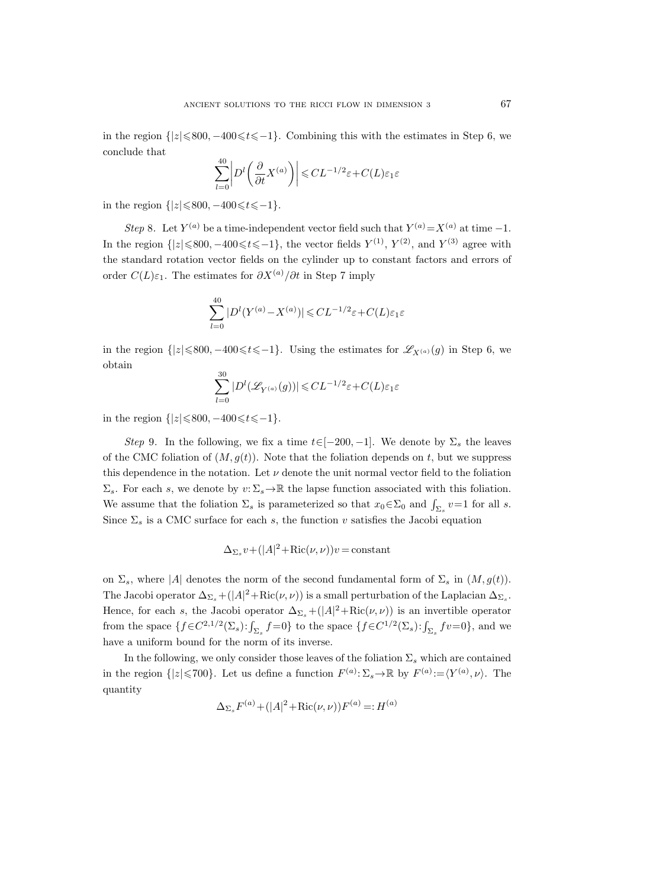in the region  $\{|z|\leq 800, -400\leq t\leq -1\}$ . Combining this with the estimates in Step 6, we conclude that

$$
\sum_{l=0}^{40} \left| D^l \left( \frac{\partial}{\partial t} X^{(a)} \right) \right| \leqslant CL^{-1/2} \varepsilon + C(L)\varepsilon_1 \varepsilon
$$

in the region  $\{|z| \le 800, -400 \le t \le -1\}.$ 

Step 8. Let  $Y^{(a)}$  be a time-independent vector field such that  $Y^{(a)} = X^{(a)}$  at time -1. In the region  $\{|z| \le 800, -400 \le t \le -1\}$ , the vector fields  $Y^{(1)}$ ,  $Y^{(2)}$ , and  $Y^{(3)}$  agree with the standard rotation vector fields on the cylinder up to constant factors and errors of order  $C(L)\varepsilon_1$ . The estimates for  $\partial X^{(a)}/\partial t$  in Step 7 imply

$$
\sum_{l=0}^{40}|D^l(Y^{(a)}-X^{(a)})|\leqslant CL^{-1/2}\varepsilon+C(L)\varepsilon_1\varepsilon
$$

in the region  $\{|z|\leqslant 800, -400\leqslant t\leqslant -1\}$ . Using the estimates for  $\mathscr{L}_{X^{(a)}}(g)$  in Step 6, we obtain

$$
\sum_{l=0}^{30} |D^l(\mathcal{L}_{Y^{(a)}}(g))| \leq CL^{-1/2} \varepsilon + C(L)\varepsilon_1\varepsilon
$$

in the region  $\{|z| \le 800, -400 \le t \le -1\}.$ 

Step 9. In the following, we fix a time  $t \in [-200, -1]$ . We denote by  $\Sigma_s$  the leaves of the CMC foliation of  $(M, g(t))$ . Note that the foliation depends on t, but we suppress this dependence in the notation. Let  $\nu$  denote the unit normal vector field to the foliation  $\Sigma_s$ . For each s, we denote by  $v: \Sigma_s \to \mathbb{R}$  the lapse function associated with this foliation. We assume that the foliation  $\Sigma_s$  is parameterized so that  $x_0 \in \Sigma_0$  and  $\int_{\Sigma_s} v = 1$  for all s. Since  $\Sigma_s$  is a CMC surface for each s, the function v satisfies the Jacobi equation

$$
\Delta_{\Sigma_s} v + (|A|^2 + \text{Ric}(\nu, \nu))v = \text{constant}
$$

on  $\Sigma_s$ , where |A| denotes the norm of the second fundamental form of  $\Sigma_s$  in  $(M, g(t))$ . The Jacobi operator  $\Delta_{\Sigma_s} + (|A|^2 + \text{Ric}(\nu, \nu))$  is a small perturbation of the Laplacian  $\Delta_{\Sigma_s}$ . Hence, for each s, the Jacobi operator  $\Delta_{\Sigma_s} + (|A|^2 + \text{Ric}(\nu, \nu))$  is an invertible operator from the space  $\{f \in C^{2,1/2}(\Sigma_s): \int_{\Sigma_s} f = 0\}$  to the space  $\{f \in C^{1/2}(\Sigma_s): \int_{\Sigma_s} fv = 0\}$ , and we have a uniform bound for the norm of its inverse.

In the following, we only consider those leaves of the foliation  $\Sigma_s$  which are contained in the region  $\{|z| \leq 700\}$ . Let us define a function  $F^{(a)} \colon \Sigma_s \to \mathbb{R}$  by  $F^{(a)} := \langle Y^{(a)}, \nu \rangle$ . The quantity

$$
\Delta_{\Sigma_s} F^{(a)} + (|A|^2 + \text{Ric}(\nu, \nu)) F^{(a)} =: H^{(a)}
$$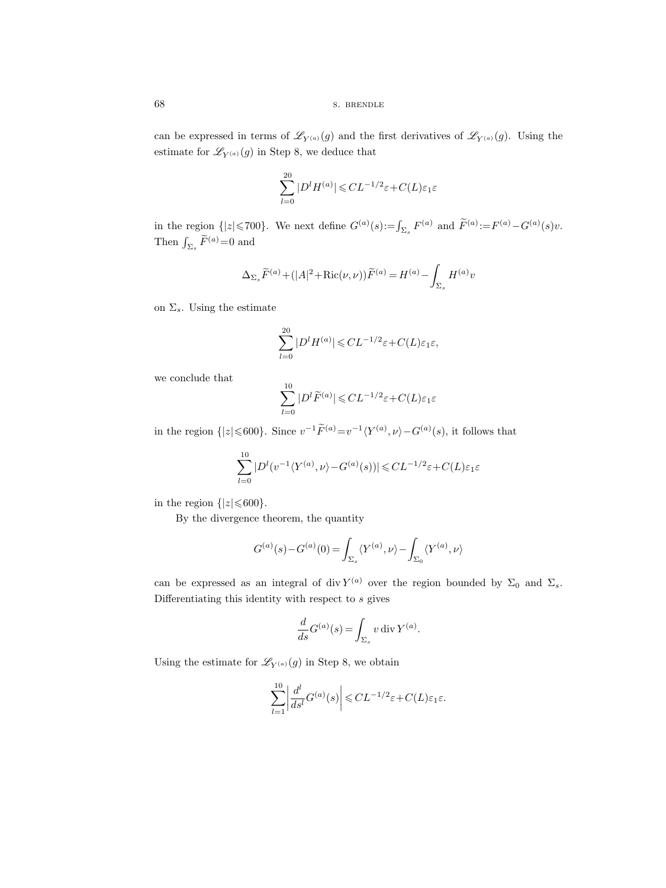can be expressed in terms of  $\mathscr{L}_{Y^{(a)}}(g)$  and the first derivatives of  $\mathscr{L}_{Y^{(a)}}(g)$ . Using the estimate for  $\mathscr{L}_{Y^{(a)}}(g)$  in Step 8, we deduce that

$$
\sum_{l=0}^{20} |D^l H^{(a)}| \leqslant CL^{-1/2} \varepsilon + C(L)\varepsilon_1 \varepsilon
$$

in the region  $\{|z| \leq 700\}$ . We next define  $G^{(a)}(s) := \int_{\Sigma_s} F^{(a)}$  and  $\widetilde{F}^{(a)} := F^{(a)} - G^{(a)}(s)v$ . Then  $\int_{\Sigma_s} \widetilde{F}^{(a)} = 0$  and

$$
\Delta_{\Sigma_s} \widetilde{F}^{(a)} + (|A|^2 + \text{Ric}(\nu, \nu)) \widetilde{F}^{(a)} = H^{(a)} - \int_{\Sigma_s} H^{(a)} \nu
$$

on  $\Sigma_s$ . Using the estimate

$$
\sum_{l=0}^{20} |D^l H^{(a)}| \leqslant CL^{-1/2} \varepsilon + C(L)\varepsilon_1 \varepsilon,
$$

we conclude that

$$
\sum_{l=0}^{10} |D^l \widetilde{F}^{(a)}| \leqslant CL^{-1/2} \varepsilon + C(L)\varepsilon_1 \varepsilon
$$

in the region  $\{|z| \le 600\}$ . Since  $v^{-1}\widetilde{F}^{(a)} = v^{-1}\langle Y^{(a)}, \nu \rangle - G^{(a)}(s)$ , it follows that

$$
\sum_{l=0}^{10} |D^l(v^{-1} \langle Y^{(a)}, \nu \rangle -G^{(a)}(s))| \leqslant CL^{-1/2} \varepsilon + C(L)\varepsilon_1\varepsilon
$$

in the region  $\{|z| \leq 600\}$ .

By the divergence theorem, the quantity

$$
G^{(a)}(s) - G^{(a)}(0) = \int_{\Sigma_s} \langle Y^{(a)}, \nu \rangle - \int_{\Sigma_0} \langle Y^{(a)}, \nu \rangle
$$

can be expressed as an integral of div  $Y^{(a)}$  over the region bounded by  $\Sigma_0$  and  $\Sigma_s$ . Differentiating this identity with respect to  $s$  gives

$$
\frac{d}{ds}G^{(a)}(s) = \int_{\Sigma_s} v \operatorname{div} Y^{(a)}.
$$

Using the estimate for  $\mathscr{L}_{Y^{(a)}}(g)$  in Step 8, we obtain

$$
\sum_{l=1}^{10} \left| \frac{d^l}{ds^l} G^{(a)}(s) \right| \leq CL^{-1/2} \varepsilon + C(L)\varepsilon_1 \varepsilon.
$$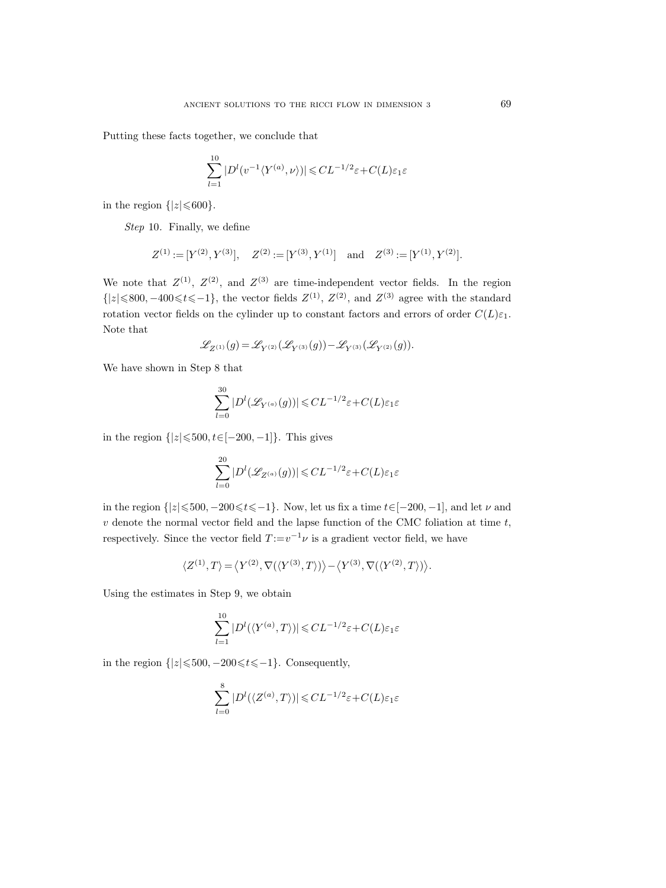Putting these facts together, we conclude that

$$
\sum_{l=1}^{10} |D^l(v^{-1} \langle Y^{(a)}, \nu \rangle)| \leqslant CL^{-1/2} \varepsilon + C(L)\varepsilon_1 \varepsilon
$$

in the region  $\{|z| \leq 600\}$ .

Step 10. Finally, we define

$$
Z^{(1)} := [Y^{(2)}, Y^{(3)}], \quad Z^{(2)} := [Y^{(3)}, Y^{(1)}] \quad \text{and} \quad Z^{(3)} := [Y^{(1)}, Y^{(2)}].
$$

We note that  $Z^{(1)}$ ,  $Z^{(2)}$ , and  $Z^{(3)}$  are time-independent vector fields. In the region  $\{|z| \le 800, -400 \le t \le -1\}$ , the vector fields  $Z^{(1)}$ ,  $Z^{(2)}$ , and  $Z^{(3)}$  agree with the standard rotation vector fields on the cylinder up to constant factors and errors of order  $C(L)\varepsilon_1$ . Note that

$$
\mathscr{L}_{Z^{(1)}}(g)=\mathscr{L}_{Y^{(2)}}(\mathscr{L}_{Y^{(3)}}(g))-\mathscr{L}_{Y^{(3)}}(\mathscr{L}_{Y^{(2)}}(g)).
$$

We have shown in Step 8 that

$$
\sum_{l=0}^{30}|D^l(\mathscr{L}_{Y^{(a)}}(g))|\!\leqslant\! CL^{-1/2}\varepsilon\!+\!C(L)\varepsilon_1\varepsilon
$$

in the region  $\{|z| \le 500, t \in [-200, -1]\}.$  This gives

$$
\sum_{l=0}^{20} |D^l(\mathscr{L}_{Z^{(a)}}(g))| \leqslant CL^{-1/2}\varepsilon + C(L)\varepsilon_1\varepsilon
$$

in the region  $\{|z|\leqslant 500, -200\leqslant t\leqslant -1\}$ . Now, let us fix a time  $t\in[-200, -1]$ , and let  $\nu$  and  $v$  denote the normal vector field and the lapse function of the CMC foliation at time  $t$ , respectively. Since the vector field  $T := v^{-1} \nu$  is a gradient vector field, we have

$$
\langle Z^{(1)}, T \rangle \!=\! \big\langle Y^{(2)}, \nabla(\langle Y^{(3)},T \rangle) \big\rangle \!-\! \big\langle Y^{(3)}, \nabla(\langle Y^{(2)},T \rangle) \big\rangle.
$$

Using the estimates in Step 9, we obtain

$$
\sum_{l=1}^{10} |D^l(\langle Y^{(a)}, T \rangle)| \leqslant CL^{-1/2} \varepsilon + C(L)\varepsilon_1\varepsilon
$$

in the region  $\{|z| \le 500, -200 \le t \le -1\}$ . Consequently,

$$
\sum_{l=0}^{8} |D^l(\langle Z^{(a)}, T \rangle)| \leq CL^{-1/2} \varepsilon + C(L)\varepsilon_1 \varepsilon
$$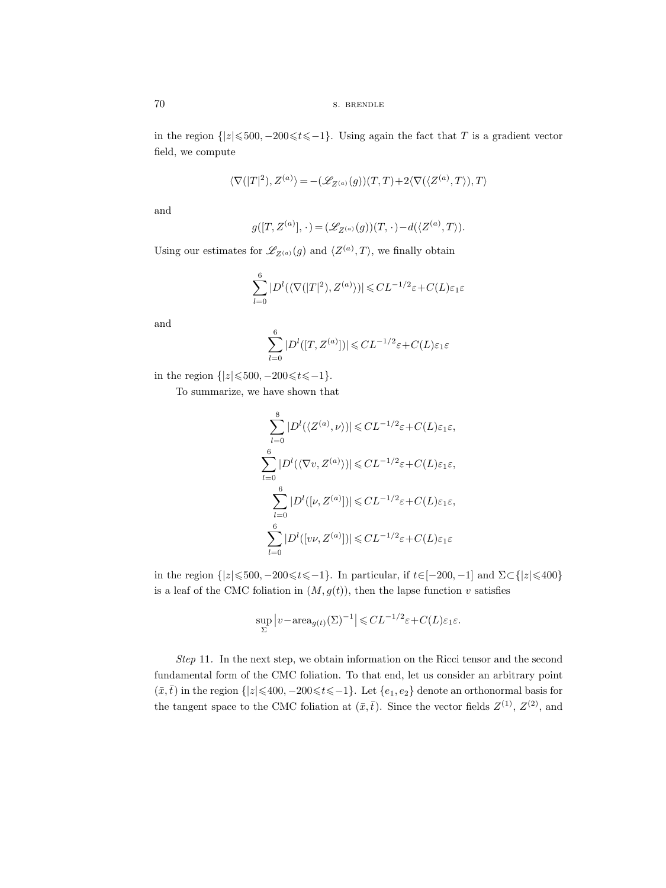in the region  $\{|z| \le 500, -200 \le t \le -1\}$ . Using again the fact that T is a gradient vector field, we compute

$$
\langle \nabla(|T|^2), Z^{(a)} \rangle = -(\mathscr{L}_{Z^{(a)}}(g))(T, T) + 2 \langle \nabla(\langle Z^{(a)}, T \rangle), T \rangle
$$

and

$$
g([T, Z^{(a)}], \cdot) = (\mathscr{L}_{Z^{(a)}}(g))(T, \cdot) - d(\langle Z^{(a)}, T \rangle).
$$

Using our estimates for  $\mathscr{L}_{Z^{(a)}}(g)$  and  $\langle Z^{(a)}, T \rangle$ , we finally obtain

$$
\sum_{l=0}^{6} |D^l(\langle \nabla(|T|^2), Z^{(a)} \rangle)| \leq CL^{-1/2} \varepsilon + C(L)\varepsilon_1 \varepsilon
$$

and

$$
\sum_{l=0}^{6} |D^l([T, Z^{(a)}])| \leqslant CL^{-1/2} \varepsilon + C(L)\varepsilon_1 \varepsilon
$$

in the region  $\{|z| \le 500, -200 \le t \le -1\}.$ 

To summarize, we have shown that

$$
\sum_{l=0}^{8} |D^{l}(\langle Z^{(a)}, \nu \rangle)| \leqslant CL^{-1/2} \varepsilon + C(L)\varepsilon_{1}\varepsilon,
$$
\n
$$
\sum_{l=0}^{6} |D^{l}(\langle \nabla v, Z^{(a)} \rangle)| \leqslant CL^{-1/2} \varepsilon + C(L)\varepsilon_{1}\varepsilon,
$$
\n
$$
\sum_{l=0}^{6} |D^{l}([v, Z^{(a)}])| \leqslant CL^{-1/2} \varepsilon + C(L)\varepsilon_{1}\varepsilon,
$$
\n
$$
\sum_{l=0}^{6} |D^{l}([vv, Z^{(a)}])| \leqslant CL^{-1/2} \varepsilon + C(L)\varepsilon_{1}\varepsilon
$$

in the region  $\{|z| \le 500, -200 \le t \le -1\}$ . In particular, if  $t \in [-200, -1]$  and  $\Sigma \subset \{|z| \le 400\}$ is a leaf of the CMC foliation in  $(M, g(t))$ , then the lapse function v satisfies

$$
\sup_{\Sigma} |v - \text{area}_{g(t)}(\Sigma)^{-1}| \leq CL^{-1/2} \varepsilon + C(L)\varepsilon_1 \varepsilon.
$$

Step 11. In the next step, we obtain information on the Ricci tensor and the second fundamental form of the CMC foliation. To that end, let us consider an arbitrary point  $(\bar{x},\bar{t})$  in the region  $\{|z|\leqslant 400, -200\leqslant t\leqslant -1\}$ . Let  $\{e_1, e_2\}$  denote an orthonormal basis for the tangent space to the CMC foliation at  $(\bar{x}, \bar{t})$ . Since the vector fields  $Z^{(1)}$ ,  $Z^{(2)}$ , and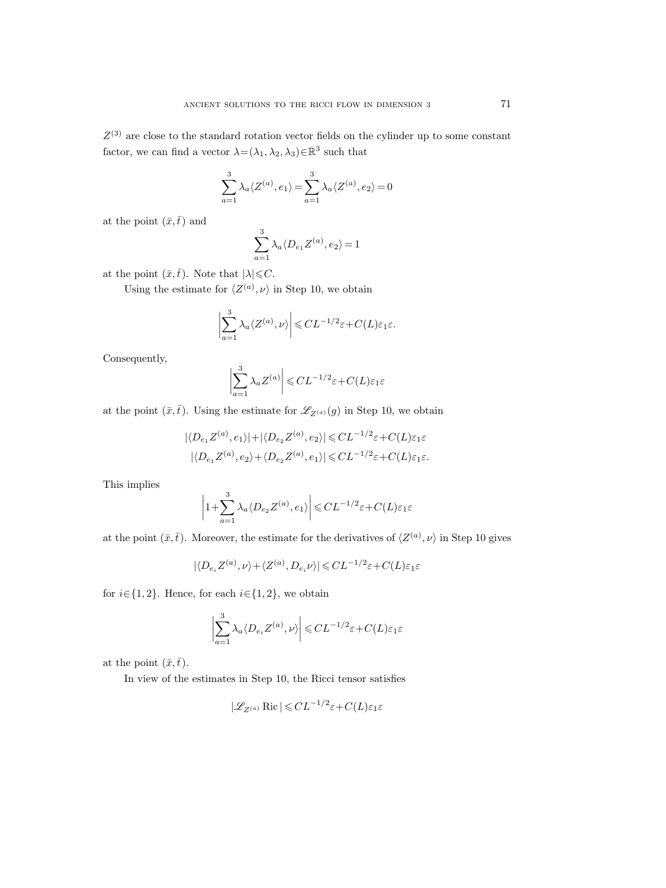$Z^{(3)}$  are close to the standard rotation vector fields on the cylinder up to some constant factor, we can find a vector  $\lambda = (\lambda_1, \lambda_2, \lambda_3) \in \mathbb{R}^3$  such that

$$
\sum_{a=1}^{3} \lambda_a \langle Z^{(a)}, e_1 \rangle = \sum_{a=1}^{3} \lambda_a \langle Z^{(a)}, e_2 \rangle = 0
$$

at the point  $(\bar{x},\bar{t})$  and

$$
\sum_{a=1}^3 \lambda_a \langle D_{e_1} Z^{(a)}, e_2 \rangle = 1
$$

at the point  $(\bar{x},\bar{t})$ . Note that  $|\lambda| \leq C$ .

Using the estimate for  $\langle Z^{(a)}, \nu \rangle$  in Step 10, we obtain

$$
\left|\sum_{a=1}^3 \lambda_a \langle Z^{(a)}, \nu \rangle \right| \leqslant CL^{-1/2} \varepsilon + C(L)\varepsilon_1 \varepsilon.
$$

Consequently,

$$
\left|\sum_{a=1}^{3} \lambda_a Z^{(a)}\right| \leqslant CL^{-1/2}\varepsilon + C(L)\varepsilon_1\varepsilon
$$

at the point  $(\bar{x}, \bar{t})$ . Using the estimate for  $\mathscr{L}_{Z^{(a)}}(g)$  in Step 10, we obtain

$$
|\langle D_{e_1} Z^{(a)}, e_1 \rangle| + |\langle D_{e_2} Z^{(a)}, e_2 \rangle| \leq CL^{-1/2} \varepsilon + C(L)\varepsilon_1\varepsilon
$$
  
 $|\langle D_{e_1} Z^{(a)}, e_2 \rangle + \langle D_{e_2} Z^{(a)}, e_1 \rangle| \leq CL^{-1/2}\varepsilon + C(L)\varepsilon_1\varepsilon.$ 

This implies

$$
\left|1+\sum_{a=1}^3\lambda_a\langle D_{e_2}Z^{(a)},e_1\rangle\right|\leq CL^{-1/2}\varepsilon+C(L)\varepsilon_1\varepsilon
$$

at the point  $(\bar{x}, \bar{t})$ . Moreover, the estimate for the derivatives of  $\langle Z^{(a)}, \nu \rangle$  in Step 10 gives

$$
|\langle D_{e_i} Z^{(a)}, \nu \rangle + \langle Z^{(a)}, D_{e_i} \nu \rangle| \leqslant CL^{-1/2} \varepsilon + C(L)\varepsilon_1\varepsilon
$$

for  $i \in \{1, 2\}$ . Hence, for each  $i \in \{1, 2\}$ , we obtain

$$
\left|\sum_{a=1}^3\lambda_a\langle D_{e_i}Z^{(a)},\nu\rangle\right|\leqslant CL^{-1/2}\varepsilon+C(L)\varepsilon_1\varepsilon
$$

at the point  $(\bar{x},\bar{t})$ .

In view of the estimates in Step 10, the Ricci tensor satisfies

$$
|\mathcal{L}_{Z^{(a)}} \operatorname{Ric}| \leqslant CL^{-1/2} \varepsilon + C(L)\varepsilon_1\varepsilon
$$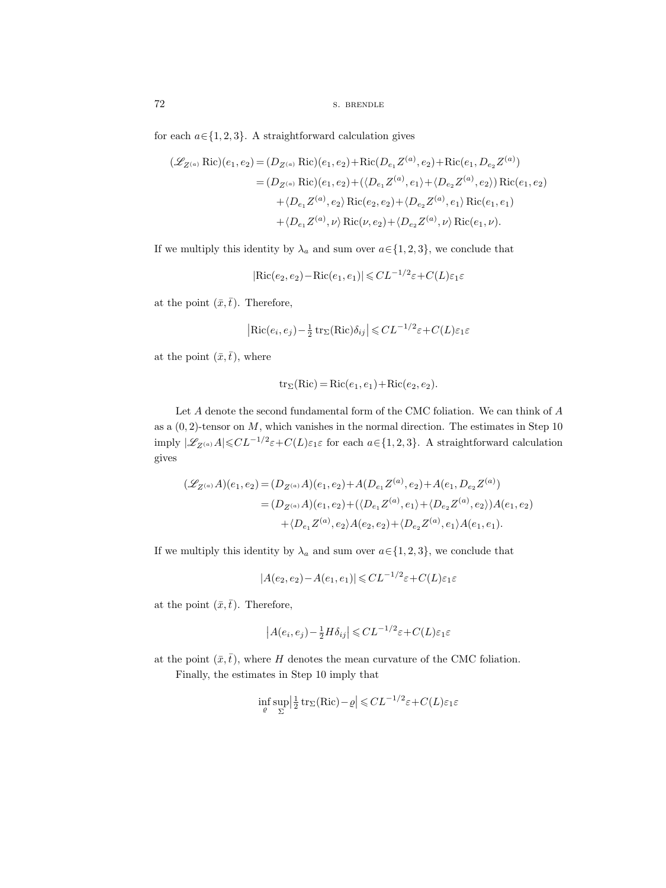for each  $a \in \{1, 2, 3\}$ . A straightforward calculation gives

$$
\begin{split} (\mathscr{L}_{Z^{(a)}} \operatorname{Ric})(e_1, e_2) &= (D_{Z^{(a)}} \operatorname{Ric})(e_1, e_2) + \operatorname{Ric}(D_{e_1} Z^{(a)}, e_2) + \operatorname{Ric}(e_1, D_{e_2} Z^{(a)}) \\ &= (D_{Z^{(a)}} \operatorname{Ric})(e_1, e_2) + (\langle D_{e_1} Z^{(a)}, e_1 \rangle + \langle D_{e_2} Z^{(a)}, e_2 \rangle) \operatorname{Ric}(e_1, e_2) \\ &+ \langle D_{e_1} Z^{(a)}, e_2 \rangle \operatorname{Ric}(e_2, e_2) + \langle D_{e_2} Z^{(a)}, e_1 \rangle \operatorname{Ric}(e_1, e_1) \\ &+ \langle D_{e_1} Z^{(a)}, \nu \rangle \operatorname{Ric}(\nu, e_2) + \langle D_{e_2} Z^{(a)}, \nu \rangle \operatorname{Ric}(e_1, \nu). \end{split}
$$

If we multiply this identity by  $\lambda_a$  and sum over  $a \in \{1, 2, 3\}$ , we conclude that

$$
|\text{Ric}(e_2, e_2) - \text{Ric}(e_1, e_1)| \leq CL^{-1/2} \varepsilon + C(L)\varepsilon_1\varepsilon
$$

at the point  $(\bar{x},\bar{t})$ . Therefore,

$$
|\mathrm{Ric}(e_i, e_j) - \frac{1}{2} \operatorname{tr}_{\Sigma}(\mathrm{Ric}) \delta_{ij}| \leq CL^{-1/2} \varepsilon + C(L)\varepsilon_1 \varepsilon
$$

at the point  $(\bar{x},\bar{t})$ , where

$$
tr_{\Sigma}(Ric) = Ric(e_1, e_1) + Ric(e_2, e_2).
$$

Let A denote the second fundamental form of the CMC foliation. We can think of A as a  $(0, 2)$ -tensor on M, which vanishes in the normal direction. The estimates in Step 10 imply  $|\mathscr{L}_{Z^{(a)}}A| \leqslant CL^{-1/2}\varepsilon + C(L)\varepsilon_1\varepsilon$  for each  $a \in \{1, 2, 3\}$ . A straightforward calculation gives

$$
\begin{aligned} (\mathscr{L}_{Z^{(a)}} A)(e_1, e_2) &= (D_{Z^{(a)}} A)(e_1, e_2) + A(D_{e_1} Z^{(a)}, e_2) + A(e_1, D_{e_2} Z^{(a)}) \\ &= (D_{Z^{(a)}} A)(e_1, e_2) + \langle \langle D_{e_1} Z^{(a)}, e_1 \rangle + \langle D_{e_2} Z^{(a)}, e_2 \rangle \rangle A(e_1, e_2) \\ &\quad + \langle D_{e_1} Z^{(a)}, e_2 \rangle A(e_2, e_2) + \langle D_{e_2} Z^{(a)}, e_1 \rangle A(e_1, e_1). \end{aligned}
$$

If we multiply this identity by  $\lambda_a$  and sum over  $a \in \{1, 2, 3\}$ , we conclude that

$$
|A(e_2, e_2) - A(e_1, e_1)| \leq CL^{-1/2} \varepsilon + C(L)\varepsilon_1 \varepsilon
$$

at the point  $(\bar{x},\bar{t})$ . Therefore,

$$
\left| A(e_i, e_j) - \frac{1}{2} H \delta_{ij} \right| \leqslant CL^{-1/2} \varepsilon + C(L) \varepsilon_1 \varepsilon
$$

at the point  $(\bar{x}, \bar{t})$ , where H denotes the mean curvature of the CMC foliation.

Finally, the estimates in Step 10 imply that

$$
\inf_{\varrho} \sup_{\Sigma} \left| \frac{1}{2} \operatorname{tr}_{\Sigma}(\operatorname{Ric}) - \varrho \right| \leq C L^{-1/2} \varepsilon + C(L) \varepsilon_1 \varepsilon
$$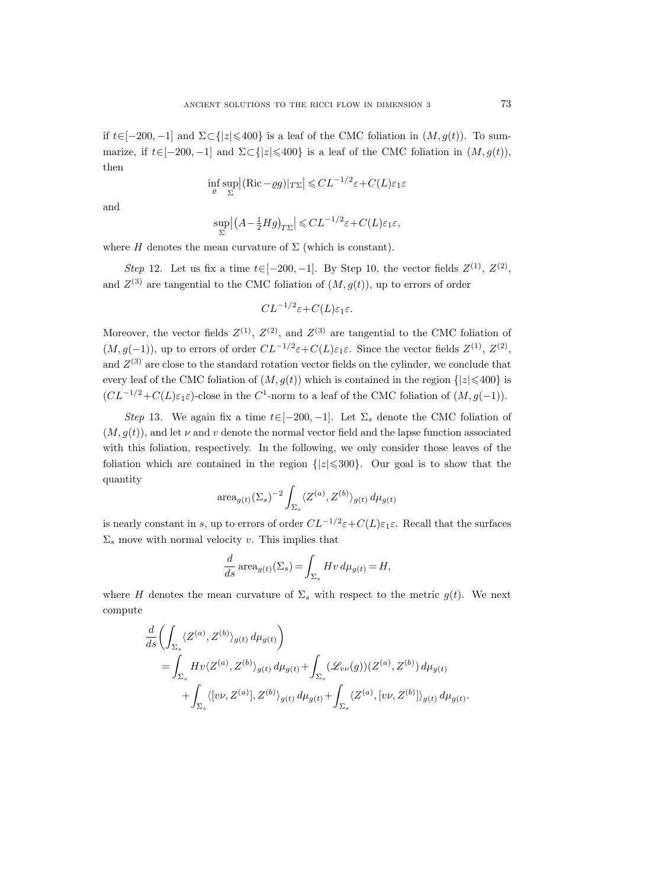if  $t \in [-200, -1]$  and  $\Sigma \subset \{|z| \le 400\}$  is a leaf of the CMC foliation in  $(M, q(t))$ . To summarize, if  $t \in [-200, -1]$  and  $\Sigma \subset \{|z| \leq 400\}$  is a leaf of the CMC foliation in  $(M, g(t))$ , then

$$
\inf_{\varrho} \sup_{\Sigma} |(\text{Ric} - \varrho g)|_{T\Sigma}| \leqslant CL^{-1/2} \varepsilon + C(L)\varepsilon_1 \varepsilon
$$

and

$$
\sup_{\Sigma} |(A - \frac{1}{2}Hg)_{T\Sigma}| \leqslant CL^{-1/2}\varepsilon + C(L)\varepsilon_1\varepsilon,
$$

where H denotes the mean curvature of  $\Sigma$  (which is constant).

Step 12. Let us fix a time  $t \in [-200, -1]$ . By Step 10, the vector fields  $Z^{(1)}$ ,  $Z^{(2)}$ , and  $Z^{(3)}$  are tangential to the CMC foliation of  $(M, g(t))$ , up to errors of order

$$
CL^{-1/2}\varepsilon + C(L)\varepsilon_1\varepsilon.
$$

Moreover, the vector fields  $Z^{(1)}$ ,  $Z^{(2)}$ , and  $Z^{(3)}$  are tangential to the CMC foliation of  $(M, g(-1))$ , up to errors of order  $CL^{-1/2}\varepsilon + C(L)\varepsilon_1\varepsilon$ . Since the vector fields  $Z^{(1)}$ ,  $Z^{(2)}$ , and  $Z^{(3)}$  are close to the standard rotation vector fields on the cylinder, we conclude that every leaf of the CMC foliation of  $(M, g(t))$  which is contained in the region  $\{|z| \leq 400\}$  is  $(CL^{-1/2} + C(L)\varepsilon_1 \varepsilon)$ -close in the C<sup>1</sup>-norm to a leaf of the CMC foliation of  $(M, g(-1))$ .

Step 13. We again fix a time  $t\in[-200,-1]$ . Let  $\Sigma_s$  denote the CMC foliation of  $(M, q(t))$ , and let  $\nu$  and  $\nu$  denote the normal vector field and the lapse function associated with this foliation, respectively. In the following, we only consider those leaves of the foliation which are contained in the region  $\{|z| \leq 300\}$ . Our goal is to show that the quantity

$$
\operatorname{area}_{g(t)}(\Sigma_s)^{-2} \int_{\Sigma_s} \langle Z^{(a)}, Z^{(b)} \rangle_{g(t)} d\mu_{g(t)}
$$

is nearly constant in s, up to errors of order  $CL^{-1/2}\varepsilon + C(L)\varepsilon_1\varepsilon$ . Recall that the surfaces  $\Sigma_s$  move with normal velocity v. This implies that

$$
\frac{d}{ds} \operatorname{area}_{g(t)}(\Sigma_s) = \int_{\Sigma_s} Hv \, d\mu_{g(t)} = H,
$$

where H denotes the mean curvature of  $\Sigma_s$  with respect to the metric  $g(t)$ . We next compute

$$
\frac{d}{ds} \left( \int_{\Sigma_s} \langle Z^{(a)}, Z^{(b)} \rangle_{g(t)} d\mu_{g(t)} \right)
$$
\n
$$
= \int_{\Sigma_s} Hv \langle Z^{(a)}, Z^{(b)} \rangle_{g(t)} d\mu_{g(t)} + \int_{\Sigma_s} (\mathscr{L}_{vv}(g))(Z^{(a)}, Z^{(b)}) d\mu_{g(t)} + \int_{\Sigma_s} \langle [v\nu, Z^{(a)}], Z^{(b)} \rangle_{g(t)} d\mu_{g(t)} + \int_{\Sigma_s} \langle Z^{(a)}, [v\nu, Z^{(b)}] \rangle_{g(t)} d\mu_{g(t)}.
$$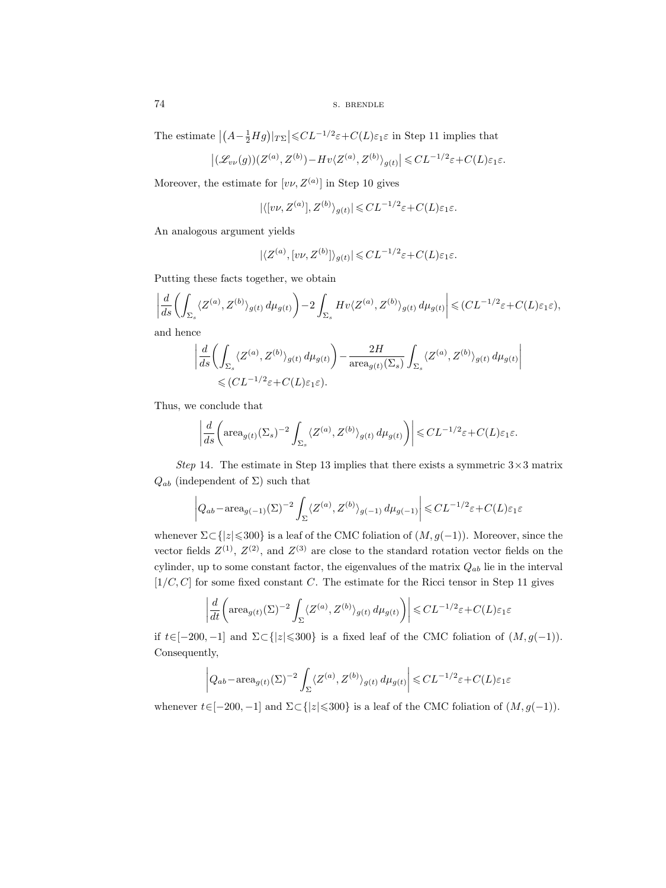The estimate  $|(A - \frac{1}{2}Hg)|_{T\Sigma}| \leqslant CL^{-1/2} \varepsilon + C(L)\varepsilon_1\varepsilon$  in Step 11 implies that

$$
\left|(\mathscr{L}_{v\nu}(g))(Z^{(a)},Z^{(b)}) - Hv\langle Z^{(a)},Z^{(b)}\rangle_{g(t)}\right| \leqslant CL^{-1/2}\varepsilon + C(L)\varepsilon_1\varepsilon.
$$

Moreover, the estimate for  $[v\nu, Z^{(a)}]$  in Step 10 gives

$$
|\langle [v\nu, Z^{(a)}], Z^{(b)}\rangle_{g(t)}| \leqslant CL^{-1/2}\varepsilon + C(L)\varepsilon_1\varepsilon.
$$

An analogous argument yields

$$
|\langle Z^{(a)}, [v\nu, Z^{(b)}] \rangle_{g(t)}| \leq CL^{-1/2} \varepsilon + C(L)\varepsilon_1 \varepsilon.
$$

Putting these facts together, we obtain

$$
\left| \frac{d}{ds} \left( \int_{\Sigma_s} \langle Z^{(a)}, Z^{(b)} \rangle_{g(t)} d\mu_{g(t)} \right) - 2 \int_{\Sigma_s} H v \langle Z^{(a)}, Z^{(b)} \rangle_{g(t)} d\mu_{g(t)} \right| \leqslant (CL^{-1/2} \varepsilon + C(L)\varepsilon_1 \varepsilon),
$$
 and hence

and hence

$$
\begin{split} \left| \frac{d}{ds} \biggl( \int_{\Sigma_s} \langle Z^{(a)}, Z^{(b)} \rangle_{g(t)} \, d\mu_{g(t)} \biggr) - \frac{2H}{\operatorname{area}_{g(t)}(\Sigma_s)} \int_{\Sigma_s} \langle Z^{(a)}, Z^{(b)} \rangle_{g(t)} \, d\mu_{g(t)} \right| \\ \leqslant & (CL^{-1/2}\varepsilon + C(L)\varepsilon_1\varepsilon). \end{split}
$$

Thus, we conclude that

$$
\left|\frac{d}{ds}\biggl(\text{area}_{g(t)}(\Sigma_s)^{-2}\int_{\Sigma_s}\langle Z^{(a)},Z^{(b)}\rangle_{g(t)}\,d\mu_{g(t)}\biggr)\right|\leqslant CL^{-1/2}\varepsilon+C(L)\varepsilon_1\varepsilon.
$$

Step 14. The estimate in Step 13 implies that there exists a symmetric  $3 \times 3$  matrix  $Q_{ab}$  (independent of  $\Sigma$ ) such that

$$
\left| Q_{ab} - \operatorname{area}_{g(-1)}(\Sigma)^{-2} \int_{\Sigma} \langle Z^{(a)}, Z^{(b)} \rangle_{g(-1)} d\mu_{g(-1)} \right| \leq CL^{-1/2} \varepsilon + C(L)\varepsilon_1 \varepsilon
$$

whenever  $\Sigma \subset \{|z| \leq 300\}$  is a leaf of the CMC foliation of  $(M, g(-1))$ . Moreover, since the vector fields  $Z^{(1)}$ ,  $Z^{(2)}$ , and  $Z^{(3)}$  are close to the standard rotation vector fields on the cylinder, up to some constant factor, the eigenvalues of the matrix  $Q_{ab}$  lie in the interval  $[1/C, C]$  for some fixed constant C. The estimate for the Ricci tensor in Step 11 gives

$$
\left| \frac{d}{dt} \left( \operatorname{area}_{g(t)}(\Sigma)^{-2} \int_{\Sigma} \langle Z^{(a)}, Z^{(b)} \rangle_{g(t)} d\mu_{g(t)} \right) \right| \leq CL^{-1/2} \varepsilon + C(L)\varepsilon_1 \varepsilon
$$

if  $t \in [-200, -1]$  and  $\Sigma \subset \{|z| \le 300\}$  is a fixed leaf of the CMC foliation of  $(M, g(-1))$ . Consequently,

$$
\left| Q_{ab} - \text{area}_{g(t)}(\Sigma)^{-2} \int_{\Sigma} \langle Z^{(a)}, Z^{(b)} \rangle_{g(t)} d\mu_{g(t)} \right| \leq CL^{-1/2} \varepsilon + C(L)\varepsilon_1 \varepsilon
$$

whenever  $t\in[-200,-1]$  and  $\Sigma\subset\{|z|\leqslant300\}$  is a leaf of the CMC foliation of  $(M,g(-1))$ .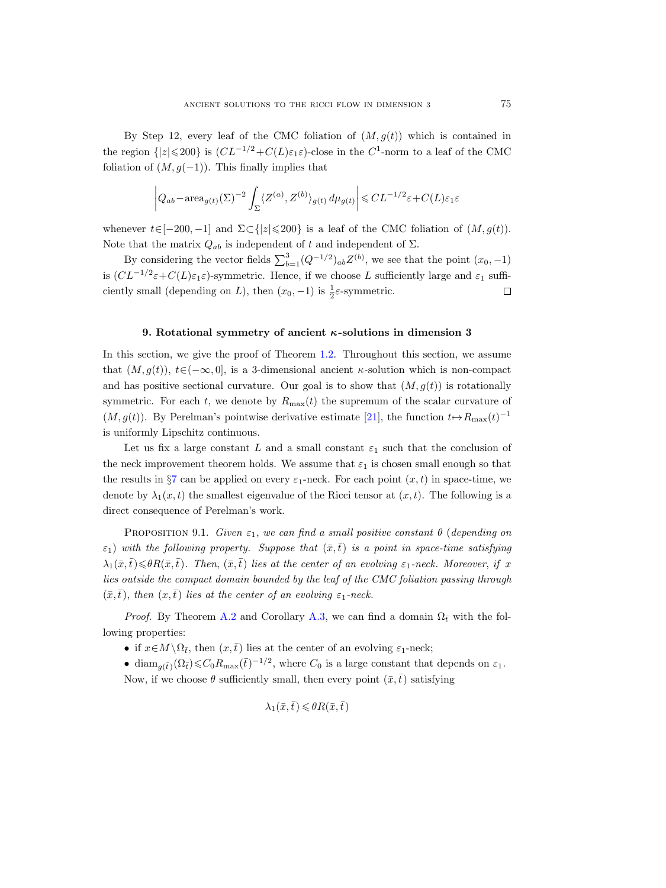By Step 12, every leaf of the CMC foliation of  $(M, q(t))$  which is contained in the region  $\{|z| \leq 200\}$  is  $(CL^{-1/2} + C(L)\varepsilon_1\varepsilon)$ -close in the  $C^1$ -norm to a leaf of the CMC foliation of  $(M, g(-1))$ . This finally implies that

$$
\left| Q_{ab} - \operatorname{area}_{g(t)}(\Sigma)^{-2} \int_{\Sigma} \langle Z^{(a)}, Z^{(b)} \rangle_{g(t)} d\mu_{g(t)} \right| \leq CL^{-1/2} \varepsilon + C(L)\varepsilon_1 \varepsilon
$$

whenever  $t\in[-200,-1]$  and  $\Sigma\subset\{|z|\leqslant 200\}$  is a leaf of the CMC foliation of  $(M,g(t))$ . Note that the matrix  $Q_{ab}$  is independent of t and independent of  $\Sigma$ .

By considering the vector fields  $\sum_{b=1}^{3} (Q^{-1/2})_{ab} Z^{(b)}$ , we see that the point  $(x_0, -1)$ is  $(CL^{-1/2}\varepsilon+C(L)\varepsilon_1\varepsilon)$ -symmetric. Hence, if we choose L sufficiently large and  $\varepsilon_1$  sufficiently small (depending on L), then  $(x_0, -1)$  is  $\frac{1}{2}\varepsilon$ -symmetric.  $\Box$ 

## 9. Rotational symmetry of ancient  $\kappa$ -solutions in dimension 3

In this section, we give the proof of Theorem [1.2.](#page-1-0) Throughout this section, we assume that  $(M, q(t))$ ,  $t \in (-\infty, 0]$ , is a 3-dimensional ancient  $\kappa$ -solution which is non-compact and has positive sectional curvature. Our goal is to show that  $(M, g(t))$  is rotationally symmetric. For each t, we denote by  $R_{\text{max}}(t)$  the supremum of the scalar curvature of  $(M, g(t))$ . By Perelman's pointwise derivative estimate [\[21\]](#page-100-0), the function  $t \mapsto R_{\text{max}}(t)^{-1}$ is uniformly Lipschitz continuous.

Let us fix a large constant L and a small constant  $\varepsilon_1$  such that the conclusion of the neck improvement theorem holds. We assume that  $\varepsilon_1$  is chosen small enough so that the results in §[7](#page-52-0) can be applied on every  $\varepsilon_1$ -neck. For each point  $(x, t)$  in space-time, we denote by  $\lambda_1(x,t)$  the smallest eigenvalue of the Ricci tensor at  $(x,t)$ . The following is a direct consequence of Perelman's work.

<span id="page-74-0"></span>PROPOSITION 9.1. Given  $\varepsilon_1$ , we can find a small positive constant  $\theta$  (depending on  $\varepsilon_1$ ) with the following property. Suppose that  $(\bar{x},\bar{t})$  is a point in space-time satisfying  $\lambda_1(\bar{x},\bar{t}) \leq \theta R(\bar{x},\bar{t})$ . Then,  $(\bar{x},\bar{t})$  lies at the center of an evolving  $\varepsilon_1$ -neck. Moreover, if x lies outside the compact domain bounded by the leaf of the CMC foliation passing through  $(\bar{x},\bar{t})$ , then  $(x,\bar{t})$  lies at the center of an evolving  $\varepsilon_1$ -neck.

*Proof.* By Theorem [A.2](#page-95-0) and Corollary [A.3,](#page-95-1) we can find a domain  $\Omega_{\bar{t}}$  with the following properties:

- if  $x \in M \setminus \Omega_{\bar{t}}$ , then  $(x,\bar{t})$  lies at the center of an evolving  $\varepsilon_1$ -neck;
- dia $m_{g(\bar{t})}(\Omega_{\bar{t}}) \leq C_0 R_{\max}(\bar{t})^{-1/2}$ , where  $C_0$  is a large constant that depends on  $\varepsilon_1$ . Now, if we choose  $\theta$  sufficiently small, then every point  $(\bar{x}, \bar{t})$  satisfying

$$
\lambda_1(\bar{x},\bar{t}) \leqslant \theta R(\bar{x},\bar{t})
$$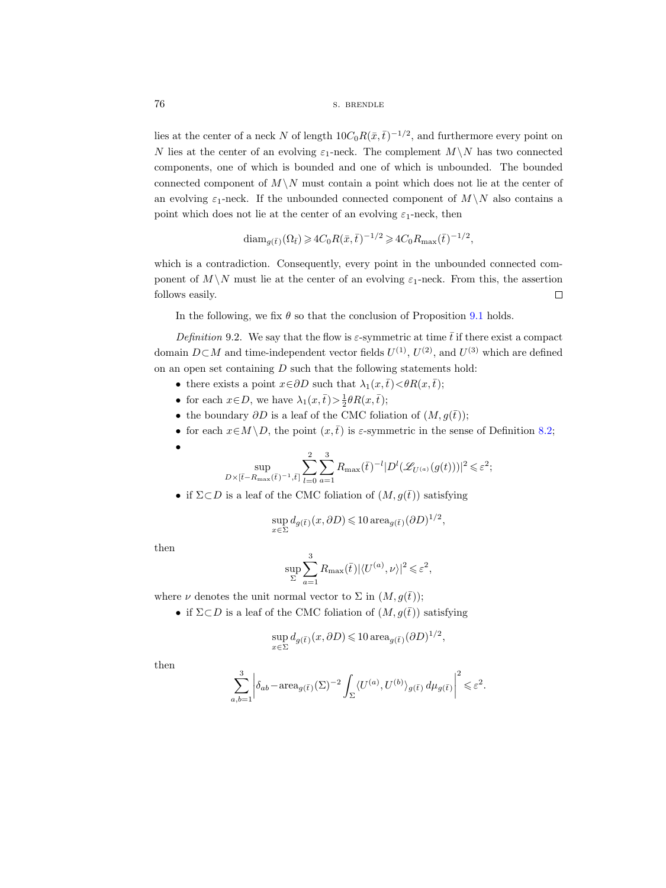76 s. BRENDLE

lies at the center of a neck N of length  $10C_0R(\bar{x},\bar{t})^{-1/2}$ , and furthermore every point on N lies at the center of an evolving  $\varepsilon_1$ -neck. The complement  $M \setminus N$  has two connected components, one of which is bounded and one of which is unbounded. The bounded connected component of  $M \setminus N$  must contain a point which does not lie at the center of an evolving  $\varepsilon_1$ -neck. If the unbounded connected component of  $M \setminus N$  also contains a point which does not lie at the center of an evolving  $\varepsilon_1$ -neck, then

$$
\text{diam}_{g(\bar{t})}(\Omega_{\bar{t}}) \geqslant 4C_0 R(\bar{x}, \bar{t})^{-1/2} \geqslant 4C_0 R_{\max}(\bar{t})^{-1/2},
$$

which is a contradiction. Consequently, every point in the unbounded connected component of  $M \setminus N$  must lie at the center of an evolving  $\varepsilon_1$ -neck. From this, the assertion follows easily.  $\Box$ 

In the following, we fix  $\theta$  so that the conclusion of Proposition [9.1](#page-74-0) holds.

<span id="page-75-0"></span>Definition 9.2. We say that the flow is  $\varepsilon$ -symmetric at time  $\bar{t}$  if there exist a compact domain  $D \subset M$  and time-independent vector fields  $U^{(1)}$ ,  $U^{(2)}$ , and  $U^{(3)}$  which are defined on an open set containing  $D$  such that the following statements hold:

- there exists a point  $x \in \partial D$  such that  $\lambda_1(x,\bar{t}) < \theta R(x,\bar{t});$
- for each  $x \in D$ , we have  $\lambda_1(x, \bar{t}) > \frac{1}{2}\theta R(x, \bar{t});$
- the boundary  $\partial D$  is a leaf of the CMC foliation of  $(M, g(\bar{t}))$ ;
- for each  $x \in M \backslash D$ , the point  $(x, \overline{t})$  is  $\varepsilon$ -symmetric in the sense of Definition [8.2;](#page-57-0)

$$
f_{\rm{max}}
$$

•

$$
\sup_{D\times[\bar{t}-R_{\max}(\bar{t})^{-1},\bar{t}]} \sum_{l=0}^2 \sum_{a=1}^3 R_{\max}(\bar{t})^{-l} |D^l(\mathscr{L}_{U^{(a)}}(g(t)))|^2 \leqslant \varepsilon^2;
$$

• if  $\Sigma \subset D$  is a leaf of the CMC foliation of  $(M, g(\bar{t}))$  satisfying

$$
\sup_{x \in \Sigma} d_{g(\bar{t})}(x, \partial D) \leq 10 \operatorname{area}_{g(\bar{t})} (\partial D)^{1/2},
$$

then

$$
\sup_{\Sigma} \sum_{a=1}^{3} R_{\text{max}}(\bar{t}) |\langle U^{(a)}, \nu \rangle|^2 \leqslant \varepsilon^2,
$$

where  $\nu$  denotes the unit normal vector to  $\Sigma$  in  $(M, g(\bar{t}))$ ;

• if  $\Sigma \subset D$  is a leaf of the CMC foliation of  $(M, g(\bar{t}))$  satisfying

$$
\sup_{x\in \Sigma} d_{g(\bar{t})}(x,\partial D) \leqslant 10\, {\rm area}_{g(\bar{t})}(\partial D)^{1/2},
$$

then

$$
\sum_{a,b=1}^3 \left| \delta_{ab} - \text{area}_{g(\bar{t})}(\Sigma)^{-2} \int_{\Sigma} \langle U^{(a)}, U^{(b)} \rangle_{g(\bar{t})} \, d\mu_{g(\bar{t})} \right|^2 \leq \varepsilon^2.
$$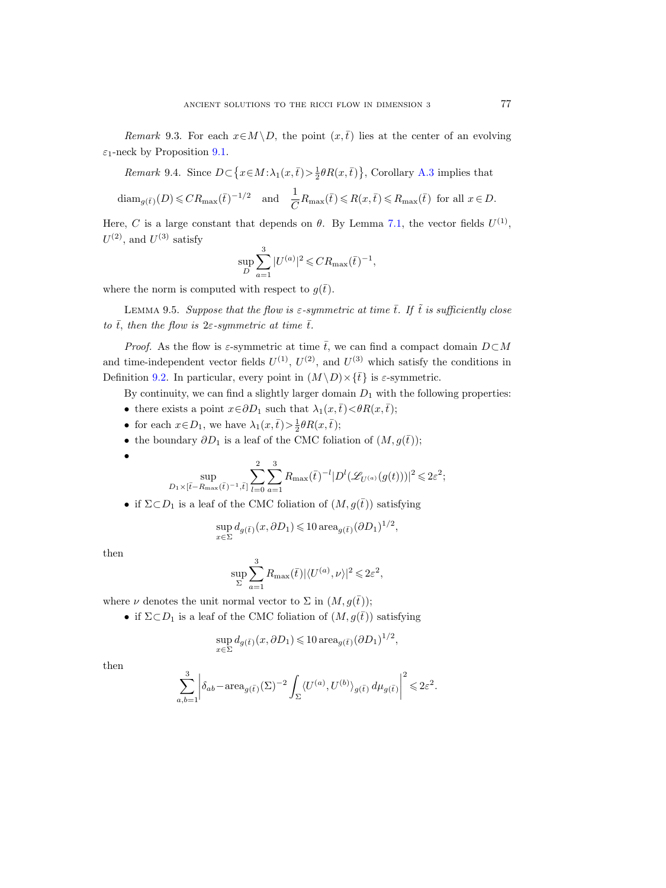Remark 9.3. For each  $x \in M \backslash D$ , the point  $(x, \overline{t})$  lies at the center of an evolving  $\varepsilon_1$ -neck by Proposition [9.1.](#page-74-0)

Remark 9.4. Since  $D \subset \{x \in M : \lambda_1(x, \bar{t}) > \frac{1}{2}\theta R(x, \bar{t})\}$ , Corollary [A.3](#page-95-1) implies that

$$
\text{diam}_{g(\bar{t})}(D) \leqslant CR_{\text{max}}(\bar{t})^{-1/2} \quad \text{and} \quad \frac{1}{C}R_{\text{max}}(\bar{t}) \leqslant R(x,\bar{t}) \leqslant R_{\text{max}}(\bar{t}) \text{ for all } x \in D.
$$

Here, C is a large constant that depends on  $\theta$ . By Lemma [7.1,](#page-52-1) the vector fields  $U^{(1)}$ ,  $U^{(2)}$ , and  $U^{(3)}$  satisfy

$$
\sup_{D} \sum_{a=1}^{3} |U^{(a)}|^{2} \leqslant CR_{\max}(\bar{t})^{-1},
$$

where the norm is computed with respect to  $g(\bar{t})$ .

<span id="page-76-0"></span>LEMMA 9.5. Suppose that the flow is  $\varepsilon$ -symmetric at time  $\overline{t}$ . If  $\tilde{t}$  is sufficiently close to  $\bar{t}$ , then the flow is  $2\varepsilon$ -symmetric at time  $\bar{t}$ .

*Proof.* As the flow is  $\varepsilon$ -symmetric at time  $\bar{t}$ , we can find a compact domain  $D\subset M$ and time-independent vector fields  $U^{(1)}$ ,  $U^{(2)}$ , and  $U^{(3)}$  which satisfy the conditions in Definition [9.2.](#page-75-0) In particular, every point in  $(M \setminus D) \times {\{\overline{t}\}}$  is  $\varepsilon$ -symmetric.

By continuity, we can find a slightly larger domain  $D_1$  with the following properties:

- there exists a point  $x \in \partial D_1$  such that  $\lambda_1(x, \overline{t}) < \theta R(x, \overline{t});$
- for each  $x \in D_1$ , we have  $\lambda_1(x, \bar{t}) > \frac{1}{2}\theta R(x, \bar{t});$
- the boundary  $\partial D_1$  is a leaf of the CMC foliation of  $(M, g(\bar{t}))$ ;

$$
\bullet\hspace{10pt}
$$

$$
\sup_{D_1 \times [\bar{t} - R_{\max}(\bar{t})^{-1}, \bar{t}]} \sum_{l=0}^2 \sum_{a=1}^3 R_{\max}(\bar{t})^{-l} |D^l(\mathscr{L}_{U^{(a)}}(g(t)))|^2 \leq 2\varepsilon^2;
$$

• if  $\Sigma \subset D_1$  is a leaf of the CMC foliation of  $(M, g(\bar{t}))$  satisfying

$$
\sup_{x \in \Sigma} d_{g(\bar{t})}(x, \partial D_1) \leq 10 \operatorname{area}_{g(\bar{t})} (\partial D_1)^{1/2},
$$

then

$$
\sup_{\Sigma}\sum_{a=1}^3 R_{\max}(\bar{t})|\langle U^{(a)},\nu\rangle|^2\leqslant 2\varepsilon^2,
$$

where  $\nu$  denotes the unit normal vector to  $\Sigma$  in  $(M, g(\bar{t}))$ ;

• if  $\Sigma \subset D_1$  is a leaf of the CMC foliation of  $(M, g(\bar{t}))$  satisfying

$$
\sup_{x \in \Sigma} d_{g(\bar{t})}(x, \partial D_1) \leq 10 \operatorname{area}_{g(\bar{t})} (\partial D_1)^{1/2},
$$

then

$$
\sum_{a,b=1}^3 \left| \delta_{ab} - \text{area}_{g(\bar{t})}(\Sigma)^{-2} \int_{\Sigma} \langle U^{(a)}, U^{(b)} \rangle_{g(\bar{t})} d\mu_{g(\bar{t})} \right|^2 \leq 2\varepsilon^2.
$$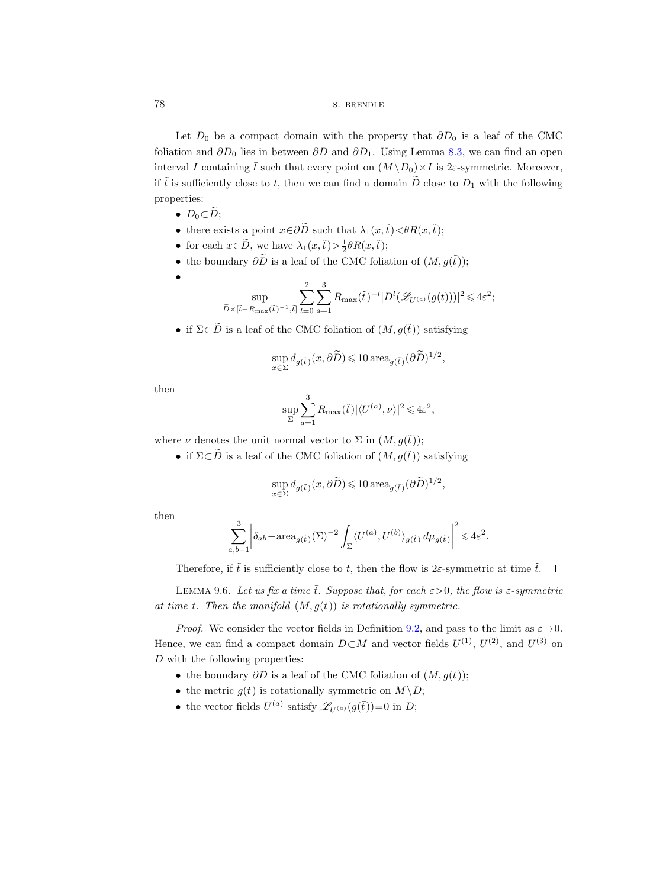78 s. BRENDLE

Let  $D_0$  be a compact domain with the property that  $\partial D_0$  is a leaf of the CMC foliation and  $\partial D_0$  lies in between  $\partial D$  and  $\partial D_1$ . Using Lemma [8.3,](#page-57-1) we can find an open interval I containing  $\bar{t}$  such that every point on  $(M \setminus D_0) \times I$  is 2 $\varepsilon$ -symmetric. Moreover, if  $\tilde{t}$  is sufficiently close to  $\bar{t}$ , then we can find a domain  $\tilde{D}$  close to  $D_1$  with the following properties:

•  $D_0 \subset \widetilde{D}$ ;

•

- there exists a point  $x \in \partial \widetilde{D}$  such that  $\lambda_1(x, \tilde{t}) < \theta R(x, \tilde{t});$
- for each  $x \in \widetilde{D}$ , we have  $\lambda_1(x, \tilde{t}) > \frac{1}{2} \theta R(x, \tilde{t});$
- the boundary  $\partial \widetilde{D}$  is a leaf of the CMC foliation of  $(M, g(\tilde{t}))$ ;

$$
\sup_{\tilde{D}\times[\tilde{t}-R_{\max}(\tilde{t})^{-1},\tilde{t}]} \sum_{l=0}^2\sum_{a=1}^3R_{\max}(\tilde{t})^{-l}|D^l(\mathscr{L}_{U^{(a)}}(g(t)))|^2\!\leqslant\!4\varepsilon^2;
$$

• if  $\Sigma \subset \widetilde{D}$  is a leaf of the CMC foliation of  $(M, g(\tilde{t}))$  satisfying

$$
\sup_{x\in \Sigma} d_{g(\tilde{t}\,)}(x,\partial \widetilde{D}) \leqslant 10\, {\rm area}_{g(\tilde{t}\,)}(\partial \widetilde{D})^{1/2},
$$

then

$$
\sup_{\Sigma}\sum_{a=1}^3 R_{\max}(\tilde{t})|\langle U^{(a)},\nu\rangle|^2\leqslant 4\varepsilon^2,
$$

where  $\nu$  denotes the unit normal vector to  $\Sigma$  in  $(M, q(\tilde{t}))$ ;

• if  $\Sigma \subset \widetilde{D}$  is a leaf of the CMC foliation of  $(M, g(\tilde{t}))$  satisfying

$$
\sup_{x\in \Sigma} d_{g(\tilde{t}\,)}(x,\partial \widetilde{D}) \leqslant 10\, {\rm area}_{g(\tilde{t}\,)}(\partial \widetilde{D})^{1/2},
$$

then

$$
\sum_{a,b=1}^3\bigg|\delta_{ab}-\text{area}_{g(\tilde{t})}(\Sigma)^{-2}\int_{\Sigma}\langle U^{(a)},U^{(b)}\rangle_{g(\tilde{t})}\,d\mu_{g(\tilde{t})}\bigg|^2\leqslant 4\varepsilon^2.
$$

Therefore, if  $\tilde{t}$  is sufficiently close to  $\bar{t}$ , then the flow is 2 $\varepsilon$ -symmetric at time  $\tilde{t}$ .  $\Box$ 

<span id="page-77-0"></span>LEMMA 9.6. Let us fix a time  $\bar{t}$ . Suppose that, for each  $\varepsilon > 0$ , the flow is  $\varepsilon$ -symmetric at time  $\overline{t}$ . Then the manifold  $(M, g(\overline{t}))$  is rotationally symmetric.

*Proof.* We consider the vector fields in Definition [9.2,](#page-75-0) and pass to the limit as  $\varepsilon \rightarrow 0$ . Hence, we can find a compact domain  $D \subset M$  and vector fields  $U^{(1)}$ ,  $U^{(2)}$ , and  $U^{(3)}$  on D with the following properties:

- the boundary  $\partial D$  is a leaf of the CMC foliation of  $(M, g(\bar{t}))$ ;
- the metric  $g(\bar{t})$  is rotationally symmetric on  $M \backslash D$ ;
- the vector fields  $U^{(a)}$  satisfy  $\mathscr{L}_{U^{(a)}}(g(\bar{t}))=0$  in D;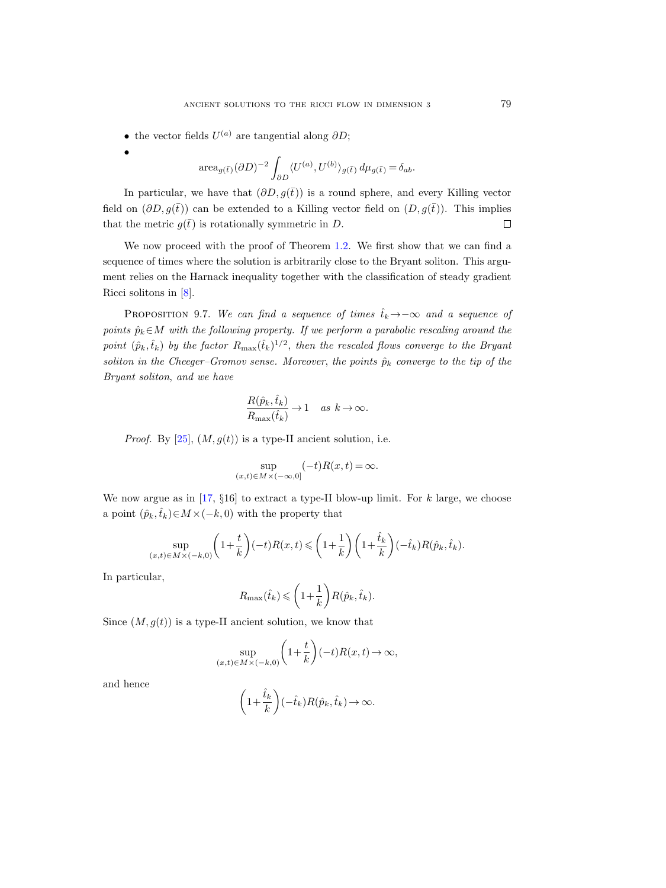- the vector fields  $U^{(a)}$  are tangential along  $\partial D;$
- •

area<sub>$$
g(\bar{t})
$$</sub> $(\partial D)^{-2} \int_{\partial D} \langle U^{(a)}, U^{(b)} \rangle_{g(\bar{t})} d\mu_{g(\bar{t})} = \delta_{ab}.$ 

In particular, we have that  $(\partial D, q(\bar{t}))$  is a round sphere, and every Killing vector field on  $(\partial D, g(\bar{t}))$  can be extended to a Killing vector field on  $(D, g(\bar{t}))$ . This implies that the metric  $q(\bar{t})$  is rotationally symmetric in D.  $\Box$ 

We now proceed with the proof of Theorem [1.2.](#page-1-0) We first show that we can find a sequence of times where the solution is arbitrarily close to the Bryant soliton. This argument relies on the Harnack inequality together with the classification of steady gradient Ricci solitons in [\[8\]](#page-100-1).

<span id="page-78-0"></span>PROPOSITION 9.7. We can find a sequence of times  $\hat{t}_k \rightarrow -\infty$  and a sequence of points  $\hat{p}_k \in M$  with the following property. If we perform a parabolic rescaling around the point  $(\hat{p}_k, \hat{t}_k)$  by the factor  $R_{\text{max}}(\hat{t}_k)^{1/2}$ , then the rescaled flows converge to the Bryant soliton in the Cheeger–Gromov sense. Moreover, the points  $\hat{p}_k$  converge to the tip of the Bryant soliton, and we have

$$
\frac{R(\hat{p}_k, \hat{t}_k)}{R_{\text{max}}(\hat{t}_k)} \to 1 \quad as \ k \to \infty.
$$

*Proof.* By [\[25\]](#page-100-2),  $(M, g(t))$  is a type-II ancient solution, i.e.

$$
\sup_{(x,t)\in M\times(-\infty,0]}(-t)R(x,t)=\infty.
$$

We now argue as in [\[17,](#page-100-3)  $\S 16$ ] to extract a type-II blow-up limit. For k large, we choose a point  $(\hat{p}_k, \hat{t}_k) \in M \times (-k, 0)$  with the property that

$$
\sup_{(x,t)\in M\times (-k,0)} \left(1+\frac{t}{k}\right)(-t)R(x,t) \leqslant \left(1+\frac{1}{k}\right)\left(1+\frac{\hat{t}_k}{k}\right)(-\hat{t}_k)R(\hat{p}_k,\hat{t}_k).
$$

In particular,

$$
R_{\max}(\hat{t}_k) \leqslant \left(1 + \frac{1}{k}\right) R(\hat{p}_k, \hat{t}_k).
$$

Since  $(M, g(t))$  is a type-II ancient solution, we know that

$$
\sup_{(x,t)\in M\times(-k,0)}\left(1+\frac{t}{k}\right)(-t)R(x,t)\to\infty,
$$

and hence

$$
\left(1+\frac{\hat{t}_k}{k}\right)(-\hat{t}_k)R(\hat{p}_k,\hat{t}_k)\to\infty.
$$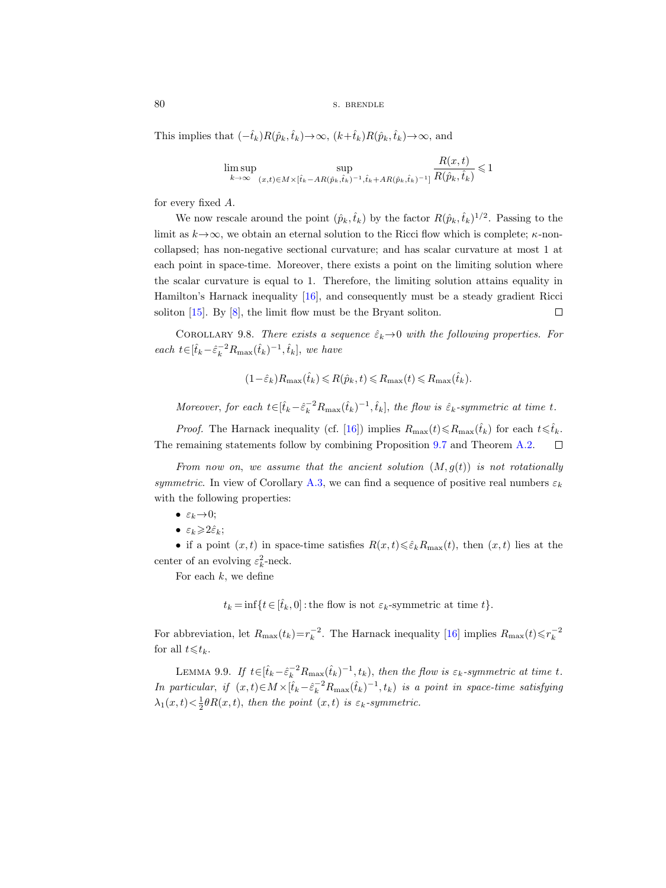```
80 s. BRENDLE
```
This implies that  $(-\hat{t}_k)R(\hat{p}_k,\hat{t}_k) \rightarrow \infty$ ,  $(k+\hat{t}_k)R(\hat{p}_k,\hat{t}_k) \rightarrow \infty$ , and

$$
\limsup_{k \to \infty} \sup_{(x,t) \in M \times [\hat{t}_k - AR(\hat{p}_k, \hat{t}_k)^{-1}, \hat{t}_k + AR(\hat{p}_k, \hat{t}_k)^{-1}]} \frac{R(x,t)}{R(\hat{p}_k, \hat{t}_k)} \leq 1
$$

for every fixed A.

We now rescale around the point  $(\hat{p}_k, \hat{t}_k)$  by the factor  $R(\hat{p}_k, \hat{t}_k)^{1/2}$ . Passing to the limit as  $k \rightarrow \infty$ , we obtain an eternal solution to the Ricci flow which is complete;  $\kappa$ -noncollapsed; has non-negative sectional curvature; and has scalar curvature at most 1 at each point in space-time. Moreover, there exists a point on the limiting solution where the scalar curvature is equal to 1. Therefore, the limiting solution attains equality in Hamilton's Harnack inequality [\[16\]](#page-100-4), and consequently must be a steady gradient Ricci soliton [\[15\]](#page-100-5). By [\[8\]](#page-100-1), the limit flow must be the Bryant soliton.  $\Box$ 

COROLLARY 9.8. There exists a sequence  $\hat{\varepsilon}_k \rightarrow 0$  with the following properties. For each  $t \in [\hat{t}_k - \hat{\varepsilon}_k^{-2} R_{\text{max}}(\hat{t}_k)^{-1}, \hat{t}_k]$ , we have

$$
(1-\hat{\varepsilon}_k)R_{\text{max}}(\hat{t}_k) \leq R(\hat{p}_k, t) \leq R_{\text{max}}(t) \leq R_{\text{max}}(\hat{t}_k).
$$

Moreover, for each  $t \in [\hat{t}_k - \hat{\varepsilon}_k^{-2} R_{\max}(\hat{t}_k)^{-1}, \hat{t}_k]$ , the flow is  $\hat{\varepsilon}_k$ -symmetric at time t.

*Proof.* The Harnack inequality (cf. [\[16\]](#page-100-4)) implies  $R_{\text{max}}(t) \leq R_{\text{max}}(\hat{t}_k)$  for each  $t \leq \hat{t}_k$ . The remaining statements follow by combining Proposition [9.7](#page-78-0) and Theorem [A.2.](#page-95-0)  $\Box$ 

From now on, we assume that the ancient solution  $(M, g(t))$  is not rotationally symmetric. In view of Corollary [A.3,](#page-95-1) we can find a sequence of positive real numbers  $\varepsilon_k$ with the following properties:

- $\varepsilon_k \rightarrow 0;$
- $\varepsilon_k \geqslant 2\hat{\varepsilon}_k$ ;

• if a point  $(x, t)$  in space-time satisfies  $R(x, t) \leq \hat{\epsilon}_k R_{\text{max}}(t)$ , then  $(x, t)$  lies at the center of an evolving  $\varepsilon_k^2$ -neck.

For each  $k$ , we define

 $t_k = \inf\{t \in [\hat{t}_k, 0] : \text{the flow is not } \varepsilon_k\text{-symmetric at time } t\}.$ 

For abbreviation, let  $R_{\text{max}}(t_k) = r_k^{-2}$ . The Harnack inequality [\[16\]](#page-100-4) implies  $R_{\text{max}}(t) \leq r_k^{-2}$ for all  $t \leq t_k$ .

<span id="page-79-0"></span>LEMMA 9.9. If  $t \in [\hat{t}_k - \hat{\varepsilon}_k^{-2} R_{\text{max}}(\hat{t}_k)^{-1}, t_k)$ , then the flow is  $\varepsilon_k$ -symmetric at time t. In particular, if  $(x,t) \in M \times [\hat{t}_k - \hat{\varepsilon}_k^{-2} R_{\max}(\hat{t}_k)^{-1}, t_k)$  is a point in space-time satisfying  $\lambda_1(x,t) < \frac{1}{2}\theta R(x,t)$ , then the point  $(x,t)$  is  $\varepsilon_k$ -symmetric.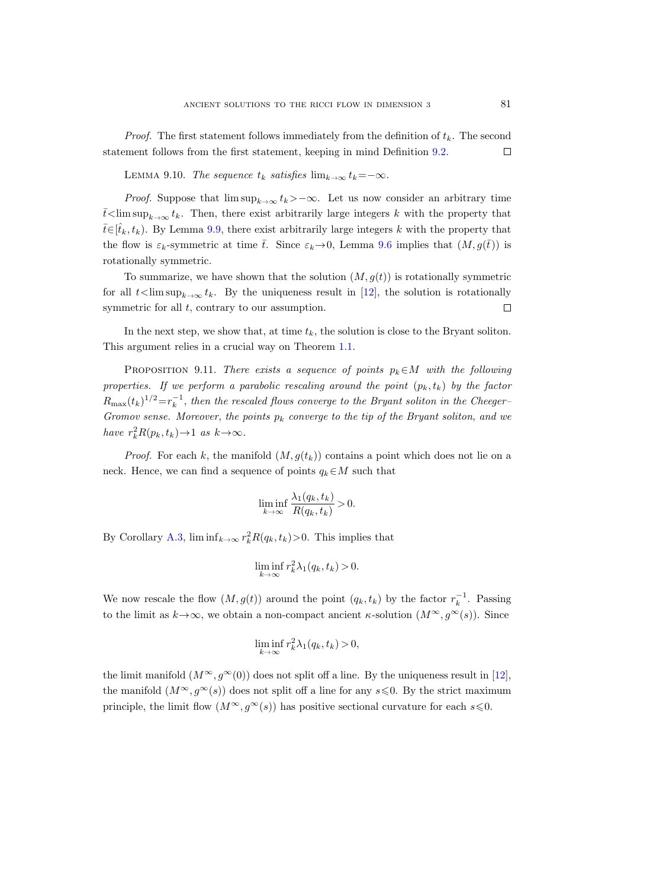*Proof.* The first statement follows immediately from the definition of  $t_k$ . The second statement follows from the first statement, keeping in mind Definition [9.2.](#page-75-0)  $\Box$ 

LEMMA 9.10. The sequence  $t_k$  satisfies  $\lim_{k\to\infty} t_k=-\infty$ .

*Proof.* Suppose that  $\limsup_{k\to\infty} t_k$ >−∞. Let us now consider an arbitrary time  $\bar{t}$  lim sup<sub>k→∞</sub>  $t_k$ . Then, there exist arbitrarily large integers k with the property that  $\bar{t} \in [\hat{t}_k, t_k]$ . By Lemma [9.9,](#page-79-0) there exist arbitrarily large integers k with the property that the flow is  $\varepsilon_k$ -symmetric at time  $\bar{t}$ . Since  $\varepsilon_k \to 0$ , Lemma [9.6](#page-77-0) implies that  $(M, g(\bar{t}))$  is rotationally symmetric.

To summarize, we have shown that the solution  $(M, g(t))$  is rotationally symmetric for all  $t$ <lim sup<sub>k→∞</sub>  $t_k$ . By the uniqueness result in [\[12\]](#page-100-6), the solution is rotationally symmetric for all  $t$ , contrary to our assumption.  $\Box$ 

In the next step, we show that, at time  $t_k$ , the solution is close to the Bryant soliton. This argument relies in a crucial way on Theorem [1.1.](#page-1-1)

<span id="page-80-0"></span>PROPOSITION 9.11. There exists a sequence of points  $p_k \in M$  with the following properties. If we perform a parabolic rescaling around the point  $(p_k, t_k)$  by the factor  $R_{\text{max}}(t_k)^{1/2} = r_k^{-1}$ , then the rescaled flows converge to the Bryant soliton in the Cheeger-Gromov sense. Moreover, the points  $p_k$  converge to the tip of the Bryant soliton, and we have  $r_k^2 R(p_k, t_k) \rightarrow 1$  as  $k \rightarrow \infty$ .

*Proof.* For each k, the manifold  $(M, g(t_k))$  contains a point which does not lie on a neck. Hence, we can find a sequence of points  $q_k \in M$  such that

$$
\liminf_{k \to \infty} \frac{\lambda_1(q_k, t_k)}{R(q_k, t_k)} > 0.
$$

By Corollary [A.3,](#page-95-1)  $\liminf_{k \to \infty} r_k^2 R(q_k, t_k) > 0$ . This implies that

$$
\liminf_{k \to \infty} r_k^2 \lambda_1(q_k, t_k) > 0.
$$

We now rescale the flow  $(M, g(t))$  around the point  $(q_k, t_k)$  by the factor  $r_k^{-1}$ . Passing to the limit as  $k \to \infty$ , we obtain a non-compact ancient  $\kappa$ -solution  $(M^{\infty}, g^{\infty}(s))$ . Since

$$
\liminf_{k \to \infty} r_k^2 \lambda_1(q_k, t_k) > 0,
$$

the limit manifold  $(M^{\infty}, g^{\infty}(0))$  does not split off a line. By the uniqueness result in [\[12\]](#page-100-6), the manifold  $(M^{\infty}, g^{\infty}(s))$  does not split off a line for any  $s \leq 0$ . By the strict maximum principle, the limit flow  $(M^{\infty}, g^{\infty}(s))$  has positive sectional curvature for each  $s \leq 0$ .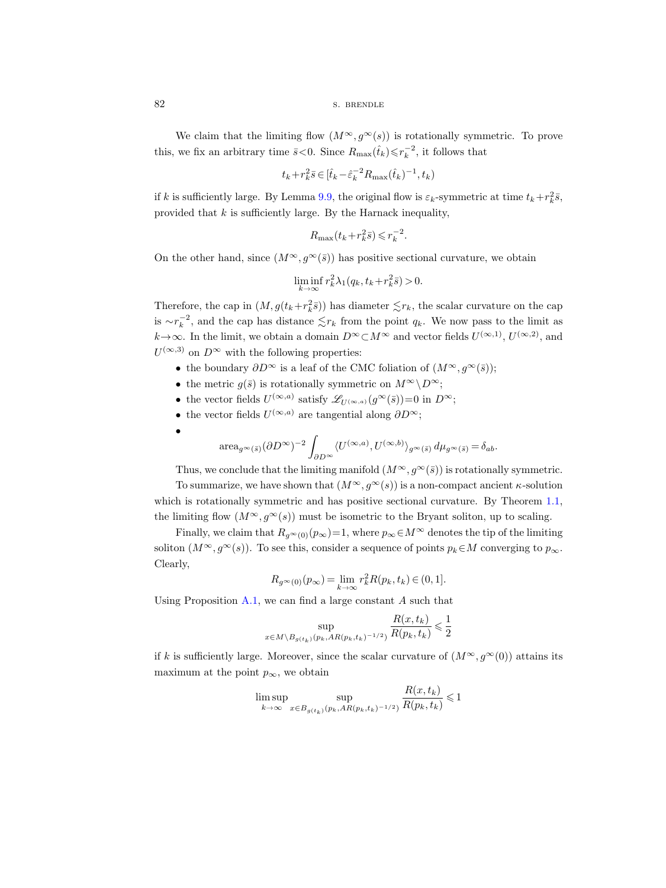82 s. BRENDLE

We claim that the limiting flow  $(M^{\infty}, q^{\infty}(s))$  is rotationally symmetric. To prove this, we fix an arbitrary time  $\bar{s}$ <0. Since  $R_{\text{max}}(\hat{t}_k) \leq r_k^{-2}$ , it follows that

$$
t_k\!+\!r_k^2\bar{s}\!\in\! [\widehat{t}_k\!-\!\widehat{\varepsilon}_{k}^{-2}R_{\max}(\widehat{t}_k)^{-1},t_k)
$$

if k is sufficiently large. By Lemma [9.9,](#page-79-0) the original flow is  $\varepsilon_k$ -symmetric at time  $t_k + r_k^2 \bar{s}$ , provided that  $k$  is sufficiently large. By the Harnack inequality,

$$
R_{\max}\bigl(t_k\!+\!r_k^2\bar{s}\bigr)\!\leqslant\! r_k^{-2}.
$$

On the other hand, since  $(M^{\infty}, g^{\infty}(\bar{s}))$  has positive sectional curvature, we obtain

$$
\liminf_{k \to \infty} r_k^2 \lambda_1(q_k, t_k + r_k^2 \bar{s}) > 0.
$$

Therefore, the cap in  $(M, g(t_k+r_k^2\bar{s}))$  has diameter  $\lesssim r_k$ , the scalar curvature on the cap is  $\sim r_k^{-2}$ , and the cap has distance  $\lesssim r_k$  from the point  $q_k$ . We now pass to the limit as  $k \to \infty$ . In the limit, we obtain a domain  $D^{\infty} \subset M^{\infty}$  and vector fields  $U^{(\infty,1)}$ ,  $U^{(\infty,2)}$ , and  $U^{(\infty,3)}$  on  $D^{\infty}$  with the following properties:

- the boundary  $\partial D^{\infty}$  is a leaf of the CMC foliation of  $(M^{\infty}, q^{\infty}(\bar{s}))$ ;
- the metric  $g(\bar{s})$  is rotationally symmetric on  $M^{\infty} \backslash D^{\infty}$ ;
- the vector fields  $U^{(\infty, a)}$  satisfy  $\mathscr{L}_{U^{(\infty, a)}}(g^{\infty}(\bar{s}))=0$  in  $D^{\infty}$ ;
- the vector fields  $U^{(\infty, a)}$  are tangential along  $\partial D^{\infty}$ ;
- •

$$
\operatorname{area}_{g^{\infty}(\bar{s})}(\partial D^{\infty})^{-2} \int_{\partial D^{\infty}} \langle U^{(\infty,a)}, U^{(\infty,b)} \rangle_{g^{\infty}(\bar{s})} d\mu_{g^{\infty}(\bar{s})} = \delta_{ab}.
$$

Thus, we conclude that the limiting manifold  $(M^{\infty}, g^{\infty}(\bar{s}))$  is rotationally symmetric.

To summarize, we have shown that  $(M^{\infty}, g^{\infty}(s))$  is a non-compact ancient  $\kappa$ -solution which is rotationally symmetric and has positive sectional curvature. By Theorem [1.1,](#page-1-1) the limiting flow  $(M^{\infty}, g^{\infty}(s))$  must be isometric to the Bryant soliton, up to scaling.

Finally, we claim that  $R_{g^{\infty}(0)}(p_{\infty})=1$ , where  $p_{\infty} \in M^{\infty}$  denotes the tip of the limiting soliton  $(M^{\infty}, g^{\infty}(s))$ . To see this, consider a sequence of points  $p_k \in M$  converging to  $p_{\infty}$ . Clearly,

$$
R_{g^{\infty}(0)}(p_{\infty}) = \lim_{k \to \infty} r_k^2 R(p_k, t_k) \in (0, 1].
$$

Using Proposition [A.1,](#page-94-0) we can find a large constant  $A$  such that

$$
\sup_{x \in M \setminus B_{g(t_k)}(p_k, AR(p_k, t_k)^{-1/2})} \frac{R(x, t_k)}{R(p_k, t_k)} \leq \frac{1}{2}
$$

if k is sufficiently large. Moreover, since the scalar curvature of  $(M^{\infty}, g^{\infty}(0))$  attains its maximum at the point  $p_{\infty}$ , we obtain

$$
\limsup_{k \to \infty} \sup_{x \in B_{g(t_k)}(p_k, AR(p_k, t_k)^{-1/2})} \frac{R(x, t_k)}{R(p_k, t_k)} \leq 1
$$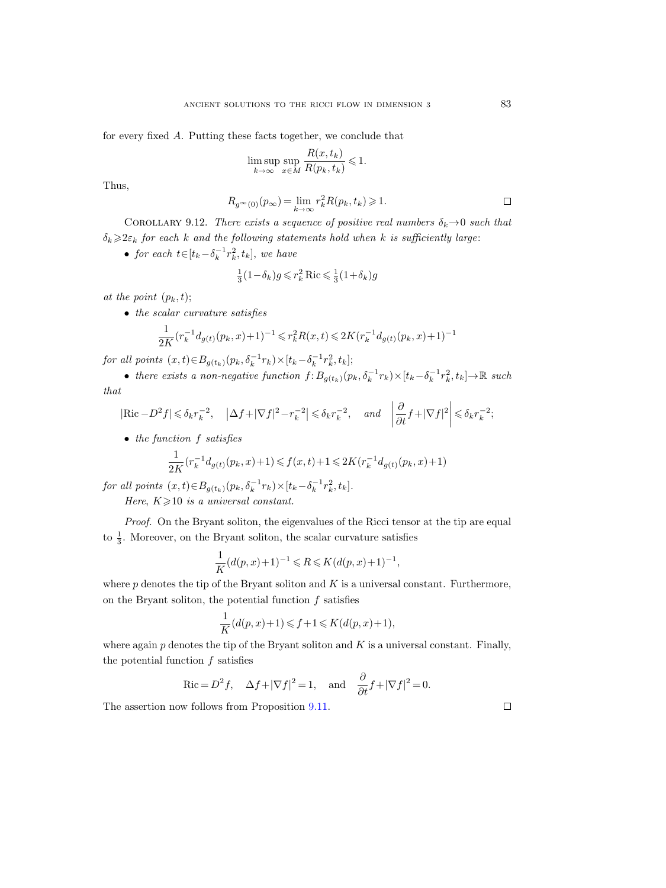for every fixed A. Putting these facts together, we conclude that

$$
\limsup_{k \to \infty} \sup_{x \in M} \frac{R(x, t_k)}{R(p_k, t_k)} \leq 1.
$$

Thus,

$$
R_{g^{\infty}(0)}(p_{\infty}) = \lim_{k \to \infty} r_k^2 R(p_k, t_k) \geqslant 1.
$$

<span id="page-82-0"></span>COROLLARY 9.12. There exists a sequence of positive real numbers  $\delta_k \rightarrow 0$  such that  $\delta_k \geqslant 2\varepsilon_k$  for each k and the following statements hold when k is sufficiently large:

• for each  $t \in [t_k - \delta_k^{-1}r_k^2, t_k]$ , we have

$$
\frac{1}{3}(1-\delta_k)g \leqslant r_k^2 \operatorname{Ric} \leqslant \frac{1}{3}(1+\delta_k)g
$$

at the point  $(p_k, t)$ ;

• the scalar curvature satisfies

$$
\frac{1}{2K}(r_k^{-1}d_{g(t)}(p_k, x)+1)^{-1} \leq r_k^2 R(x, t) \leq 2K(r_k^{-1}d_{g(t)}(p_k, x)+1)^{-1}
$$

for all points  $(x,t) \in B_{g(t_k)}(p_k, \delta_k^{-1} r_k) \times [t_k - \delta_k^{-1} r_k^2, t_k];$ 

• there exists a non-negative function  $f: B_{g(t_k)}(p_k, \delta_k^{-1}r_k) \times [t_k-\delta_k^{-1}r_k^2, t_k] \to \mathbb{R}$  such that

$$
|\mathrm{Ric} - D^2 f| \leq \delta_k r_k^{-2}, \quad |\Delta f + |\nabla f|^2 - r_k^{-2}| \leq \delta_k r_k^{-2}, \quad \text{and} \quad \left| \frac{\partial}{\partial t} f + |\nabla f|^2 \right| \leq \delta_k r_k^{-2};
$$

• the function f satisfies

$$
\frac{1}{2K}(r_k^{-1}d_{g(t)}(p_k, x) + 1) \leq f(x, t) + 1 \leq 2K(r_k^{-1}d_{g(t)}(p_k, x) + 1)
$$

for all points  $(x,t) \in B_{g(t_k)}(p_k, \delta_k^{-1} r_k) \times [t_k - \delta_k^{-1} r_k^2, t_k].$ 

Here,  $K \geqslant 10$  is a universal constant.

Proof. On the Bryant soliton, the eigenvalues of the Ricci tensor at the tip are equal to  $\frac{1}{3}$ . Moreover, on the Bryant soliton, the scalar curvature satisfies

$$
\frac{1}{K}(d(p,x)+1)^{-1} \leq R \leq K(d(p,x)+1)^{-1},
$$

where  $p$  denotes the tip of the Bryant soliton and  $K$  is a universal constant. Furthermore, on the Bryant soliton, the potential function  $f$  satisfies

$$
\frac{1}{K}(d(p,x)+1) \leqslant f+1 \leqslant K(d(p,x)+1),
$$

where again  $p$  denotes the tip of the Bryant soliton and  $K$  is a universal constant. Finally, the potential function  $f$  satisfies

$$
\operatorname{Ric} = D^2 f, \quad \Delta f + |\nabla f|^2 = 1, \quad \text{and} \quad \frac{\partial}{\partial t} f + |\nabla f|^2 = 0.
$$

The assertion now follows from Proposition [9.11.](#page-80-0)

 $\Box$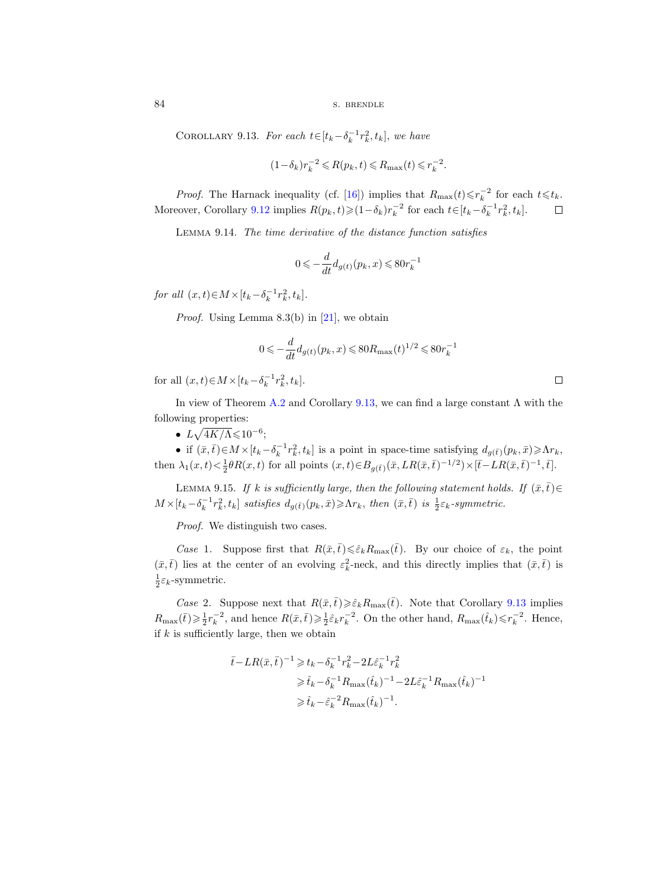<span id="page-83-0"></span>COROLLARY 9.13. For each  $t \in [t_k - \delta_k^{-1} r_k^2, t_k]$ , we have

$$
(1-\delta_k)r_k^{-2}\leqslant R(p_k,t)\leqslant R_{\max}(t)\leqslant r_k^{-2}.
$$

*Proof.* The Harnack inequality (cf. [\[16\]](#page-100-4)) implies that  $R_{\text{max}}(t) \leq r_k^{-2}$  for each  $t \leq t_k$ . Moreover, Corollary [9.12](#page-82-0) implies  $R(p_k, t) \geq (1 - \delta_k) r_k^{-2}$  for each  $t \in [t_k - \delta_k^{-1} r_k^2, t_k]$ .  $\Box$ 

<span id="page-83-2"></span>Lemma 9.14. The time derivative of the distance function satisfies

$$
0\leqslant -\frac{d}{dt}d_{g(t)}\big(p_k,x\big)\leqslant 80r_k^{-1}
$$

for all  $(x, t) \in M \times [t_k - \delta_k^{-1} r_k^2, t_k].$ 

*Proof.* Using Lemma 8.3(b) in [\[21\]](#page-100-0), we obtain

$$
0 \leqslant -\frac{d}{dt}d_{g(t)}(p_k, x) \leqslant 80 R_{\text{max}}(t)^{1/2} \leqslant 80 r_k^{-1}
$$

for all  $(x, t) \in M \times [t_k - \delta_k^{-1} r_k^2, t_k].$ 

In view of Theorem [A.2](#page-95-0) and Corollary [9.13,](#page-83-0) we can find a large constant  $\Lambda$  with the following properties:

•  $L\sqrt{4K/\Lambda}$   $\leqslant$  10<sup>-6</sup>;

• if  $(\bar{x}, \bar{t}) \in M \times [t_k - \delta_k^{-1} r_k^2, t_k]$  is a point in space-time satisfying  $d_{g(\bar{t})}(p_k, \bar{x}) \geq \Lambda r_k$ , then  $\lambda_1(x,t) < \frac{1}{2}\theta R(x,t)$  for all points  $(x,t) \in B_{g(\bar{t})}(\bar{x},LR(\bar{x},\bar{t})^{-1/2}) \times [\bar{t}-LR(\bar{x},\bar{t})^{-1},\bar{t}].$ 

<span id="page-83-1"></span>LEMMA 9.15. If k is sufficiently large, then the following statement holds. If  $(\bar{x}, \bar{t}) \in$  $M\times [t_k-\delta_k^{-1}r_k^2,t_k]$  satisfies  $d_{g(\bar{t})}(p_k,\bar{x})\geq \Lambda r_k$ , then  $(\bar{x},\bar{t})$  is  $\frac{1}{2}\varepsilon_k$ -symmetric.

Proof. We distinguish two cases.

Case 1. Suppose first that  $R(\bar{x},\bar{t}) \leq \hat{\varepsilon}_k R_{\max}(\bar{t})$ . By our choice of  $\varepsilon_k$ , the point  $(\bar{x}, \bar{t})$  lies at the center of an evolving  $\varepsilon_k^2$ -neck, and this directly implies that  $(\bar{x}, \bar{t})$  is  $\frac{1}{2}\varepsilon_k$ -symmetric.

Case 2. Suppose next that  $R(\bar{x},\bar{t})\geq \hat{\varepsilon}_kR_{\max}(\bar{t})$ . Note that Corollary [9.13](#page-83-0) implies  $R_{\text{max}}(\bar{t}) \geqslant \frac{1}{2} r_k^{-2}$ , and hence  $R(\bar{x}, \bar{t}) \geqslant \frac{1}{2} \hat{\varepsilon}_k r_k^{-2}$ . On the other hand,  $R_{\text{max}}(\hat{t}_k) \leqslant r_k^{-2}$ . Hence, if  $k$  is sufficiently large, then we obtain

$$
\begin{aligned} \bar{t} - LR(\bar{x},\bar{t})^{-1} &\geqslant t_k - \delta_k^{-1} r_k^2 - 2 L \hat{\varepsilon}_k^{-1} r_k^2 \\ &\geqslant \hat{t}_k - \delta_k^{-1} R_{\max}(\hat{t}_k)^{-1} - 2 L \hat{\varepsilon}_k^{-1} R_{\max}(\hat{t}_k)^{-1} \\ &\geqslant \hat{t}_k - \hat{\varepsilon}_k^{-2} R_{\max}(\hat{t}_k)^{-1}. \end{aligned}
$$

 $\Box$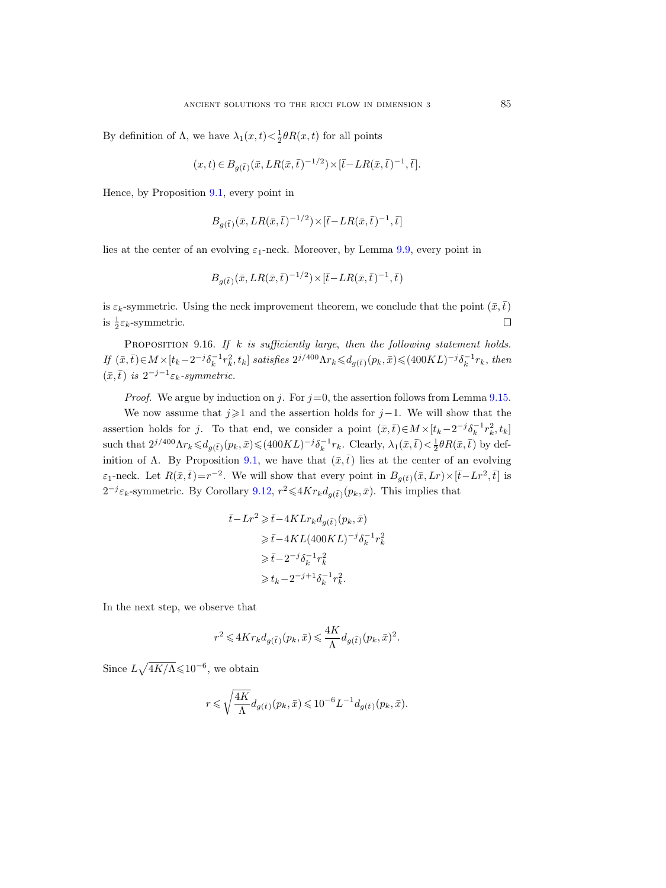By definition of  $\Lambda$ , we have  $\lambda_1(x,t) < \frac{1}{2}\theta R(x,t)$  for all points

$$
(x,t) \in B_{g(\bar{t})}(\bar{x}, LR(\bar{x}, \bar{t})^{-1/2}) \times [\bar{t} - LR(\bar{x}, \bar{t})^{-1}, \bar{t}].
$$

Hence, by Proposition [9.1,](#page-74-0) every point in

$$
B_{g(\bar{t})}(\bar{x}, LR(\bar{x}, \bar{t})^{-1/2}) \times [\bar{t} - LR(\bar{x}, \bar{t})^{-1}, \bar{t}]
$$

lies at the center of an evolving  $\varepsilon_1$ -neck. Moreover, by Lemma [9.9,](#page-79-0) every point in

$$
B_{g(\bar{t})}(\bar{x}, LR(\bar{x}, \bar{t})^{-1/2}) \times [\bar{t} - LR(\bar{x}, \bar{t})^{-1}, \bar{t})
$$

is  $\varepsilon_k$ -symmetric. Using the neck improvement theorem, we conclude that the point  $(\bar{x},\bar{t})$ is  $\frac{1}{2}\varepsilon_k$ -symmetric.  $\Box$ 

<span id="page-84-0"></span>PROPOSITION 9.16. If  $k$  is sufficiently large, then the following statement holds.  $If (\bar{x}, \bar{t}) \in M \times [t_k - 2^{-j} \delta_k^{-1} r_k^2, t_k]$  satisfies  $2^{j/400} \Lambda r_k \leqslant d_{g(\bar{t})}(p_k, \bar{x}) \leqslant (400 KL)^{-j} \delta_k^{-1} r_k$ , then  $(\bar{x}, \bar{t})$  is  $2^{-j-1}\varepsilon_k$ -symmetric.

*Proof.* We argue by induction on j. For  $j=0$ , the assertion follows from Lemma [9.15.](#page-83-1)

We now assume that  $j\geq 1$  and the assertion holds for  $j-1$ . We will show that the assertion holds for j. To that end, we consider a point  $(\bar{x}, \bar{t}) \in M \times [t_k - 2^{-j} \delta_k^{-1} r_k^2, t_k]$ such that  $2^{j/400} \Lambda r_k \leq d_{g(\bar{t})}(p_k, \bar{x}) \leq (400KL)^{-j} \delta_k^{-1} r_k$ . Clearly,  $\lambda_1(\bar{x}, \bar{t}) < \frac{1}{2} \theta R(\bar{x}, \bar{t})$  by def-inition of Λ. By Proposition [9.1,](#page-74-0) we have that  $(\bar{x},\bar{t})$  lies at the center of an evolving  $\varepsilon_1$ -neck. Let  $R(\bar{x}, \bar{t}) = r^{-2}$ . We will show that every point in  $B_{g(\bar{t})}(\bar{x}, Lr) \times [\bar{t} - Lr^2, \bar{t}]$  is  $2^{-j}\varepsilon_k$ -symmetric. By Corollary [9.12,](#page-82-0)  $r^2 \leq 4Kr_kd_{g(\bar{t})}(p_k, \bar{x})$ . This implies that

$$
\bar{t} - Lr^2 \geq \bar{t} - 4KLr_k d_{g(\bar{t})}(p_k, \bar{x})
$$
  
\n
$$
\geq \bar{t} - 4KL(400KL)^{-j} \delta_k^{-1} r_k^2
$$
  
\n
$$
\geq \bar{t} - 2^{-j} \delta_k^{-1} r_k^2
$$
  
\n
$$
\geq t_k - 2^{-j+1} \delta_k^{-1} r_k^2.
$$

In the next step, we observe that

$$
r^2\leqslant 4Kr_kd_{g(\bar{t})}(p_k,\bar{x})\leqslant \frac{4K}{\Lambda}d_{g(\bar{t})}(p_k,\bar{x})^2.
$$

Since  $L\sqrt{4K/\Lambda} \leq 10^{-6}$ , we obtain

$$
r\leqslant \sqrt{\frac{4K}{\Lambda}}d_{g(\bar{t})}(p_k,\bar{x})\leqslant 10^{-6}L^{-1}d_{g(\bar{t})}(p_k,\bar{x}).
$$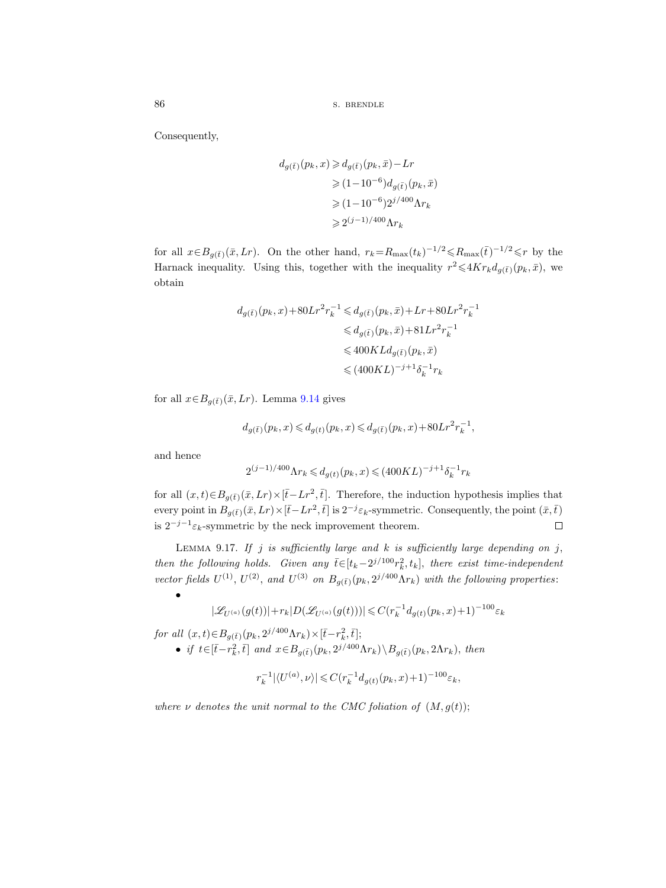Consequently,

$$
d_{g(\bar{t})}(p_k, x) \geqslant d_{g(\bar{t})}(p_k, \bar{x}) - Lr
$$
  
\n
$$
\geqslant (1 - 10^{-6}) d_{g(\bar{t})}(p_k, \bar{x})
$$
  
\n
$$
\geqslant (1 - 10^{-6}) 2^{j/400} \Lambda r_k
$$
  
\n
$$
\geqslant 2^{(j-1)/400} \Lambda r_k
$$

for all  $x \in B_{g(\bar{t})}(\bar{x}, Lr)$ . On the other hand,  $r_k = R_{\max}(t_k)^{-1/2} \leq R_{\max}(\bar{t})^{-1/2} \leq r$  by the Harnack inequality. Using this, together with the inequality  $r^2 \leq 4Kr_kd_{g(\bar{t})}(p_k, \bar{x})$ , we obtain

$$
d_{g(\bar{t})}(p_k, x) + 80Lr^2r_k^{-1} \leq d_{g(\bar{t})}(p_k, \bar{x}) + Lr + 80Lr^2r_k^{-1}
$$
  

$$
\leq d_{g(\bar{t})}(p_k, \bar{x}) + 81Lr^2r_k^{-1}
$$
  

$$
\leq 400KLd_{g(\bar{t})}(p_k, \bar{x})
$$
  

$$
\leq (400KL)^{-j+1}\delta_k^{-1}r_k
$$

for all  $x \in B_{g(\bar{t})}(\bar{x}, Lr)$ . Lemma [9.14](#page-83-2) gives

$$
d_{g(\bar{t})}(p_k,x)\leqslant d_{g(t)}(p_k,x)\leqslant d_{g(\bar{t})}(p_k,x)+80Lr^2r_k^{-1},
$$

and hence

•

$$
2^{(j-1)/400} \Lambda r_k \leqslant d_{g(t)}(p_k,x) \leqslant (400KL)^{-j+1} \delta_k^{-1} r_k
$$

for all  $(x,t) \in B_{g(\bar{t})}(\bar{x}, Lr) \times [\bar{t}-Lr^2, \bar{t}].$  Therefore, the induction hypothesis implies that every point in  $B_{g(\bar{t})}(\bar{x}, Lr) \times [\bar{t}-Lr^2, \bar{t}]$  is  $2^{-j}\varepsilon_k$ -symmetric. Consequently, the point  $(\bar{x}, \bar{t})$ is  $2^{-j-1} \varepsilon_k$ -symmetric by the neck improvement theorem.  $\Box$ 

<span id="page-85-0"></span>LEMMA 9.17. If j is sufficiently large and k is sufficiently large depending on j, then the following holds. Given any  $\bar{t} \in [t_k - 2^{j/100} r_k^2, t_k]$ , there exist time-independent vector fields  $U^{(1)}$ ,  $U^{(2)}$ , and  $U^{(3)}$  on  $B_{g(\bar{t})}(p_k, 2^{j/400}\Lambda r_k)$  with the following properties:

 $|\mathscr{L}_{U^{(a)}}(g(t))| + r_k|D(\mathscr{L}_{U^{(a)}}(g(t)))| \leqslant C (r_k^{-1} d_{g(t)}(p_k,x)+1)^{-100} \varepsilon_k$ 

for all  $(x, t) \in B_{g(\bar{t})}(p_k, 2^{j/400} \Lambda r_k) \times [\bar{t} - r_k^2, \bar{t}];$ 

• if  $t \in [\bar{t}-r_k^2, \bar{t}]$  and  $x \in B_{g(\bar{t})}(p_k, 2^{j/400}\Lambda r_k) \setminus B_{g(\bar{t})}(p_k, 2\Lambda r_k)$ , then

$$
r_k^{-1} |\langle U^{(a)}, \nu \rangle| \leq C (r_k^{-1} d_{g(t)}(p_k, x) + 1)^{-100} \varepsilon_k,
$$

where  $\nu$  denotes the unit normal to the CMC foliation of  $(M, g(t))$ ;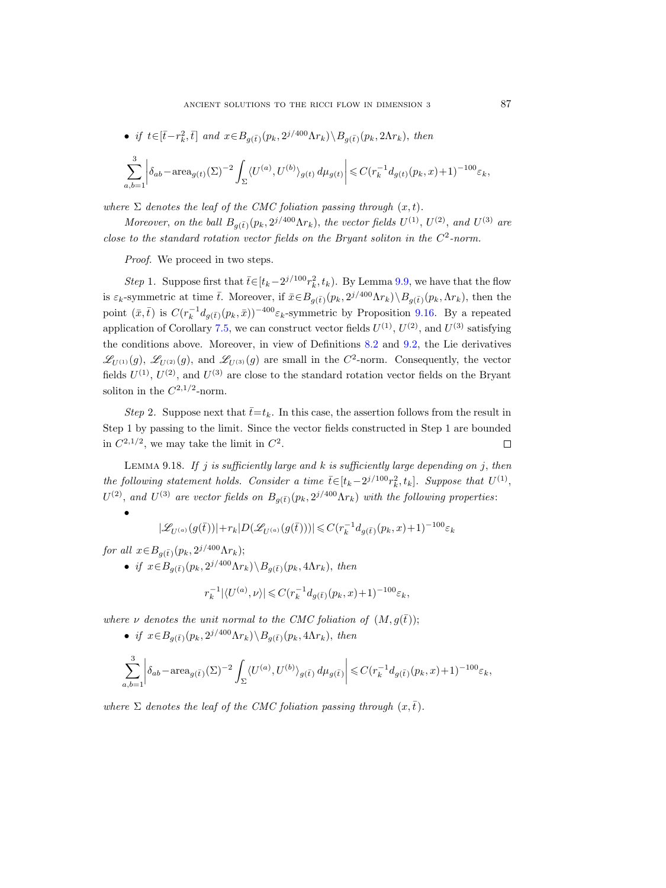• if 
$$
t \in [\bar{t} - r_k^2, \bar{t}]
$$
 and  $x \in B_{g(\bar{t})}(p_k, 2^{j/400} \Lambda r_k) \backslash B_{g(\bar{t})}(p_k, 2\Lambda r_k)$ , then

$$
\sum_{a,b=1}^3 \left| \delta_{ab} - \text{area}_{g(t)}(\Sigma)^{-2} \int_{\Sigma} \langle U^{(a)}, U^{(b)} \rangle_{g(t)} d\mu_{g(t)} \right| \leq C (r_k^{-1} d_{g(t)}(p_k, x) + 1)^{-100} \varepsilon_k,
$$

where  $\Sigma$  denotes the leaf of the CMC foliation passing through  $(x, t)$ .

Moreover, on the ball  $B_{g(\bar{t})}(p_k, 2^{j/400}\Lambda r_k)$ , the vector fields  $U^{(1)}$ ,  $U^{(2)}$ , and  $U^{(3)}$  are close to the standard rotation vector fields on the Bryant soliton in the  $C^2$ -norm.

Proof. We proceed in two steps.

Step 1. Suppose first that  $\bar{t} \in [t_k - 2^{j/100} r_k^2, t_k)$ . By Lemma [9.9,](#page-79-0) we have that the flow is  $\varepsilon_k$ -symmetric at time  $\bar{t}$ . Moreover, if  $\bar{x} \in B_{g(\bar{t})}(p_k, 2^{j/400}\Lambda r_k) \setminus B_{g(\bar{t})}(p_k, \Lambda r_k)$ , then the point  $(\bar{x}, \bar{t})$  is  $C(r_k^{-1}d_{g(\bar{t})}(p_k, \bar{x}))^{-400} \varepsilon_k$ -symmetric by Proposition [9.16.](#page-84-0) By a repeated application of Corollary [7.5,](#page-56-0) we can construct vector fields  $U^{(1)}$ ,  $U^{(2)}$ , and  $U^{(3)}$  satisfying the conditions above. Moreover, in view of Definitions [8.2](#page-57-0) and [9.2,](#page-75-0) the Lie derivatives  $\mathscr{L}_{U^{(1)}}(g)$ ,  $\mathscr{L}_{U^{(2)}}(g)$ , and  $\mathscr{L}_{U^{(3)}}(g)$  are small in the  $C^2$ -norm. Consequently, the vector fields  $U^{(1)}$ ,  $U^{(2)}$ , and  $U^{(3)}$  are close to the standard rotation vector fields on the Bryant soliton in the  $C^{2,1/2}$ -norm.

Step 2. Suppose next that  $\bar{t}=t_k$ . In this case, the assertion follows from the result in Step 1 by passing to the limit. Since the vector fields constructed in Step 1 are bounded in  $C^{2,1/2}$ , we may take the limit in  $C^2$ .  $\Box$ 

<span id="page-86-0"></span>LEMMA 9.18. If j is sufficiently large and  $k$  is sufficiently large depending on j, then the following statement holds. Consider a time  $\bar{t} \in [t_k - 2^{j/100} r_k^2, t_k]$ . Suppose that  $U^{(1)}$ ,  $U^{(2)}$ , and  $U^{(3)}$  are vector fields on  $B_{g(\bar{t})}(p_k, 2^{j/400}\Lambda r_k)$  with the following properties:

$$
|\mathscr{L}_{U^{(a)}}(g(\bar{t}))|+r_k|D(\mathscr{L}_{U^{(a)}}(g(\bar{t})))|\leqslant C(r_k^{-1}d_{g(\bar{t})}(p_k,x)+1)^{-100}\varepsilon_k
$$

for all  $x \in B_{g(\bar{t})}(p_k, 2^{j/400} \Lambda r_k);$ 

•

• if  $x \in B_{g(\bar{t})}(p_k, 2^{j/400}\Lambda r_k) \backslash B_{g(\bar{t})}(p_k, 4\Lambda r_k)$ , then

$$
r_k^{-1}|\langle U^{(a)},\nu\rangle|\leqslant C(r_k^{-1}d_{g(\bar{t})}(p_k,x)+1)^{-100}\varepsilon_k,
$$

where  $\nu$  denotes the unit normal to the CMC foliation of  $(M, g(\bar{t}))$ ;

• if  $x \in B_{g(\bar{t})}(p_k, 2^{j/400} \Lambda r_k) \backslash B_{g(\bar{t})}(p_k, 4\Lambda r_k)$ , then

$$
\sum_{a,b=1}^3 \left| \delta_{ab} - \text{area}_{g(\bar{t})}(\Sigma)^{-2} \int_{\Sigma} \langle U^{(a)}, U^{(b)} \rangle_{g(\bar{t})} d\mu_{g(\bar{t})} \right| \leqslant C (r_k^{-1} d_{g(\bar{t})}(p_k, x) + 1)^{-100} \varepsilon_k,
$$

where  $\Sigma$  denotes the leaf of the CMC foliation passing through  $(x,\bar{t})$ .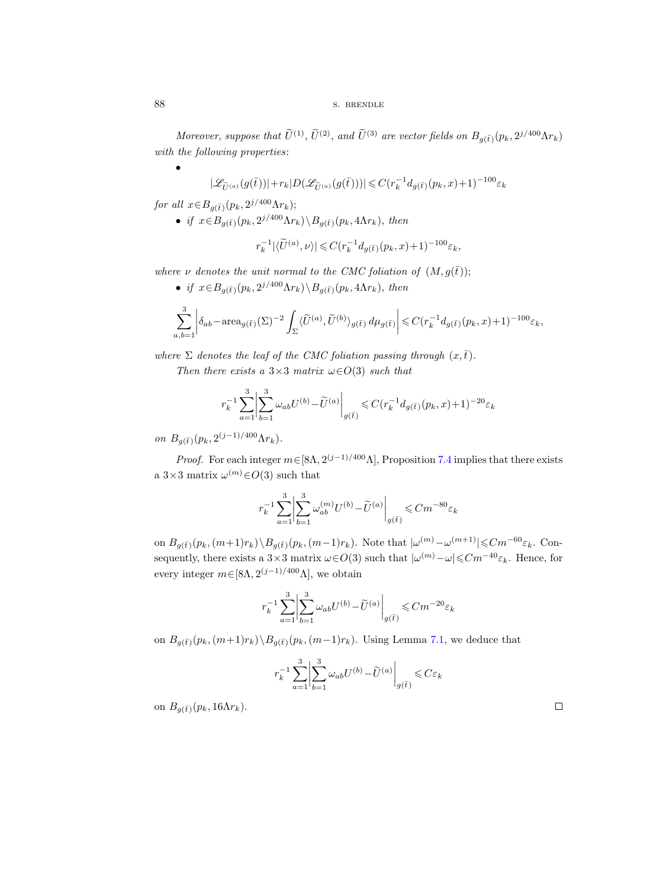Moreover, suppose that  $\tilde{U}^{(1)}$ ,  $\tilde{U}^{(2)}$ , and  $\tilde{U}^{(3)}$  are vector fields on  $B_{g(\bar{t})}(p_k, 2^{j/400}\Lambda r_k)$ with the following properties:

 $|\mathscr{L}_{\tilde{U}^{(a)}}(g(\bar{t}))|+r_k|D(\mathscr{L}_{\tilde{U}^{(a)}}(g(\bar{t})))|\leqslant C(r_k^{-1}d_{g(\bar{t})}(p_k,x)+1)^{-100}\varepsilon_k$ 

for all  $x \in B_{g(\bar{t})}(p_k, 2^{j/400} \Lambda r_k);$ 

• if  $x \in B_{g(\bar{t})}(p_k, 2^{j/400} \Lambda r_k) \backslash B_{g(\bar{t})}(p_k, 4\Lambda r_k)$ , then

$$
r_k^{-1}|\langle \widetilde{U}^{(a)},\nu\rangle| \leqslant C(r_k^{-1}d_{g(\bar{t})}(p_k,x)+1)^{-100}\varepsilon_k,
$$

where  $\nu$  denotes the unit normal to the CMC foliation of  $(M, g(\bar{t}))$ ;

• if  $x \in B_{g(\bar{t})}(p_k, 2^{j/400} \Lambda r_k) \backslash B_{g(\bar{t})}(p_k, 4\Lambda r_k)$ , then

$$
\sum_{a,b=1}^3\bigg|\delta_{ab}-\text{area}_{g(\bar{t})}(\Sigma)^{-2}\int_{\Sigma}\langle \widetilde{U}^{(a)},\widetilde{U}^{(b)}\rangle_{g(\bar{t})}\,d\mu_{g(\bar{t})}\bigg|\leqslant C(r_k^{-1}d_{g(\bar{t})}(p_k,x)+1)^{-100}\varepsilon_k,
$$

where  $\Sigma$  denotes the leaf of the CMC foliation passing through  $(x,\bar{t})$ .

Then there exists a  $3\times3$  matrix  $\omega \in O(3)$  such that

$$
r_k^{-1} \sum_{a=1}^3 \left| \sum_{b=1}^3 \omega_{ab} U^{(b)} - \tilde{U}^{(a)} \right|_{g(\bar{t})} \leq C (r_k^{-1} d_{g(\bar{t})}(p_k, x) + 1)^{-20} \varepsilon_k
$$

on  $B_{g(\bar{t})}(p_k, 2^{(j-1)/400} \Lambda r_k)$ .

*Proof.* For each integer  $m \in [8\Lambda, 2^{(j-1)/400}\Lambda]$ , Proposition [7.4](#page-53-0) implies that there exists a  $3\times 3$  matrix  $\omega^{(m)}\in O(3)$  such that

$$
r_k^{-1} \sum_{a=1}^3 \left| \sum_{b=1}^3 \omega_{ab}^{(m)} U^{(b)} - \tilde{U}^{(a)} \right|_{g(\tilde{t})} \leqslant C m^{-80} \varepsilon_k
$$

on  $B_{g(\bar{t})}(p_k,(m+1)r_k)\setminus B_{g(\bar{t})}(p_k,(m-1)r_k)$ . Note that  $|\omega^{(m)}-\omega^{(m+1)}| \leq Cm^{-60}\varepsilon_k$ . Consequently, there exists a 3×3 matrix  $\omega \in O(3)$  such that  $|\omega^{(m)} - \omega| \leq C m^{-40} \varepsilon_k$ . Hence, for every integer  $m \in [8\Lambda, 2^{(j-1)/400}\Lambda]$ , we obtain

$$
r_k^{-1} \sum_{a=1}^3 \left| \sum_{b=1}^3 \omega_{ab} U^{(b)} - \widetilde{U}^{(a)} \right|_{g(\overline{t})} \leq C m^{-20} \varepsilon_k
$$

on  $B_{q(\bar{t})}(p_k,(m+1)r_k)\backslash B_{q(\bar{t})}(p_k,(m-1)r_k)$ . Using Lemma [7.1,](#page-52-1) we deduce that

$$
r_k^{-1}\sum_{a=1}^3\biggl|\sum_{b=1}^3\omega_{ab}U^{(b)} - \widetilde{U}^{(a)}\biggr|_{g(\bar{t})} \leqslant C\varepsilon_k
$$

on  $B_{q(\bar{t})}(p_k, 16\Lambda r_k)$ .

•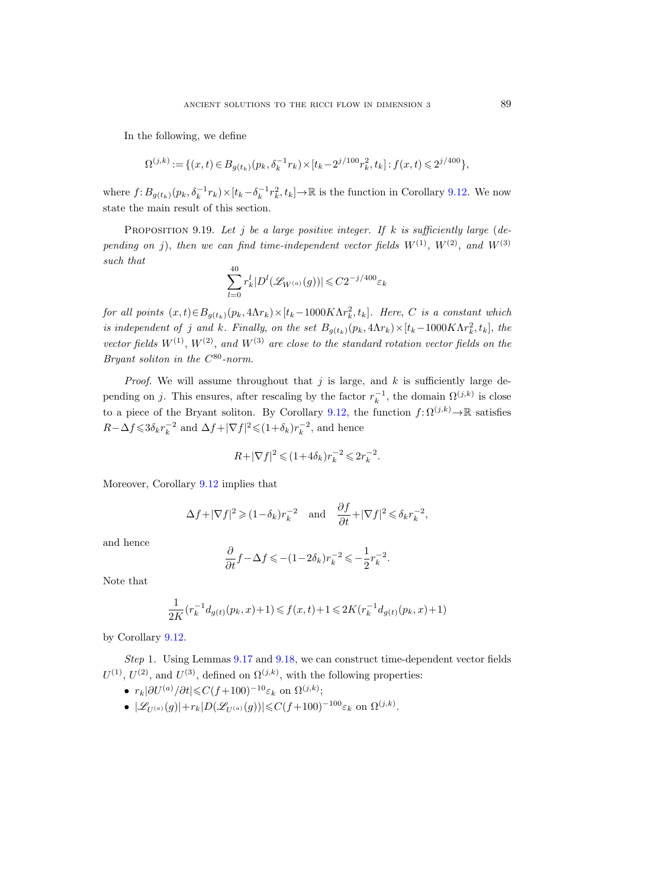In the following, we define

$$
\Omega^{(j,k)}:=\{(x,t)\in B_{g(t_k)}(p_k,\delta_k^{-1}r_k)\times [t_k-2^{j/100}r_k^2,t_k]: f(x,t)\leqslant 2^{j/400}\},
$$

where  $f: B_{g(t_k)}(p_k, \delta_k^{-1}r_k) \times [t_k-\delta_k^{-1}r_k^2, t_k] \to \mathbb{R}$  is the function in Corollary [9.12.](#page-82-0) We now state the main result of this section.

<span id="page-88-0"></span>PROPOSITION 9.19. Let j be a large positive integer. If k is sufficiently large (depending on j), then we can find time-independent vector fields  $W^{(1)}$ ,  $W^{(2)}$ , and  $W^{(3)}$ such that

$$
\sum_{l=0}^{40}r_k^l|D^l(\mathscr{L}_{W^{(a)}}(g))|\leqslant C2^{-j/400}\varepsilon_k
$$

for all points  $(x,t) \in B_{g(t_k)}(p_k, 4\Lambda r_k) \times [t_k-1000K \Lambda r_k^2, t_k]$ . Here, C is a constant which is independent of j and k. Finally, on the set  $B_{g(t_k)}(p_k, 4\Lambda r_k) \times [t_k-1000K \Lambda r_k^2, t_k]$ , the vector fields  $W^{(1)}$ ,  $W^{(2)}$ , and  $W^{(3)}$  are close to the standard rotation vector fields on the Bryant soliton in the  $C^{80}$ -norm.

*Proof.* We will assume throughout that  $j$  is large, and  $k$  is sufficiently large depending on j. This ensures, after rescaling by the factor  $r_k^{-1}$ , the domain  $\Omega^{(j,k)}$  is close to a piece of the Bryant soliton. By Corollary [9.12,](#page-82-0) the function  $f: \Omega^{(j,k)} \to \mathbb{R}$  satisfies  $R-\Delta f \leqslant 3\delta_k r_k^{-2}$  and  $\Delta f+|\nabla f|^2 \leqslant (1+\delta_k)r_k^{-2}$ , and hence

$$
R+|\nabla f|^2\leqslant (1+4\delta_k)r_k^{-2}\leqslant 2r_k^{-2}.
$$

Moreover, Corollary [9.12](#page-82-0) implies that

$$
\Delta f + |\nabla f|^2 \geqslant (1-\delta_k) r_k^{-2} \quad \text{and} \quad \frac{\partial f}{\partial t} + |\nabla f|^2 \leqslant \delta_k r_k^{-2},
$$

and hence

$$
\frac{\partial}{\partial t}f - \Delta f \leqslant -(1 - 2\delta_k)r_k^{-2} \leqslant -\frac{1}{2}r_k^{-2}.
$$

Note that

$$
\frac{1}{2K}(r_k^{-1}d_{g(t)}(p_k,x)+1)\leqslant f(x,t)+1\leqslant 2K(r_k^{-1}d_{g(t)}(p_k,x)+1)
$$

by Corollary [9.12.](#page-82-0)

Step 1. Using Lemmas [9.17](#page-85-0) and [9.18,](#page-86-0) we can construct time-dependent vector fields  $U^{(1)}$ ,  $U^{(2)}$ , and  $U^{(3)}$ , defined on  $\Omega^{(j,k)}$ , with the following properties:

- $r_k|\partial U^{(a)}/\partial t| \leqslant C(f+100)^{-10}\varepsilon_k$  on  $\Omega^{(j,k)}$ ;
- $|\mathscr{L}_{U^{(a)}}(g)| + r_k |D(\mathscr{L}_{U^{(a)}}(g))| \leq C(f+100)^{-100} \varepsilon_k$  on  $\Omega^{(j,k)}$ .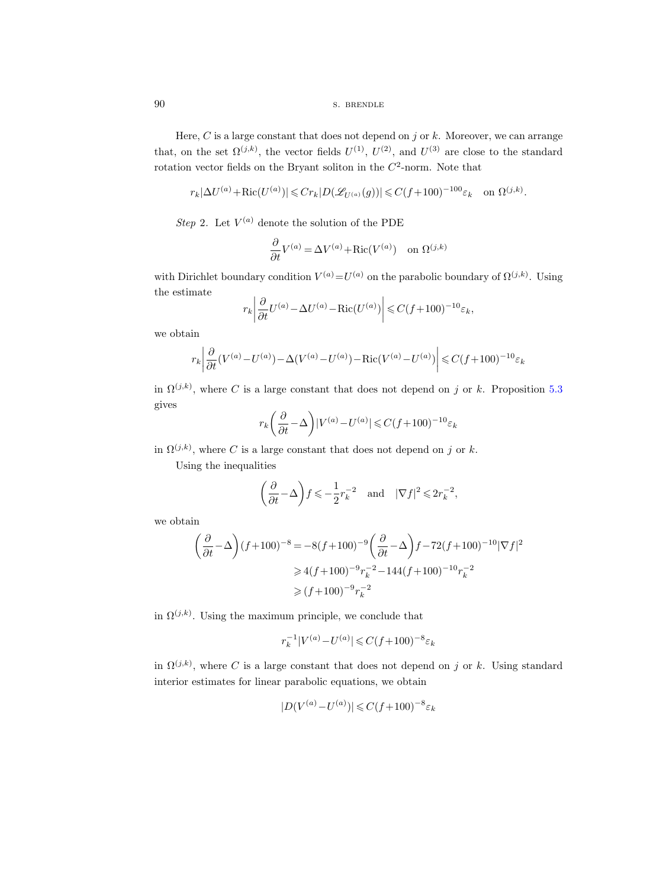90 s. BRENDLE

Here, C is a large constant that does not depend on  $j$  or  $k$ . Moreover, we can arrange that, on the set  $\Omega^{(j,k)}$ , the vector fields  $U^{(1)}$ ,  $U^{(2)}$ , and  $U^{(3)}$  are close to the standard rotation vector fields on the Bryant soliton in the  $C^2$ -norm. Note that

$$
r_k|\Delta U^{(a)} + \text{Ric}(U^{(a)})| \leqslant Cr_k|D(\mathscr{L}_{U^{(a)}}(g))| \leqslant C(f+100)^{-100}\varepsilon_k \quad \text{on } \Omega^{(j,k)}.
$$

Step 2. Let  $V^{(a)}$  denote the solution of the PDE

$$
\frac{\partial}{\partial t}V^{(a)} = \Delta V^{(a)} + \text{Ric}(V^{(a)}) \quad \text{on } \Omega^{(j,k)}
$$

with Dirichlet boundary condition  $V^{(a)} = U^{(a)}$  on the parabolic boundary of  $\Omega^{(j,k)}$ . Using the estimate

$$
r_k \left| \frac{\partial}{\partial t} U^{(a)} - \Delta U^{(a)} - \text{Ric}(U^{(a)}) \right| \leq C(f + 100)^{-10} \varepsilon_k,
$$

we obtain

$$
r_k \left| \frac{\partial}{\partial t} (V^{(a)} - U^{(a)}) - \Delta (V^{(a)} - U^{(a)}) - \text{Ric}(V^{(a)} - U^{(a)}) \right| \leq C(f + 100)^{-10} \varepsilon_k
$$

in  $\Omega^{(j,k)}$ , where C is a large constant that does not depend on j or k. Proposition [5.3](#page-42-0) gives

$$
r_k \left( \frac{\partial}{\partial t} - \Delta \right) |V^{(a)} - U^{(a)}| \leqslant C (f+100)^{-10} \varepsilon_k
$$

in  $\Omega^{(j,k)}$ , where C is a large constant that does not depend on j or k.

Using the inequalities

$$
\left(\frac{\partial}{\partial t} - \Delta\right) f \leqslant -\frac{1}{2} r_k^{-2}
$$
 and  $|\nabla f|^2 \leqslant 2r_k^{-2}$ ,

we obtain

$$
\left(\frac{\partial}{\partial t} - \Delta\right)(f+100)^{-8} = -8(f+100)^{-9} \left(\frac{\partial}{\partial t} - \Delta\right) f - 72(f+100)^{-10} |\nabla f|^2
$$
  
\n
$$
\geq 4(f+100)^{-9} r_k^{-2} - 144(f+100)^{-10} r_k^{-2}
$$
  
\n
$$
\geq (f+100)^{-9} r_k^{-2}
$$

in  $\Omega^{(j,k)}$ . Using the maximum principle, we conclude that

$$
r_k^{-1}|V^{(a)} - U^{(a)}| \leqslant C(f + 100)^{-8} \varepsilon_k
$$

in  $\Omega^{(j,k)}$ , where C is a large constant that does not depend on j or k. Using standard interior estimates for linear parabolic equations, we obtain

$$
|D(V^{(a)} - U^{(a)})| \leq C(f + 100)^{-8} \varepsilon_k
$$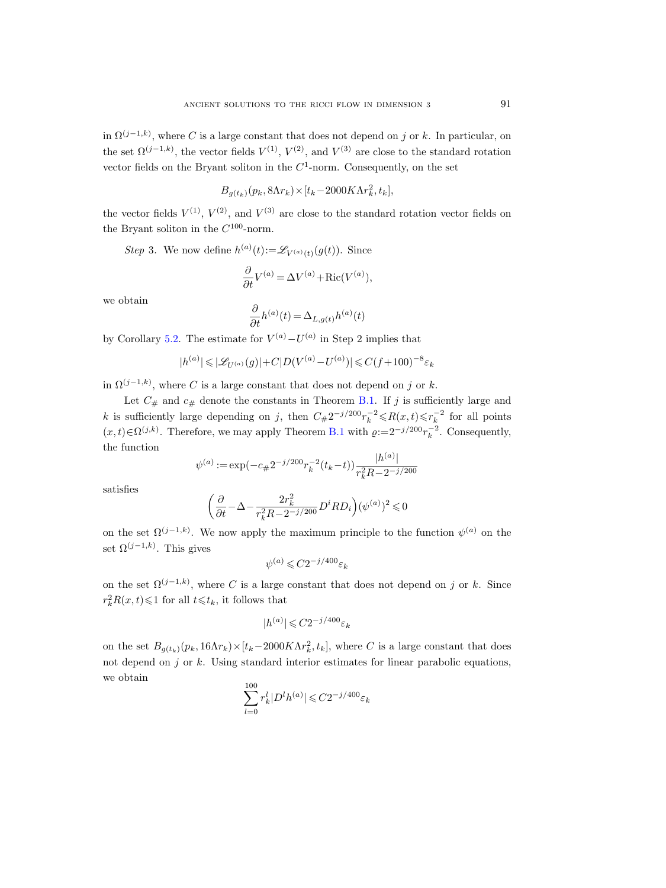in  $\Omega^{(j-1,k)}$ , where C is a large constant that does not depend on j or k. In particular, on the set  $\Omega^{(j-1,k)}$ , the vector fields  $V^{(1)}$ ,  $V^{(2)}$ , and  $V^{(3)}$  are close to the standard rotation vector fields on the Bryant soliton in the  $C^1$ -norm. Consequently, on the set

$$
B_{g(t_k)}(p_k, 8\Lambda r_k) \times [t_k - 2000K\Lambda r_k^2, t_k],
$$

the vector fields  $V^{(1)}$ ,  $V^{(2)}$ , and  $V^{(3)}$  are close to the standard rotation vector fields on the Bryant soliton in the  $C^{100}$ -norm.

Step 3. We now define  $h^{(a)}(t) := \mathscr{L}_{V^{(a)}(t)}(g(t))$ . Since

$$
\frac{\partial}{\partial t}V^{(a)} = \Delta V^{(a)} + \text{Ric}(V^{(a)}),
$$

we obtain

$$
\frac{\partial}{\partial t}h^{(a)}(t)=\Delta_{L,g(t)}h^{(a)}(t)
$$

by Corollary [5.2.](#page-42-1) The estimate for  $V^{(a)} - U^{(a)}$  in Step 2 implies that

$$
|h^{(a)}| \leqslant |\mathscr{L}_{U^{(a)}}(g)| + C|D(V^{(a)} - U^{(a)})| \leqslant C(f+100)^{-8}\varepsilon_k
$$

in  $\Omega^{(j-1,k)}$ , where C is a large constant that does not depend on j or k.

Let  $C_{\#}$  and  $c_{\#}$  denote the constants in Theorem [B.1.](#page-98-0) If j is sufficiently large and k is sufficiently large depending on j, then  $C_{\#}2^{-j/200}r_k^{-2} \le R(x,t) \le r_k^{-2}$  for all points  $(x,t) \in \Omega^{(j,k)}$ . Therefore, we may apply Theorem [B.1](#page-98-0) with  $\varrho := 2^{-j/200} r_k^{-2}$ . Consequently, the function

$$
\psi^{(a)} := \exp(-c_{\#}2^{-j/200}r_k^{-2}(t_k - t))\frac{|h^{(a)}|}{r_k^2R - 2^{-j/200}}
$$

satisfies

$$
\bigg(\frac{\partial}{\partial t}-\Delta-\frac{2r_k^2}{r_k^2R-2^{-j/200}}D^iRD_i\bigg)(\psi^{(a)})^2\leqslant 0
$$

on the set  $\Omega^{(j-1,k)}$ . We now apply the maximum principle to the function  $\psi^{(a)}$  on the set  $\Omega^{(j-1,k)}$ . This gives

$$
\psi^{(a)}\leqslant C2^{-j/400}\varepsilon_k
$$

on the set  $\Omega^{(j-1,k)}$ , where C is a large constant that does not depend on j or k. Since  $r_k^2 R(x,t) \leq 1$  for all  $t \leq t_k$ , it follows that

$$
|h^{(a)}| \leqslant C 2^{-j/400}\varepsilon_k
$$

on the set  $B_{g(t_k)}(p_k, 16\Lambda r_k) \times [t_k-2000K\Lambda r_k^2, t_k]$ , where C is a large constant that does not depend on  $j$  or  $k$ . Using standard interior estimates for linear parabolic equations, we obtain

$$
\sum_{l=0}^{100} r_k^l |D^l h^{(a)}| \leq C 2^{-j/400} \varepsilon_k
$$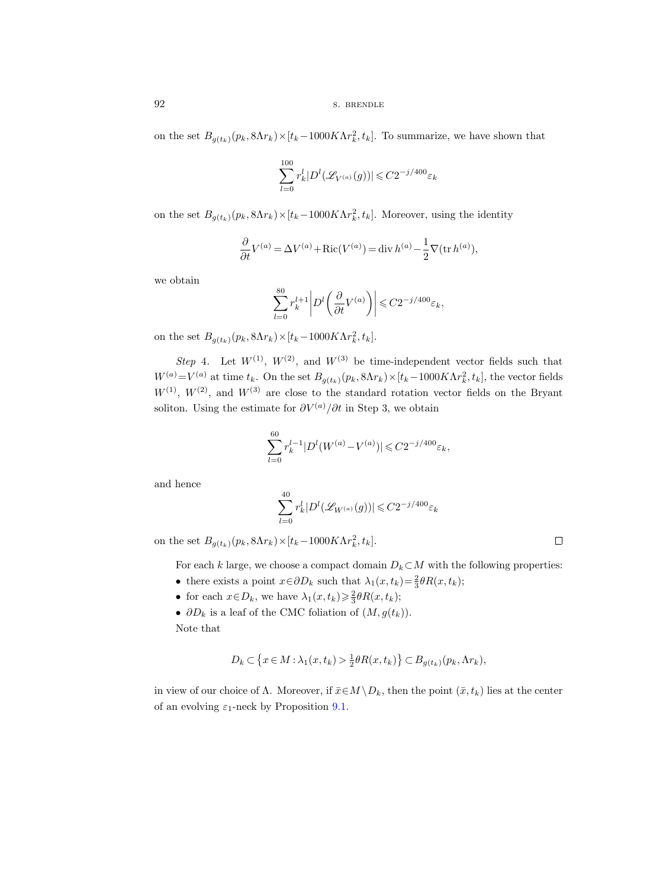on the set  $B_{g(t_k)}(p_k, 8\Lambda r_k) \times [t_k-1000K\Lambda r_k^2, t_k]$ . To summarize, we have shown that

$$
\sum_{l=0}^{100} r_k^l |D^l(\mathcal{L}_{V^{(a)}}(g))| \leq C 2^{-j/400} \varepsilon_k
$$

on the set  $B_{g(t_k)}(p_k, 8\Lambda r_k) \times [t_k - 1000K\Lambda r_k^2, t_k]$ . Moreover, using the identity

$$
\frac{\partial}{\partial t}V^{(a)} = \Delta V^{(a)} + \text{Ric}(V^{(a)}) = \text{div}\, h^{(a)} - \frac{1}{2}\nabla(\text{tr}\, h^{(a)}),
$$

we obtain

$$
\sum_{l=0}^{80} r_k^{l+1} \left| D^l \left( \frac{\partial}{\partial t} V^{(a)} \right) \right| \leq C 2^{-j/400} \varepsilon_k,
$$

on the set  $B_{g(t_k)}(p_k, 8\Lambda r_k) \times [t_k-1000K\Lambda r_k^2, t_k].$ 

Step 4. Let  $W^{(1)}$ ,  $W^{(2)}$ , and  $W^{(3)}$  be time-independent vector fields such that  $W^{(a)} = V^{(a)}$  at time  $t_k$ . On the set  $B_{g(t_k)}(p_k, 8\Lambda r_k) \times [t_k-1000K\Lambda r_k^2, t_k]$ , the vector fields  $W^{(1)}$ ,  $W^{(2)}$ , and  $W^{(3)}$  are close to the standard rotation vector fields on the Bryant soliton. Using the estimate for  $\partial V^{(a)}/\partial t$  in Step 3, we obtain

$$
\sum_{l=0}^{60} r_k^{l-1} |D^l(W^{(a)} - V^{(a)})| \leq C2^{-j/400} \varepsilon_k,
$$

and hence

$$
\sum_{l=0}^{40} r_k^l |D^l(\mathscr{L}_{W^{(a)}}(g))| \leqslant C 2^{-j/400} \varepsilon_k
$$

on the set  $B_{g(t_k)}(p_k, 8\Lambda r_k) \times [t_k-1000K\Lambda r_k^2, t_k].$ 

For each k large, we choose a compact domain  $D_k\subset M$  with the following properties:

- there exists a point  $x \in \partial D_k$  such that  $\lambda_1(x, t_k) = \frac{2}{3} \theta R(x, t_k);$
- for each  $x \in D_k$ , we have  $\lambda_1(x, t_k) \geq \frac{2}{3} \theta R(x, t_k);$
- $\partial D_k$  is a leaf of the CMC foliation of  $(M, g(t_k))$ .

Note that

$$
D_k \subset \left\{ x \in M : \lambda_1(x, t_k) > \frac{1}{2} \theta R(x, t_k) \right\} \subset B_{g(t_k)}(p_k, \Lambda r_k),
$$

in view of our choice of  $\Lambda$ . Moreover, if  $\bar{x} \in M \setminus D_k$ , then the point  $(\bar{x}, t_k)$  lies at the center of an evolving  $\varepsilon_1$ -neck by Proposition [9.1.](#page-74-0)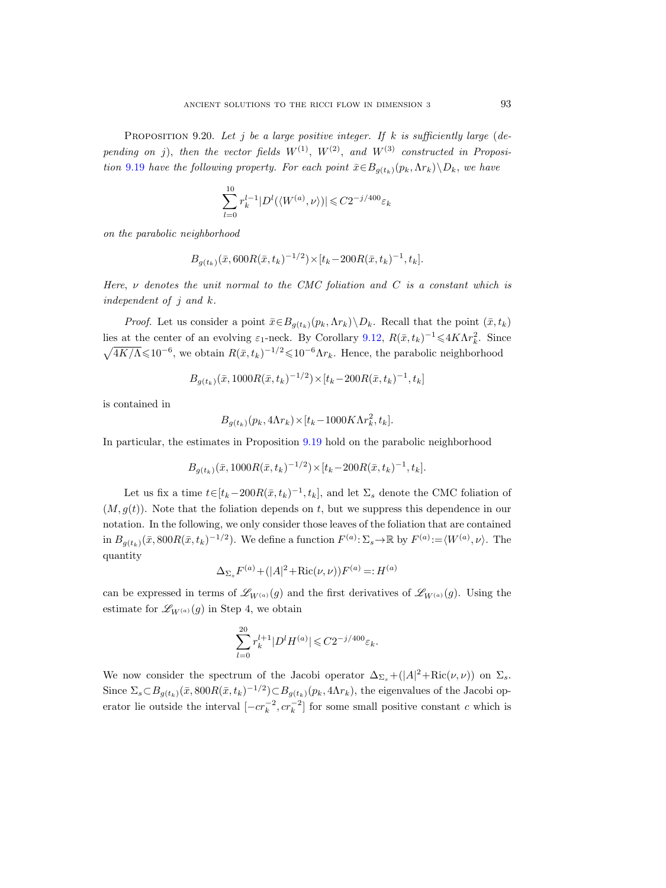<span id="page-92-0"></span>PROPOSITION 9.20. Let j be a large positive integer. If k is sufficiently large (depending on j), then the vector fields  $W^{(1)}$ ,  $W^{(2)}$ , and  $W^{(3)}$  constructed in Proposi-tion [9.19](#page-88-0) have the following property. For each point  $\bar{x} \in B_{g(t_k)}(p_k, \Lambda r_k) \backslash D_k$ , we have

$$
\sum_{l=0}^{10} r_k^{l-1} |D^l(\langle W^{(a)}, \nu \rangle)| \leq C 2^{-j/400} \varepsilon_k
$$

on the parabolic neighborhood

$$
B_{g(t_k)}(\bar{x}, 600R(\bar{x}, t_k)^{-1/2}) \times [t_k - 200R(\bar{x}, t_k)^{-1}, t_k].
$$

Here,  $\nu$  denotes the unit normal to the CMC foliation and C is a constant which is independent of  $j$  and  $k$ .

*Proof.* Let us consider a point  $\bar{x} \in B_{g(t_k)}(p_k, \Lambda r_k) \setminus D_k$ . Recall that the point  $(\bar{x}, t_k)$ lies at the center of an evolving  $\varepsilon_1$ -neck. By Corollary [9.12,](#page-82-0)  $R(\bar{x}, t_k)^{-1} \leq 4K\Lambda r_k^2$ . Since  $\sqrt{4K/\Lambda} \leq 10^{-6}$ , we obtain  $R(\bar{x}, t_k)^{-1/2} \leq 10^{-6} \Lambda r_k$ . Hence, the parabolic neighborhood

$$
B_{g(t_k)}(\bar{x}, 1000R(\bar{x}, t_k)^{-1/2}) \times [t_k - 200R(\bar{x}, t_k)^{-1}, t_k]
$$

is contained in

$$
B_{g(t_k)}(p_k, 4\Lambda r_k) \times [t_k - 1000K\Lambda r_k^2, t_k].
$$

In particular, the estimates in Proposition [9.19](#page-88-0) hold on the parabolic neighborhood

$$
B_{g(t_k)}(\bar{x}, 1000R(\bar{x}, t_k)^{-1/2}) \times [t_k - 200R(\bar{x}, t_k)^{-1}, t_k].
$$

Let us fix a time  $t \in [t_k - 200R(\bar{x}, t_k)^{-1}, t_k]$ , and let  $\Sigma_s$  denote the CMC foliation of  $(M, q(t))$ . Note that the foliation depends on t, but we suppress this dependence in our notation. In the following, we only consider those leaves of the foliation that are contained in  $B_{g(t_k)}(\bar{x}, 800R(\bar{x}, t_k)^{-1/2})$ . We define a function  $F^{(a)}: \Sigma_s \to \mathbb{R}$  by  $F^{(a)} := \langle W^{(a)}, \nu \rangle$ . The quantity

$$
\Delta_{\Sigma_s} F^{(a)} + (|A|^2 + \text{Ric}(\nu, \nu)) F^{(a)} =: H^{(a)}
$$

can be expressed in terms of  $\mathscr{L}_{W^{(a)}}(g)$  and the first derivatives of  $\mathscr{L}_{W^{(a)}}(g)$ . Using the estimate for  $\mathscr{L}_{W^{(a)}}(g)$  in Step 4, we obtain

$$
\sum_{l=0}^{20} r_k^{l+1} |D^l H^{(a)}| \leqslant C 2^{-j/400} \varepsilon_k.
$$

We now consider the spectrum of the Jacobi operator  $\Delta_{\Sigma_s} + (|A|^2 + \text{Ric}(\nu, \nu))$  on  $\Sigma_s$ . Since  $\Sigma_s \subset B_{g(t_k)}(\bar{x}, 800R(\bar{x}, t_k)^{-1/2}) \subset B_{g(t_k)}(p_k, 4\Lambda r_k)$ , the eigenvalues of the Jacobi operator lie outside the interval  $[-cr_k^{-2}, cr_k^{-2}]$  for some small positive constant c which is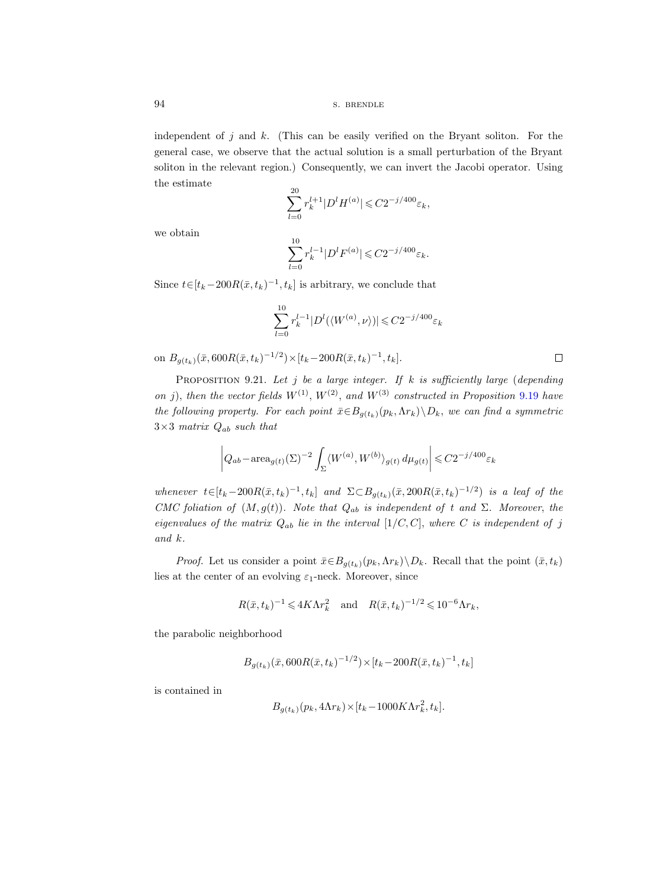94 S. BRENDLE

independent of  $j$  and  $k$ . (This can be easily verified on the Bryant soliton. For the general case, we observe that the actual solution is a small perturbation of the Bryant soliton in the relevant region.) Consequently, we can invert the Jacobi operator. Using the estimate

$$
\sum_{l=0}^{20} r_k^{l+1} |D^l H^{(a)}| \leq C 2^{-j/400} \varepsilon_k,
$$

we obtain

$$
\sum_{l=0}^{10} r_k^{l-1} |D^l F^{(a)}| \leq C 2^{-j/400} \varepsilon_k.
$$

Since  $t \in [t_k - 200R(\bar{x}, t_k)^{-1}, t_k]$  is arbitrary, we conclude that

$$
\sum_{l=0}^{10} r_k^{l-1} |D^l(\langle W^{(a)}, \nu \rangle)| \leqslant C 2^{-j/400} \varepsilon_k
$$

on  $B_{g(t_k)}(\bar{x}, 600R(\bar{x}, t_k)^{-1/2}) \times [t_k - 200R(\bar{x}, t_k)^{-1}, t_k].$ 

<span id="page-93-0"></span>PROPOSITION 9.21. Let j be a large integer. If k is sufficiently large (depending on j), then the vector fields  $W^{(1)}$ ,  $W^{(2)}$ , and  $W^{(3)}$  constructed in Proposition [9.19](#page-88-0) have the following property. For each point  $\bar{x} \in B_{g(t_k)}(p_k, \Lambda r_k) \setminus D_k$ , we can find a symmetric  $3\times3$  matrix  $Q_{ab}$  such that

$$
\left| Q_{ab} - \text{area}_{g(t)}(\Sigma)^{-2} \int_{\Sigma} \langle W^{(a)}, W^{(b)} \rangle_{g(t)} d\mu_{g(t)} \right| \leq C 2^{-j/400} \varepsilon_k
$$

whenever  $t \in [t_k - 200R(\bar{x}, t_k)^{-1}, t_k]$  and  $\Sigma \subset B_{g(t_k)}(\bar{x}, 200R(\bar{x}, t_k)^{-1/2})$  is a leaf of the CMC foliation of  $(M, g(t))$ . Note that  $Q_{ab}$  is independent of t and  $\Sigma$ . Moreover, the eigenvalues of the matrix  $Q_{ab}$  lie in the interval  $[1/C, C]$ , where C is independent of j and k.

*Proof.* Let us consider a point  $\bar{x} \in B_{g(t_k)}(p_k, \Lambda r_k) \setminus D_k$ . Recall that the point  $(\bar{x}, t_k)$ lies at the center of an evolving  $\varepsilon_1$ -neck. Moreover, since

$$
R(\bar{x}, t_k)^{-1} \leq 4K \Lambda r_k^2
$$
 and  $R(\bar{x}, t_k)^{-1/2} \leq 10^{-6} \Lambda r_k$ ,

the parabolic neighborhood

$$
B_{g(t_k)}(\bar{x}, 600R(\bar{x}, t_k)^{-1/2}) \times [t_k - 200R(\bar{x}, t_k)^{-1}, t_k]
$$

is contained in

$$
B_{g(t_k)}(p_k, 4\Lambda r_k) \times [t_k - 1000K\Lambda r_k^2, t_k].
$$

 $\Box$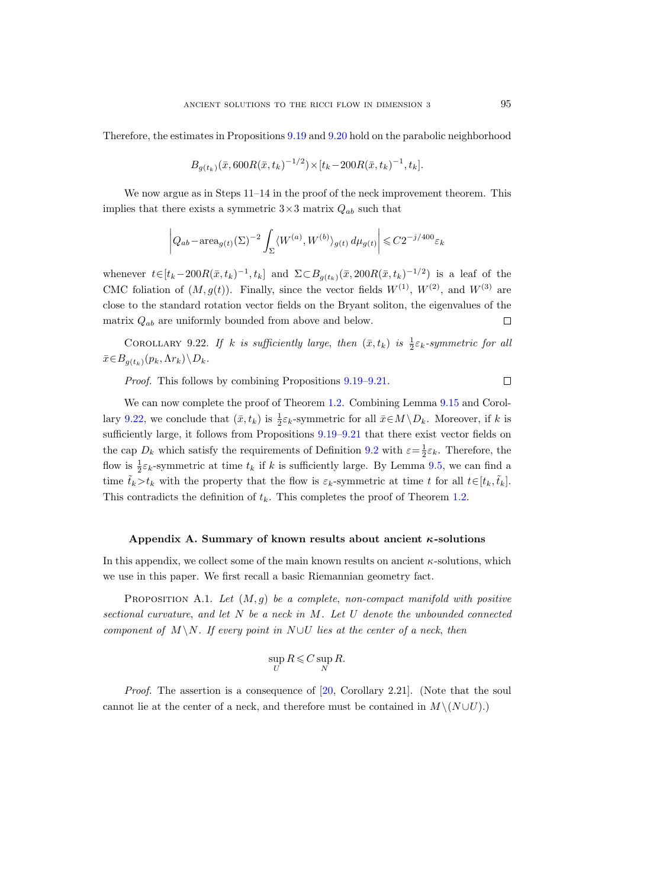Therefore, the estimates in Propositions [9.19](#page-88-0) and [9.20](#page-92-0) hold on the parabolic neighborhood

$$
B_{g(t_k)}(\bar{x}, 600R(\bar{x}, t_k)^{-1/2}) \times [t_k - 200R(\bar{x}, t_k)^{-1}, t_k].
$$

We now argue as in Steps  $11-14$  in the proof of the neck improvement theorem. This implies that there exists a symmetric  $3\times 3$  matrix  $Q_{ab}$  such that

$$
\left| Q_{ab} - \text{area}_{g(t)}(\Sigma)^{-2} \int_{\Sigma} \langle W^{(a)}, W^{(b)} \rangle_{g(t)} d\mu_{g(t)} \right| \leq C 2^{-j/400} \varepsilon_k
$$

whenever  $t \in [t_k - 200R(\bar{x}, t_k)^{-1}, t_k]$  and  $\Sigma \subset B_{g(t_k)}(\bar{x}, 200R(\bar{x}, t_k)^{-1/2})$  is a leaf of the CMC foliation of  $(M, g(t))$ . Finally, since the vector fields  $W^{(1)}$ ,  $W^{(2)}$ , and  $W^{(3)}$  are close to the standard rotation vector fields on the Bryant soliton, the eigenvalues of the matrix  $Q_{ab}$  are uniformly bounded from above and below.  $\Box$ 

<span id="page-94-1"></span>COROLLARY 9.22. If k is sufficiently large, then  $(\bar{x}, t_k)$  is  $\frac{1}{2} \varepsilon_k$ -symmetric for all  $\bar{x} \in B_{q(t_k)}(p_k, \Lambda r_k) \backslash D_k.$ 

Proof. This follows by combining Propositions [9.19–](#page-88-0)[9.21.](#page-93-0)

We can now complete the proof of Theorem [1.2.](#page-1-0) Combining Lemma [9.15](#page-83-1) and Corol-lary [9.22,](#page-94-1) we conclude that  $(\bar{x}, t_k)$  is  $\frac{1}{2}\varepsilon_k$ -symmetric for all  $\bar{x} \in M \setminus D_k$ . Moreover, if k is sufficiently large, it follows from Propositions [9.19–](#page-88-0)[9.21](#page-93-0) that there exist vector fields on the cap  $D_k$  which satisfy the requirements of Definition [9.2](#page-75-0) with  $\varepsilon = \frac{1}{2}\varepsilon_k$ . Therefore, the flow is  $\frac{1}{2}\varepsilon_k$ -symmetric at time  $t_k$  if k is sufficiently large. By Lemma [9.5,](#page-76-0) we can find a time  $\tilde{t}_k > t_k$  with the property that the flow is  $\varepsilon_k$ -symmetric at time t for all  $t \in [t_k, \tilde{t}_k]$ . This contradicts the definition of  $t_k$ . This completes the proof of Theorem [1.2.](#page-1-0)

## Appendix A. Summary of known results about ancient  $\kappa$ -solutions

In this appendix, we collect some of the main known results on ancient  $\kappa$ -solutions, which we use in this paper. We first recall a basic Riemannian geometry fact.

<span id="page-94-0"></span>PROPOSITION A.1. Let  $(M, g)$  be a complete, non-compact manifold with positive sectional curvature, and let  $N$  be a neck in  $M$ . Let  $U$  denote the unbounded connected component of M \N. If every point in N ∪U lies at the center of a neck, then

$$
\sup_U R \leqslant C \sup_N R.
$$

Proof. The assertion is a consequence of [\[20,](#page-100-7) Corollary 2.21]. (Note that the soul cannot lie at the center of a neck, and therefore must be contained in  $M \setminus (N \cup U)$ .)

 $\Box$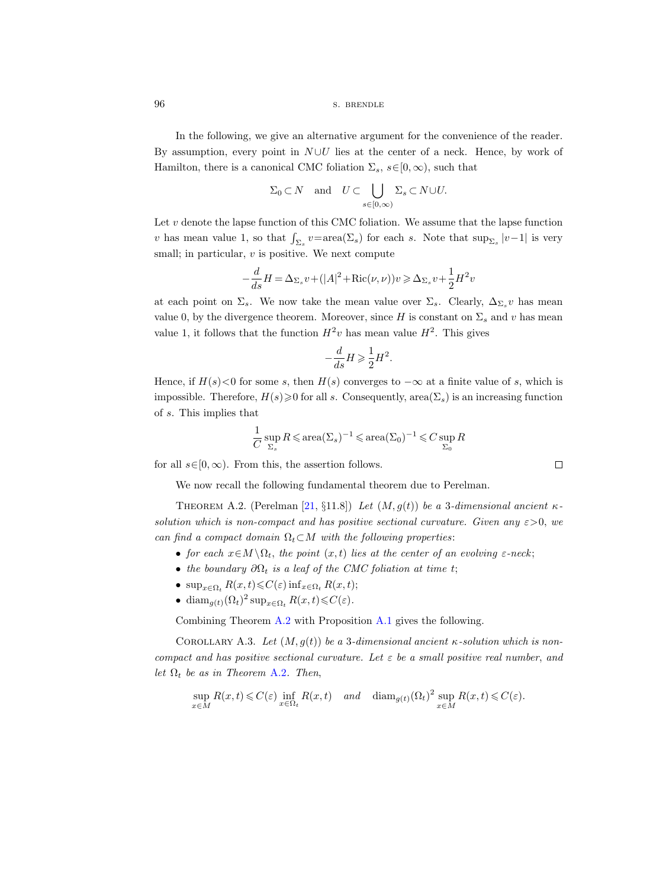96 s. BRENDLE

In the following, we give an alternative argument for the convenience of the reader. By assumption, every point in  $N \cup U$  lies at the center of a neck. Hence, by work of Hamilton, there is a canonical CMC foliation  $\Sigma_s$ ,  $s \in [0, \infty)$ , such that

$$
\Sigma_0 \subset N
$$
 and  $U \subset \bigcup_{s \in [0,\infty)} \Sigma_s \subset N \cup U$ .

Let  $v$  denote the lapse function of this CMC foliation. We assume that the lapse function v has mean value 1, so that  $\int_{\Sigma_s} v = \text{area}(\Sigma_s)$  for each s. Note that  $\sup_{\Sigma_s} |v-1|$  is very small; in particular,  $v$  is positive. We next compute

$$
-\frac{d}{ds}H = \Delta_{\Sigma_s}v + (|A|^2 + \text{Ric}(\nu, \nu))v \geq \Delta_{\Sigma_s}v + \frac{1}{2}H^2v
$$

at each point on  $\Sigma_s$ . We now take the mean value over  $\Sigma_s$ . Clearly,  $\Delta_{\Sigma_s} v$  has mean value 0, by the divergence theorem. Moreover, since H is constant on  $\Sigma_s$  and v has mean value 1, it follows that the function  $H^2v$  has mean value  $H^2$ . This gives

$$
-\frac{d}{ds}H \geqslant \frac{1}{2}H^2.
$$

Hence, if  $H(s) < 0$  for some s, then  $H(s)$  converges to  $-\infty$  at a finite value of s, which is impossible. Therefore,  $H(s) \geq 0$  for all s. Consequently, area( $\Sigma_s$ ) is an increasing function of s. This implies that

$$
\frac{1}{C}\sup_{\Sigma_s}R\leqslant\mathrm{area}(\Sigma_s)^{-1}\leqslant\mathrm{area}(\Sigma_0)^{-1}\leqslant C\sup_{\Sigma_0}R
$$

 $\Box$ 

for all  $s \in [0, \infty)$ . From this, the assertion follows.

We now recall the following fundamental theorem due to Perelman.

<span id="page-95-0"></span>THEOREM A.2. (Perelman [\[21,](#page-100-0) §11.8]) Let  $(M, g(t))$  be a 3-dimensional ancient  $\kappa$ solution which is non-compact and has positive sectional curvature. Given any  $\varepsilon > 0$ , we can find a compact domain  $\Omega_t \subset M$  with the following properties:

- for each  $x \in M \setminus \Omega_t$ , the point  $(x, t)$  lies at the center of an evolving  $\varepsilon$ -neck;
- the boundary  $\partial\Omega_t$  is a leaf of the CMC foliation at time t;
- $\sup_{x \in \Omega_t} R(x, t) \leqslant C(\varepsilon) \inf_{x \in \Omega_t} R(x, t);$
- dia $m_{g(t)}(\Omega_t)^2 \sup_{x \in \Omega_t} R(x,t) \leq C(\varepsilon).$

Combining Theorem [A.2](#page-95-0) with Proposition [A.1](#page-94-0) gives the following.

<span id="page-95-1"></span>COROLLARY A.3. Let  $(M, g(t))$  be a 3-dimensional ancient  $\kappa$ -solution which is noncompact and has positive sectional curvature. Let  $\varepsilon$  be a small positive real number, and let  $\Omega_t$  be as in Theorem [A.2](#page-95-0). Then,

$$
\sup_{x \in M} R(x,t) \leq C(\varepsilon) \inf_{x \in \Omega_t} R(x,t) \quad and \quad \operatorname{diam}_{g(t)}(\Omega_t)^2 \sup_{x \in M} R(x,t) \leq C(\varepsilon).
$$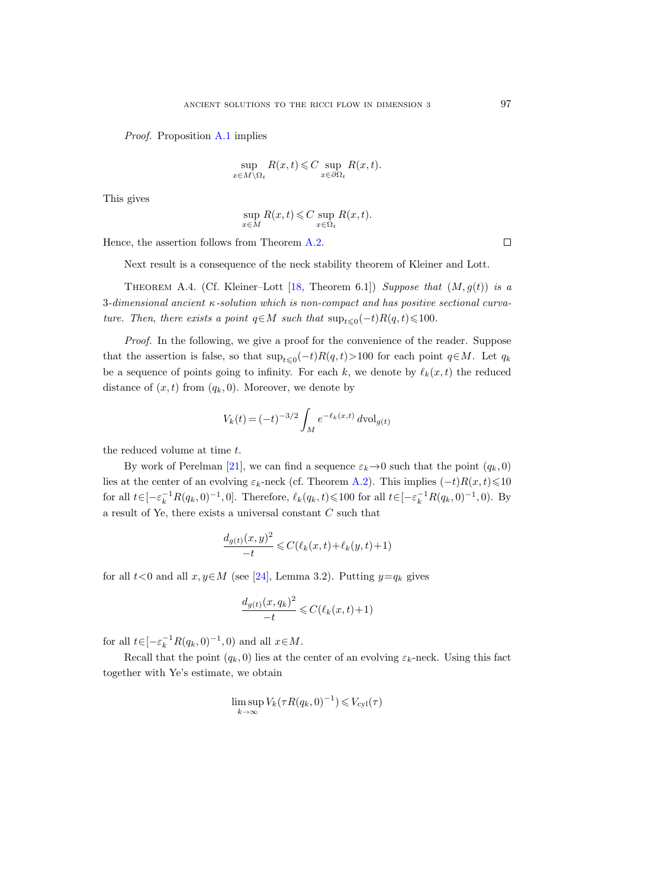Proof. Proposition [A.1](#page-94-0) implies

$$
\sup_{x \in M \setminus \Omega_t} R(x, t) \leqslant C \sup_{x \in \partial \Omega_t} R(x, t).
$$

This gives

$$
\sup_{x \in M} R(x,t) \leq C \sup_{x \in \Omega_t} R(x,t).
$$

Hence, the assertion follows from Theorem [A.2.](#page-95-0)

Next result is a consequence of the neck stability theorem of Kleiner and Lott.

THEOREM A.4. (Cf. Kleiner–Lott [\[18,](#page-100-8) Theorem 6.1]) Suppose that  $(M, g(t))$  is a 3-dimensional ancient κ-solution which is non-compact and has positive sectional curvature. Then, there exists a point  $q \in M$  such that  $\sup_{t \leq 0} (-t)R(q, t) \leq 100$ .

Proof. In the following, we give a proof for the convenience of the reader. Suppose that the assertion is false, so that  $\sup_{t\leq0}(-t)R(q,t)$ >100 for each point  $q\in M$ . Let  $q_k$ be a sequence of points going to infinity. For each k, we denote by  $\ell_k(x, t)$  the reduced distance of  $(x, t)$  from  $(q_k, 0)$ . Moreover, we denote by

$$
V_k(t) = (-t)^{-3/2} \int_M e^{-\ell_k(x,t)} d\text{vol}_{g(t)}
$$

the reduced volume at time t.

By work of Perelman [\[21\]](#page-100-0), we can find a sequence  $\varepsilon_k \to 0$  such that the point  $(q_k, 0)$ lies at the center of an evolving  $\varepsilon_k$ -neck (cf. Theorem [A.2\)](#page-95-0). This implies  $(-t)R(x,t) \leq 10$ for all  $t \in [-\varepsilon_k^{-1}R(q_k, 0)^{-1}, 0]$ . Therefore,  $\ell_k(q_k, t) \leq 100$  for all  $t \in [-\varepsilon_k^{-1}R(q_k, 0)^{-1}, 0)$ . By a result of Ye, there exists a universal constant  $C$  such that

$$
\frac{d_{g(t)}(x,y)^2}{-t} \leqslant C(\ell_k(x,t) + \ell_k(y,t) + 1)
$$

for all  $t < 0$  and all  $x, y \in M$  (see [\[24\]](#page-100-9), Lemma 3.2). Putting  $y = q_k$  gives

$$
\frac{d_{g(t)}(x,q_k)^2}{-t} \leqslant C(\ell_k(x,t)+1)
$$

for all  $t \in [-\varepsilon_k^{-1} R(q_k, 0)^{-1}, 0)$  and all  $x \in M$ .

Recall that the point  $(q_k, 0)$  lies at the center of an evolving  $\varepsilon_k$ -neck. Using this fact together with Ye's estimate, we obtain

$$
\limsup_{k \to \infty} V_k(\tau R(q_k, 0)^{-1}) \leq V_{\text{cyl}}(\tau)
$$

 $\Box$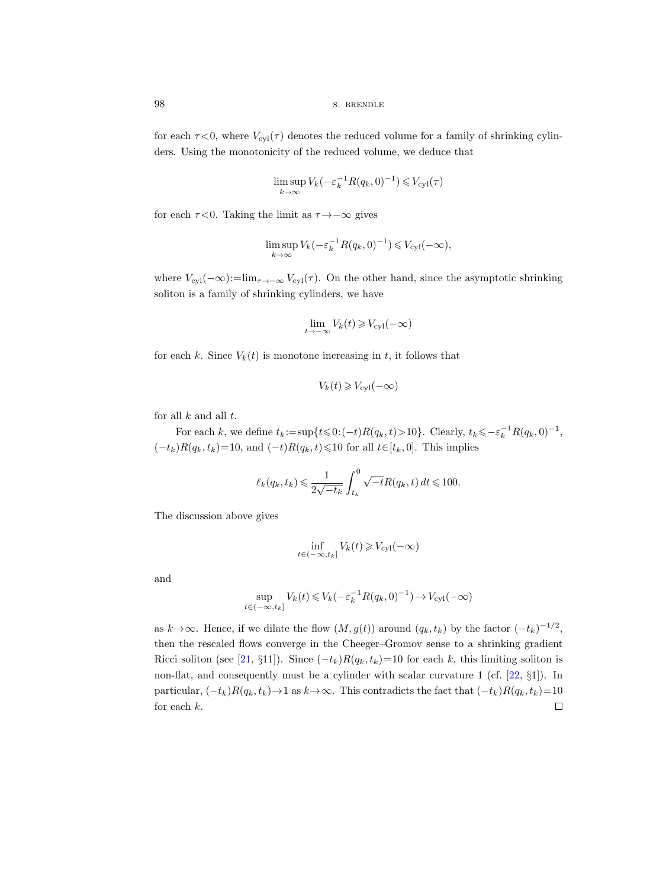for each  $\tau$ <0, where  $V_{\text{cyl}}(\tau)$  denotes the reduced volume for a family of shrinking cylinders. Using the monotonicity of the reduced volume, we deduce that

$$
\limsup_{k \to \infty} V_k(-\varepsilon_k^{-1}R(q_k, 0)^{-1}) \leq V_{\text{cyl}}(\tau)
$$

for each  $\tau$  <0. Taking the limit as  $\tau \rightarrow -\infty$  gives

$$
\limsup_{k \to \infty} V_k(-\varepsilon_k^{-1}R(q_k, 0)^{-1}) \leq V_{\text{cyl}}(-\infty),
$$

where  $V_{\text{cyl}}(-\infty) := \lim_{\tau \to -\infty} V_{\text{cyl}}(\tau)$ . On the other hand, since the asymptotic shrinking soliton is a family of shrinking cylinders, we have

$$
\lim_{t \to -\infty} V_k(t) \geq V_{\text{cyl}}(-\infty)
$$

for each k. Since  $V_k(t)$  is monotone increasing in t, it follows that

$$
V_k(t) \geq V_{\text{cyl}}(-\infty)
$$

for all  $k$  and all  $t$ .

For each k, we define  $t_k := \sup\{t \leq 0: (-t)R(q_k, t) > 10\}$ . Clearly,  $t_k \leq -\varepsilon_k^{-1}R(q_k, 0)^{-1}$ ,  $(-t_k)R(q_k, t_k)=10$ , and  $(-t)R(q_k, t)\leq 10$  for all  $t\in[t_k, 0]$ . This implies

$$
\ell_k(q_k, t_k) \leqslant \frac{1}{2\sqrt{-t_k}} \int_{t_k}^0 \sqrt{-t} R(q_k, t) dt \leqslant 100.
$$

The discussion above gives

$$
\inf_{t \in (-\infty, t_k]} V_k(t) \geq V_{\text{cyl}}(-\infty)
$$

and

$$
\sup_{t \in (-\infty, t_k]} V_k(t) \leq V_k(-\varepsilon_k^{-1} R(q_k, 0)^{-1}) \to V_{\text{cyl}}(-\infty)
$$

as  $k \to \infty$ . Hence, if we dilate the flow  $(M, g(t))$  around  $(q_k, t_k)$  by the factor  $(-t_k)^{-1/2}$ , then the rescaled flows converge in the Cheeger–Gromov sense to a shrinking gradient Ricci soliton (see [\[21,](#page-100-0) §11]). Since  $(-t_k)R(q_k, t_k)=10$  for each k, this limiting soliton is non-flat, and consequently must be a cylinder with scalar curvature 1 (cf. [\[22,](#page-100-10) §1]). In particular,  $(-t_k)R(q_k, t_k) \rightarrow 1$  as  $k \rightarrow \infty$ . This contradicts the fact that  $(-t_k)R(q_k, t_k)=10$ for each k. $\Box$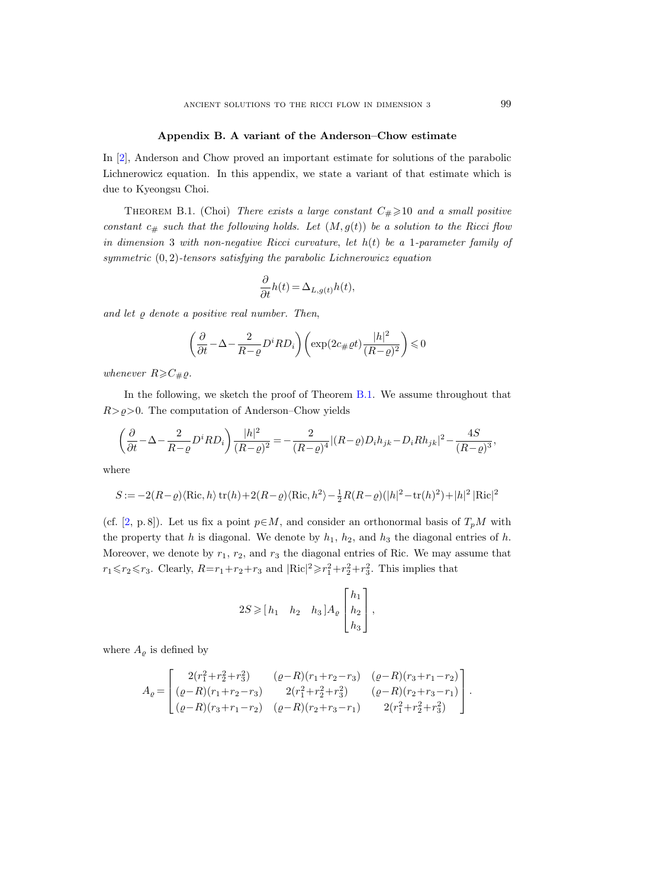## Appendix B. A variant of the Anderson–Chow estimate

In [\[2\]](#page-100-11), Anderson and Chow proved an important estimate for solutions of the parabolic Lichnerowicz equation. In this appendix, we state a variant of that estimate which is due to Kyeongsu Choi.

<span id="page-98-0"></span>THEOREM B.1. (Choi) There exists a large constant  $C_{\#} \geq 10$  and a small positive constant  $c_{\#}$  such that the following holds. Let  $(M, g(t))$  be a solution to the Ricci flow in dimension 3 with non-negative Ricci curvature, let  $h(t)$  be a 1-parameter family of symmetric (0, 2)-tensors satisfying the parabolic Lichnerowicz equation

$$
\frac{\partial}{\partial t}h(t) = \Delta_{L,g(t)}h(t),
$$

and let  $\varrho$  denote a positive real number. Then,

$$
\left(\frac{\partial}{\partial t} - \Delta - \frac{2}{R - \varrho} D^i R D_i\right) \left(\exp(2c_{\#}\varrho t) \frac{|h|^2}{(R - \varrho)^2}\right) \leq 0
$$

whenever  $R \geqslant C_{\#}\varrho$ .

In the following, we sketch the proof of Theorem [B.1.](#page-98-0) We assume throughout that  $R > \rho > 0$ . The computation of Anderson–Chow yields

$$
\left(\frac{\partial}{\partial t} - \Delta - \frac{2}{R-\varrho}D^iRD_i\right)\frac{|h|^2}{(R-\varrho)^2} = -\frac{2}{(R-\varrho)^4} |(R-\varrho)D_ih_{jk} - D_iRh_{jk}|^2 - \frac{4S}{(R-\varrho)^3},
$$

where

$$
S:=-2(R-\varrho)\langle\mathrm{Ric},h\rangle\operatorname{tr}(h)+2(R-\varrho)\langle\mathrm{Ric},h^2\rangle-\tfrac{1}{2}R(R-\varrho)(|h|^2-\operatorname{tr}(h)^2)+|h|^2\,|\mathrm{Ric}|^2
$$

(cf. [\[2,](#page-100-11) p. 8]). Let us fix a point  $p \in M$ , and consider an orthonormal basis of  $T_pM$  with the property that h is diagonal. We denote by  $h_1$ ,  $h_2$ , and  $h_3$  the diagonal entries of h. Moreover, we denote by  $r_1$ ,  $r_2$ , and  $r_3$  the diagonal entries of Ric. We may assume that  $r_1 \leq r_2 \leq r_3$ . Clearly,  $R=r_1+r_2+r_3$  and  $|\text{Ric}|^2 \geq r_1^2+r_2^2+r_3^2$ . This implies that

$$
2S \geqslant [h_1 \quad h_2 \quad h_3] A_{\varrho} \begin{bmatrix} h_1 \\ h_2 \\ h_3 \end{bmatrix},
$$

where  $A_{\varrho}$  is defined by

$$
A_{\varrho}=\begin{bmatrix} 2(r_1^2+r_2^2+r_3^2) & (\varrho-R)(r_1+r_2-r_3) & (\varrho-R)(r_3+r_1-r_2) \\ (\varrho-R)(r_1+r_2-r_3) & 2(r_1^2+r_2^2+r_3^2) & (\varrho-R)(r_2+r_3-r_1) \\ (\varrho-R)(r_3+r_1-r_2) & (\varrho-R)(r_2+r_3-r_1) & 2(r_1^2+r_2^2+r_3^2) \end{bmatrix}.
$$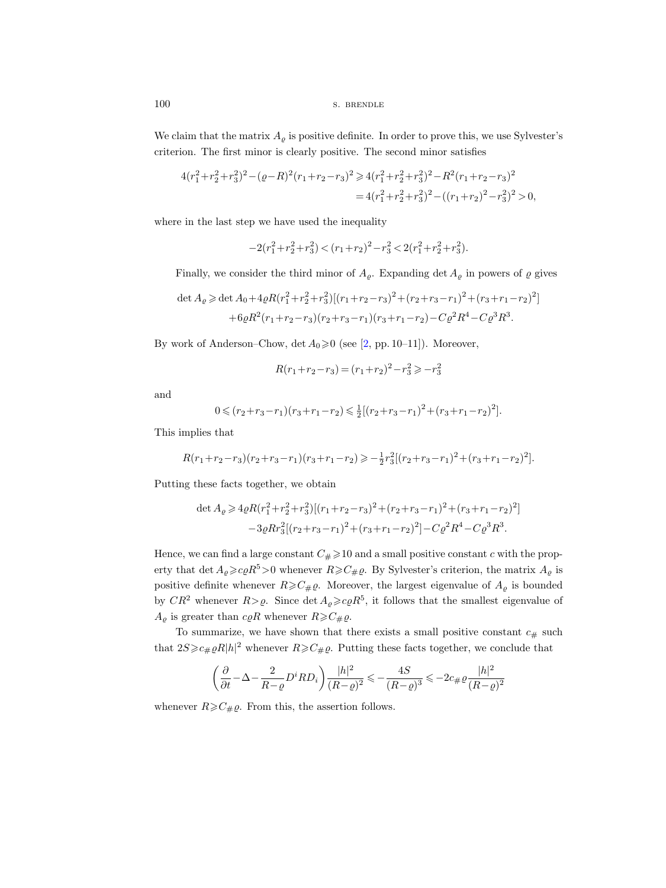100 S. BRENDLE

We claim that the matrix  $A_{\rho}$  is positive definite. In order to prove this, we use Sylvester's criterion. The first minor is clearly positive. The second minor satisfies

$$
4(r_1^2 + r_2^2 + r_3^2)^2 - (\varrho - R)^2 (r_1 + r_2 - r_3)^2 \ge 4(r_1^2 + r_2^2 + r_3^2)^2 - R^2 (r_1 + r_2 - r_3)^2
$$
  
= 
$$
4(r_1^2 + r_2^2 + r_3^2)^2 - ((r_1 + r_2)^2 - r_3^2)^2 > 0,
$$

where in the last step we have used the inequality

$$
-2\big(r_1^2+r_2^2+r_3^2\big)<\big(r_1+r_2\big)^2-r_3^2<2\big(r_1^2+r_2^2+r_3^2\big).
$$

Finally, we consider the third minor of  $A_{\varrho}$ . Expanding det  $A_{\varrho}$  in powers of  $\varrho$  gives

$$
\det A_{\varrho} \ge \det A_0 + 4\varrho R (r_1^2 + r_2^2 + r_3^2) [(r_1 + r_2 - r_3)^2 + (r_2 + r_3 - r_1)^2 + (r_3 + r_1 - r_2)^2] + 6\varrho R^2 (r_1 + r_2 - r_3) (r_2 + r_3 - r_1) (r_3 + r_1 - r_2) - C\varrho^2 R^4 - C\varrho^3 R^3.
$$

By work of Anderson–Chow, det  $A_0 \ge 0$  (see [\[2,](#page-100-11) pp. 10–11]). Moreover,

$$
R(r_1+r_2-r_3) = (r_1+r_2)^2 - r_3^2 \geqslant -r_3^2
$$

and

$$
0 \leqslant (r_2 + r_3 - r_1)(r_3 + r_1 - r_2) \leqslant \frac{1}{2} \left[ (r_2 + r_3 - r_1)^2 + (r_3 + r_1 - r_2)^2 \right].
$$

This implies that

$$
R(r_1+r_2-r_3)(r_2+r_3-r_1)(r_3+r_1-r_2) \geqslant -\frac{1}{2}r_3^2[(r_2+r_3-r_1)^2+(r_3+r_1-r_2)^2].
$$

Putting these facts together, we obtain

$$
\det A_{\varrho} \geqslant 4\varrho R(r_1^2 + r_2^2 + r_3^2)[(r_1 + r_2 - r_3)^2 + (r_2 + r_3 - r_1)^2 + (r_3 + r_1 - r_2)^2] \n-3\varrho R r_3^2[(r_2 + r_3 - r_1)^2 + (r_3 + r_1 - r_2)^2] - C\varrho^2 R^4 - C\varrho^3 R^3.
$$

Hence, we can find a large constant  $C_{\#} \geq 10$  and a small positive constant c with the property that det  $A_{\varrho} \geq c_{\varrho} R^5 > 0$  whenever  $R \geq C_{\#\varrho}$ . By Sylvester's criterion, the matrix  $A_{\varrho}$  is positive definite whenever  $R \geqslant C_{\#}\varrho$ . Moreover, the largest eigenvalue of  $A_{\varrho}$  is bounded by  $CR^2$  whenever  $R > \varrho$ . Since  $\det A_{\varrho} \geqslant c \varrho R^5$ , it follows that the smallest eigenvalue of  $A_{\rho}$  is greater than  $c \rho R$  whenever  $R \geqslant C_{\#} \rho$ .

To summarize, we have shown that there exists a small positive constant  $c_{\#}$  such that  $2S\gg c_{\#}\rho R|h|^2$  whenever  $R\gg C_{\#}\rho$ . Putting these facts together, we conclude that

$$
\left(\frac{\partial}{\partial t} - \Delta - \frac{2}{R - \varrho} D^i R D_i\right) \frac{|h|^2}{(R - \varrho)^2} \leq -\frac{4S}{(R - \varrho)^3} \leq -2c_{\#}\varrho \frac{|h|^2}{(R - \varrho)^2}
$$

whenever  $R \geq C_{\#}\varrho$ . From this, the assertion follows.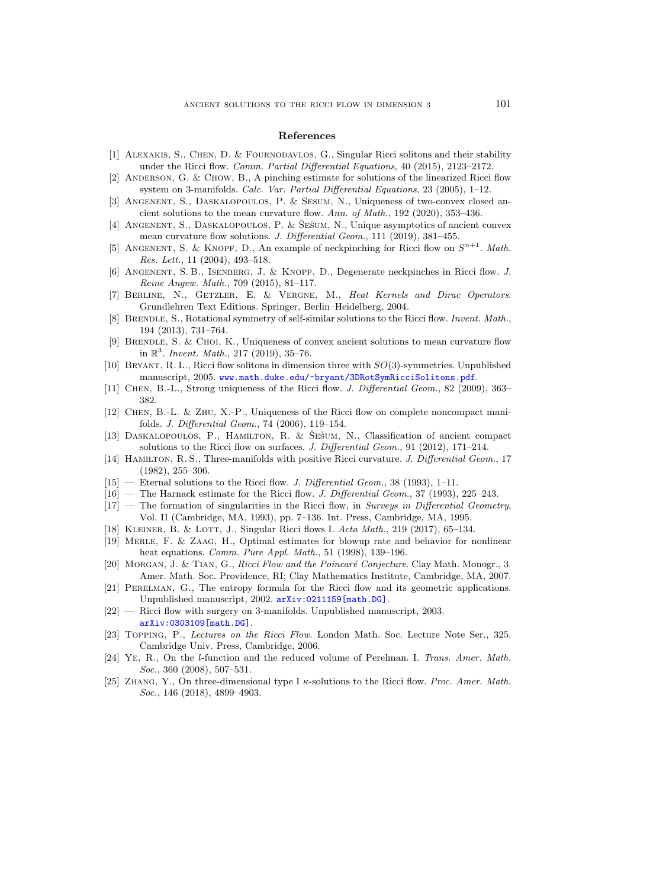## References

- [1] Alexakis, S., Chen, D. & Fournodavlos, G., Singular Ricci solitons and their stability under the Ricci flow. *Comm. Partial Differential Equations*, 40 (2015), 2123–2172.
- <span id="page-100-11"></span>[2] Anderson, G. & Chow, B., A pinching estimate for solutions of the linearized Ricci flow system on 3-manifolds. Calc. Var. Partial Differential Equations, 23 (2005), 1–12.
- [3] Angenent, S., Daskalopoulos, P. & Sesum, N., Uniqueness of two-convex closed ancient solutions to the mean curvature flow. Ann. of Math., 192 (2020), 353–436.
- [4] ANGENENT, S., DASKALOPOULOS, P. & ŠEŠUM, N., Unique asymptotics of ancient convex mean curvature flow solutions. J. Differential Geom., 111 (2019), 381-455.
- [5] ANGENENT, S. & KNOPF, D., An example of neckpinching for Ricci flow on  $S^{n+1}$ . Math. Res. Lett., 11 (2004), 493–518.
- [6] Angenent, S. B., Isenberg, J. & Knopf, D., Degenerate neckpinches in Ricci flow. J. Reine Angew. Math., 709 (2015), 81–117.
- [7] Berline, N., Getzler, E. & Vergne, M., Heat Kernels and Dirac Operators. Grundlehren Text Editions. Springer, Berlin–Heidelberg, 2004.
- <span id="page-100-1"></span>[8] BRENDLE, S., Rotational symmetry of self-similar solutions to the Ricci flow. Invent. Math., 194 (2013), 731–764.
- [9] Brendle, S. & Choi, K., Uniqueness of convex ancient solutions to mean curvature flow in  $\mathbb{R}^3$ . Invent. Math., 217 (2019), 35-76.
- [10] Bryant, R. L., Ricci flow solitons in dimension three with SO(3)-symmetries. Unpublished manuscript, 2005. <www.math.duke.edu/~bryant/3DRotSymRicciSolitons.pdf>.
- [11] Chen, B.-L., Strong uniqueness of the Ricci flow. J. Differential Geom., 82 (2009), 363– 382.
- <span id="page-100-6"></span>[12] Chen, B.-L. & Zhu, X.-P., Uniqueness of the Ricci flow on complete noncompact manifolds. J. Differential Geom., 74 (2006), 119–154.
- [13] DASKALOPOULOS, P., HAMILTON, R. & ŠEŠUM, N., Classification of ancient compact solutions to the Ricci flow on surfaces. J. Differential Geom., 91 (2012), 171–214.
- [14] HAMILTON, R. S., Three-manifolds with positive Ricci curvature. J. Differential Geom., 17 (1982), 255–306.
- <span id="page-100-5"></span>[15] — Eternal solutions to the Ricci flow. J. Differential Geom., 38 (1993), 1–11.
- <span id="page-100-4"></span>[16] — The Harnack estimate for the Ricci flow. J. Differential Geom., 37 (1993), 225–243.
- <span id="page-100-3"></span> $[17]$  — The formation of singularities in the Ricci flow, in Surveys in Differential Geometry, Vol. II (Cambridge, MA, 1993), pp. 7–136. Int. Press, Cambridge, MA, 1995.
- <span id="page-100-8"></span>[18] KLEINER, B. & LOTT, J., Singular Ricci flows I. Acta Math., 219 (2017), 65–134.
- [19] Merle, F. & Zaag, H., Optimal estimates for blowup rate and behavior for nonlinear heat equations. Comm. Pure Appl. Math., 51 (1998), 139–196.
- <span id="page-100-7"></span>[20] MORGAN, J. & TIAN, G., Ricci Flow and the Poincaré Conjecture. Clay Math. Monogr., 3. Amer. Math. Soc. Providence, RI; Clay Mathematics Institute, Cambridge, MA, 2007.
- <span id="page-100-0"></span>[21] Perelman, G., The entropy formula for the Ricci flow and its geometric applications. Unpublished manuscript, 2002. [arXiv:0211159\[math.DG\]](http://arxiv.org/abs/0211159).
- <span id="page-100-10"></span>[22] — Ricci flow with surgery on 3-manifolds. Unpublished manuscript, 2003. [arXiv:0303109\[math.DG\]](http://arxiv.org/abs/0303109).
- [23] Topping, P., Lectures on the Ricci Flow. London Math. Soc. Lecture Note Ser., 325. Cambridge Univ. Press, Cambridge, 2006.
- <span id="page-100-9"></span>[24] Ye, R., On the l-function and the reduced volume of Perelman. I. Trans. Amer. Math. Soc., 360 (2008), 507–531.
- <span id="page-100-2"></span>[25] ZHANG, Y., On three-dimensional type I  $\kappa$ -solutions to the Ricci flow. Proc. Amer. Math. Soc., 146 (2018), 4899-4903.